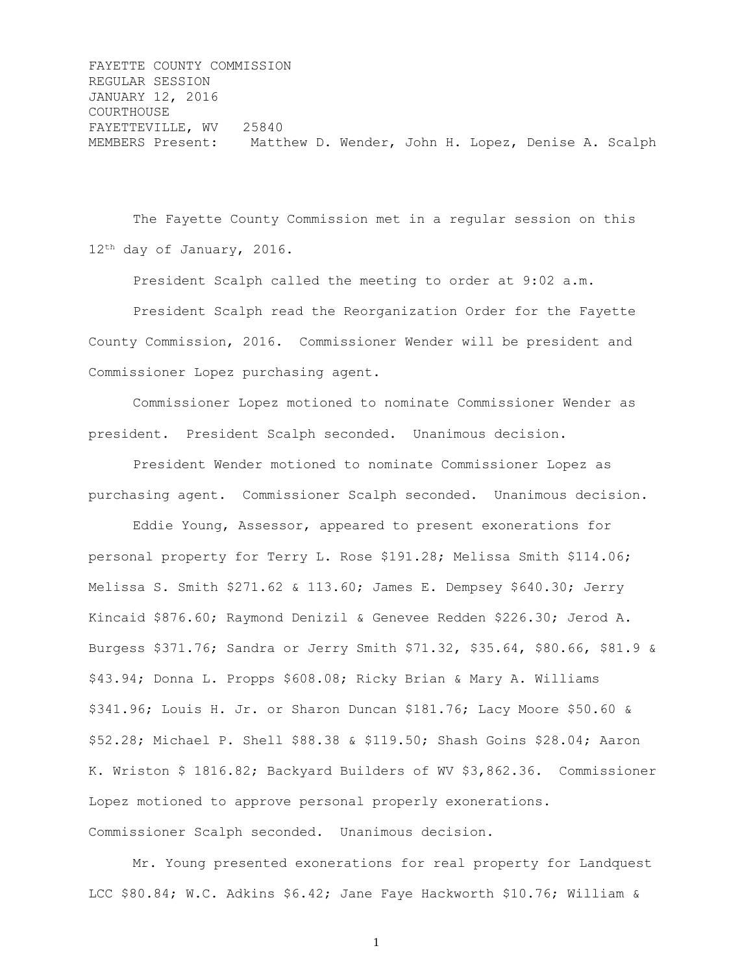FAYETTE COUNTY COMMISSION REGULAR SESSION JANUARY 12, 2016 COURTHOUSE FAYETTEVILLE, WV 25840 MEMBERS Present: Matthew D. Wender, John H. Lopez, Denise A. Scalph

The Fayette County Commission met in a regular session on this 12th day of January, 2016.

President Scalph called the meeting to order at 9:02 a.m.

President Scalph read the Reorganization Order for the Fayette County Commission, 2016. Commissioner Wender will be president and Commissioner Lopez purchasing agent.

Commissioner Lopez motioned to nominate Commissioner Wender as president. President Scalph seconded. Unanimous decision.

President Wender motioned to nominate Commissioner Lopez as purchasing agent. Commissioner Scalph seconded. Unanimous decision.

Eddie Young, Assessor, appeared to present exonerations for personal property for Terry L. Rose \$191.28; Melissa Smith \$114.06; Melissa S. Smith \$271.62 & 113.60; James E. Dempsey \$640.30; Jerry Kincaid \$876.60; Raymond Denizil & Genevee Redden \$226.30; Jerod A. Burgess \$371.76; Sandra or Jerry Smith \$71.32, \$35.64, \$80.66, \$81.9 & \$43.94; Donna L. Propps \$608.08; Ricky Brian & Mary A. Williams \$341.96; Louis H. Jr. or Sharon Duncan \$181.76; Lacy Moore \$50.60 & \$52.28; Michael P. Shell \$88.38 & \$119.50; Shash Goins \$28.04; Aaron K. Wriston \$ 1816.82; Backyard Builders of WV \$3,862.36. Commissioner Lopez motioned to approve personal properly exonerations. Commissioner Scalph seconded. Unanimous decision.

Mr. Young presented exonerations for real property for Landquest LCC \$80.84; W.C. Adkins \$6.42; Jane Faye Hackworth \$10.76; William &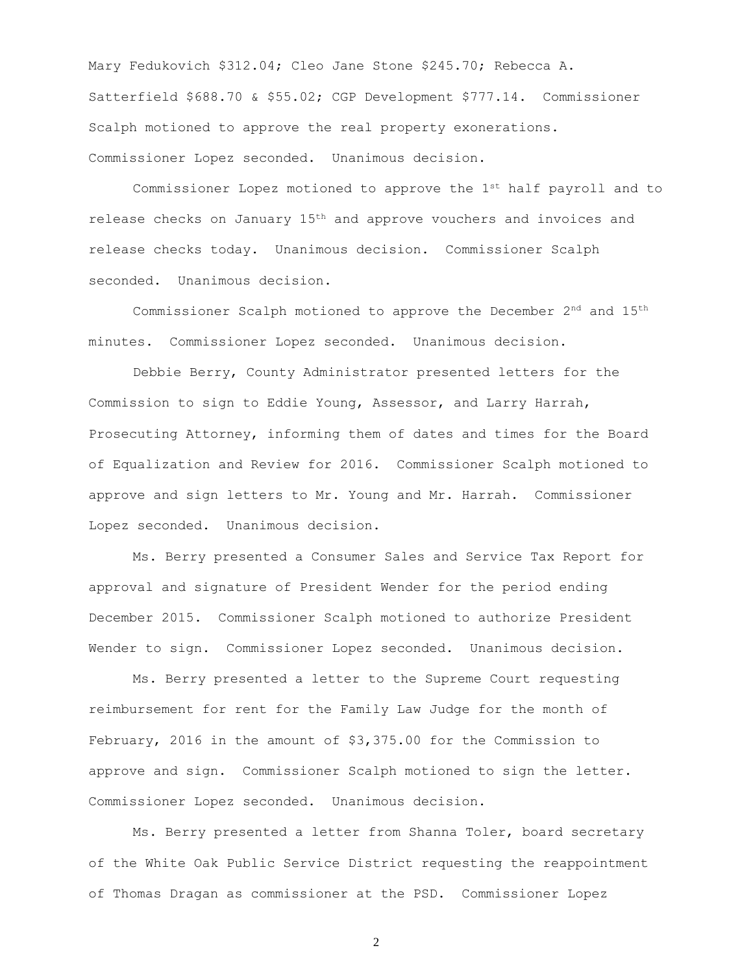Mary Fedukovich \$312.04; Cleo Jane Stone \$245.70; Rebecca A. Satterfield \$688.70 & \$55.02; CGP Development \$777.14. Commissioner Scalph motioned to approve the real property exonerations. Commissioner Lopez seconded. Unanimous decision.

Commissioner Lopez motioned to approve the 1st half payroll and to release checks on January 15th and approve vouchers and invoices and release checks today. Unanimous decision. Commissioner Scalph seconded. Unanimous decision.

Commissioner Scalph motioned to approve the December 2nd and 15th minutes. Commissioner Lopez seconded. Unanimous decision.

Debbie Berry, County Administrator presented letters for the Commission to sign to Eddie Young, Assessor, and Larry Harrah, Prosecuting Attorney, informing them of dates and times for the Board of Equalization and Review for 2016. Commissioner Scalph motioned to approve and sign letters to Mr. Young and Mr. Harrah. Commissioner Lopez seconded. Unanimous decision.

Ms. Berry presented a Consumer Sales and Service Tax Report for approval and signature of President Wender for the period ending December 2015. Commissioner Scalph motioned to authorize President Wender to sign. Commissioner Lopez seconded. Unanimous decision.

Ms. Berry presented a letter to the Supreme Court requesting reimbursement for rent for the Family Law Judge for the month of February, 2016 in the amount of \$3,375.00 for the Commission to approve and sign. Commissioner Scalph motioned to sign the letter. Commissioner Lopez seconded. Unanimous decision.

Ms. Berry presented a letter from Shanna Toler, board secretary of the White Oak Public Service District requesting the reappointment of Thomas Dragan as commissioner at the PSD. Commissioner Lopez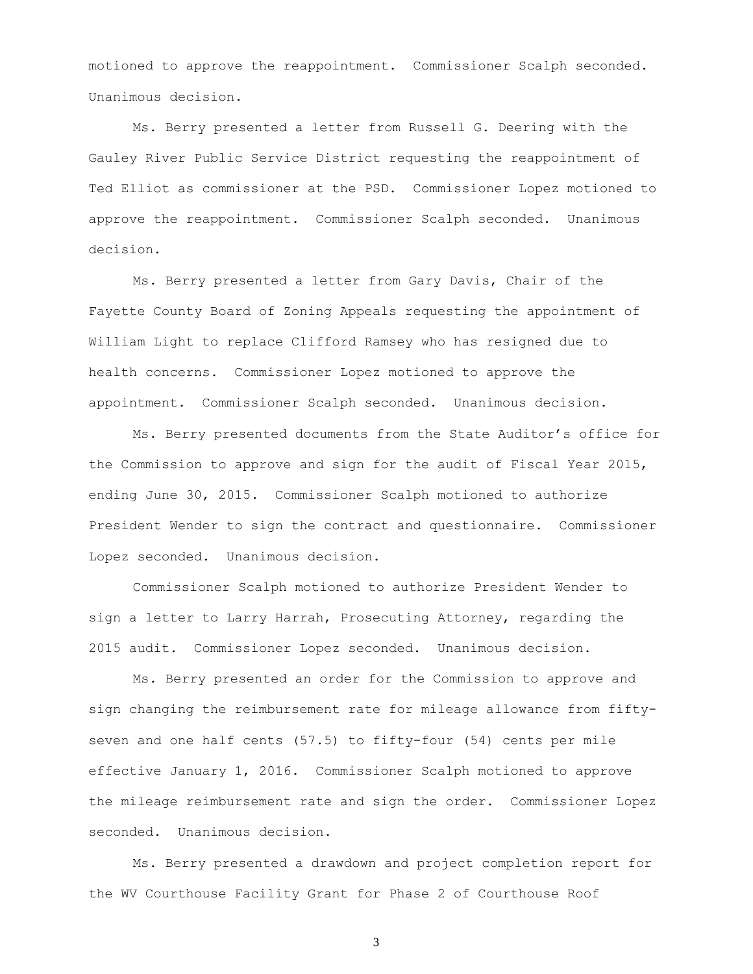motioned to approve the reappointment. Commissioner Scalph seconded. Unanimous decision.

Ms. Berry presented a letter from Russell G. Deering with the Gauley River Public Service District requesting the reappointment of Ted Elliot as commissioner at the PSD. Commissioner Lopez motioned to approve the reappointment. Commissioner Scalph seconded. Unanimous decision.

Ms. Berry presented a letter from Gary Davis, Chair of the Fayette County Board of Zoning Appeals requesting the appointment of William Light to replace Clifford Ramsey who has resigned due to health concerns. Commissioner Lopez motioned to approve the appointment. Commissioner Scalph seconded. Unanimous decision.

Ms. Berry presented documents from the State Auditor's office for the Commission to approve and sign for the audit of Fiscal Year 2015, ending June 30, 2015. Commissioner Scalph motioned to authorize President Wender to sign the contract and questionnaire. Commissioner Lopez seconded. Unanimous decision.

Commissioner Scalph motioned to authorize President Wender to sign a letter to Larry Harrah, Prosecuting Attorney, regarding the 2015 audit. Commissioner Lopez seconded. Unanimous decision.

Ms. Berry presented an order for the Commission to approve and sign changing the reimbursement rate for mileage allowance from fiftyseven and one half cents (57.5) to fifty-four (54) cents per mile effective January 1, 2016. Commissioner Scalph motioned to approve the mileage reimbursement rate and sign the order. Commissioner Lopez seconded. Unanimous decision.

Ms. Berry presented a drawdown and project completion report for the WV Courthouse Facility Grant for Phase 2 of Courthouse Roof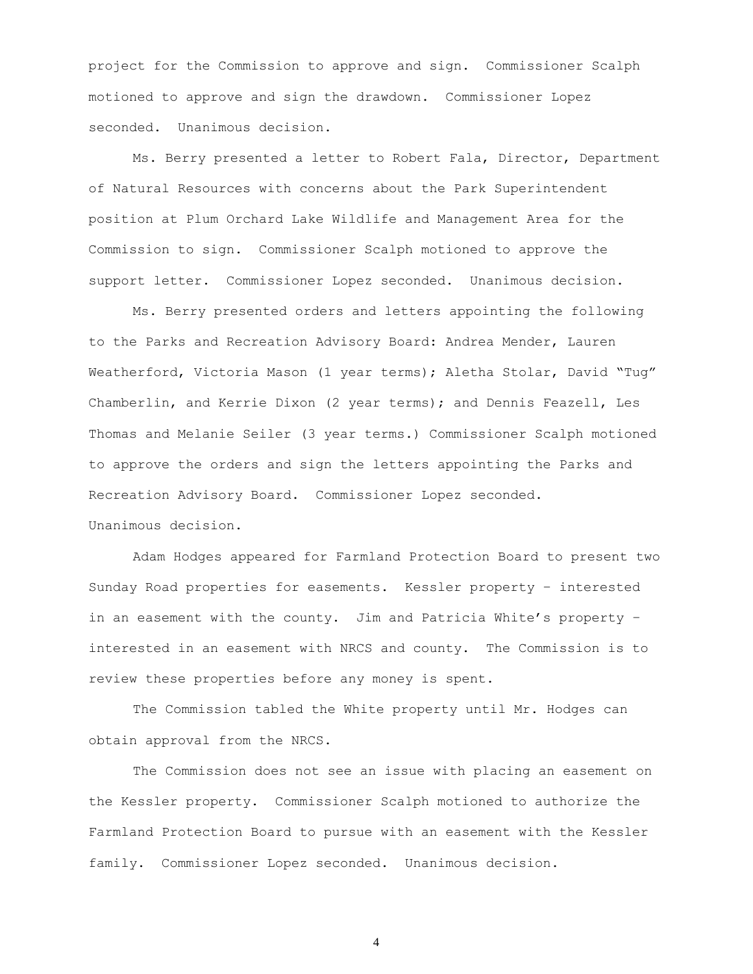project for the Commission to approve and sign. Commissioner Scalph motioned to approve and sign the drawdown. Commissioner Lopez seconded. Unanimous decision.

Ms. Berry presented a letter to Robert Fala, Director, Department of Natural Resources with concerns about the Park Superintendent position at Plum Orchard Lake Wildlife and Management Area for the Commission to sign. Commissioner Scalph motioned to approve the support letter. Commissioner Lopez seconded. Unanimous decision.

Ms. Berry presented orders and letters appointing the following to the Parks and Recreation Advisory Board: Andrea Mender, Lauren Weatherford, Victoria Mason (1 year terms); Aletha Stolar, David "Tug" Chamberlin, and Kerrie Dixon (2 year terms); and Dennis Feazell, Les Thomas and Melanie Seiler (3 year terms.) Commissioner Scalph motioned to approve the orders and sign the letters appointing the Parks and Recreation Advisory Board. Commissioner Lopez seconded. Unanimous decision.

Adam Hodges appeared for Farmland Protection Board to present two Sunday Road properties for easements. Kessler property – interested in an easement with the county. Jim and Patricia White's property – interested in an easement with NRCS and county. The Commission is to review these properties before any money is spent.

The Commission tabled the White property until Mr. Hodges can obtain approval from the NRCS.

The Commission does not see an issue with placing an easement on the Kessler property. Commissioner Scalph motioned to authorize the Farmland Protection Board to pursue with an easement with the Kessler family. Commissioner Lopez seconded. Unanimous decision.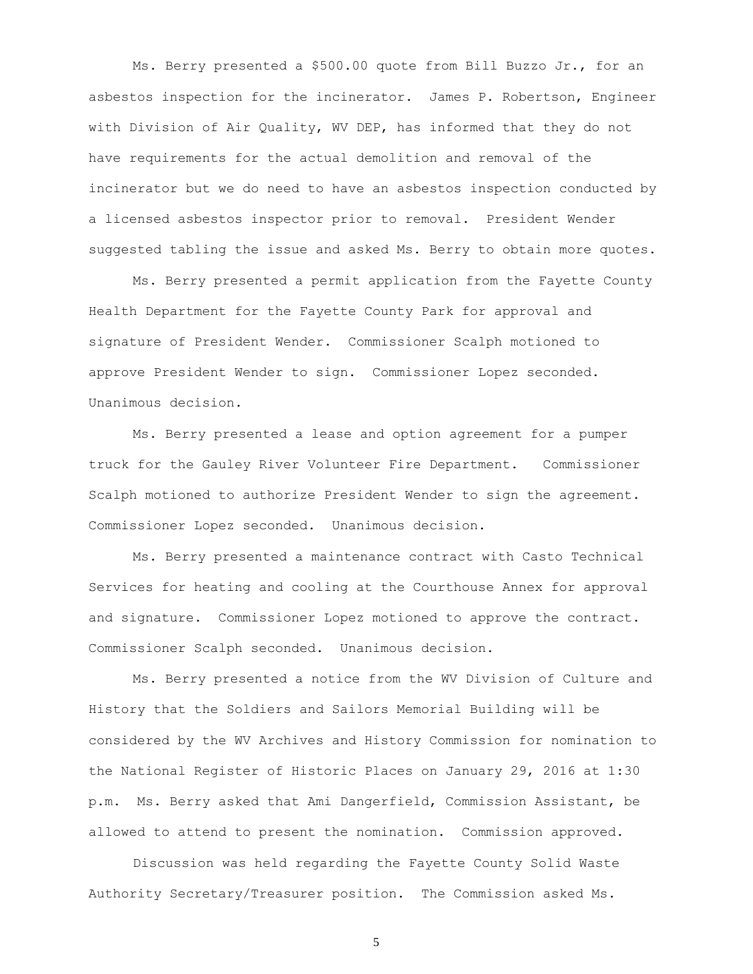Ms. Berry presented a \$500.00 quote from Bill Buzzo Jr., for an asbestos inspection for the incinerator. James P. Robertson, Engineer with Division of Air Quality, WV DEP, has informed that they do not have requirements for the actual demolition and removal of the incinerator but we do need to have an asbestos inspection conducted by a licensed asbestos inspector prior to removal. President Wender suggested tabling the issue and asked Ms. Berry to obtain more quotes.

Ms. Berry presented a permit application from the Fayette County Health Department for the Fayette County Park for approval and signature of President Wender. Commissioner Scalph motioned to approve President Wender to sign. Commissioner Lopez seconded. Unanimous decision.

Ms. Berry presented a lease and option agreement for a pumper truck for the Gauley River Volunteer Fire Department. Commissioner Scalph motioned to authorize President Wender to sign the agreement. Commissioner Lopez seconded. Unanimous decision.

Ms. Berry presented a maintenance contract with Casto Technical Services for heating and cooling at the Courthouse Annex for approval and signature. Commissioner Lopez motioned to approve the contract. Commissioner Scalph seconded. Unanimous decision.

Ms. Berry presented a notice from the WV Division of Culture and History that the Soldiers and Sailors Memorial Building will be considered by the WV Archives and History Commission for nomination to the National Register of Historic Places on January 29, 2016 at 1:30 p.m. Ms. Berry asked that Ami Dangerfield, Commission Assistant, be allowed to attend to present the nomination. Commission approved.

Discussion was held regarding the Fayette County Solid Waste Authority Secretary/Treasurer position. The Commission asked Ms.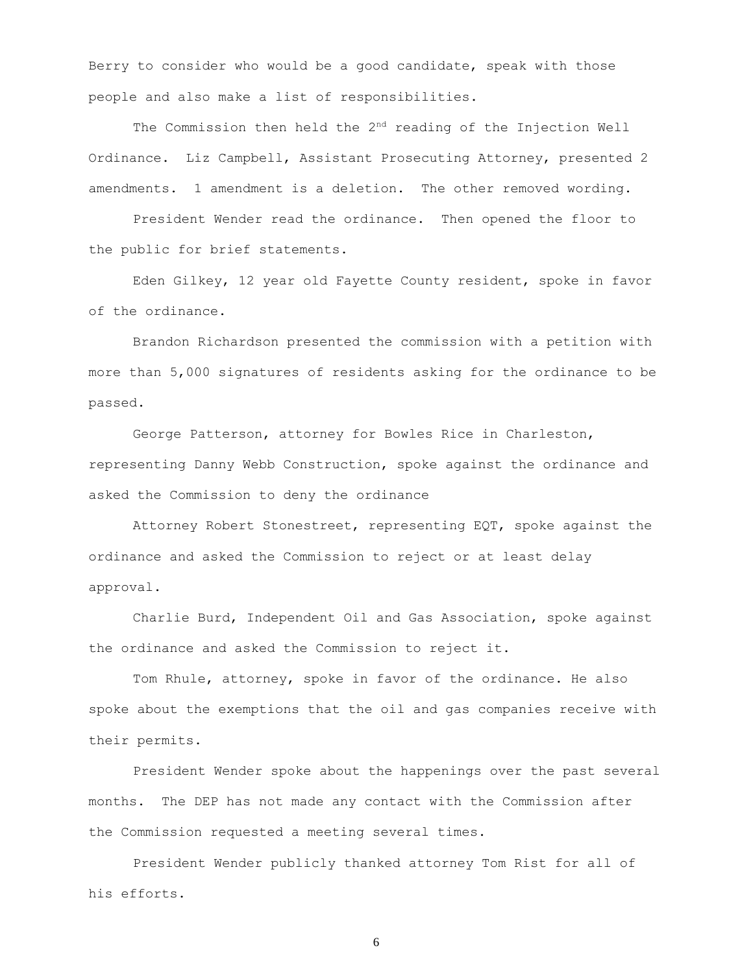Berry to consider who would be a good candidate, speak with those people and also make a list of responsibilities.

The Commission then held the 2<sup>nd</sup> reading of the Injection Well Ordinance. Liz Campbell, Assistant Prosecuting Attorney, presented 2 amendments. 1 amendment is a deletion. The other removed wording.

President Wender read the ordinance. Then opened the floor to the public for brief statements.

Eden Gilkey, 12 year old Fayette County resident, spoke in favor of the ordinance.

Brandon Richardson presented the commission with a petition with more than 5,000 signatures of residents asking for the ordinance to be passed.

George Patterson, attorney for Bowles Rice in Charleston, representing Danny Webb Construction, spoke against the ordinance and asked the Commission to deny the ordinance

Attorney Robert Stonestreet, representing EQT, spoke against the ordinance and asked the Commission to reject or at least delay approval.

Charlie Burd, Independent Oil and Gas Association, spoke against the ordinance and asked the Commission to reject it.

Tom Rhule, attorney, spoke in favor of the ordinance. He also spoke about the exemptions that the oil and gas companies receive with their permits.

President Wender spoke about the happenings over the past several months. The DEP has not made any contact with the Commission after the Commission requested a meeting several times.

President Wender publicly thanked attorney Tom Rist for all of his efforts.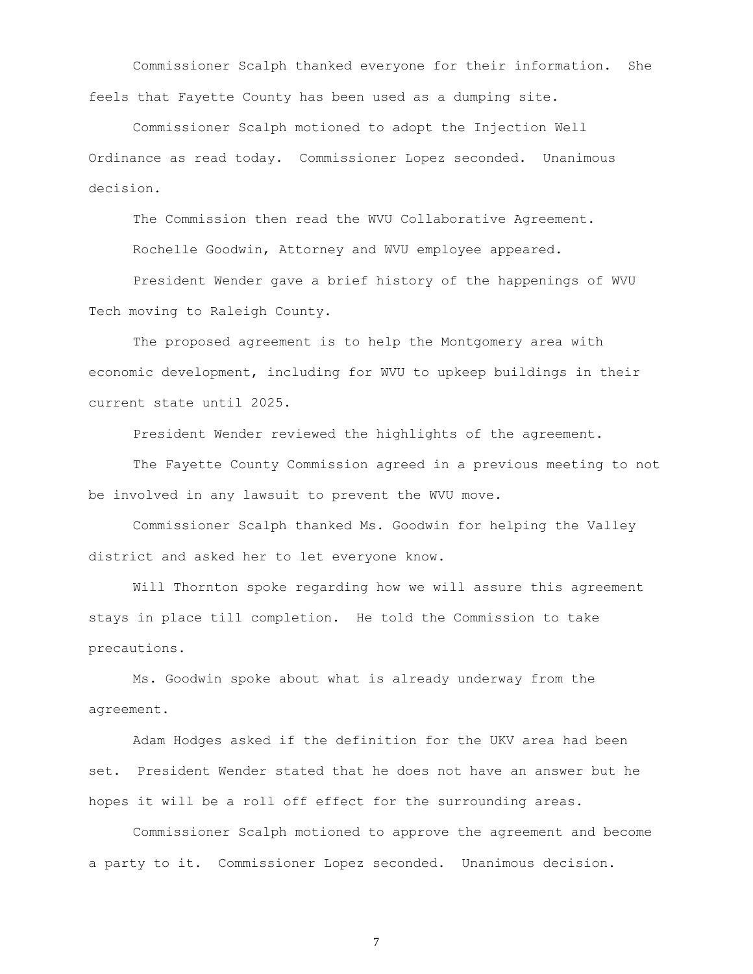Commissioner Scalph thanked everyone for their information. She feels that Fayette County has been used as a dumping site.

Commissioner Scalph motioned to adopt the Injection Well Ordinance as read today. Commissioner Lopez seconded. Unanimous decision.

The Commission then read the WVU Collaborative Agreement.

Rochelle Goodwin, Attorney and WVU employee appeared.

President Wender gave a brief history of the happenings of WVU Tech moving to Raleigh County.

The proposed agreement is to help the Montgomery area with economic development, including for WVU to upkeep buildings in their current state until 2025.

President Wender reviewed the highlights of the agreement.

The Fayette County Commission agreed in a previous meeting to not be involved in any lawsuit to prevent the WVU move.

Commissioner Scalph thanked Ms. Goodwin for helping the Valley district and asked her to let everyone know.

Will Thornton spoke regarding how we will assure this agreement stays in place till completion. He told the Commission to take precautions.

Ms. Goodwin spoke about what is already underway from the agreement.

Adam Hodges asked if the definition for the UKV area had been set. President Wender stated that he does not have an answer but he hopes it will be a roll off effect for the surrounding areas.

Commissioner Scalph motioned to approve the agreement and become a party to it. Commissioner Lopez seconded. Unanimous decision.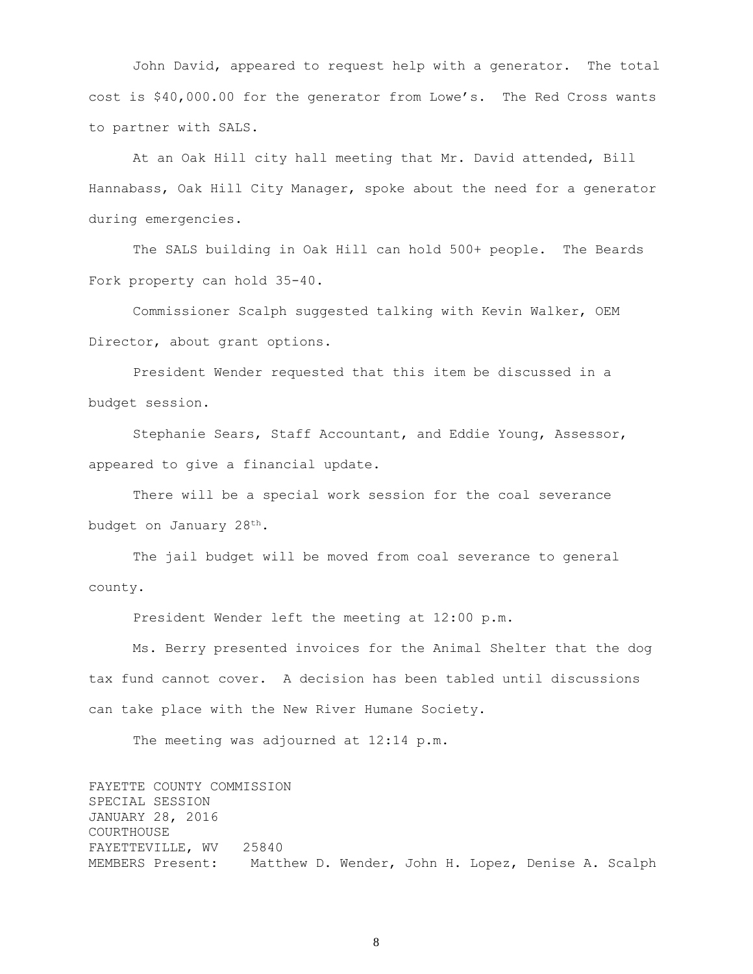John David, appeared to request help with a generator. The total cost is \$40,000.00 for the generator from Lowe's. The Red Cross wants to partner with SALS.

At an Oak Hill city hall meeting that Mr. David attended, Bill Hannabass, Oak Hill City Manager, spoke about the need for a generator during emergencies.

The SALS building in Oak Hill can hold 500+ people. The Beards Fork property can hold 35-40.

Commissioner Scalph suggested talking with Kevin Walker, OEM Director, about grant options.

President Wender requested that this item be discussed in a budget session.

Stephanie Sears, Staff Accountant, and Eddie Young, Assessor, appeared to give a financial update.

There will be a special work session for the coal severance budget on January 28th.

The jail budget will be moved from coal severance to general county.

President Wender left the meeting at 12:00 p.m.

Ms. Berry presented invoices for the Animal Shelter that the dog tax fund cannot cover. A decision has been tabled until discussions can take place with the New River Humane Society.

The meeting was adjourned at 12:14 p.m.

FAYETTE COUNTY COMMISSION SPECIAL SESSION JANUARY 28, 2016 COURTHOUSE FAYETTEVILLE, WV 25840 MEMBERS Present: Matthew D. Wender, John H. Lopez, Denise A. Scalph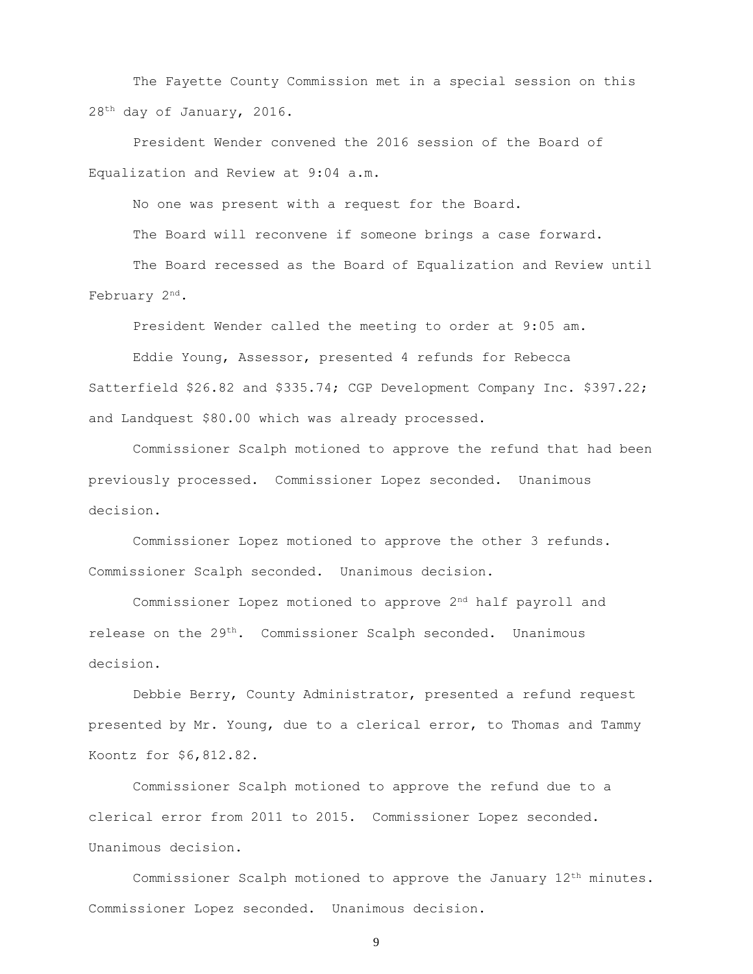The Fayette County Commission met in a special session on this 28th day of January, 2016.

President Wender convened the 2016 session of the Board of Equalization and Review at 9:04 a.m.

No one was present with a request for the Board.

The Board will reconvene if someone brings a case forward.

The Board recessed as the Board of Equalization and Review until February 2<sup>nd</sup>.

President Wender called the meeting to order at 9:05 am.

Eddie Young, Assessor, presented 4 refunds for Rebecca Satterfield \$26.82 and \$335.74; CGP Development Company Inc. \$397.22; and Landquest \$80.00 which was already processed.

Commissioner Scalph motioned to approve the refund that had been previously processed. Commissioner Lopez seconded. Unanimous decision.

Commissioner Lopez motioned to approve the other 3 refunds. Commissioner Scalph seconded. Unanimous decision.

Commissioner Lopez motioned to approve 2nd half payroll and release on the 29<sup>th</sup>. Commissioner Scalph seconded. Unanimous decision.

Debbie Berry, County Administrator, presented a refund request presented by Mr. Young, due to a clerical error, to Thomas and Tammy Koontz for \$6,812.82.

Commissioner Scalph motioned to approve the refund due to a clerical error from 2011 to 2015. Commissioner Lopez seconded. Unanimous decision.

Commissioner Scalph motioned to approve the January  $12<sup>th</sup>$  minutes. Commissioner Lopez seconded. Unanimous decision.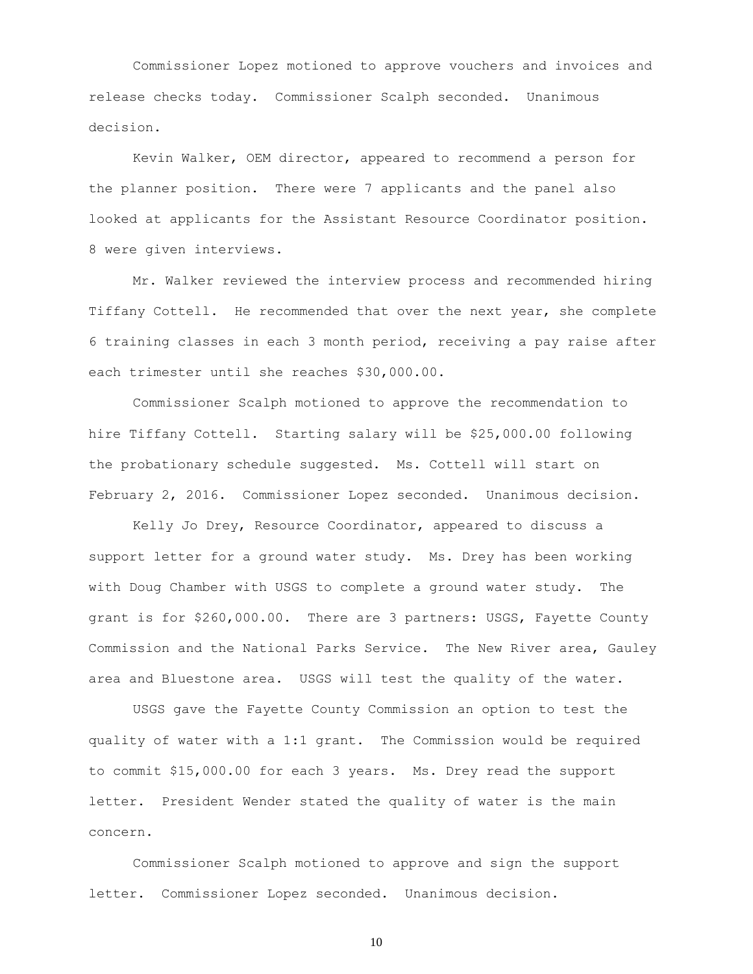Commissioner Lopez motioned to approve vouchers and invoices and release checks today. Commissioner Scalph seconded. Unanimous decision.

Kevin Walker, OEM director, appeared to recommend a person for the planner position. There were 7 applicants and the panel also looked at applicants for the Assistant Resource Coordinator position. 8 were given interviews.

Mr. Walker reviewed the interview process and recommended hiring Tiffany Cottell. He recommended that over the next year, she complete 6 training classes in each 3 month period, receiving a pay raise after each trimester until she reaches \$30,000.00.

Commissioner Scalph motioned to approve the recommendation to hire Tiffany Cottell. Starting salary will be \$25,000.00 following the probationary schedule suggested. Ms. Cottell will start on February 2, 2016. Commissioner Lopez seconded. Unanimous decision.

Kelly Jo Drey, Resource Coordinator, appeared to discuss a support letter for a ground water study. Ms. Drey has been working with Doug Chamber with USGS to complete a ground water study. The grant is for \$260,000.00. There are 3 partners: USGS, Fayette County Commission and the National Parks Service. The New River area, Gauley area and Bluestone area. USGS will test the quality of the water.

USGS gave the Fayette County Commission an option to test the quality of water with a 1:1 grant. The Commission would be required to commit \$15,000.00 for each 3 years. Ms. Drey read the support letter. President Wender stated the quality of water is the main concern.

Commissioner Scalph motioned to approve and sign the support letter. Commissioner Lopez seconded. Unanimous decision.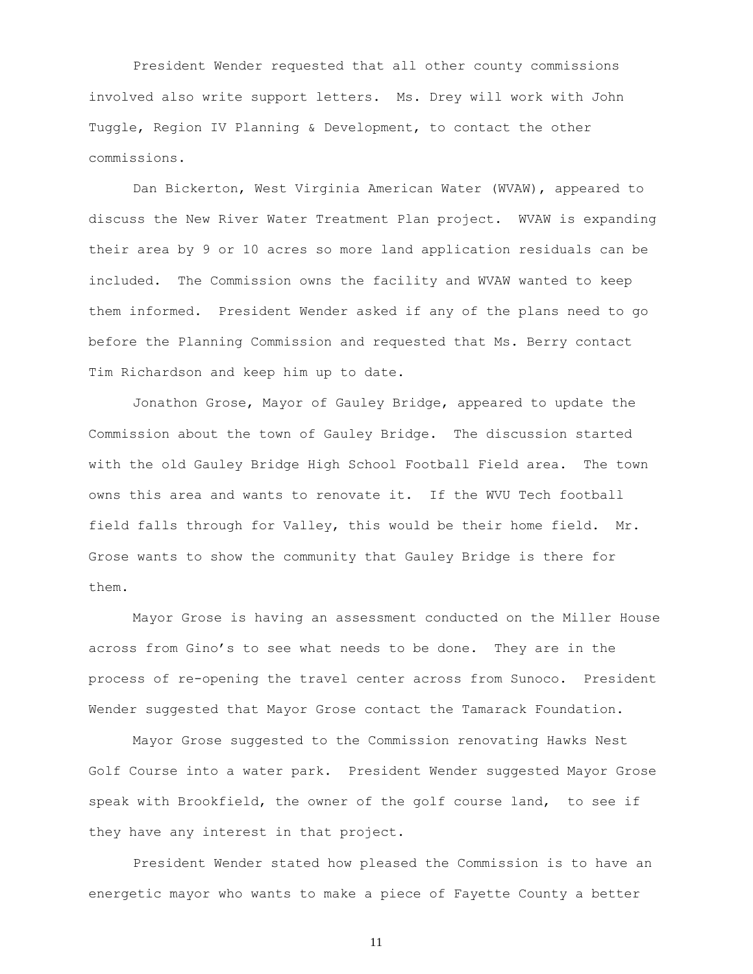President Wender requested that all other county commissions involved also write support letters. Ms. Drey will work with John Tuggle, Region IV Planning & Development, to contact the other commissions.

Dan Bickerton, West Virginia American Water (WVAW), appeared to discuss the New River Water Treatment Plan project. WVAW is expanding their area by 9 or 10 acres so more land application residuals can be included. The Commission owns the facility and WVAW wanted to keep them informed. President Wender asked if any of the plans need to go before the Planning Commission and requested that Ms. Berry contact Tim Richardson and keep him up to date.

Jonathon Grose, Mayor of Gauley Bridge, appeared to update the Commission about the town of Gauley Bridge. The discussion started with the old Gauley Bridge High School Football Field area. The town owns this area and wants to renovate it. If the WVU Tech football field falls through for Valley, this would be their home field. Mr. Grose wants to show the community that Gauley Bridge is there for them.

Mayor Grose is having an assessment conducted on the Miller House across from Gino's to see what needs to be done. They are in the process of re-opening the travel center across from Sunoco. President Wender suggested that Mayor Grose contact the Tamarack Foundation.

Mayor Grose suggested to the Commission renovating Hawks Nest Golf Course into a water park. President Wender suggested Mayor Grose speak with Brookfield, the owner of the golf course land, to see if they have any interest in that project.

President Wender stated how pleased the Commission is to have an energetic mayor who wants to make a piece of Fayette County a better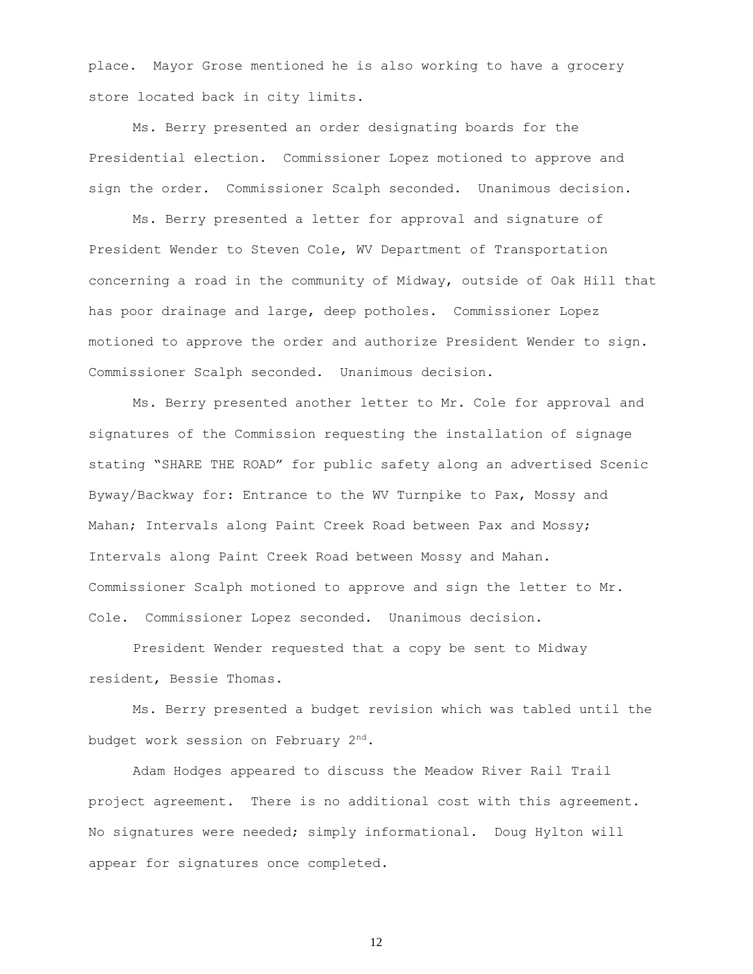place. Mayor Grose mentioned he is also working to have a grocery store located back in city limits.

Ms. Berry presented an order designating boards for the Presidential election. Commissioner Lopez motioned to approve and sign the order. Commissioner Scalph seconded. Unanimous decision.

Ms. Berry presented a letter for approval and signature of President Wender to Steven Cole, WV Department of Transportation concerning a road in the community of Midway, outside of Oak Hill that has poor drainage and large, deep potholes. Commissioner Lopez motioned to approve the order and authorize President Wender to sign. Commissioner Scalph seconded. Unanimous decision.

Ms. Berry presented another letter to Mr. Cole for approval and signatures of the Commission requesting the installation of signage stating "SHARE THE ROAD" for public safety along an advertised Scenic Byway/Backway for: Entrance to the WV Turnpike to Pax, Mossy and Mahan; Intervals along Paint Creek Road between Pax and Mossy; Intervals along Paint Creek Road between Mossy and Mahan. Commissioner Scalph motioned to approve and sign the letter to Mr. Cole. Commissioner Lopez seconded. Unanimous decision.

President Wender requested that a copy be sent to Midway resident, Bessie Thomas.

Ms. Berry presented a budget revision which was tabled until the budget work session on February 2nd.

Adam Hodges appeared to discuss the Meadow River Rail Trail project agreement. There is no additional cost with this agreement. No signatures were needed; simply informational. Doug Hylton will appear for signatures once completed.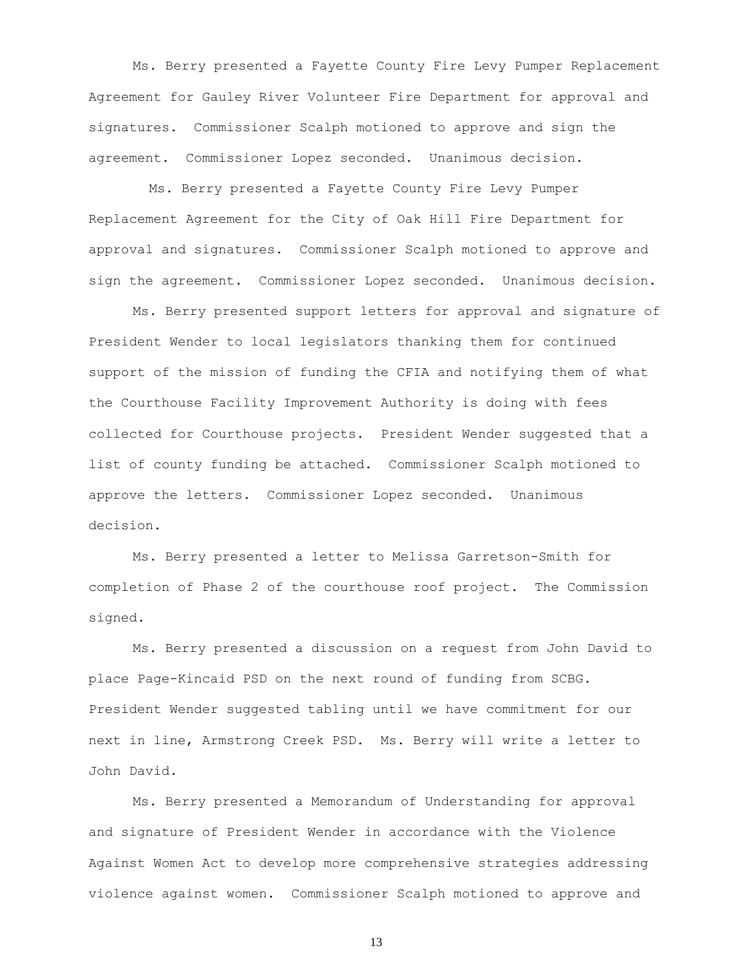Ms. Berry presented a Fayette County Fire Levy Pumper Replacement Agreement for Gauley River Volunteer Fire Department for approval and signatures. Commissioner Scalph motioned to approve and sign the agreement. Commissioner Lopez seconded. Unanimous decision.

 Ms. Berry presented a Fayette County Fire Levy Pumper Replacement Agreement for the City of Oak Hill Fire Department for approval and signatures. Commissioner Scalph motioned to approve and sign the agreement. Commissioner Lopez seconded. Unanimous decision.

Ms. Berry presented support letters for approval and signature of President Wender to local legislators thanking them for continued support of the mission of funding the CFIA and notifying them of what the Courthouse Facility Improvement Authority is doing with fees collected for Courthouse projects. President Wender suggested that a list of county funding be attached. Commissioner Scalph motioned to approve the letters. Commissioner Lopez seconded. Unanimous decision.

Ms. Berry presented a letter to Melissa Garretson-Smith for completion of Phase 2 of the courthouse roof project. The Commission signed.

Ms. Berry presented a discussion on a request from John David to place Page-Kincaid PSD on the next round of funding from SCBG. President Wender suggested tabling until we have commitment for our next in line, Armstrong Creek PSD. Ms. Berry will write a letter to John David.

Ms. Berry presented a Memorandum of Understanding for approval and signature of President Wender in accordance with the Violence Against Women Act to develop more comprehensive strategies addressing violence against women. Commissioner Scalph motioned to approve and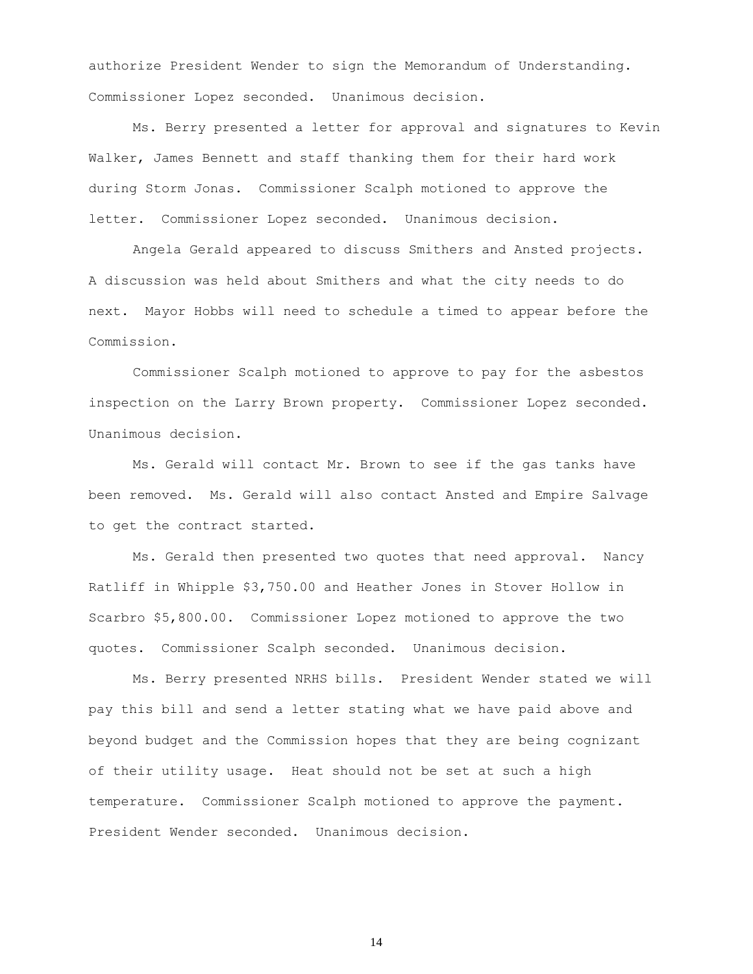authorize President Wender to sign the Memorandum of Understanding. Commissioner Lopez seconded. Unanimous decision.

Ms. Berry presented a letter for approval and signatures to Kevin Walker, James Bennett and staff thanking them for their hard work during Storm Jonas. Commissioner Scalph motioned to approve the letter. Commissioner Lopez seconded. Unanimous decision.

Angela Gerald appeared to discuss Smithers and Ansted projects. A discussion was held about Smithers and what the city needs to do next. Mayor Hobbs will need to schedule a timed to appear before the Commission.

Commissioner Scalph motioned to approve to pay for the asbestos inspection on the Larry Brown property. Commissioner Lopez seconded. Unanimous decision.

Ms. Gerald will contact Mr. Brown to see if the gas tanks have been removed. Ms. Gerald will also contact Ansted and Empire Salvage to get the contract started.

Ms. Gerald then presented two quotes that need approval. Nancy Ratliff in Whipple \$3,750.00 and Heather Jones in Stover Hollow in Scarbro \$5,800.00. Commissioner Lopez motioned to approve the two quotes. Commissioner Scalph seconded. Unanimous decision.

Ms. Berry presented NRHS bills. President Wender stated we will pay this bill and send a letter stating what we have paid above and beyond budget and the Commission hopes that they are being cognizant of their utility usage. Heat should not be set at such a high temperature. Commissioner Scalph motioned to approve the payment. President Wender seconded. Unanimous decision.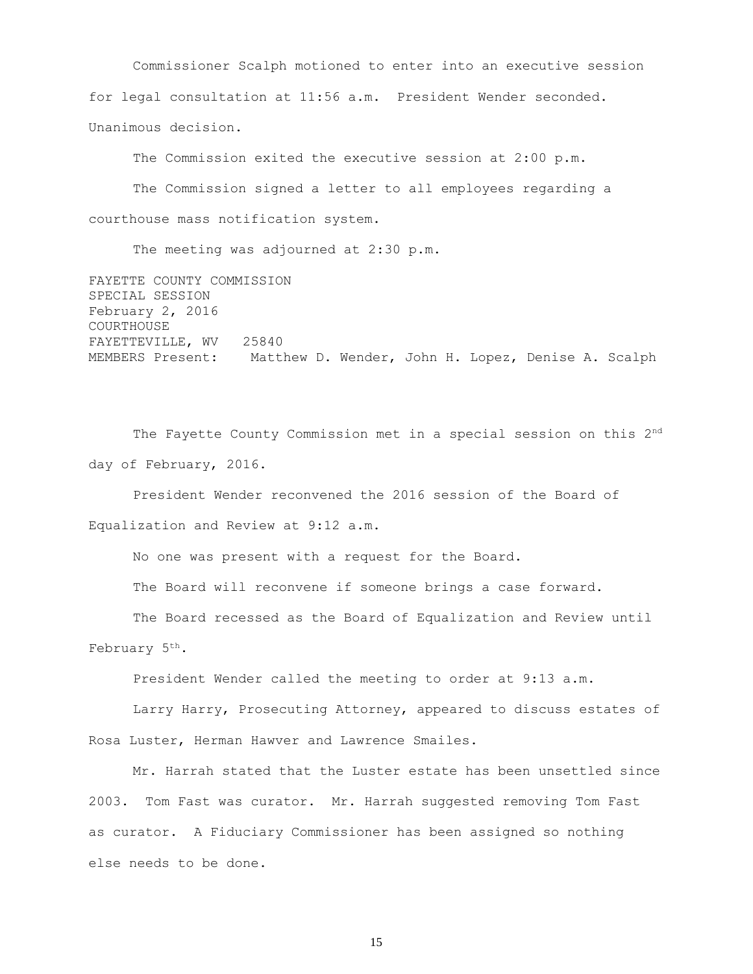Commissioner Scalph motioned to enter into an executive session for legal consultation at 11:56 a.m. President Wender seconded. Unanimous decision.

The Commission exited the executive session at 2:00 p.m. The Commission signed a letter to all employees regarding a courthouse mass notification system.

The meeting was adjourned at 2:30 p.m.

FAYETTE COUNTY COMMISSION SPECIAL SESSION February 2, 2016 COURTHOUSE FAYETTEVILLE, WV 25840 MEMBERS Present: Matthew D. Wender, John H. Lopez, Denise A. Scalph

The Fayette County Commission met in a special session on this 2<sup>nd</sup> day of February, 2016.

President Wender reconvened the 2016 session of the Board of Equalization and Review at 9:12 a.m.

No one was present with a request for the Board.

The Board will reconvene if someone brings a case forward.

The Board recessed as the Board of Equalization and Review until February 5<sup>th</sup>.

President Wender called the meeting to order at 9:13 a.m.

Larry Harry, Prosecuting Attorney, appeared to discuss estates of Rosa Luster, Herman Hawver and Lawrence Smailes.

Mr. Harrah stated that the Luster estate has been unsettled since 2003. Tom Fast was curator. Mr. Harrah suggested removing Tom Fast as curator. A Fiduciary Commissioner has been assigned so nothing else needs to be done.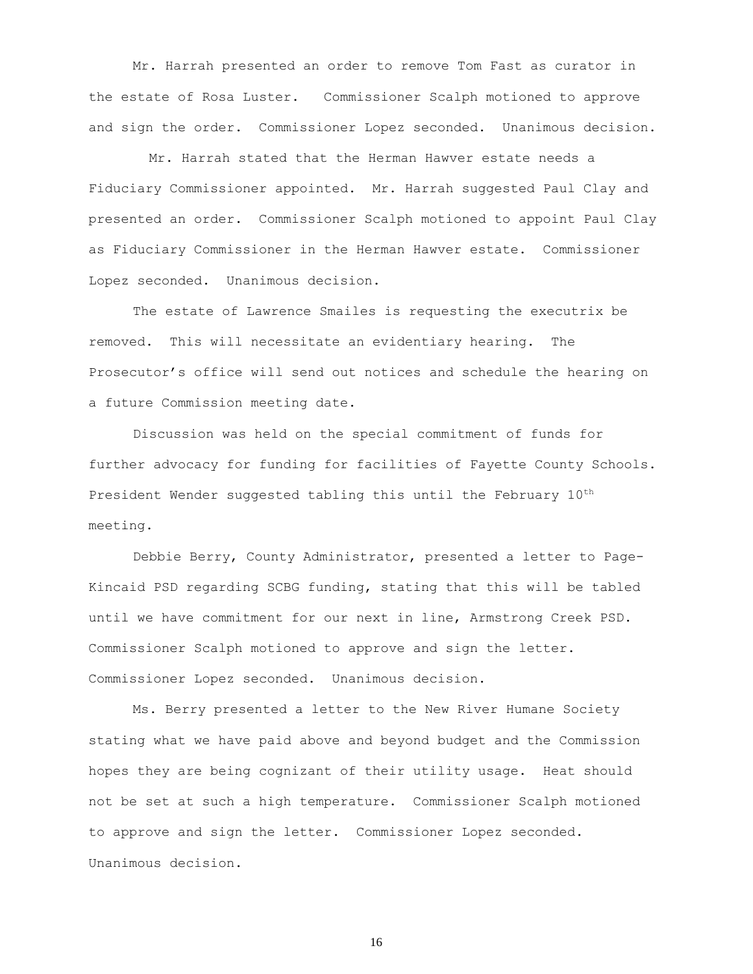Mr. Harrah presented an order to remove Tom Fast as curator in the estate of Rosa Luster. Commissioner Scalph motioned to approve and sign the order. Commissioner Lopez seconded. Unanimous decision.

 Mr. Harrah stated that the Herman Hawver estate needs a Fiduciary Commissioner appointed. Mr. Harrah suggested Paul Clay and presented an order. Commissioner Scalph motioned to appoint Paul Clay as Fiduciary Commissioner in the Herman Hawver estate. Commissioner Lopez seconded. Unanimous decision.

The estate of Lawrence Smailes is requesting the executrix be removed. This will necessitate an evidentiary hearing. The Prosecutor's office will send out notices and schedule the hearing on a future Commission meeting date.

Discussion was held on the special commitment of funds for further advocacy for funding for facilities of Fayette County Schools. President Wender suggested tabling this until the February  $10^{\text{th}}$ meeting.

Debbie Berry, County Administrator, presented a letter to Page-Kincaid PSD regarding SCBG funding, stating that this will be tabled until we have commitment for our next in line, Armstrong Creek PSD. Commissioner Scalph motioned to approve and sign the letter. Commissioner Lopez seconded. Unanimous decision.

Ms. Berry presented a letter to the New River Humane Society stating what we have paid above and beyond budget and the Commission hopes they are being cognizant of their utility usage. Heat should not be set at such a high temperature. Commissioner Scalph motioned to approve and sign the letter. Commissioner Lopez seconded. Unanimous decision.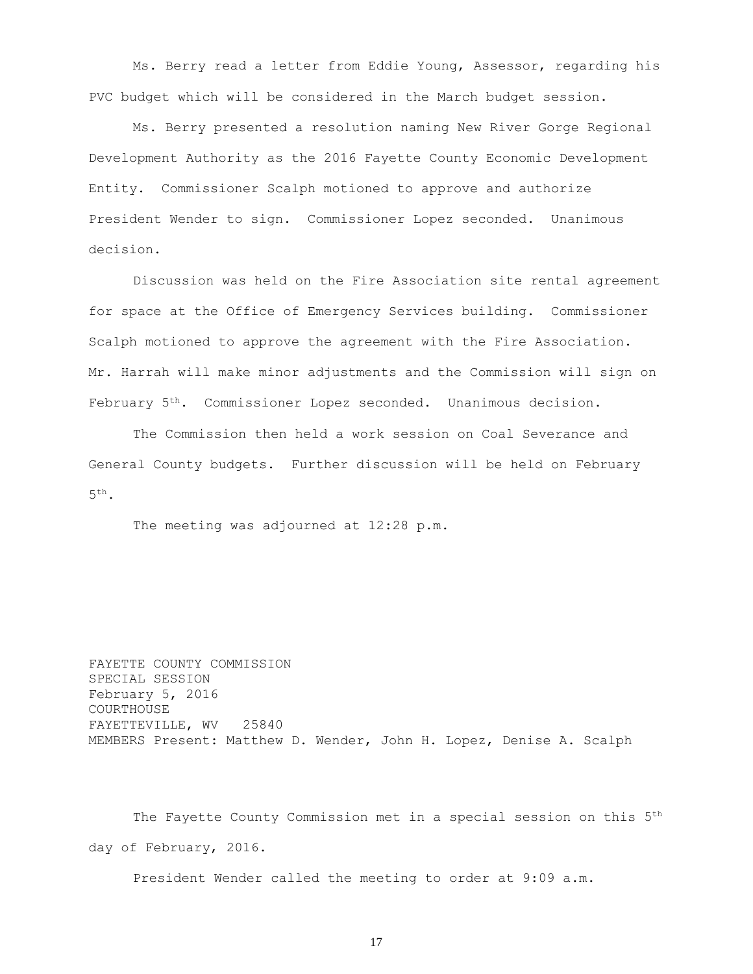Ms. Berry read a letter from Eddie Young, Assessor, regarding his PVC budget which will be considered in the March budget session.

Ms. Berry presented a resolution naming New River Gorge Regional Development Authority as the 2016 Fayette County Economic Development Entity. Commissioner Scalph motioned to approve and authorize President Wender to sign. Commissioner Lopez seconded. Unanimous decision.

Discussion was held on the Fire Association site rental agreement for space at the Office of Emergency Services building. Commissioner Scalph motioned to approve the agreement with the Fire Association. Mr. Harrah will make minor adjustments and the Commission will sign on February 5th. Commissioner Lopez seconded. Unanimous decision.

The Commission then held a work session on Coal Severance and General County budgets. Further discussion will be held on February  $5^{\text{th}}$  .

The meeting was adjourned at 12:28 p.m.

FAYETTE COUNTY COMMISSION SPECIAL SESSION February 5, 2016 COURTHOUSE FAYETTEVILLE, WV 25840 MEMBERS Present: Matthew D. Wender, John H. Lopez, Denise A. Scalph

The Fayette County Commission met in a special session on this 5<sup>th</sup> day of February, 2016.

President Wender called the meeting to order at 9:09 a.m.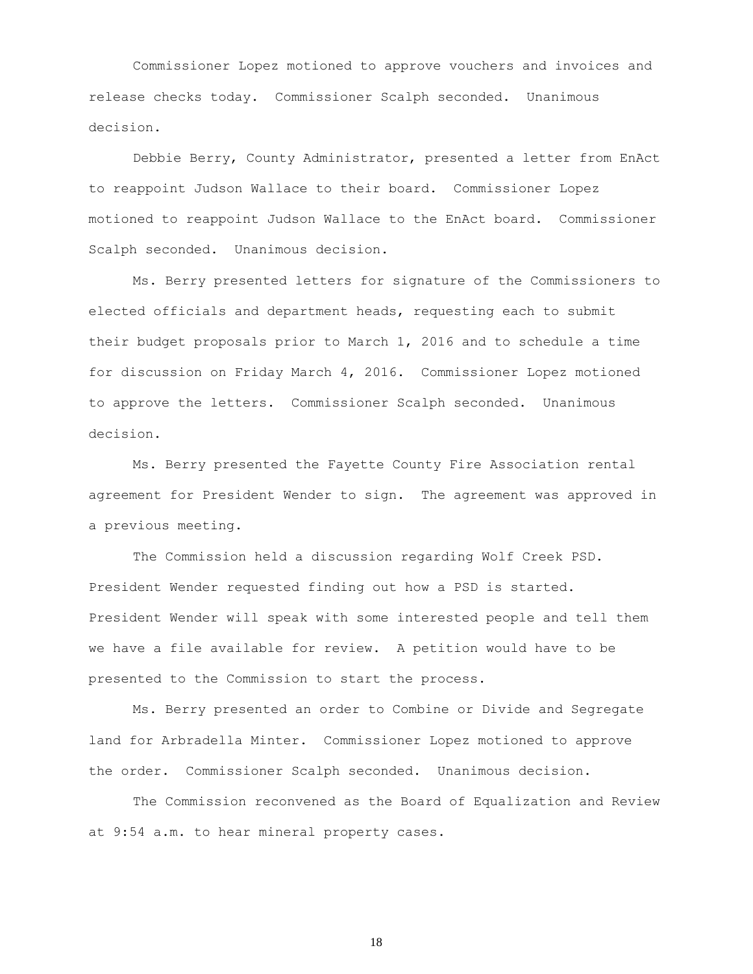Commissioner Lopez motioned to approve vouchers and invoices and release checks today. Commissioner Scalph seconded. Unanimous decision.

Debbie Berry, County Administrator, presented a letter from EnAct to reappoint Judson Wallace to their board. Commissioner Lopez motioned to reappoint Judson Wallace to the EnAct board. Commissioner Scalph seconded. Unanimous decision.

Ms. Berry presented letters for signature of the Commissioners to elected officials and department heads, requesting each to submit their budget proposals prior to March 1, 2016 and to schedule a time for discussion on Friday March 4, 2016. Commissioner Lopez motioned to approve the letters. Commissioner Scalph seconded. Unanimous decision.

Ms. Berry presented the Fayette County Fire Association rental agreement for President Wender to sign. The agreement was approved in a previous meeting.

The Commission held a discussion regarding Wolf Creek PSD. President Wender requested finding out how a PSD is started. President Wender will speak with some interested people and tell them we have a file available for review. A petition would have to be presented to the Commission to start the process.

Ms. Berry presented an order to Combine or Divide and Segregate land for Arbradella Minter. Commissioner Lopez motioned to approve the order. Commissioner Scalph seconded. Unanimous decision.

The Commission reconvened as the Board of Equalization and Review at 9:54 a.m. to hear mineral property cases.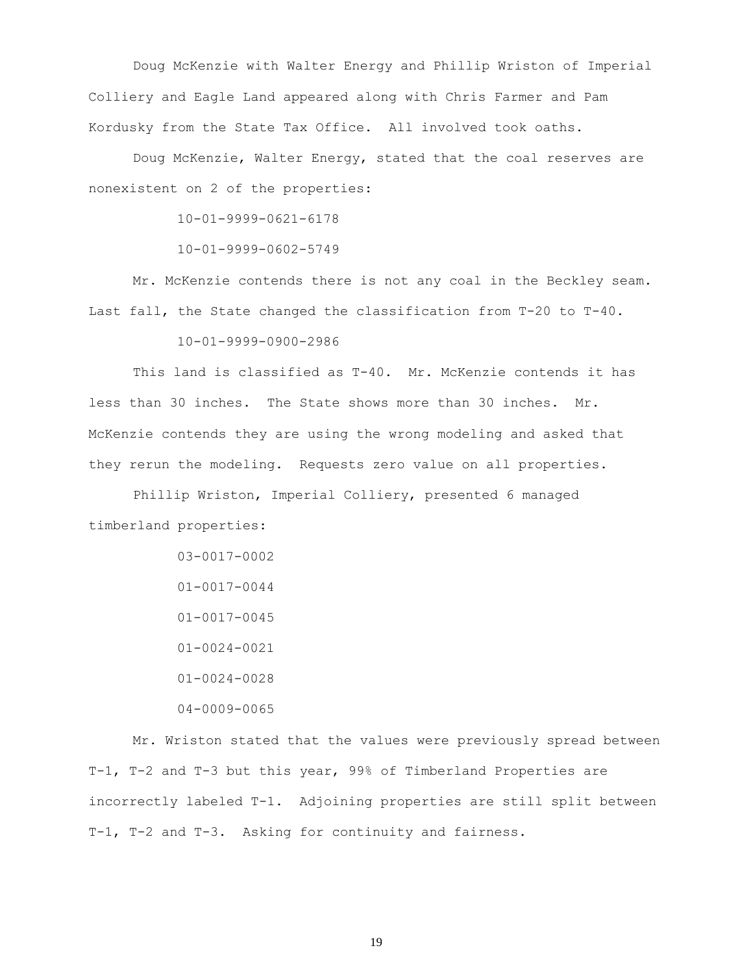Doug McKenzie with Walter Energy and Phillip Wriston of Imperial Colliery and Eagle Land appeared along with Chris Farmer and Pam Kordusky from the State Tax Office. All involved took oaths.

Doug McKenzie, Walter Energy, stated that the coal reserves are nonexistent on 2 of the properties:

10-01-9999-0621-6178

10-01-9999-0602-5749

Mr. McKenzie contends there is not any coal in the Beckley seam. Last fall, the State changed the classification from T-20 to T-40.

10-01-9999-0900-2986

This land is classified as T-40. Mr. McKenzie contends it has less than 30 inches. The State shows more than 30 inches. Mr. McKenzie contends they are using the wrong modeling and asked that they rerun the modeling. Requests zero value on all properties.

Phillip Wriston, Imperial Colliery, presented 6 managed timberland properties:

> 03-0017-0002 01-0017-0044 01-0017-0045 01-0024-0021 01-0024-0028 04-0009-0065

Mr. Wriston stated that the values were previously spread between T-1, T-2 and T-3 but this year, 99% of Timberland Properties are incorrectly labeled T-1. Adjoining properties are still split between T-1, T-2 and T-3. Asking for continuity and fairness.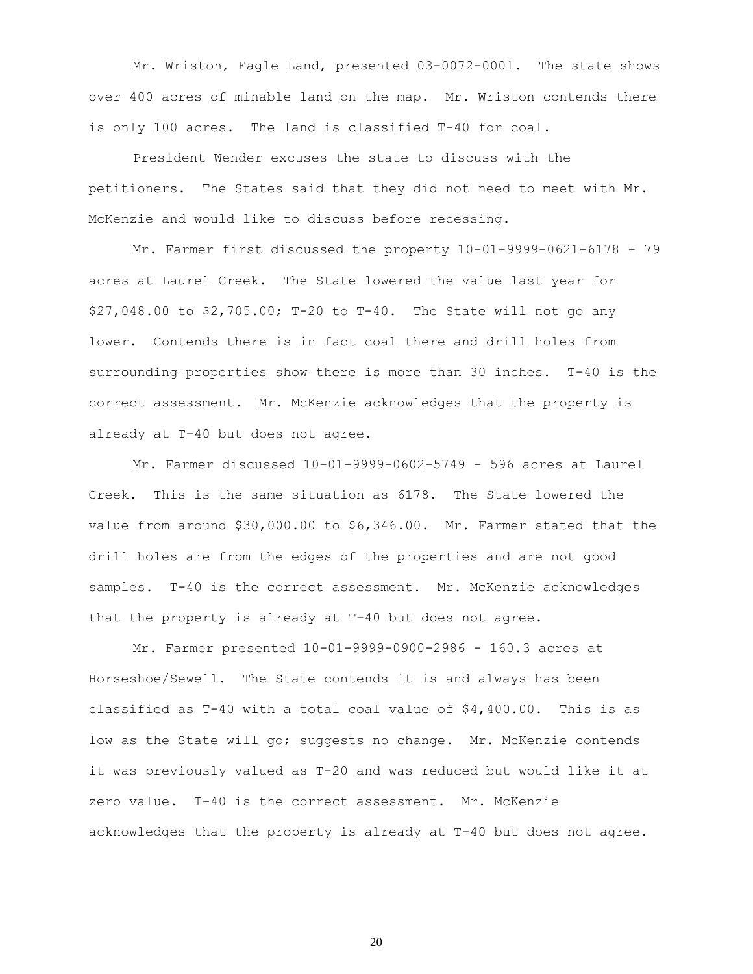Mr. Wriston, Eagle Land, presented 03-0072-0001. The state shows over 400 acres of minable land on the map. Mr. Wriston contends there is only 100 acres. The land is classified T-40 for coal.

President Wender excuses the state to discuss with the petitioners. The States said that they did not need to meet with Mr. McKenzie and would like to discuss before recessing.

Mr. Farmer first discussed the property 10-01-9999-0621-6178 - 79 acres at Laurel Creek. The State lowered the value last year for \$27,048.00 to \$2,705.00; T-20 to T-40. The State will not go any lower. Contends there is in fact coal there and drill holes from surrounding properties show there is more than 30 inches. T-40 is the correct assessment. Mr. McKenzie acknowledges that the property is already at T-40 but does not agree.

Mr. Farmer discussed 10-01-9999-0602-5749 - 596 acres at Laurel Creek. This is the same situation as 6178. The State lowered the value from around \$30,000.00 to \$6,346.00. Mr. Farmer stated that the drill holes are from the edges of the properties and are not good samples. T-40 is the correct assessment. Mr. McKenzie acknowledges that the property is already at T-40 but does not agree.

Mr. Farmer presented 10-01-9999-0900-2986 - 160.3 acres at Horseshoe/Sewell. The State contends it is and always has been classified as T-40 with a total coal value of \$4,400.00. This is as low as the State will go; suggests no change. Mr. McKenzie contends it was previously valued as T-20 and was reduced but would like it at zero value. T-40 is the correct assessment. Mr. McKenzie acknowledges that the property is already at T-40 but does not agree.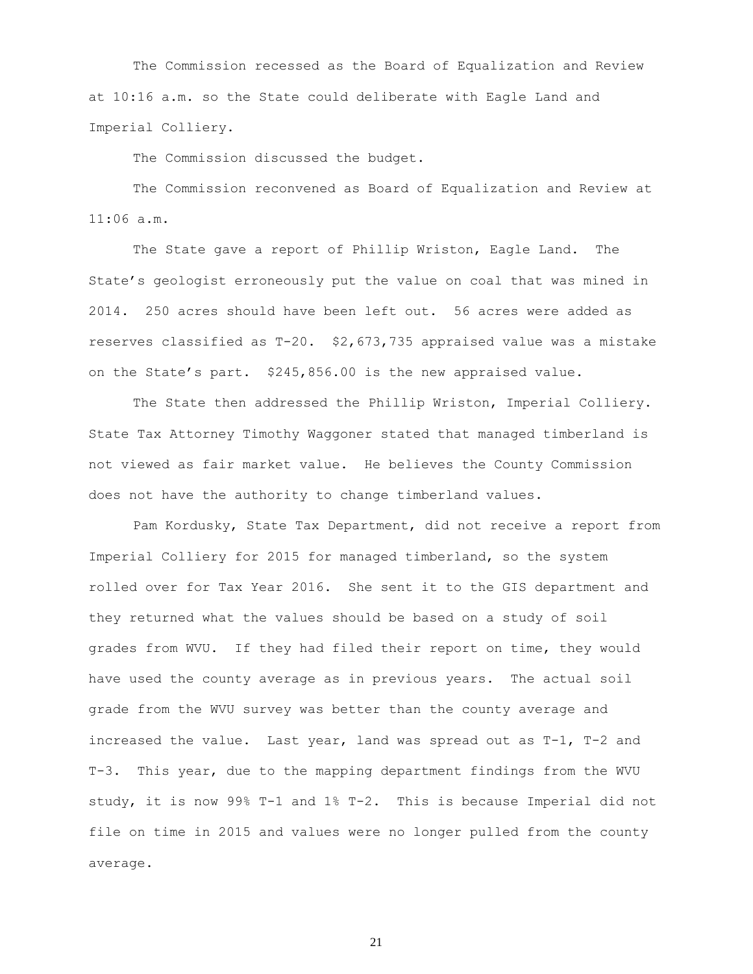The Commission recessed as the Board of Equalization and Review at 10:16 a.m. so the State could deliberate with Eagle Land and Imperial Colliery.

The Commission discussed the budget.

The Commission reconvened as Board of Equalization and Review at 11:06 a.m.

The State gave a report of Phillip Wriston, Eagle Land. The State's geologist erroneously put the value on coal that was mined in 2014. 250 acres should have been left out. 56 acres were added as reserves classified as T-20. \$2,673,735 appraised value was a mistake on the State's part. \$245,856.00 is the new appraised value.

The State then addressed the Phillip Wriston, Imperial Colliery. State Tax Attorney Timothy Waggoner stated that managed timberland is not viewed as fair market value. He believes the County Commission does not have the authority to change timberland values.

Pam Kordusky, State Tax Department, did not receive a report from Imperial Colliery for 2015 for managed timberland, so the system rolled over for Tax Year 2016. She sent it to the GIS department and they returned what the values should be based on a study of soil grades from WVU. If they had filed their report on time, they would have used the county average as in previous years. The actual soil grade from the WVU survey was better than the county average and increased the value. Last year, land was spread out as T-1, T-2 and T-3. This year, due to the mapping department findings from the WVU study, it is now 99% T-1 and 1% T-2. This is because Imperial did not file on time in 2015 and values were no longer pulled from the county average.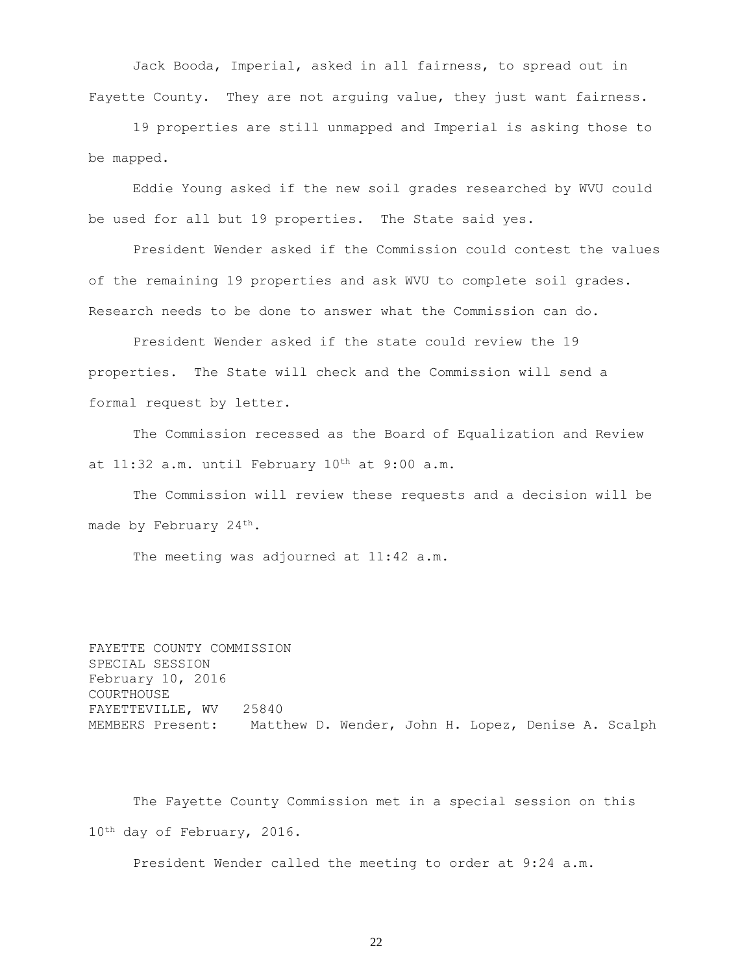Jack Booda, Imperial, asked in all fairness, to spread out in Fayette County. They are not arguing value, they just want fairness.

19 properties are still unmapped and Imperial is asking those to be mapped.

Eddie Young asked if the new soil grades researched by WVU could be used for all but 19 properties. The State said yes.

President Wender asked if the Commission could contest the values of the remaining 19 properties and ask WVU to complete soil grades. Research needs to be done to answer what the Commission can do.

President Wender asked if the state could review the 19 properties. The State will check and the Commission will send a formal request by letter.

The Commission recessed as the Board of Equalization and Review at 11:32 a.m. until February 10<sup>th</sup> at 9:00 a.m.

The Commission will review these requests and a decision will be made by February 24<sup>th</sup>.

The meeting was adjourned at 11:42 a.m.

FAYETTE COUNTY COMMISSION SPECIAL SESSION February 10, 2016 COURTHOUSE FAYETTEVILLE, WV 25840 MEMBERS Present: Matthew D. Wender, John H. Lopez, Denise A. Scalph

The Fayette County Commission met in a special session on this 10th day of February, 2016.

President Wender called the meeting to order at 9:24 a.m.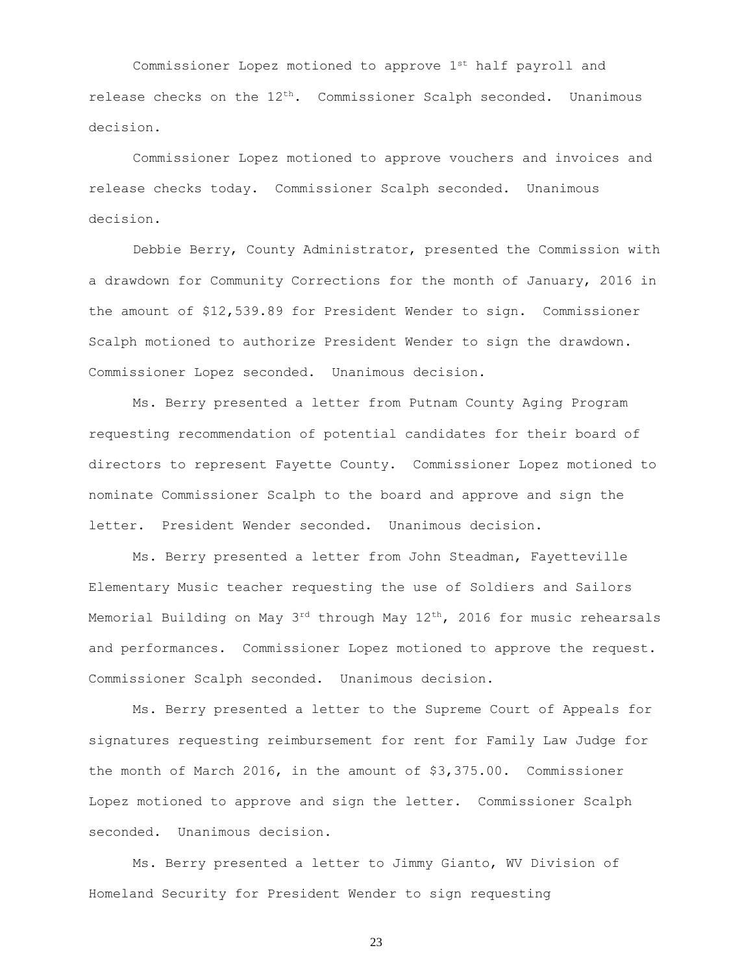Commissioner Lopez motioned to approve 1st half payroll and release checks on the 12<sup>th</sup>. Commissioner Scalph seconded. Unanimous decision.

Commissioner Lopez motioned to approve vouchers and invoices and release checks today. Commissioner Scalph seconded. Unanimous decision.

Debbie Berry, County Administrator, presented the Commission with a drawdown for Community Corrections for the month of January, 2016 in the amount of \$12,539.89 for President Wender to sign. Commissioner Scalph motioned to authorize President Wender to sign the drawdown. Commissioner Lopez seconded. Unanimous decision.

Ms. Berry presented a letter from Putnam County Aging Program requesting recommendation of potential candidates for their board of directors to represent Fayette County. Commissioner Lopez motioned to nominate Commissioner Scalph to the board and approve and sign the letter. President Wender seconded. Unanimous decision.

Ms. Berry presented a letter from John Steadman, Fayetteville Elementary Music teacher requesting the use of Soldiers and Sailors Memorial Building on May  $3^{rd}$  through May  $12^{th}$ , 2016 for music rehearsals and performances. Commissioner Lopez motioned to approve the request. Commissioner Scalph seconded. Unanimous decision.

Ms. Berry presented a letter to the Supreme Court of Appeals for signatures requesting reimbursement for rent for Family Law Judge for the month of March 2016, in the amount of \$3,375.00. Commissioner Lopez motioned to approve and sign the letter. Commissioner Scalph seconded. Unanimous decision.

Ms. Berry presented a letter to Jimmy Gianto, WV Division of Homeland Security for President Wender to sign requesting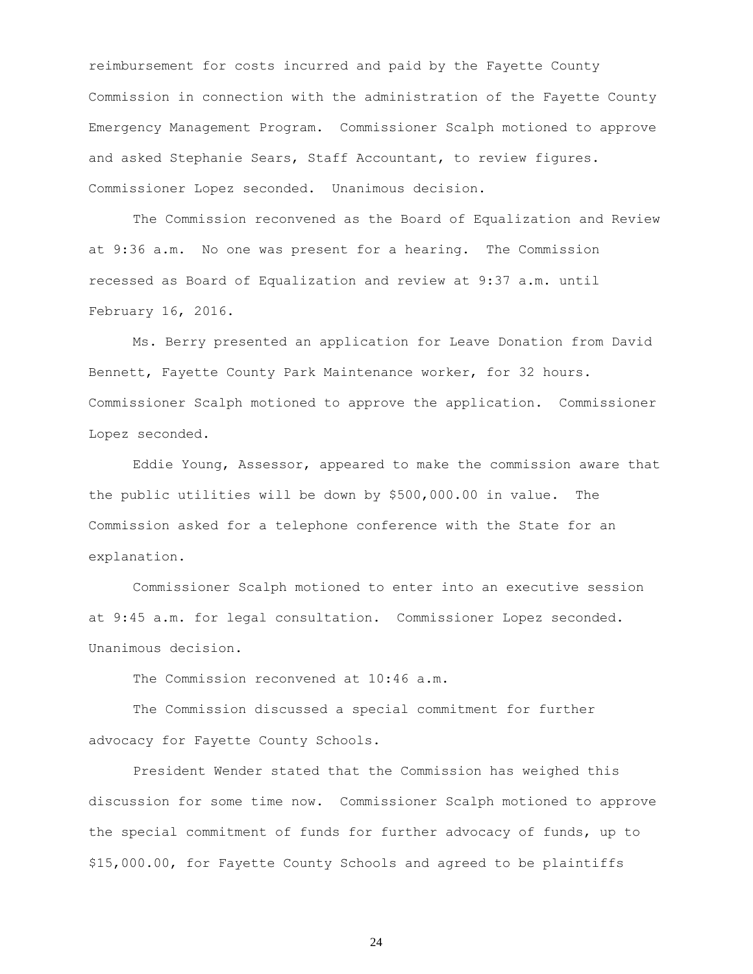reimbursement for costs incurred and paid by the Fayette County Commission in connection with the administration of the Fayette County Emergency Management Program. Commissioner Scalph motioned to approve and asked Stephanie Sears, Staff Accountant, to review figures. Commissioner Lopez seconded. Unanimous decision.

The Commission reconvened as the Board of Equalization and Review at 9:36 a.m. No one was present for a hearing. The Commission recessed as Board of Equalization and review at 9:37 a.m. until February 16, 2016.

Ms. Berry presented an application for Leave Donation from David Bennett, Fayette County Park Maintenance worker, for 32 hours. Commissioner Scalph motioned to approve the application. Commissioner Lopez seconded.

Eddie Young, Assessor, appeared to make the commission aware that the public utilities will be down by \$500,000.00 in value. The Commission asked for a telephone conference with the State for an explanation.

Commissioner Scalph motioned to enter into an executive session at 9:45 a.m. for legal consultation. Commissioner Lopez seconded. Unanimous decision.

The Commission reconvened at 10:46 a.m.

The Commission discussed a special commitment for further advocacy for Fayette County Schools.

President Wender stated that the Commission has weighed this discussion for some time now. Commissioner Scalph motioned to approve the special commitment of funds for further advocacy of funds, up to \$15,000.00, for Fayette County Schools and agreed to be plaintiffs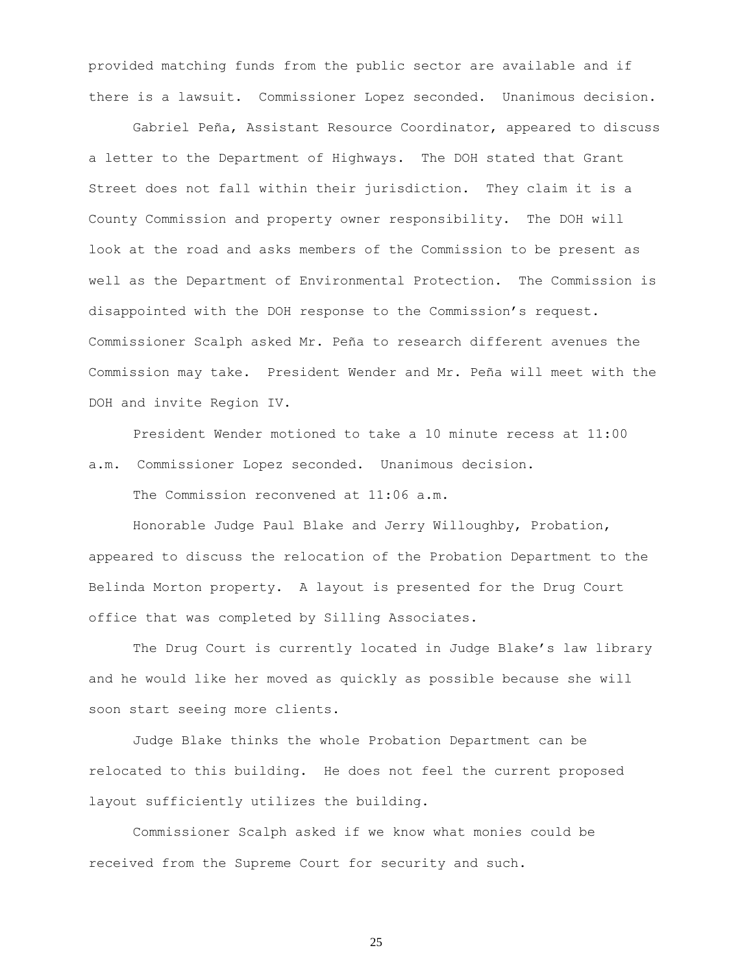provided matching funds from the public sector are available and if there is a lawsuit. Commissioner Lopez seconded. Unanimous decision.

Gabriel Peña, Assistant Resource Coordinator, appeared to discuss a letter to the Department of Highways. The DOH stated that Grant Street does not fall within their jurisdiction. They claim it is a County Commission and property owner responsibility. The DOH will look at the road and asks members of the Commission to be present as well as the Department of Environmental Protection. The Commission is disappointed with the DOH response to the Commission's request. Commissioner Scalph asked Mr. Peña to research different avenues the Commission may take. President Wender and Mr. Peña will meet with the DOH and invite Region IV.

President Wender motioned to take a 10 minute recess at 11:00 a.m. Commissioner Lopez seconded. Unanimous decision.

The Commission reconvened at 11:06 a.m.

Honorable Judge Paul Blake and Jerry Willoughby, Probation, appeared to discuss the relocation of the Probation Department to the Belinda Morton property. A layout is presented for the Drug Court office that was completed by Silling Associates.

The Drug Court is currently located in Judge Blake's law library and he would like her moved as quickly as possible because she will soon start seeing more clients.

Judge Blake thinks the whole Probation Department can be relocated to this building. He does not feel the current proposed layout sufficiently utilizes the building.

Commissioner Scalph asked if we know what monies could be received from the Supreme Court for security and such.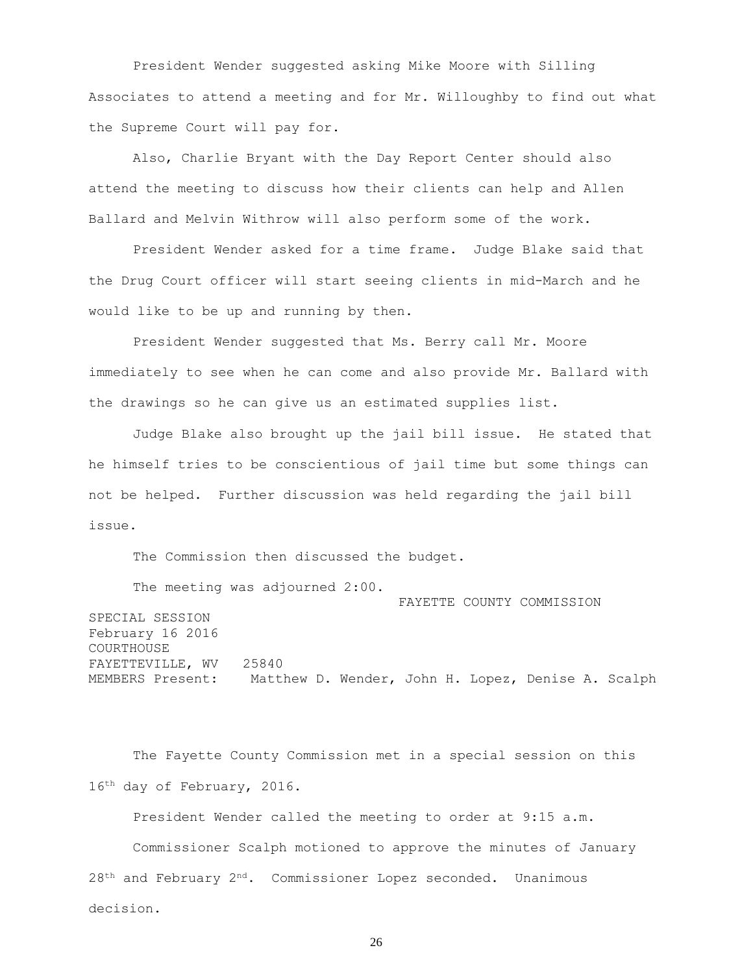President Wender suggested asking Mike Moore with Silling Associates to attend a meeting and for Mr. Willoughby to find out what the Supreme Court will pay for.

Also, Charlie Bryant with the Day Report Center should also attend the meeting to discuss how their clients can help and Allen Ballard and Melvin Withrow will also perform some of the work.

President Wender asked for a time frame. Judge Blake said that the Drug Court officer will start seeing clients in mid-March and he would like to be up and running by then.

President Wender suggested that Ms. Berry call Mr. Moore immediately to see when he can come and also provide Mr. Ballard with the drawings so he can give us an estimated supplies list.

Judge Blake also brought up the jail bill issue. He stated that he himself tries to be conscientious of jail time but some things can not be helped. Further discussion was held regarding the jail bill issue.

The Commission then discussed the budget.

The meeting was adjourned 2:00.

 FAYETTE COUNTY COMMISSION SPECIAL SESSION February 16 2016 COURTHOUSE FAYETTEVILLE, WV 25840 MEMBERS Present: Matthew D. Wender, John H. Lopez, Denise A. Scalph

The Fayette County Commission met in a special session on this 16th day of February, 2016.

President Wender called the meeting to order at 9:15 a.m. Commissioner Scalph motioned to approve the minutes of January  $28<sup>th</sup>$  and February  $2<sup>nd</sup>$ . Commissioner Lopez seconded. Unanimous decision.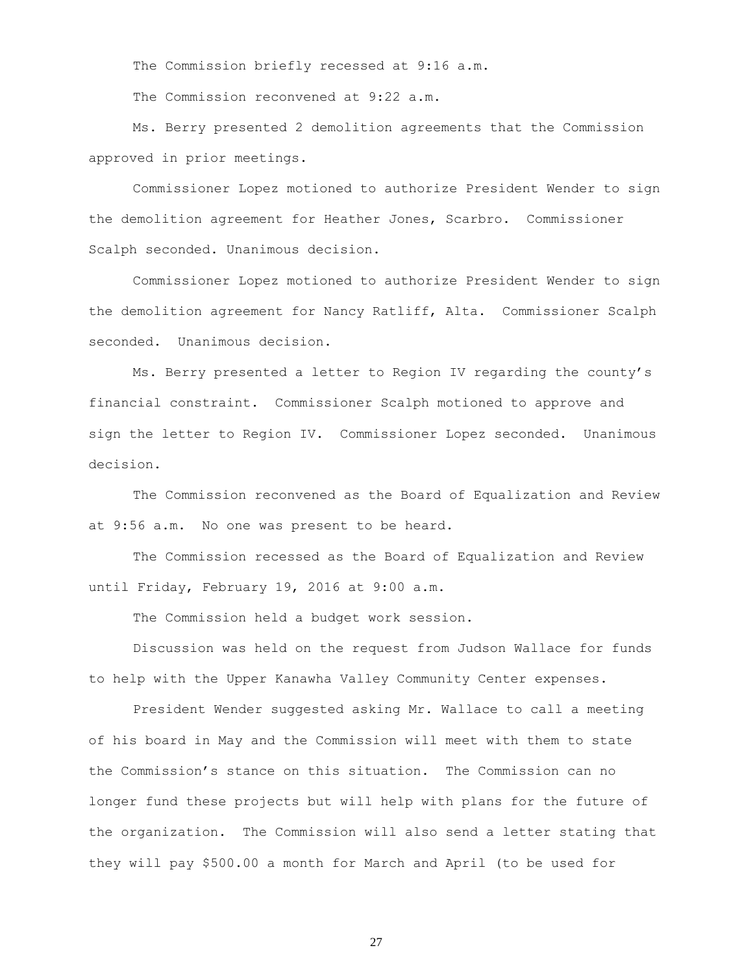The Commission briefly recessed at 9:16 a.m.

The Commission reconvened at 9:22 a.m.

Ms. Berry presented 2 demolition agreements that the Commission approved in prior meetings.

Commissioner Lopez motioned to authorize President Wender to sign the demolition agreement for Heather Jones, Scarbro. Commissioner Scalph seconded. Unanimous decision.

Commissioner Lopez motioned to authorize President Wender to sign the demolition agreement for Nancy Ratliff, Alta. Commissioner Scalph seconded. Unanimous decision.

Ms. Berry presented a letter to Region IV regarding the county's financial constraint. Commissioner Scalph motioned to approve and sign the letter to Region IV. Commissioner Lopez seconded. Unanimous decision.

The Commission reconvened as the Board of Equalization and Review at 9:56 a.m. No one was present to be heard.

The Commission recessed as the Board of Equalization and Review until Friday, February 19, 2016 at 9:00 a.m.

The Commission held a budget work session.

Discussion was held on the request from Judson Wallace for funds to help with the Upper Kanawha Valley Community Center expenses.

President Wender suggested asking Mr. Wallace to call a meeting of his board in May and the Commission will meet with them to state the Commission's stance on this situation. The Commission can no longer fund these projects but will help with plans for the future of the organization. The Commission will also send a letter stating that they will pay \$500.00 a month for March and April (to be used for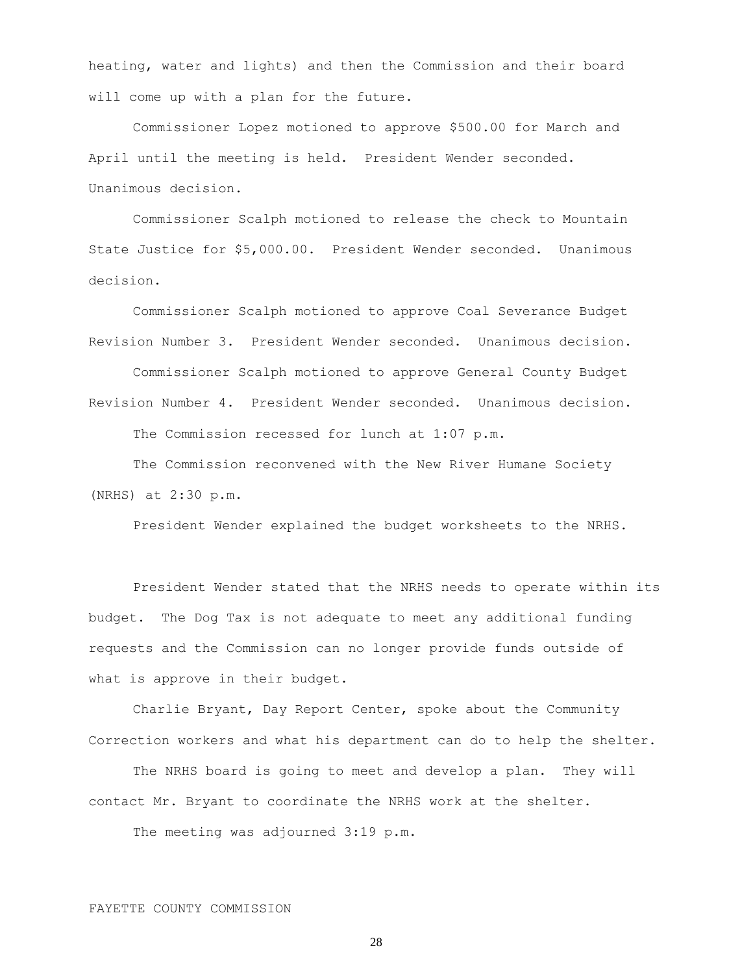heating, water and lights) and then the Commission and their board will come up with a plan for the future.

Commissioner Lopez motioned to approve \$500.00 for March and April until the meeting is held. President Wender seconded. Unanimous decision.

Commissioner Scalph motioned to release the check to Mountain State Justice for \$5,000.00. President Wender seconded. Unanimous decision.

Commissioner Scalph motioned to approve Coal Severance Budget Revision Number 3. President Wender seconded. Unanimous decision.

Commissioner Scalph motioned to approve General County Budget Revision Number 4. President Wender seconded. Unanimous decision.

The Commission recessed for lunch at 1:07 p.m.

The Commission reconvened with the New River Humane Society (NRHS) at 2:30 p.m.

President Wender explained the budget worksheets to the NRHS.

President Wender stated that the NRHS needs to operate within its budget. The Dog Tax is not adequate to meet any additional funding requests and the Commission can no longer provide funds outside of what is approve in their budget.

Charlie Bryant, Day Report Center, spoke about the Community Correction workers and what his department can do to help the shelter.

The NRHS board is going to meet and develop a plan. They will contact Mr. Bryant to coordinate the NRHS work at the shelter.

The meeting was adjourned 3:19 p.m.

## FAYETTE COUNTY COMMISSION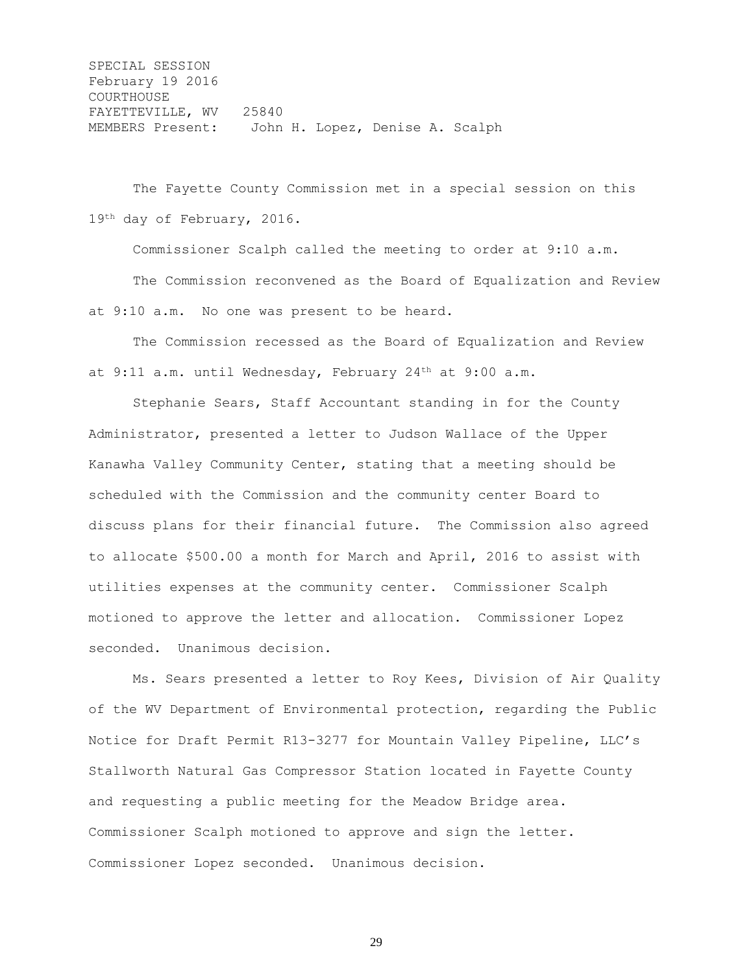SPECIAL SESSION February 19 2016 COURTHOUSE FAYETTEVILLE, WV 25840 MEMBERS Present: John H. Lopez, Denise A. Scalph

The Fayette County Commission met in a special session on this 19th day of February, 2016.

Commissioner Scalph called the meeting to order at 9:10 a.m. The Commission reconvened as the Board of Equalization and Review at 9:10 a.m. No one was present to be heard.

The Commission recessed as the Board of Equalization and Review at 9:11 a.m. until Wednesday, February 24<sup>th</sup> at 9:00 a.m.

Stephanie Sears, Staff Accountant standing in for the County Administrator, presented a letter to Judson Wallace of the Upper Kanawha Valley Community Center, stating that a meeting should be scheduled with the Commission and the community center Board to discuss plans for their financial future. The Commission also agreed to allocate \$500.00 a month for March and April, 2016 to assist with utilities expenses at the community center. Commissioner Scalph motioned to approve the letter and allocation. Commissioner Lopez seconded. Unanimous decision.

Ms. Sears presented a letter to Roy Kees, Division of Air Quality of the WV Department of Environmental protection, regarding the Public Notice for Draft Permit R13-3277 for Mountain Valley Pipeline, LLC's Stallworth Natural Gas Compressor Station located in Fayette County and requesting a public meeting for the Meadow Bridge area. Commissioner Scalph motioned to approve and sign the letter. Commissioner Lopez seconded. Unanimous decision.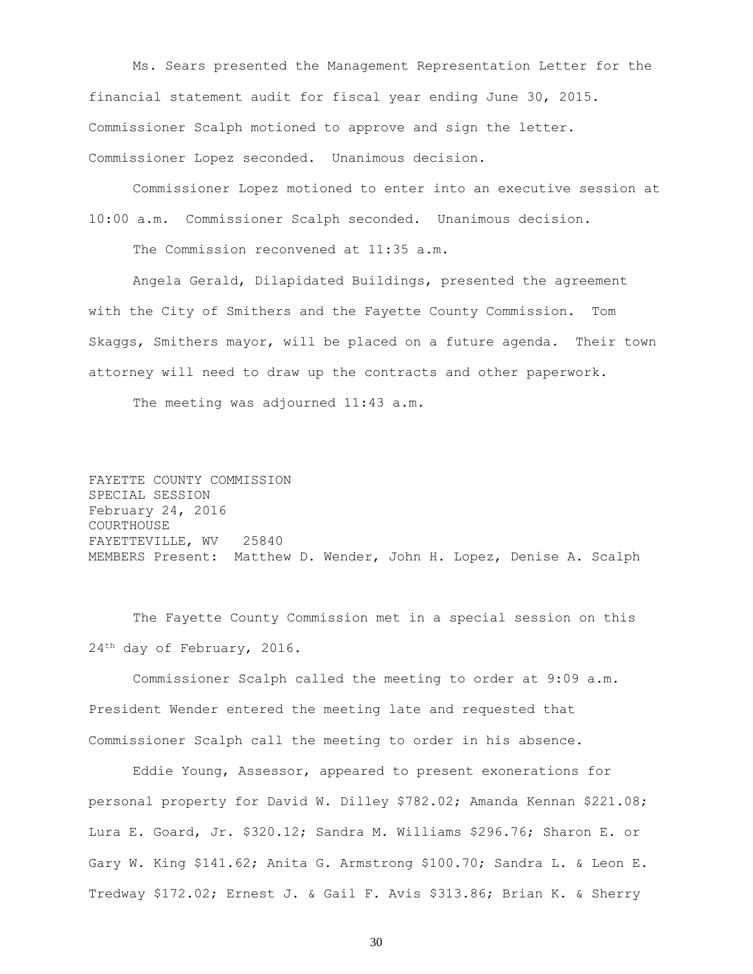Ms. Sears presented the Management Representation Letter for the financial statement audit for fiscal year ending June 30, 2015. Commissioner Scalph motioned to approve and sign the letter. Commissioner Lopez seconded. Unanimous decision.

Commissioner Lopez motioned to enter into an executive session at 10:00 a.m. Commissioner Scalph seconded. Unanimous decision.

The Commission reconvened at 11:35 a.m.

Angela Gerald, Dilapidated Buildings, presented the agreement with the City of Smithers and the Fayette County Commission. Tom Skaggs, Smithers mayor, will be placed on a future agenda. Their town attorney will need to draw up the contracts and other paperwork.

The meeting was adjourned 11:43 a.m.

FAYETTE COUNTY COMMISSION SPECIAL SESSION February 24, 2016 COURTHOUSE FAYETTEVILLE, WV 25840 MEMBERS Present: Matthew D. Wender, John H. Lopez, Denise A. Scalph

The Fayette County Commission met in a special session on this 24<sup>th</sup> day of February, 2016.

Commissioner Scalph called the meeting to order at 9:09 a.m. President Wender entered the meeting late and requested that Commissioner Scalph call the meeting to order in his absence.

Eddie Young, Assessor, appeared to present exonerations for personal property for David W. Dilley \$782.02; Amanda Kennan \$221.08; Lura E. Goard, Jr. \$320.12; Sandra M. Williams \$296.76; Sharon E. or Gary W. King \$141.62; Anita G. Armstrong \$100.70; Sandra L. & Leon E. Tredway \$172.02; Ernest J. & Gail F. Avis \$313.86; Brian K. & Sherry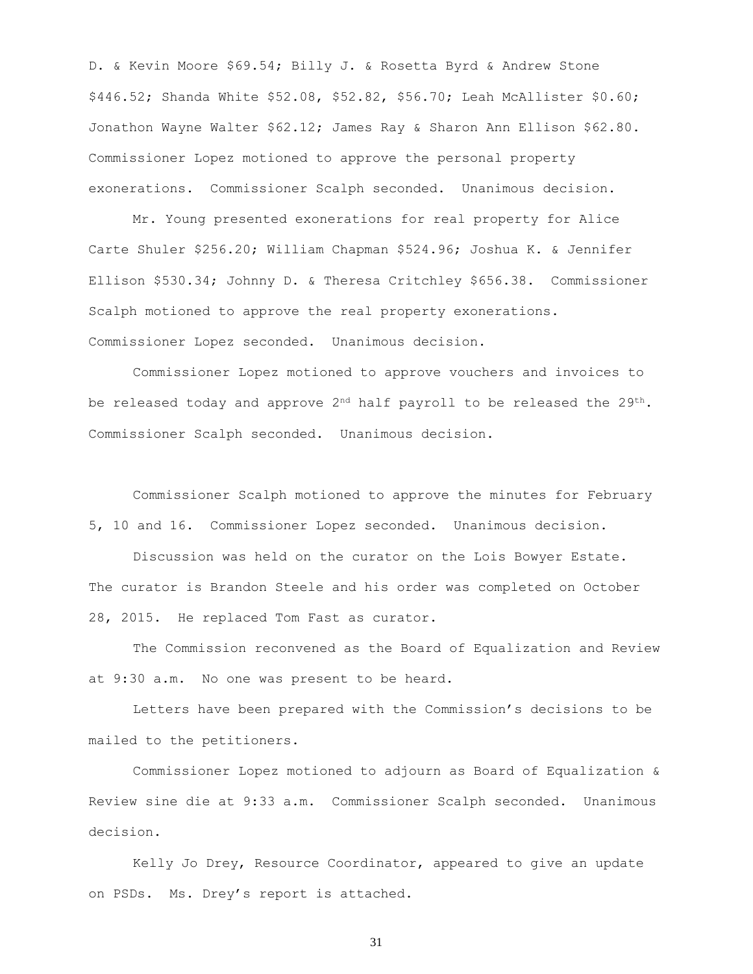D. & Kevin Moore \$69.54; Billy J. & Rosetta Byrd & Andrew Stone \$446.52; Shanda White \$52.08, \$52.82, \$56.70; Leah McAllister \$0.60; Jonathon Wayne Walter \$62.12; James Ray & Sharon Ann Ellison \$62.80. Commissioner Lopez motioned to approve the personal property exonerations. Commissioner Scalph seconded. Unanimous decision.

Mr. Young presented exonerations for real property for Alice Carte Shuler \$256.20; William Chapman \$524.96; Joshua K. & Jennifer Ellison \$530.34; Johnny D. & Theresa Critchley \$656.38. Commissioner Scalph motioned to approve the real property exonerations. Commissioner Lopez seconded. Unanimous decision.

Commissioner Lopez motioned to approve vouchers and invoices to be released today and approve  $2^{nd}$  half payroll to be released the  $29^{th}$ . Commissioner Scalph seconded. Unanimous decision.

Commissioner Scalph motioned to approve the minutes for February 5, 10 and 16. Commissioner Lopez seconded. Unanimous decision.

Discussion was held on the curator on the Lois Bowyer Estate. The curator is Brandon Steele and his order was completed on October 28, 2015. He replaced Tom Fast as curator.

The Commission reconvened as the Board of Equalization and Review at 9:30 a.m. No one was present to be heard.

Letters have been prepared with the Commission's decisions to be mailed to the petitioners.

Commissioner Lopez motioned to adjourn as Board of Equalization & Review sine die at 9:33 a.m. Commissioner Scalph seconded. Unanimous decision.

Kelly Jo Drey, Resource Coordinator, appeared to give an update on PSDs. Ms. Drey's report is attached.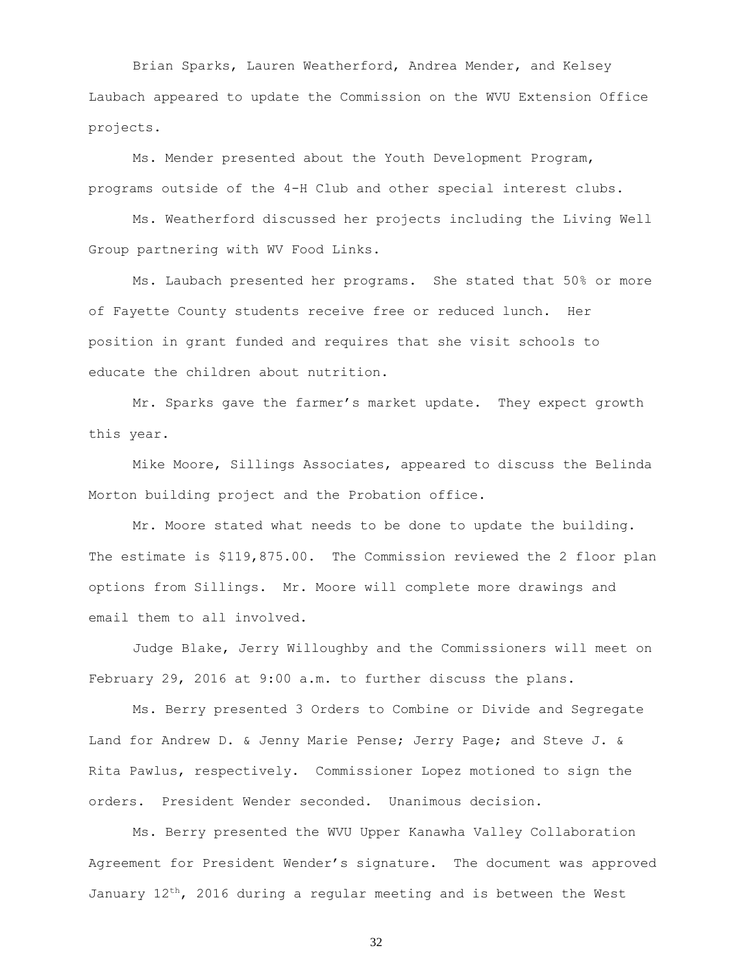Brian Sparks, Lauren Weatherford, Andrea Mender, and Kelsey Laubach appeared to update the Commission on the WVU Extension Office projects.

Ms. Mender presented about the Youth Development Program, programs outside of the 4-H Club and other special interest clubs.

Ms. Weatherford discussed her projects including the Living Well Group partnering with WV Food Links.

Ms. Laubach presented her programs. She stated that 50% or more of Fayette County students receive free or reduced lunch. Her position in grant funded and requires that she visit schools to educate the children about nutrition.

Mr. Sparks gave the farmer's market update. They expect growth this year.

Mike Moore, Sillings Associates, appeared to discuss the Belinda Morton building project and the Probation office.

Mr. Moore stated what needs to be done to update the building. The estimate is \$119,875.00. The Commission reviewed the 2 floor plan options from Sillings. Mr. Moore will complete more drawings and email them to all involved.

Judge Blake, Jerry Willoughby and the Commissioners will meet on February 29, 2016 at 9:00 a.m. to further discuss the plans.

Ms. Berry presented 3 Orders to Combine or Divide and Segregate Land for Andrew D. & Jenny Marie Pense; Jerry Page; and Steve J. & Rita Pawlus, respectively. Commissioner Lopez motioned to sign the orders. President Wender seconded. Unanimous decision.

Ms. Berry presented the WVU Upper Kanawha Valley Collaboration Agreement for President Wender's signature. The document was approved January  $12^{th}$ , 2016 during a regular meeting and is between the West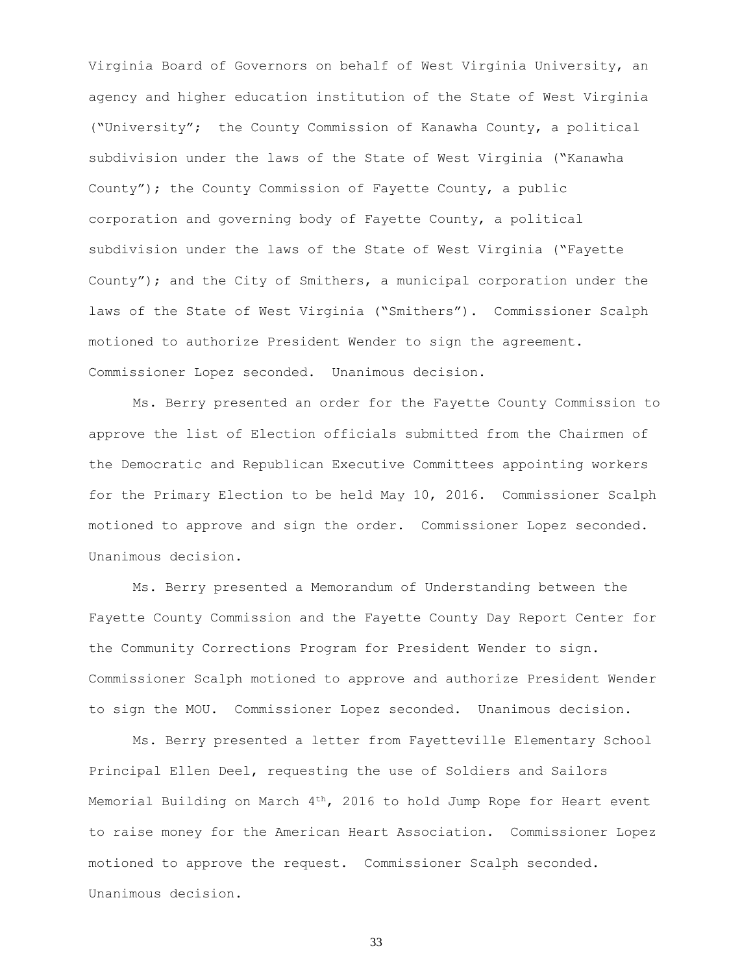Virginia Board of Governors on behalf of West Virginia University, an agency and higher education institution of the State of West Virginia ("University"; the County Commission of Kanawha County, a political subdivision under the laws of the State of West Virginia ("Kanawha County"); the County Commission of Fayette County, a public corporation and governing body of Fayette County, a political subdivision under the laws of the State of West Virginia ("Fayette County"); and the City of Smithers, a municipal corporation under the laws of the State of West Virginia ("Smithers"). Commissioner Scalph motioned to authorize President Wender to sign the agreement. Commissioner Lopez seconded. Unanimous decision.

Ms. Berry presented an order for the Fayette County Commission to approve the list of Election officials submitted from the Chairmen of the Democratic and Republican Executive Committees appointing workers for the Primary Election to be held May 10, 2016. Commissioner Scalph motioned to approve and sign the order. Commissioner Lopez seconded. Unanimous decision.

Ms. Berry presented a Memorandum of Understanding between the Fayette County Commission and the Fayette County Day Report Center for the Community Corrections Program for President Wender to sign. Commissioner Scalph motioned to approve and authorize President Wender to sign the MOU. Commissioner Lopez seconded. Unanimous decision.

Ms. Berry presented a letter from Fayetteville Elementary School Principal Ellen Deel, requesting the use of Soldiers and Sailors Memorial Building on March  $4<sup>th</sup>$ , 2016 to hold Jump Rope for Heart event to raise money for the American Heart Association. Commissioner Lopez motioned to approve the request. Commissioner Scalph seconded. Unanimous decision.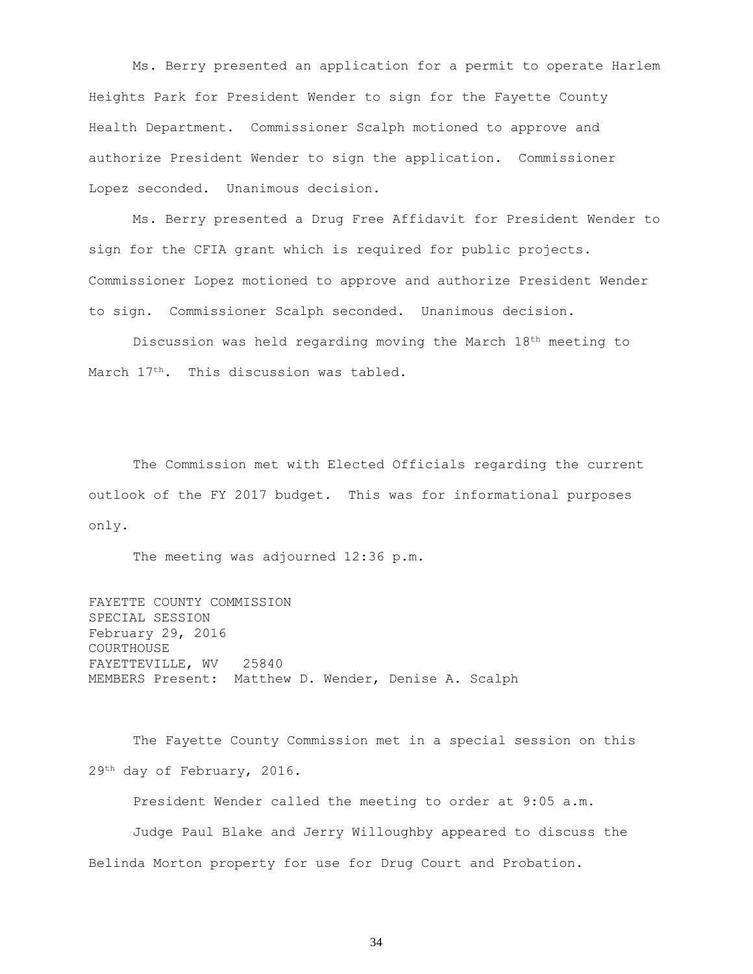Ms. Berry presented an application for a permit to operate Harlem Heights Park for President Wender to sign for the Fayette County Health Department. Commissioner Scalph motioned to approve and authorize President Wender to sign the application. Commissioner Lopez seconded. Unanimous decision.

Ms. Berry presented a Drug Free Affidavit for President Wender to sign for the CFIA grant which is required for public projects. Commissioner Lopez motioned to approve and authorize President Wender to sign. Commissioner Scalph seconded. Unanimous decision.

Discussion was held regarding moving the March 18th meeting to March 17<sup>th</sup>. This discussion was tabled.

The Commission met with Elected Officials regarding the current outlook of the FY 2017 budget. This was for informational purposes only.

The meeting was adjourned 12:36 p.m.

FAYETTE COUNTY COMMISSION SPECIAL SESSION February 29, 2016 COURTHOUSE FAYETTEVILLE, WV 25840 MEMBERS Present: Matthew D. Wender, Denise A. Scalph

The Fayette County Commission met in a special session on this 29th day of February, 2016.

President Wender called the meeting to order at 9:05 a.m.

Judge Paul Blake and Jerry Willoughby appeared to discuss the Belinda Morton property for use for Drug Court and Probation.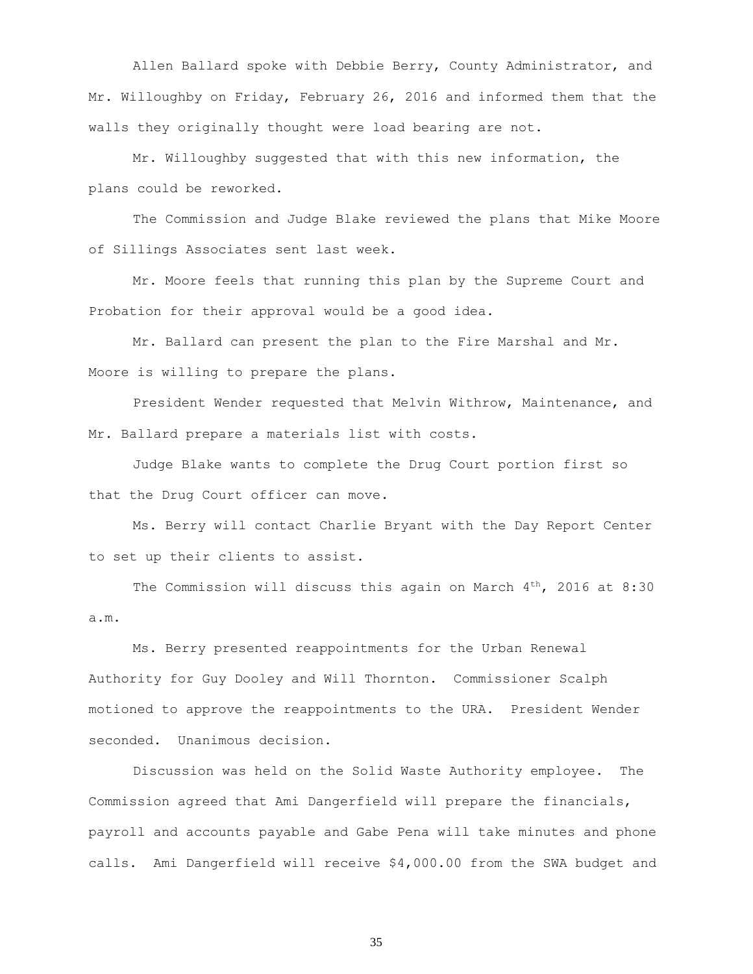Allen Ballard spoke with Debbie Berry, County Administrator, and Mr. Willoughby on Friday, February 26, 2016 and informed them that the walls they originally thought were load bearing are not.

Mr. Willoughby suggested that with this new information, the plans could be reworked.

The Commission and Judge Blake reviewed the plans that Mike Moore of Sillings Associates sent last week.

Mr. Moore feels that running this plan by the Supreme Court and Probation for their approval would be a good idea.

Mr. Ballard can present the plan to the Fire Marshal and Mr. Moore is willing to prepare the plans.

President Wender requested that Melvin Withrow, Maintenance, and Mr. Ballard prepare a materials list with costs.

Judge Blake wants to complete the Drug Court portion first so that the Drug Court officer can move.

Ms. Berry will contact Charlie Bryant with the Day Report Center to set up their clients to assist.

The Commission will discuss this again on March  $4<sup>th</sup>$ , 2016 at 8:30 a.m.

Ms. Berry presented reappointments for the Urban Renewal Authority for Guy Dooley and Will Thornton. Commissioner Scalph motioned to approve the reappointments to the URA. President Wender seconded. Unanimous decision.

Discussion was held on the Solid Waste Authority employee. The Commission agreed that Ami Dangerfield will prepare the financials, payroll and accounts payable and Gabe Pena will take minutes and phone calls. Ami Dangerfield will receive \$4,000.00 from the SWA budget and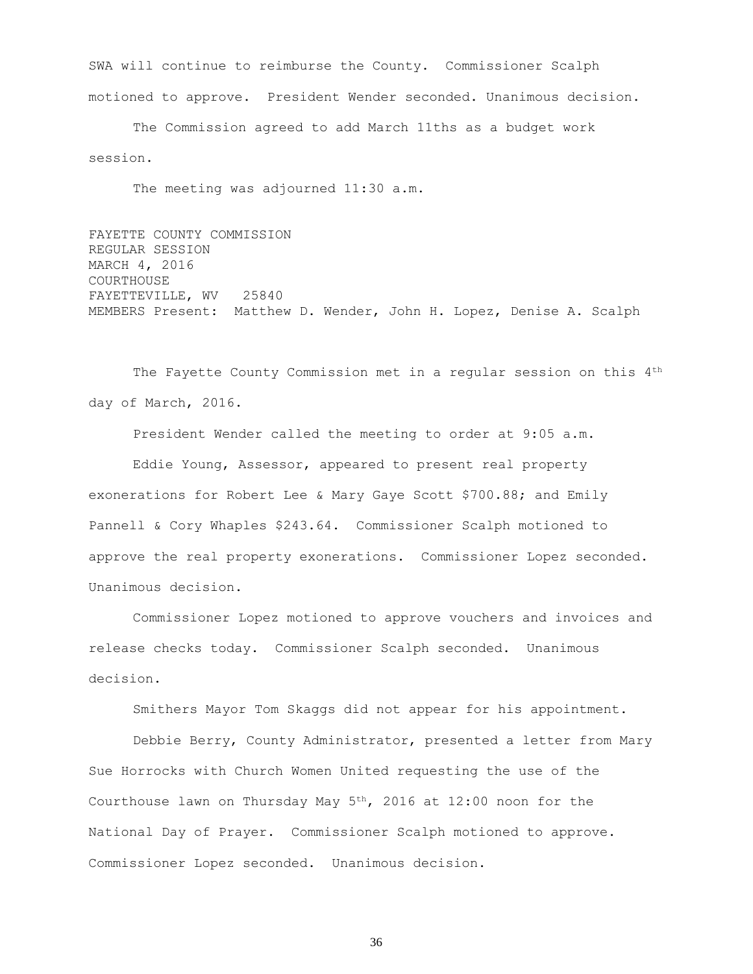SWA will continue to reimburse the County. Commissioner Scalph motioned to approve. President Wender seconded. Unanimous decision.

The Commission agreed to add March 11ths as a budget work session.

The meeting was adjourned 11:30 a.m.

FAYETTE COUNTY COMMISSION REGULAR SESSION MARCH 4, 2016 COURTHOUSE FAYETTEVILLE, WV 25840 MEMBERS Present: Matthew D. Wender, John H. Lopez, Denise A. Scalph

The Fayette County Commission met in a regular session on this 4<sup>th</sup> day of March, 2016.

President Wender called the meeting to order at 9:05 a.m. Eddie Young, Assessor, appeared to present real property exonerations for Robert Lee & Mary Gaye Scott \$700.88; and Emily Pannell & Cory Whaples \$243.64. Commissioner Scalph motioned to approve the real property exonerations. Commissioner Lopez seconded. Unanimous decision.

Commissioner Lopez motioned to approve vouchers and invoices and release checks today. Commissioner Scalph seconded. Unanimous decision.

Smithers Mayor Tom Skaggs did not appear for his appointment.

Debbie Berry, County Administrator, presented a letter from Mary Sue Horrocks with Church Women United requesting the use of the Courthouse lawn on Thursday May  $5<sup>th</sup>$ , 2016 at 12:00 noon for the National Day of Prayer. Commissioner Scalph motioned to approve. Commissioner Lopez seconded. Unanimous decision.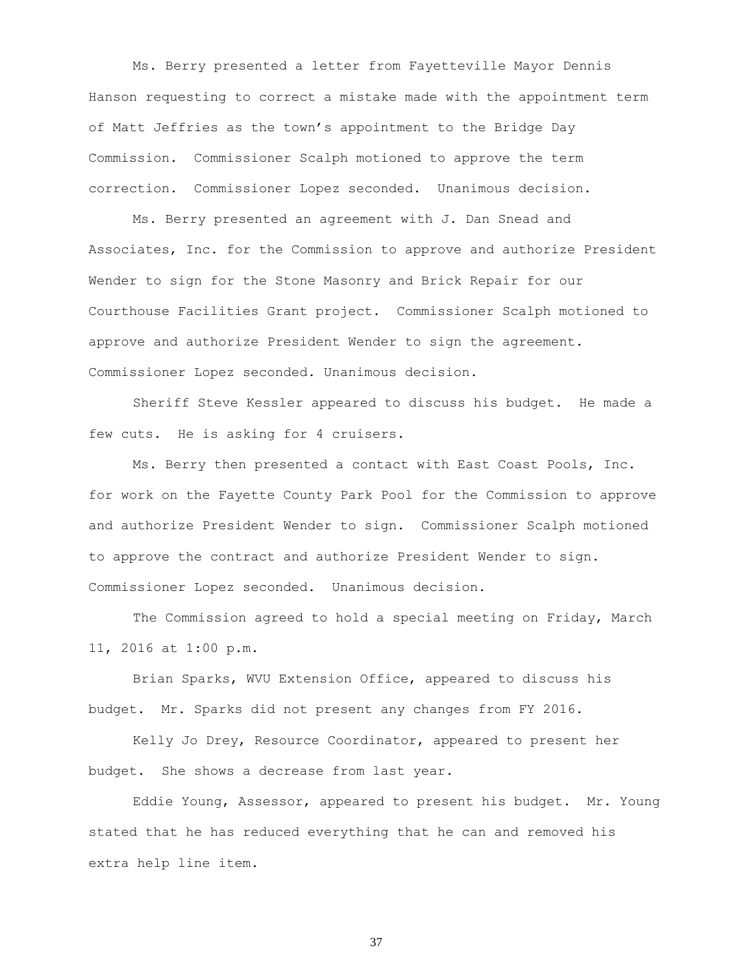Ms. Berry presented a letter from Fayetteville Mayor Dennis Hanson requesting to correct a mistake made with the appointment term of Matt Jeffries as the town's appointment to the Bridge Day Commission. Commissioner Scalph motioned to approve the term correction. Commissioner Lopez seconded. Unanimous decision.

Ms. Berry presented an agreement with J. Dan Snead and Associates, Inc. for the Commission to approve and authorize President Wender to sign for the Stone Masonry and Brick Repair for our Courthouse Facilities Grant project. Commissioner Scalph motioned to approve and authorize President Wender to sign the agreement. Commissioner Lopez seconded. Unanimous decision.

Sheriff Steve Kessler appeared to discuss his budget. He made a few cuts. He is asking for 4 cruisers.

Ms. Berry then presented a contact with East Coast Pools, Inc. for work on the Fayette County Park Pool for the Commission to approve and authorize President Wender to sign. Commissioner Scalph motioned to approve the contract and authorize President Wender to sign. Commissioner Lopez seconded. Unanimous decision.

The Commission agreed to hold a special meeting on Friday, March 11, 2016 at 1:00 p.m.

Brian Sparks, WVU Extension Office, appeared to discuss his budget. Mr. Sparks did not present any changes from FY 2016.

Kelly Jo Drey, Resource Coordinator, appeared to present her budget. She shows a decrease from last year.

Eddie Young, Assessor, appeared to present his budget. Mr. Young stated that he has reduced everything that he can and removed his extra help line item.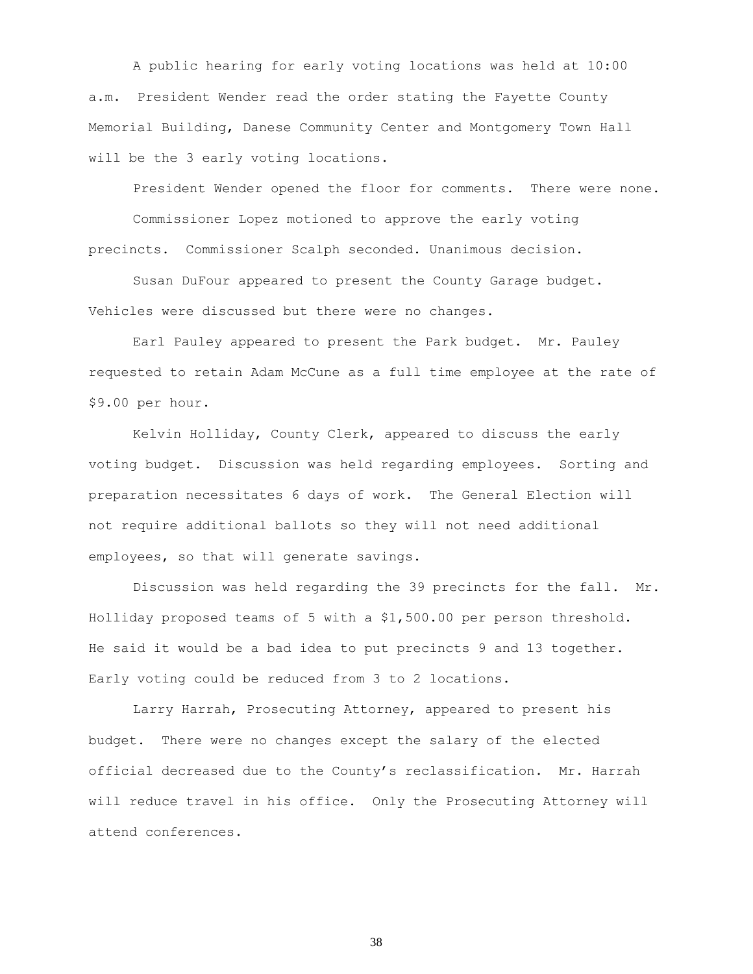A public hearing for early voting locations was held at 10:00 a.m. President Wender read the order stating the Fayette County Memorial Building, Danese Community Center and Montgomery Town Hall will be the 3 early voting locations.

President Wender opened the floor for comments. There were none. Commissioner Lopez motioned to approve the early voting precincts. Commissioner Scalph seconded. Unanimous decision.

Susan DuFour appeared to present the County Garage budget. Vehicles were discussed but there were no changes.

Earl Pauley appeared to present the Park budget. Mr. Pauley requested to retain Adam McCune as a full time employee at the rate of \$9.00 per hour.

Kelvin Holliday, County Clerk, appeared to discuss the early voting budget. Discussion was held regarding employees. Sorting and preparation necessitates 6 days of work. The General Election will not require additional ballots so they will not need additional employees, so that will generate savings.

Discussion was held regarding the 39 precincts for the fall. Mr. Holliday proposed teams of 5 with a \$1,500.00 per person threshold. He said it would be a bad idea to put precincts 9 and 13 together. Early voting could be reduced from 3 to 2 locations.

Larry Harrah, Prosecuting Attorney, appeared to present his budget. There were no changes except the salary of the elected official decreased due to the County's reclassification. Mr. Harrah will reduce travel in his office. Only the Prosecuting Attorney will attend conferences.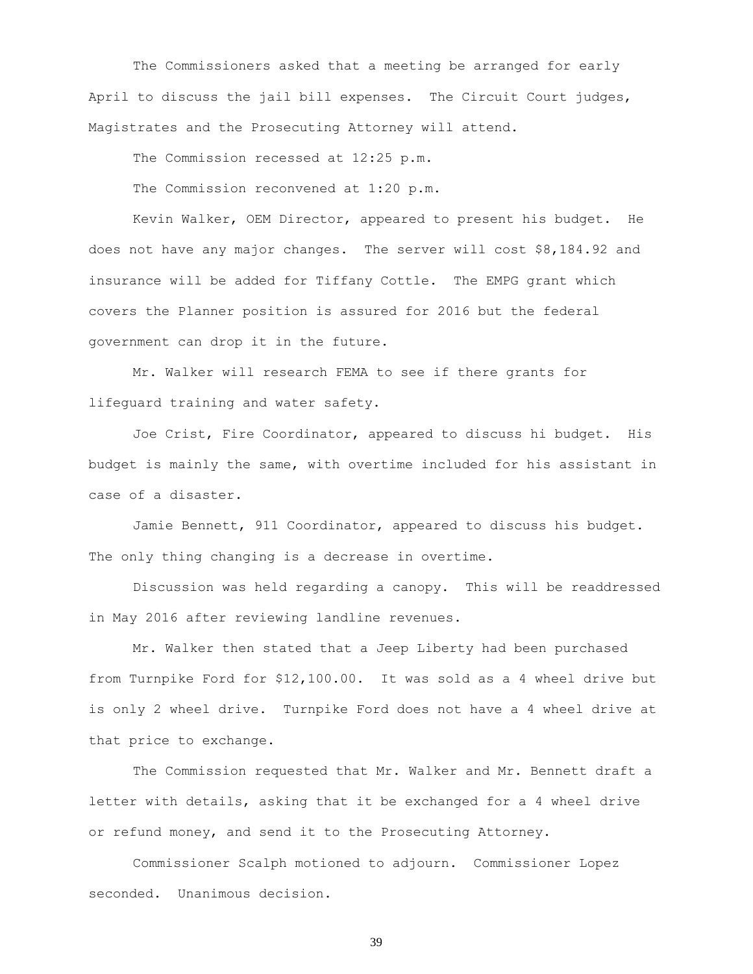The Commissioners asked that a meeting be arranged for early April to discuss the jail bill expenses. The Circuit Court judges, Magistrates and the Prosecuting Attorney will attend.

The Commission recessed at 12:25 p.m.

The Commission reconvened at 1:20 p.m.

Kevin Walker, OEM Director, appeared to present his budget. He does not have any major changes. The server will cost \$8,184.92 and insurance will be added for Tiffany Cottle. The EMPG grant which covers the Planner position is assured for 2016 but the federal government can drop it in the future.

Mr. Walker will research FEMA to see if there grants for lifeguard training and water safety.

Joe Crist, Fire Coordinator, appeared to discuss hi budget. His budget is mainly the same, with overtime included for his assistant in case of a disaster.

Jamie Bennett, 911 Coordinator, appeared to discuss his budget. The only thing changing is a decrease in overtime.

Discussion was held regarding a canopy. This will be readdressed in May 2016 after reviewing landline revenues.

Mr. Walker then stated that a Jeep Liberty had been purchased from Turnpike Ford for \$12,100.00. It was sold as a 4 wheel drive but is only 2 wheel drive. Turnpike Ford does not have a 4 wheel drive at that price to exchange.

The Commission requested that Mr. Walker and Mr. Bennett draft a letter with details, asking that it be exchanged for a 4 wheel drive or refund money, and send it to the Prosecuting Attorney.

Commissioner Scalph motioned to adjourn. Commissioner Lopez seconded. Unanimous decision.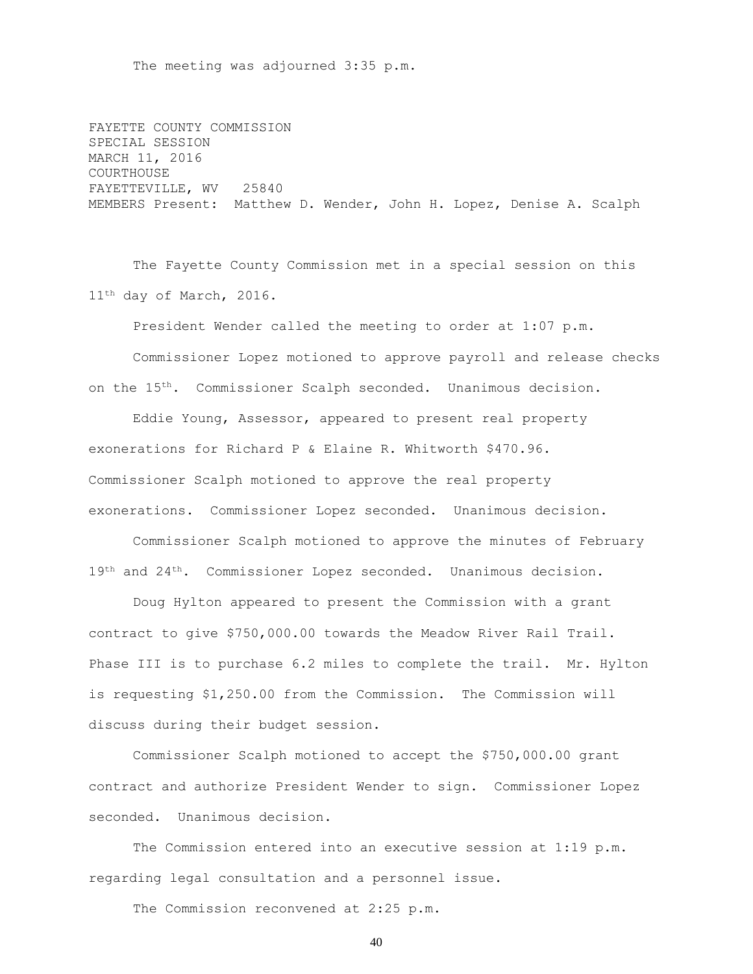The meeting was adjourned 3:35 p.m.

FAYETTE COUNTY COMMISSION SPECIAL SESSION MARCH 11, 2016 COURTHOUSE FAYETTEVILLE, WV 25840 MEMBERS Present: Matthew D. Wender, John H. Lopez, Denise A. Scalph

The Fayette County Commission met in a special session on this 11<sup>th</sup> day of March, 2016.

President Wender called the meeting to order at 1:07 p.m.

Commissioner Lopez motioned to approve payroll and release checks on the 15th. Commissioner Scalph seconded. Unanimous decision.

Eddie Young, Assessor, appeared to present real property exonerations for Richard P & Elaine R. Whitworth \$470.96. Commissioner Scalph motioned to approve the real property exonerations. Commissioner Lopez seconded. Unanimous decision.

Commissioner Scalph motioned to approve the minutes of February 19<sup>th</sup> and 24<sup>th</sup>. Commissioner Lopez seconded. Unanimous decision.

Doug Hylton appeared to present the Commission with a grant contract to give \$750,000.00 towards the Meadow River Rail Trail. Phase III is to purchase 6.2 miles to complete the trail. Mr. Hylton is requesting \$1,250.00 from the Commission. The Commission will discuss during their budget session.

Commissioner Scalph motioned to accept the \$750,000.00 grant contract and authorize President Wender to sign. Commissioner Lopez seconded. Unanimous decision.

The Commission entered into an executive session at 1:19 p.m. regarding legal consultation and a personnel issue.

The Commission reconvened at 2:25 p.m.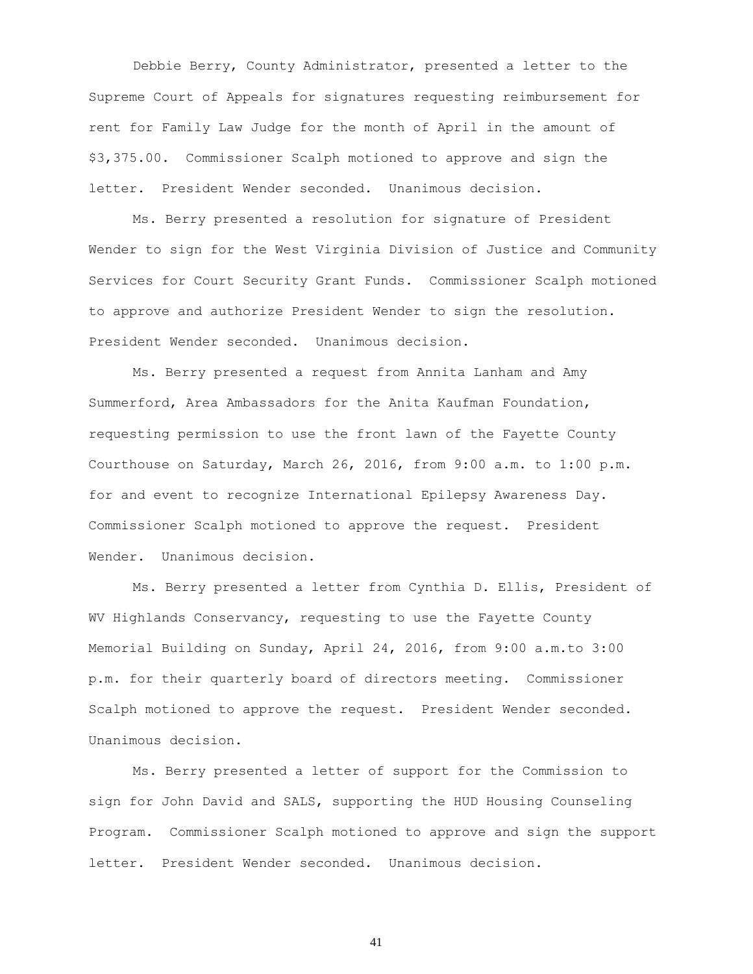Debbie Berry, County Administrator, presented a letter to the Supreme Court of Appeals for signatures requesting reimbursement for rent for Family Law Judge for the month of April in the amount of \$3,375.00. Commissioner Scalph motioned to approve and sign the letter. President Wender seconded. Unanimous decision.

Ms. Berry presented a resolution for signature of President Wender to sign for the West Virginia Division of Justice and Community Services for Court Security Grant Funds. Commissioner Scalph motioned to approve and authorize President Wender to sign the resolution. President Wender seconded. Unanimous decision.

Ms. Berry presented a request from Annita Lanham and Amy Summerford, Area Ambassadors for the Anita Kaufman Foundation, requesting permission to use the front lawn of the Fayette County Courthouse on Saturday, March 26, 2016, from 9:00 a.m. to 1:00 p.m. for and event to recognize International Epilepsy Awareness Day. Commissioner Scalph motioned to approve the request. President Wender. Unanimous decision.

Ms. Berry presented a letter from Cynthia D. Ellis, President of WV Highlands Conservancy, requesting to use the Fayette County Memorial Building on Sunday, April 24, 2016, from 9:00 a.m.to 3:00 p.m. for their quarterly board of directors meeting. Commissioner Scalph motioned to approve the request. President Wender seconded. Unanimous decision.

Ms. Berry presented a letter of support for the Commission to sign for John David and SALS, supporting the HUD Housing Counseling Program. Commissioner Scalph motioned to approve and sign the support letter. President Wender seconded. Unanimous decision.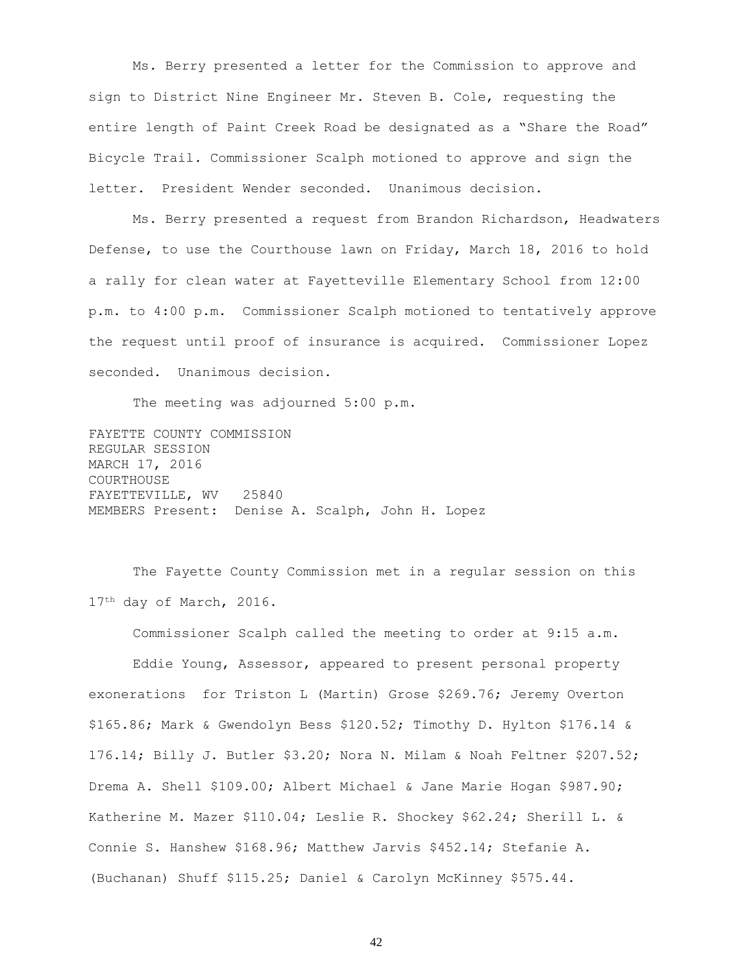Ms. Berry presented a letter for the Commission to approve and sign to District Nine Engineer Mr. Steven B. Cole, requesting the entire length of Paint Creek Road be designated as a "Share the Road" Bicycle Trail. Commissioner Scalph motioned to approve and sign the letter. President Wender seconded. Unanimous decision.

Ms. Berry presented a request from Brandon Richardson, Headwaters Defense, to use the Courthouse lawn on Friday, March 18, 2016 to hold a rally for clean water at Fayetteville Elementary School from 12:00 p.m. to 4:00 p.m. Commissioner Scalph motioned to tentatively approve the request until proof of insurance is acquired. Commissioner Lopez seconded. Unanimous decision.

The meeting was adjourned 5:00 p.m.

FAYETTE COUNTY COMMISSION REGULAR SESSION MARCH 17, 2016 COURTHOUSE FAYETTEVILLE, WV 25840 MEMBERS Present: Denise A. Scalph, John H. Lopez

The Fayette County Commission met in a regular session on this 17<sup>th</sup> day of March, 2016.

Commissioner Scalph called the meeting to order at 9:15 a.m. Eddie Young, Assessor, appeared to present personal property exonerations for Triston L (Martin) Grose \$269.76; Jeremy Overton \$165.86; Mark & Gwendolyn Bess \$120.52; Timothy D. Hylton \$176.14 & 176.14; Billy J. Butler \$3.20; Nora N. Milam & Noah Feltner \$207.52; Drema A. Shell \$109.00; Albert Michael & Jane Marie Hogan \$987.90; Katherine M. Mazer \$110.04; Leslie R. Shockey \$62.24; Sherill L. & Connie S. Hanshew \$168.96; Matthew Jarvis \$452.14; Stefanie A. (Buchanan) Shuff \$115.25; Daniel & Carolyn McKinney \$575.44.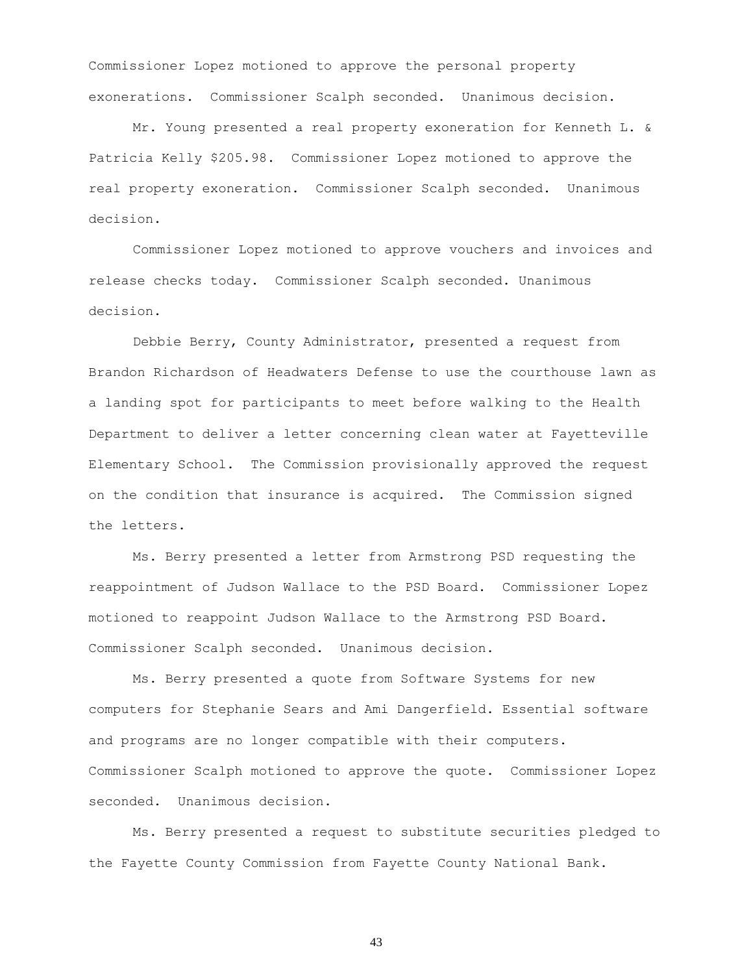Commissioner Lopez motioned to approve the personal property exonerations. Commissioner Scalph seconded. Unanimous decision.

Mr. Young presented a real property exoneration for Kenneth L. & Patricia Kelly \$205.98. Commissioner Lopez motioned to approve the real property exoneration. Commissioner Scalph seconded. Unanimous decision.

Commissioner Lopez motioned to approve vouchers and invoices and release checks today. Commissioner Scalph seconded. Unanimous decision.

Debbie Berry, County Administrator, presented a request from Brandon Richardson of Headwaters Defense to use the courthouse lawn as a landing spot for participants to meet before walking to the Health Department to deliver a letter concerning clean water at Fayetteville Elementary School. The Commission provisionally approved the request on the condition that insurance is acquired. The Commission signed the letters.

Ms. Berry presented a letter from Armstrong PSD requesting the reappointment of Judson Wallace to the PSD Board. Commissioner Lopez motioned to reappoint Judson Wallace to the Armstrong PSD Board. Commissioner Scalph seconded. Unanimous decision.

Ms. Berry presented a quote from Software Systems for new computers for Stephanie Sears and Ami Dangerfield. Essential software and programs are no longer compatible with their computers. Commissioner Scalph motioned to approve the quote. Commissioner Lopez seconded. Unanimous decision.

Ms. Berry presented a request to substitute securities pledged to the Fayette County Commission from Fayette County National Bank.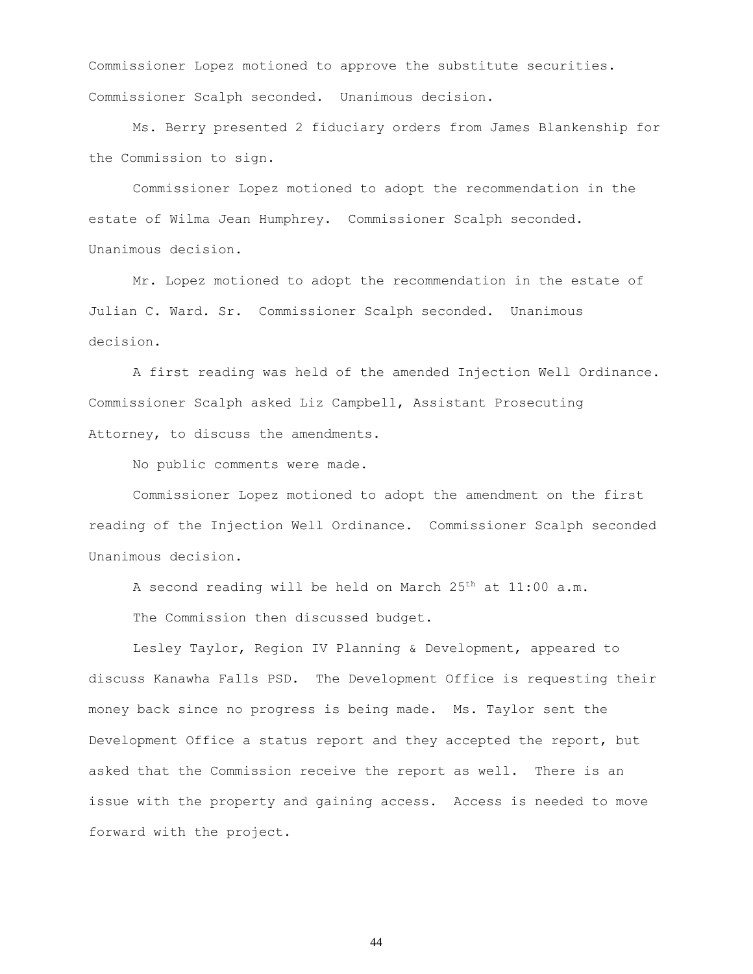Commissioner Lopez motioned to approve the substitute securities. Commissioner Scalph seconded. Unanimous decision.

Ms. Berry presented 2 fiduciary orders from James Blankenship for the Commission to sign.

Commissioner Lopez motioned to adopt the recommendation in the estate of Wilma Jean Humphrey. Commissioner Scalph seconded. Unanimous decision.

Mr. Lopez motioned to adopt the recommendation in the estate of Julian C. Ward. Sr. Commissioner Scalph seconded. Unanimous decision.

A first reading was held of the amended Injection Well Ordinance. Commissioner Scalph asked Liz Campbell, Assistant Prosecuting Attorney, to discuss the amendments.

No public comments were made.

Commissioner Lopez motioned to adopt the amendment on the first reading of the Injection Well Ordinance. Commissioner Scalph seconded Unanimous decision.

A second reading will be held on March 25<sup>th</sup> at 11:00 a.m.

The Commission then discussed budget.

Lesley Taylor, Region IV Planning & Development, appeared to discuss Kanawha Falls PSD. The Development Office is requesting their money back since no progress is being made. Ms. Taylor sent the Development Office a status report and they accepted the report, but asked that the Commission receive the report as well. There is an issue with the property and gaining access. Access is needed to move forward with the project.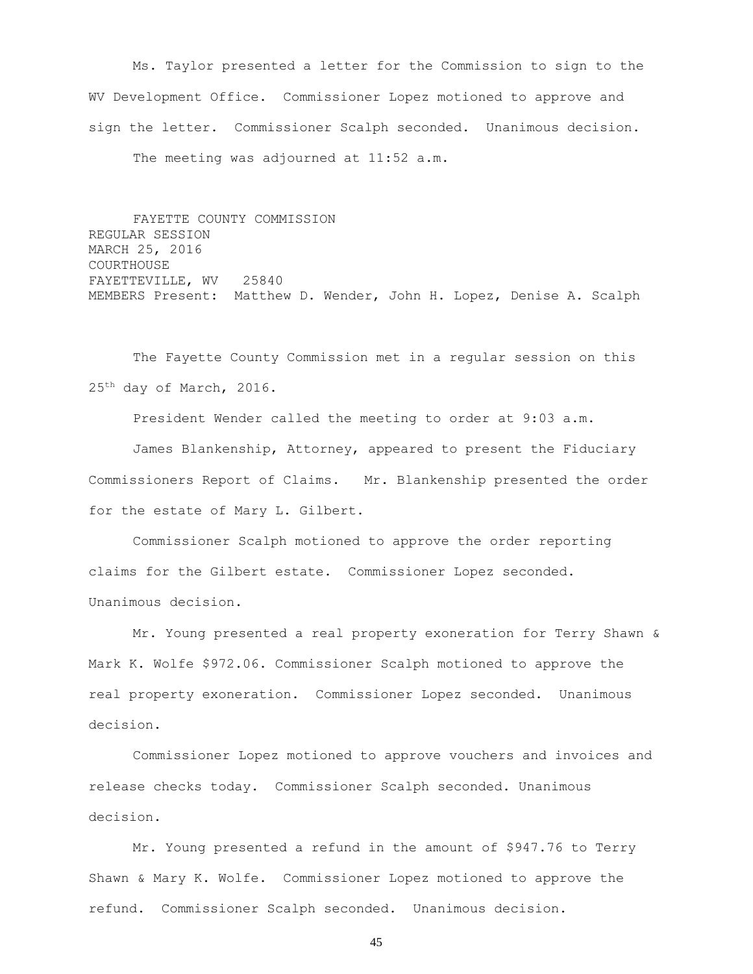Ms. Taylor presented a letter for the Commission to sign to the WV Development Office. Commissioner Lopez motioned to approve and sign the letter. Commissioner Scalph seconded. Unanimous decision. The meeting was adjourned at 11:52 a.m.

FAYETTE COUNTY COMMISSION REGULAR SESSION MARCH 25, 2016 COURTHOUSE FAYETTEVILLE, WV 25840 MEMBERS Present: Matthew D. Wender, John H. Lopez, Denise A. Scalph

The Fayette County Commission met in a regular session on this 25th day of March, 2016.

President Wender called the meeting to order at 9:03 a.m.

James Blankenship, Attorney, appeared to present the Fiduciary Commissioners Report of Claims. Mr. Blankenship presented the order for the estate of Mary L. Gilbert.

Commissioner Scalph motioned to approve the order reporting claims for the Gilbert estate. Commissioner Lopez seconded. Unanimous decision.

Mr. Young presented a real property exoneration for Terry Shawn & Mark K. Wolfe \$972.06. Commissioner Scalph motioned to approve the real property exoneration. Commissioner Lopez seconded. Unanimous decision.

Commissioner Lopez motioned to approve vouchers and invoices and release checks today. Commissioner Scalph seconded. Unanimous decision.

Mr. Young presented a refund in the amount of \$947.76 to Terry Shawn & Mary K. Wolfe. Commissioner Lopez motioned to approve the refund. Commissioner Scalph seconded. Unanimous decision.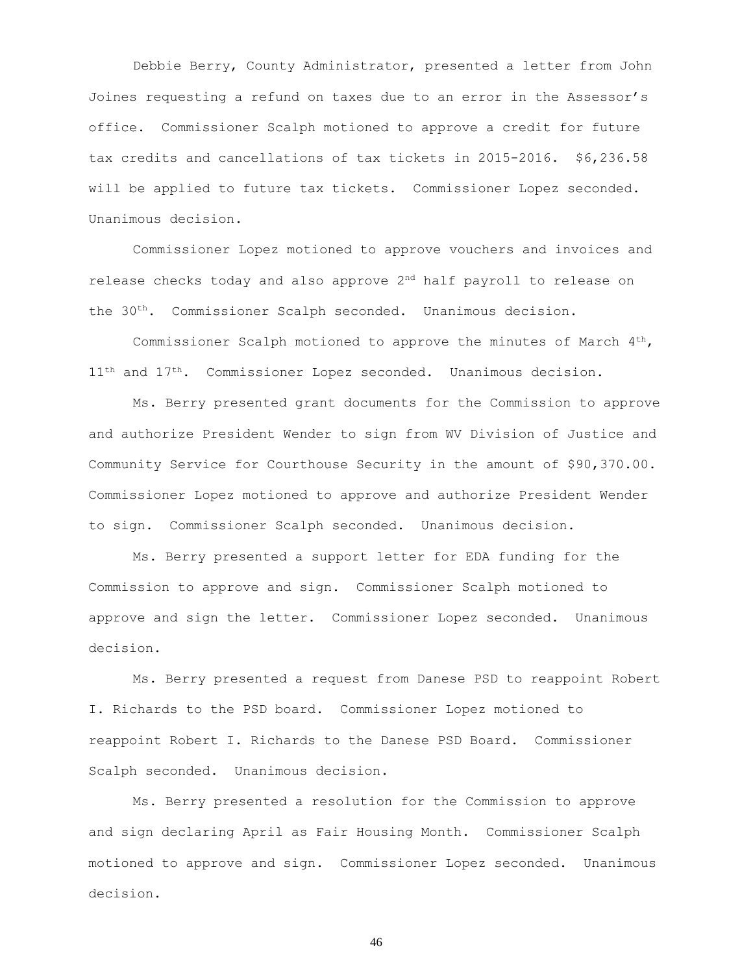Debbie Berry, County Administrator, presented a letter from John Joines requesting a refund on taxes due to an error in the Assessor's office. Commissioner Scalph motioned to approve a credit for future tax credits and cancellations of tax tickets in 2015-2016. \$6,236.58 will be applied to future tax tickets. Commissioner Lopez seconded. Unanimous decision.

Commissioner Lopez motioned to approve vouchers and invoices and release checks today and also approve 2nd half payroll to release on the 30th. Commissioner Scalph seconded. Unanimous decision.

Commissioner Scalph motioned to approve the minutes of March  $4<sup>th</sup>$ , 11<sup>th</sup> and 17<sup>th</sup>. Commissioner Lopez seconded. Unanimous decision.

Ms. Berry presented grant documents for the Commission to approve and authorize President Wender to sign from WV Division of Justice and Community Service for Courthouse Security in the amount of \$90,370.00. Commissioner Lopez motioned to approve and authorize President Wender to sign. Commissioner Scalph seconded. Unanimous decision.

Ms. Berry presented a support letter for EDA funding for the Commission to approve and sign. Commissioner Scalph motioned to approve and sign the letter. Commissioner Lopez seconded. Unanimous decision.

Ms. Berry presented a request from Danese PSD to reappoint Robert I. Richards to the PSD board. Commissioner Lopez motioned to reappoint Robert I. Richards to the Danese PSD Board. Commissioner Scalph seconded. Unanimous decision.

Ms. Berry presented a resolution for the Commission to approve and sign declaring April as Fair Housing Month. Commissioner Scalph motioned to approve and sign. Commissioner Lopez seconded. Unanimous decision.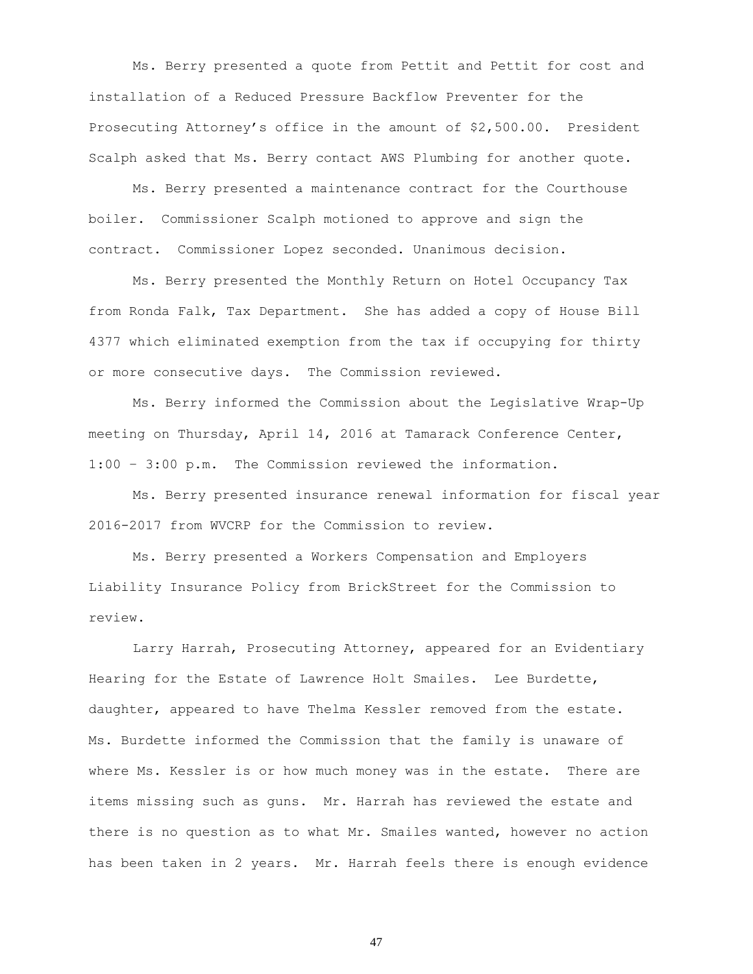Ms. Berry presented a quote from Pettit and Pettit for cost and installation of a Reduced Pressure Backflow Preventer for the Prosecuting Attorney's office in the amount of \$2,500.00. President Scalph asked that Ms. Berry contact AWS Plumbing for another quote.

Ms. Berry presented a maintenance contract for the Courthouse boiler. Commissioner Scalph motioned to approve and sign the contract. Commissioner Lopez seconded. Unanimous decision.

Ms. Berry presented the Monthly Return on Hotel Occupancy Tax from Ronda Falk, Tax Department. She has added a copy of House Bill 4377 which eliminated exemption from the tax if occupying for thirty or more consecutive days. The Commission reviewed.

Ms. Berry informed the Commission about the Legislative Wrap-Up meeting on Thursday, April 14, 2016 at Tamarack Conference Center, 1:00 – 3:00 p.m. The Commission reviewed the information.

Ms. Berry presented insurance renewal information for fiscal year 2016-2017 from WVCRP for the Commission to review.

Ms. Berry presented a Workers Compensation and Employers Liability Insurance Policy from BrickStreet for the Commission to review.

Larry Harrah, Prosecuting Attorney, appeared for an Evidentiary Hearing for the Estate of Lawrence Holt Smailes. Lee Burdette, daughter, appeared to have Thelma Kessler removed from the estate. Ms. Burdette informed the Commission that the family is unaware of where Ms. Kessler is or how much money was in the estate. There are items missing such as guns. Mr. Harrah has reviewed the estate and there is no question as to what Mr. Smailes wanted, however no action has been taken in 2 years. Mr. Harrah feels there is enough evidence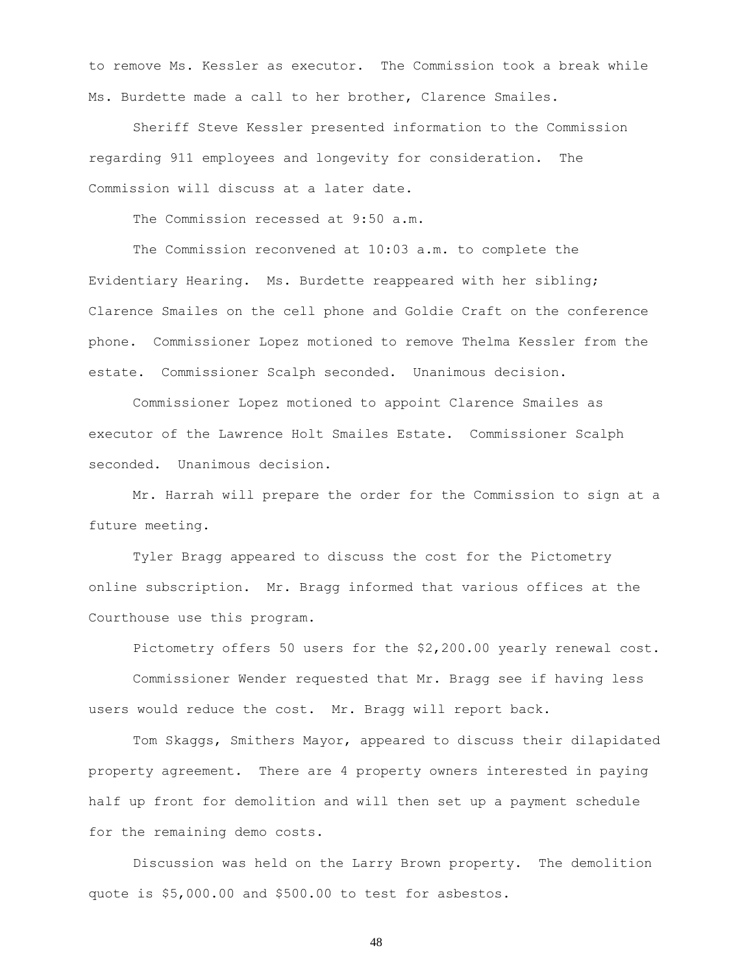to remove Ms. Kessler as executor. The Commission took a break while Ms. Burdette made a call to her brother, Clarence Smailes.

Sheriff Steve Kessler presented information to the Commission regarding 911 employees and longevity for consideration. The Commission will discuss at a later date.

The Commission recessed at 9:50 a.m.

The Commission reconvened at 10:03 a.m. to complete the Evidentiary Hearing. Ms. Burdette reappeared with her sibling; Clarence Smailes on the cell phone and Goldie Craft on the conference phone. Commissioner Lopez motioned to remove Thelma Kessler from the estate. Commissioner Scalph seconded. Unanimous decision.

Commissioner Lopez motioned to appoint Clarence Smailes as executor of the Lawrence Holt Smailes Estate. Commissioner Scalph seconded. Unanimous decision.

Mr. Harrah will prepare the order for the Commission to sign at a future meeting.

Tyler Bragg appeared to discuss the cost for the Pictometry online subscription. Mr. Bragg informed that various offices at the Courthouse use this program.

Pictometry offers 50 users for the \$2,200.00 yearly renewal cost.

Commissioner Wender requested that Mr. Bragg see if having less users would reduce the cost. Mr. Bragg will report back.

Tom Skaggs, Smithers Mayor, appeared to discuss their dilapidated property agreement. There are 4 property owners interested in paying half up front for demolition and will then set up a payment schedule for the remaining demo costs.

Discussion was held on the Larry Brown property. The demolition quote is \$5,000.00 and \$500.00 to test for asbestos.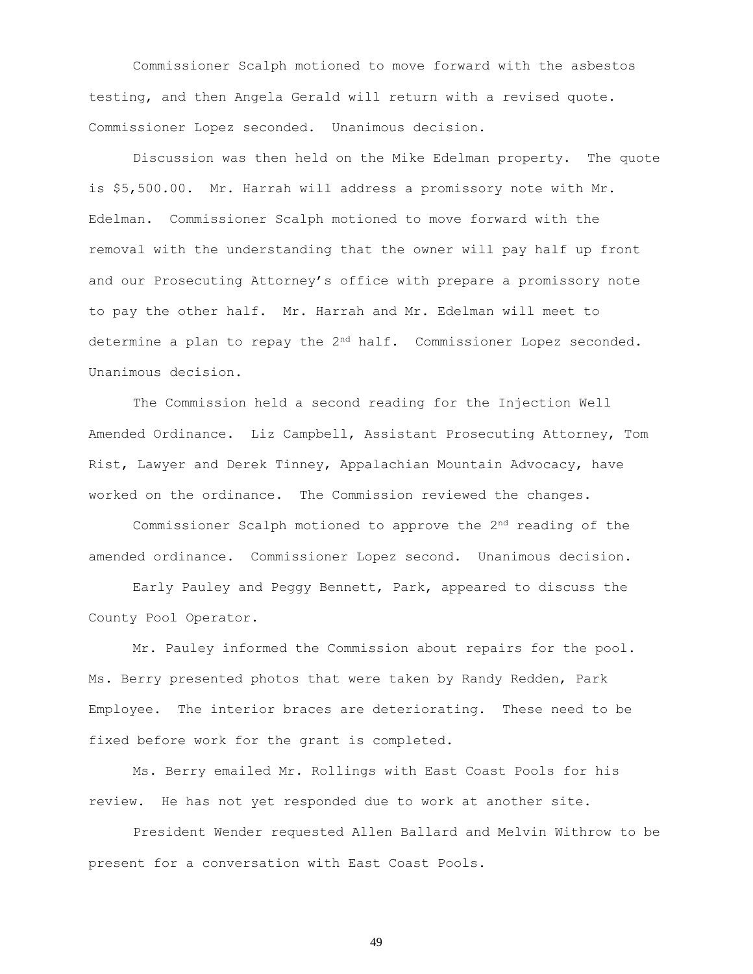Commissioner Scalph motioned to move forward with the asbestos testing, and then Angela Gerald will return with a revised quote. Commissioner Lopez seconded. Unanimous decision.

Discussion was then held on the Mike Edelman property. The quote is \$5,500.00. Mr. Harrah will address a promissory note with Mr. Edelman. Commissioner Scalph motioned to move forward with the removal with the understanding that the owner will pay half up front and our Prosecuting Attorney's office with prepare a promissory note to pay the other half. Mr. Harrah and Mr. Edelman will meet to determine a plan to repay the 2<sup>nd</sup> half. Commissioner Lopez seconded. Unanimous decision.

The Commission held a second reading for the Injection Well Amended Ordinance. Liz Campbell, Assistant Prosecuting Attorney, Tom Rist, Lawyer and Derek Tinney, Appalachian Mountain Advocacy, have worked on the ordinance. The Commission reviewed the changes.

Commissioner Scalph motioned to approve the  $2<sup>nd</sup>$  reading of the amended ordinance. Commissioner Lopez second. Unanimous decision.

Early Pauley and Peggy Bennett, Park, appeared to discuss the County Pool Operator.

Mr. Pauley informed the Commission about repairs for the pool. Ms. Berry presented photos that were taken by Randy Redden, Park Employee. The interior braces are deteriorating. These need to be fixed before work for the grant is completed.

Ms. Berry emailed Mr. Rollings with East Coast Pools for his review. He has not yet responded due to work at another site.

President Wender requested Allen Ballard and Melvin Withrow to be present for a conversation with East Coast Pools.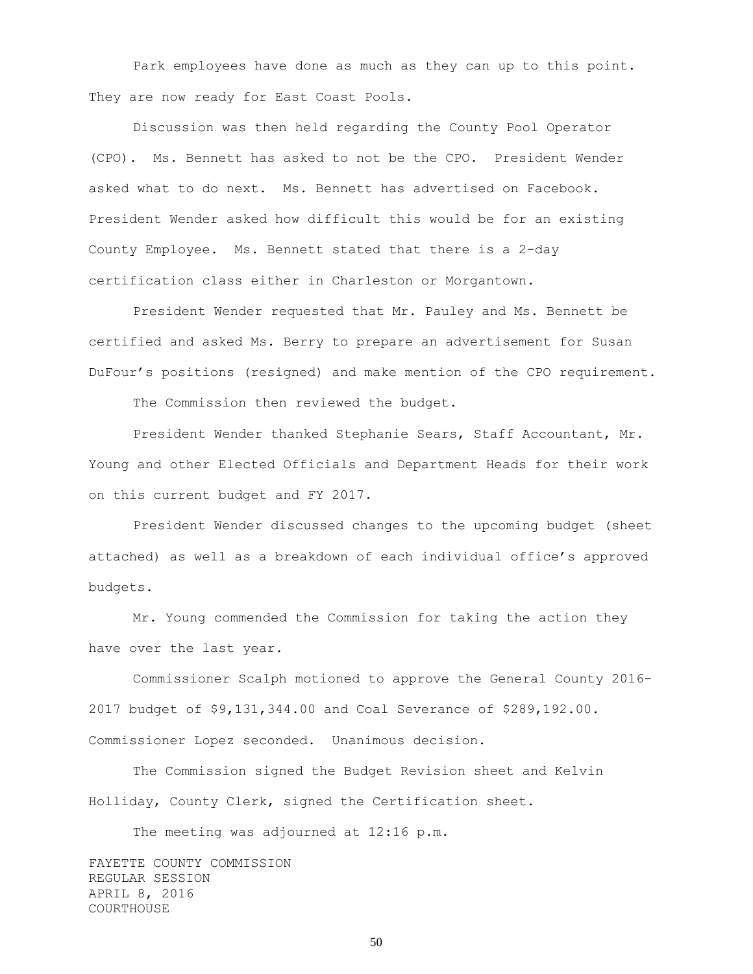Park employees have done as much as they can up to this point. They are now ready for East Coast Pools.

Discussion was then held regarding the County Pool Operator (CPO). Ms. Bennett has asked to not be the CPO. President Wender asked what to do next. Ms. Bennett has advertised on Facebook. President Wender asked how difficult this would be for an existing County Employee. Ms. Bennett stated that there is a 2-day certification class either in Charleston or Morgantown.

President Wender requested that Mr. Pauley and Ms. Bennett be certified and asked Ms. Berry to prepare an advertisement for Susan DuFour's positions (resigned) and make mention of the CPO requirement.

The Commission then reviewed the budget.

President Wender thanked Stephanie Sears, Staff Accountant, Mr. Young and other Elected Officials and Department Heads for their work on this current budget and FY 2017.

President Wender discussed changes to the upcoming budget (sheet attached) as well as a breakdown of each individual office's approved budgets.

Mr. Young commended the Commission for taking the action they have over the last year.

Commissioner Scalph motioned to approve the General County 2016- 2017 budget of \$9,131,344.00 and Coal Severance of \$289,192.00. Commissioner Lopez seconded. Unanimous decision.

The Commission signed the Budget Revision sheet and Kelvin Holliday, County Clerk, signed the Certification sheet.

The meeting was adjourned at 12:16 p.m.

FAYETTE COUNTY COMMISSION REGULAR SESSION APRIL 8, 2016 COURTHOUSE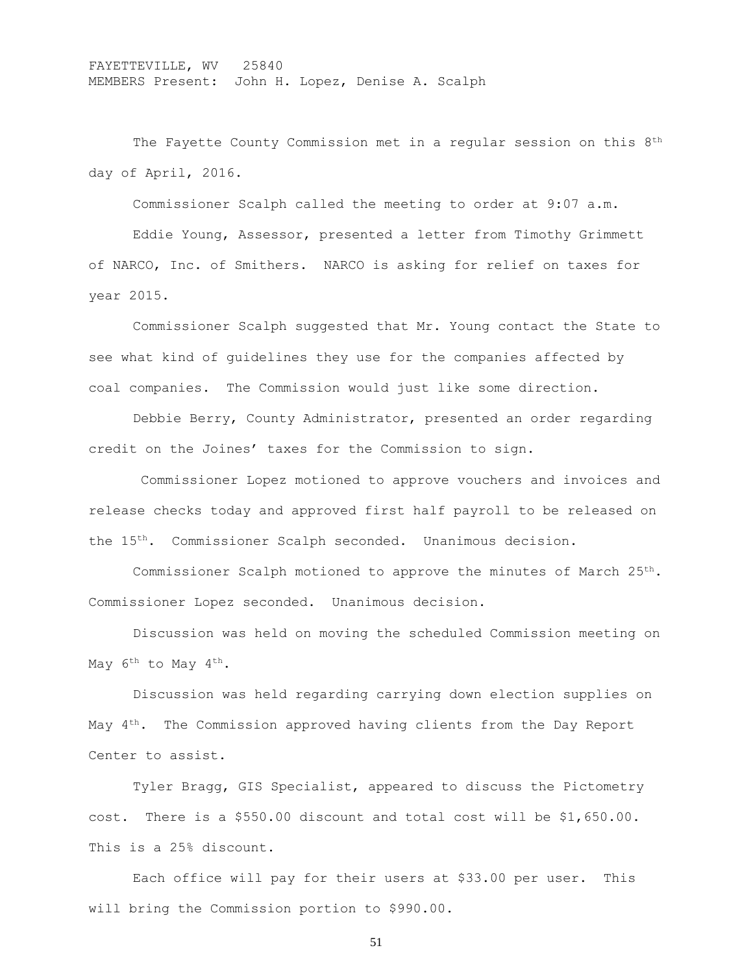FAYETTEVILLE, WV 25840 MEMBERS Present: John H. Lopez, Denise A. Scalph

The Fayette County Commission met in a regular session on this 8<sup>th</sup> day of April, 2016.

Commissioner Scalph called the meeting to order at 9:07 a.m.

Eddie Young, Assessor, presented a letter from Timothy Grimmett of NARCO, Inc. of Smithers. NARCO is asking for relief on taxes for year 2015.

Commissioner Scalph suggested that Mr. Young contact the State to see what kind of guidelines they use for the companies affected by coal companies. The Commission would just like some direction.

Debbie Berry, County Administrator, presented an order regarding credit on the Joines' taxes for the Commission to sign.

Commissioner Lopez motioned to approve vouchers and invoices and release checks today and approved first half payroll to be released on the 15th. Commissioner Scalph seconded. Unanimous decision.

Commissioner Scalph motioned to approve the minutes of March 25th. Commissioner Lopez seconded. Unanimous decision.

Discussion was held on moving the scheduled Commission meeting on May 6<sup>th</sup> to May 4<sup>th</sup>.

Discussion was held regarding carrying down election supplies on May  $4<sup>th</sup>$ . The Commission approved having clients from the Day Report Center to assist.

Tyler Bragg, GIS Specialist, appeared to discuss the Pictometry cost. There is a \$550.00 discount and total cost will be \$1,650.00. This is a 25% discount.

Each office will pay for their users at \$33.00 per user. This will bring the Commission portion to \$990.00.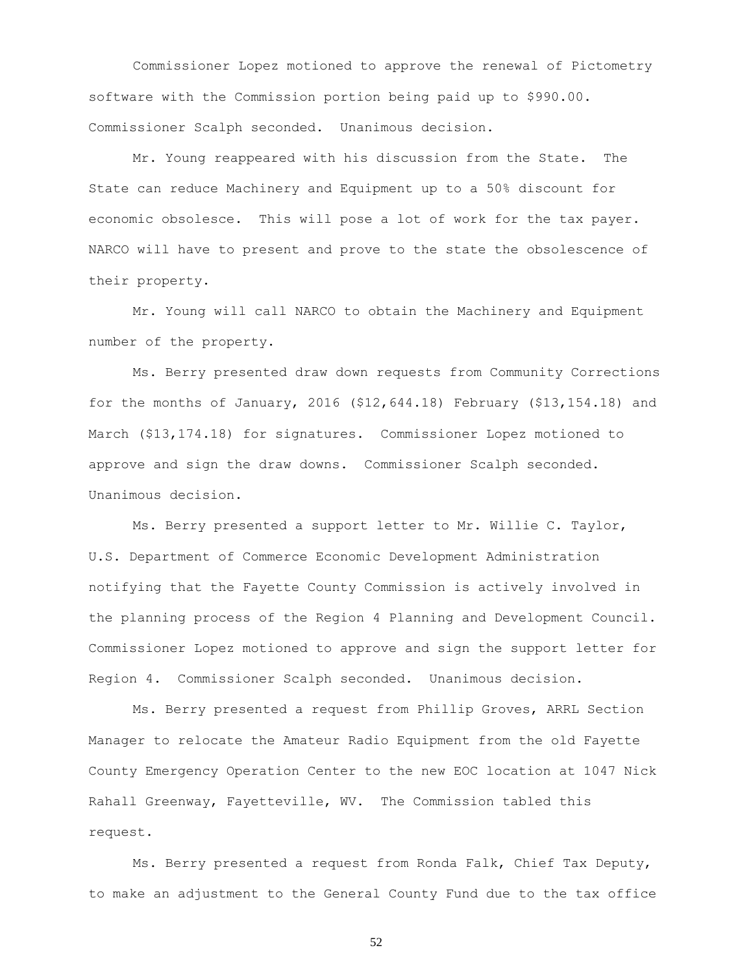Commissioner Lopez motioned to approve the renewal of Pictometry software with the Commission portion being paid up to \$990.00. Commissioner Scalph seconded. Unanimous decision.

Mr. Young reappeared with his discussion from the State. The State can reduce Machinery and Equipment up to a 50% discount for economic obsolesce. This will pose a lot of work for the tax payer. NARCO will have to present and prove to the state the obsolescence of their property.

Mr. Young will call NARCO to obtain the Machinery and Equipment number of the property.

Ms. Berry presented draw down requests from Community Corrections for the months of January, 2016 (\$12,644.18) February (\$13,154.18) and March (\$13,174.18) for signatures. Commissioner Lopez motioned to approve and sign the draw downs. Commissioner Scalph seconded. Unanimous decision.

Ms. Berry presented a support letter to Mr. Willie C. Taylor, U.S. Department of Commerce Economic Development Administration notifying that the Fayette County Commission is actively involved in the planning process of the Region 4 Planning and Development Council. Commissioner Lopez motioned to approve and sign the support letter for Region 4. Commissioner Scalph seconded. Unanimous decision.

Ms. Berry presented a request from Phillip Groves, ARRL Section Manager to relocate the Amateur Radio Equipment from the old Fayette County Emergency Operation Center to the new EOC location at 1047 Nick Rahall Greenway, Fayetteville, WV. The Commission tabled this request.

Ms. Berry presented a request from Ronda Falk, Chief Tax Deputy, to make an adjustment to the General County Fund due to the tax office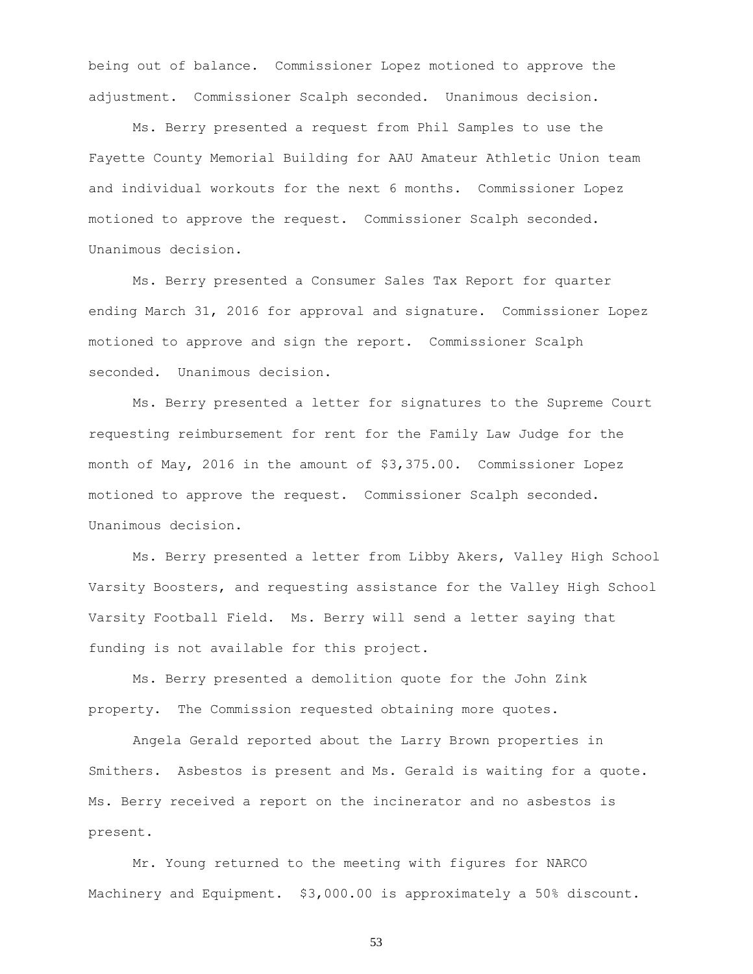being out of balance. Commissioner Lopez motioned to approve the adjustment. Commissioner Scalph seconded. Unanimous decision.

Ms. Berry presented a request from Phil Samples to use the Fayette County Memorial Building for AAU Amateur Athletic Union team and individual workouts for the next 6 months. Commissioner Lopez motioned to approve the request. Commissioner Scalph seconded. Unanimous decision.

Ms. Berry presented a Consumer Sales Tax Report for quarter ending March 31, 2016 for approval and signature. Commissioner Lopez motioned to approve and sign the report. Commissioner Scalph seconded. Unanimous decision.

Ms. Berry presented a letter for signatures to the Supreme Court requesting reimbursement for rent for the Family Law Judge for the month of May, 2016 in the amount of \$3,375.00. Commissioner Lopez motioned to approve the request. Commissioner Scalph seconded. Unanimous decision.

Ms. Berry presented a letter from Libby Akers, Valley High School Varsity Boosters, and requesting assistance for the Valley High School Varsity Football Field. Ms. Berry will send a letter saying that funding is not available for this project.

Ms. Berry presented a demolition quote for the John Zink property. The Commission requested obtaining more quotes.

Angela Gerald reported about the Larry Brown properties in Smithers. Asbestos is present and Ms. Gerald is waiting for a quote. Ms. Berry received a report on the incinerator and no asbestos is present.

Mr. Young returned to the meeting with figures for NARCO Machinery and Equipment. \$3,000.00 is approximately a 50% discount.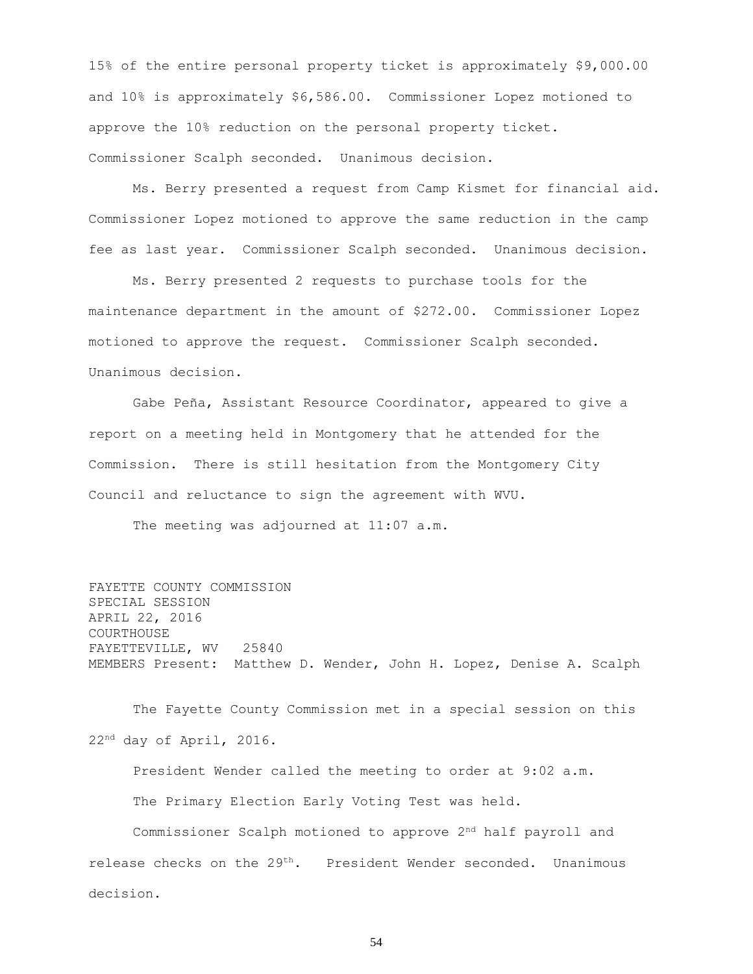15% of the entire personal property ticket is approximately \$9,000.00 and 10% is approximately \$6,586.00. Commissioner Lopez motioned to approve the 10% reduction on the personal property ticket. Commissioner Scalph seconded. Unanimous decision.

Ms. Berry presented a request from Camp Kismet for financial aid. Commissioner Lopez motioned to approve the same reduction in the camp fee as last year. Commissioner Scalph seconded. Unanimous decision.

Ms. Berry presented 2 requests to purchase tools for the maintenance department in the amount of \$272.00. Commissioner Lopez motioned to approve the request. Commissioner Scalph seconded. Unanimous decision.

Gabe Peña, Assistant Resource Coordinator, appeared to give a report on a meeting held in Montgomery that he attended for the Commission. There is still hesitation from the Montgomery City Council and reluctance to sign the agreement with WVU.

The meeting was adjourned at 11:07 a.m.

FAYETTE COUNTY COMMISSION SPECIAL SESSION APRIL 22, 2016 COURTHOUSE FAYETTEVILLE, WV 25840 MEMBERS Present: Matthew D. Wender, John H. Lopez, Denise A. Scalph

The Fayette County Commission met in a special session on this 22nd day of April, 2016.

President Wender called the meeting to order at 9:02 a.m. The Primary Election Early Voting Test was held.

Commissioner Scalph motioned to approve 2nd half payroll and release checks on the 29<sup>th</sup>. President Wender seconded. Unanimous decision.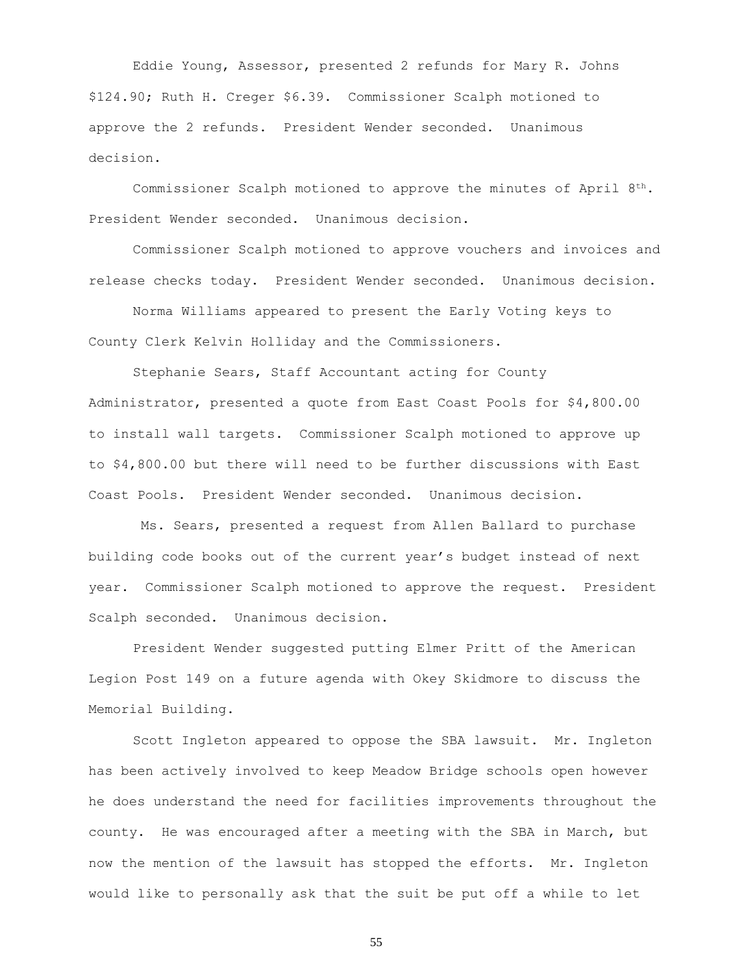Eddie Young, Assessor, presented 2 refunds for Mary R. Johns \$124.90; Ruth H. Creger \$6.39. Commissioner Scalph motioned to approve the 2 refunds. President Wender seconded. Unanimous decision.

Commissioner Scalph motioned to approve the minutes of April  $8^{th}$ . President Wender seconded. Unanimous decision.

Commissioner Scalph motioned to approve vouchers and invoices and release checks today. President Wender seconded. Unanimous decision.

Norma Williams appeared to present the Early Voting keys to County Clerk Kelvin Holliday and the Commissioners.

Stephanie Sears, Staff Accountant acting for County Administrator, presented a quote from East Coast Pools for \$4,800.00 to install wall targets. Commissioner Scalph motioned to approve up to \$4,800.00 but there will need to be further discussions with East Coast Pools. President Wender seconded. Unanimous decision.

Ms. Sears, presented a request from Allen Ballard to purchase building code books out of the current year's budget instead of next year. Commissioner Scalph motioned to approve the request. President Scalph seconded. Unanimous decision.

President Wender suggested putting Elmer Pritt of the American Legion Post 149 on a future agenda with Okey Skidmore to discuss the Memorial Building.

Scott Ingleton appeared to oppose the SBA lawsuit. Mr. Ingleton has been actively involved to keep Meadow Bridge schools open however he does understand the need for facilities improvements throughout the county. He was encouraged after a meeting with the SBA in March, but now the mention of the lawsuit has stopped the efforts. Mr. Ingleton would like to personally ask that the suit be put off a while to let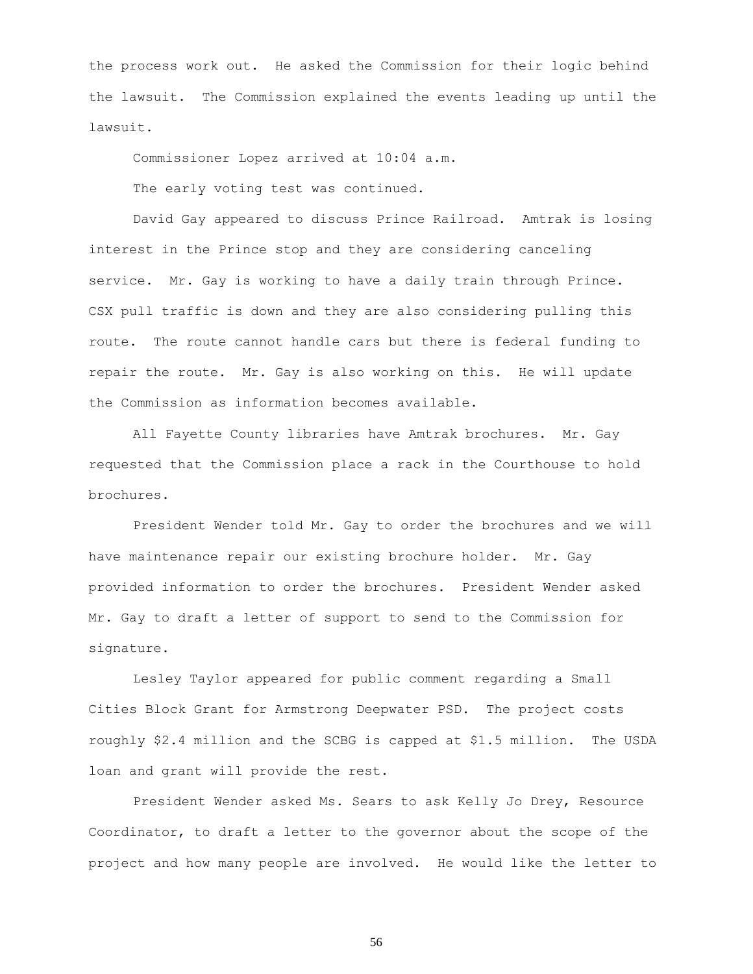the process work out. He asked the Commission for their logic behind the lawsuit. The Commission explained the events leading up until the lawsuit.

Commissioner Lopez arrived at 10:04 a.m.

The early voting test was continued.

David Gay appeared to discuss Prince Railroad. Amtrak is losing interest in the Prince stop and they are considering canceling service. Mr. Gay is working to have a daily train through Prince. CSX pull traffic is down and they are also considering pulling this route. The route cannot handle cars but there is federal funding to repair the route. Mr. Gay is also working on this. He will update the Commission as information becomes available.

All Fayette County libraries have Amtrak brochures. Mr. Gay requested that the Commission place a rack in the Courthouse to hold brochures.

President Wender told Mr. Gay to order the brochures and we will have maintenance repair our existing brochure holder. Mr. Gay provided information to order the brochures. President Wender asked Mr. Gay to draft a letter of support to send to the Commission for signature.

Lesley Taylor appeared for public comment regarding a Small Cities Block Grant for Armstrong Deepwater PSD. The project costs roughly \$2.4 million and the SCBG is capped at \$1.5 million. The USDA loan and grant will provide the rest.

President Wender asked Ms. Sears to ask Kelly Jo Drey, Resource Coordinator, to draft a letter to the governor about the scope of the project and how many people are involved. He would like the letter to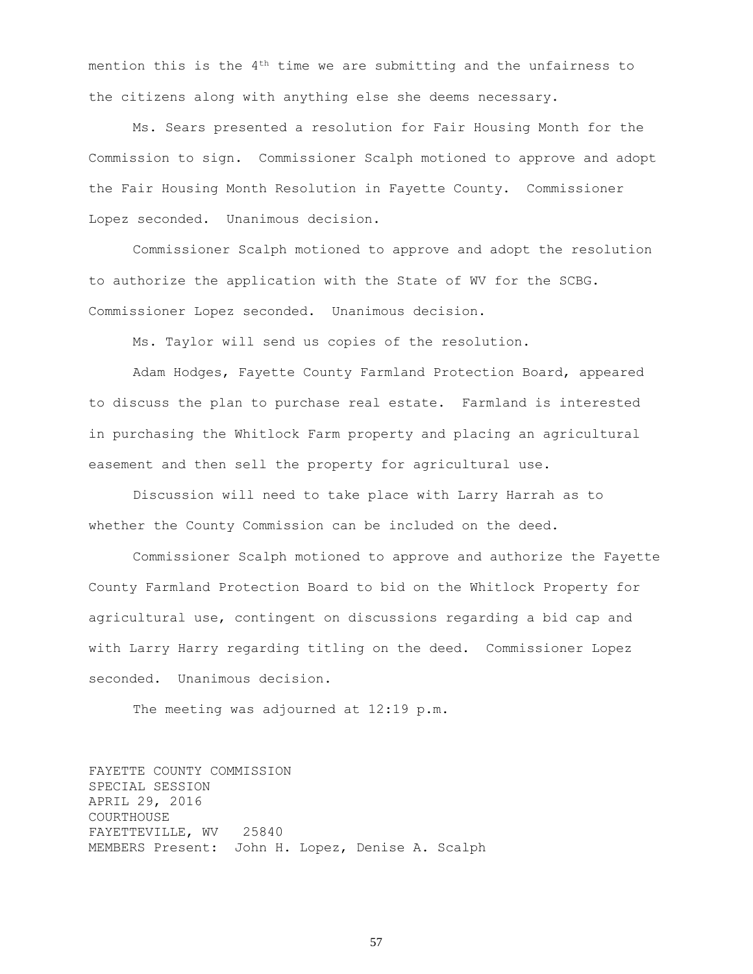mention this is the  $4<sup>th</sup>$  time we are submitting and the unfairness to the citizens along with anything else she deems necessary.

Ms. Sears presented a resolution for Fair Housing Month for the Commission to sign. Commissioner Scalph motioned to approve and adopt the Fair Housing Month Resolution in Fayette County. Commissioner Lopez seconded. Unanimous decision.

Commissioner Scalph motioned to approve and adopt the resolution to authorize the application with the State of WV for the SCBG. Commissioner Lopez seconded. Unanimous decision.

Ms. Taylor will send us copies of the resolution.

Adam Hodges, Fayette County Farmland Protection Board, appeared to discuss the plan to purchase real estate. Farmland is interested in purchasing the Whitlock Farm property and placing an agricultural easement and then sell the property for agricultural use.

Discussion will need to take place with Larry Harrah as to whether the County Commission can be included on the deed.

Commissioner Scalph motioned to approve and authorize the Fayette County Farmland Protection Board to bid on the Whitlock Property for agricultural use, contingent on discussions regarding a bid cap and with Larry Harry regarding titling on the deed. Commissioner Lopez seconded. Unanimous decision.

The meeting was adjourned at 12:19 p.m.

FAYETTE COUNTY COMMISSION SPECIAL SESSION APRIL 29, 2016 COURTHOUSE FAYETTEVILLE, WV 25840 MEMBERS Present: John H. Lopez, Denise A. Scalph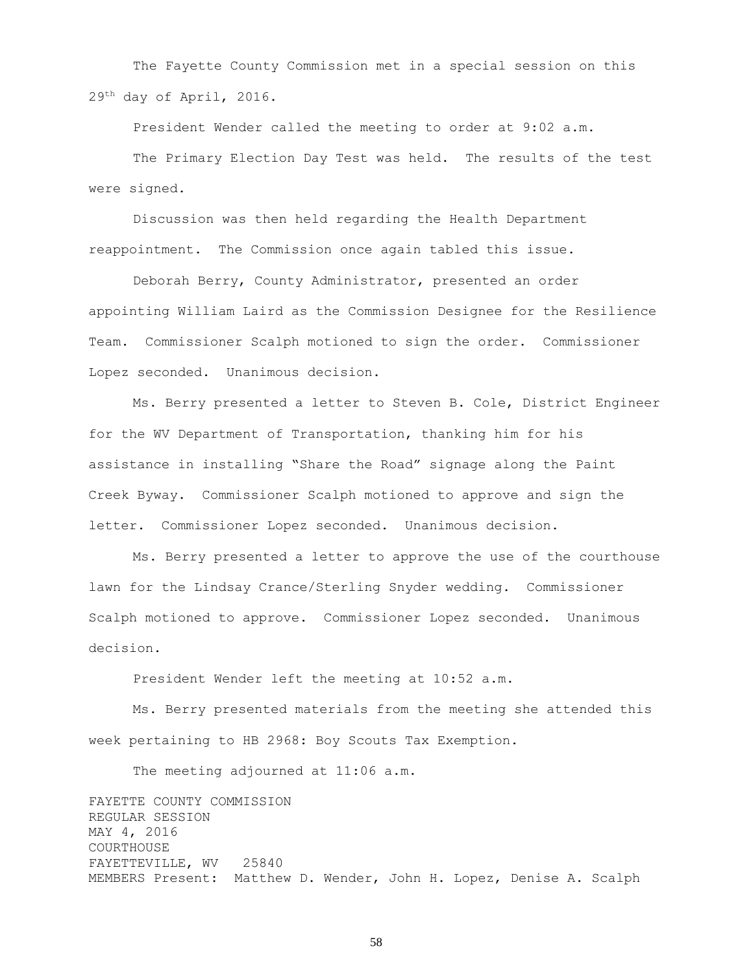The Fayette County Commission met in a special session on this 29th day of April, 2016.

President Wender called the meeting to order at 9:02 a.m.

The Primary Election Day Test was held. The results of the test were signed.

Discussion was then held regarding the Health Department reappointment. The Commission once again tabled this issue.

Deborah Berry, County Administrator, presented an order appointing William Laird as the Commission Designee for the Resilience Team. Commissioner Scalph motioned to sign the order. Commissioner Lopez seconded. Unanimous decision.

Ms. Berry presented a letter to Steven B. Cole, District Engineer for the WV Department of Transportation, thanking him for his assistance in installing "Share the Road" signage along the Paint Creek Byway. Commissioner Scalph motioned to approve and sign the letter. Commissioner Lopez seconded. Unanimous decision.

Ms. Berry presented a letter to approve the use of the courthouse lawn for the Lindsay Crance/Sterling Snyder wedding. Commissioner Scalph motioned to approve. Commissioner Lopez seconded. Unanimous decision.

President Wender left the meeting at 10:52 a.m.

Ms. Berry presented materials from the meeting she attended this week pertaining to HB 2968: Boy Scouts Tax Exemption.

The meeting adjourned at 11:06 a.m.

FAYETTE COUNTY COMMISSION REGULAR SESSION MAY 4, 2016 COURTHOUSE FAYETTEVILLE, WV 25840 MEMBERS Present: Matthew D. Wender, John H. Lopez, Denise A. Scalph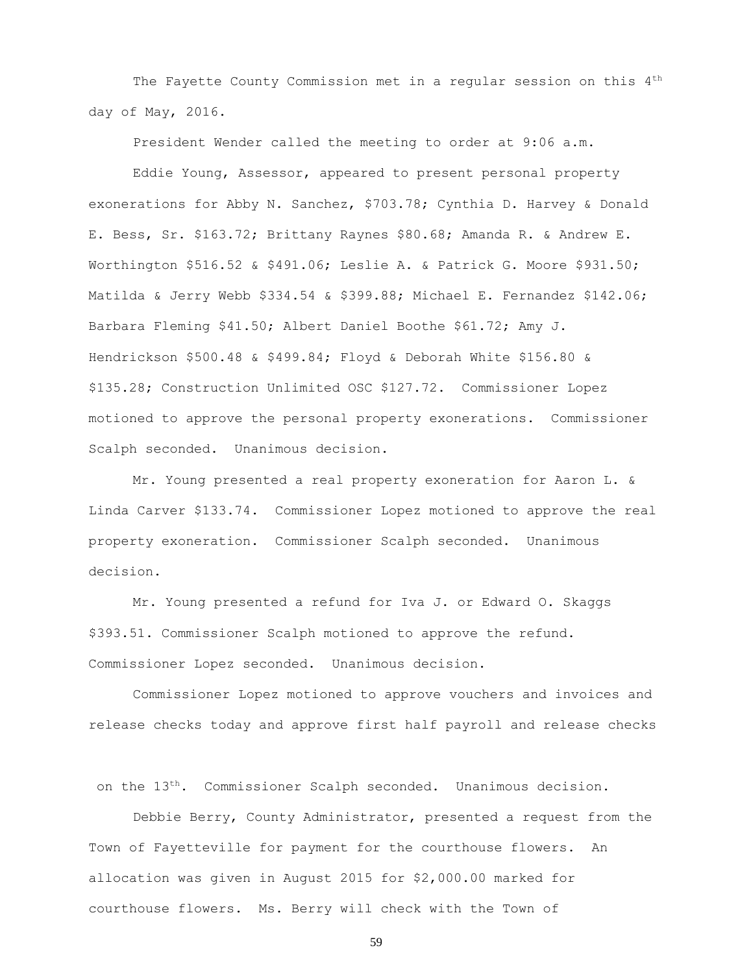The Fayette County Commission met in a regular session on this 4<sup>th</sup> day of May, 2016.

President Wender called the meeting to order at 9:06 a.m.

Eddie Young, Assessor, appeared to present personal property exonerations for Abby N. Sanchez, \$703.78; Cynthia D. Harvey & Donald E. Bess, Sr. \$163.72; Brittany Raynes \$80.68; Amanda R. & Andrew E. Worthington \$516.52 & \$491.06; Leslie A. & Patrick G. Moore \$931.50; Matilda & Jerry Webb \$334.54 & \$399.88; Michael E. Fernandez \$142.06; Barbara Fleming \$41.50; Albert Daniel Boothe \$61.72; Amy J. Hendrickson \$500.48 & \$499.84; Floyd & Deborah White \$156.80 & \$135.28; Construction Unlimited OSC \$127.72. Commissioner Lopez motioned to approve the personal property exonerations. Commissioner Scalph seconded. Unanimous decision.

Mr. Young presented a real property exoneration for Aaron L. & Linda Carver \$133.74. Commissioner Lopez motioned to approve the real property exoneration. Commissioner Scalph seconded. Unanimous decision.

Mr. Young presented a refund for Iva J. or Edward O. Skaggs \$393.51. Commissioner Scalph motioned to approve the refund. Commissioner Lopez seconded. Unanimous decision.

Commissioner Lopez motioned to approve vouchers and invoices and release checks today and approve first half payroll and release checks

on the 13th. Commissioner Scalph seconded. Unanimous decision.

Debbie Berry, County Administrator, presented a request from the Town of Fayetteville for payment for the courthouse flowers. An allocation was given in August 2015 for \$2,000.00 marked for courthouse flowers. Ms. Berry will check with the Town of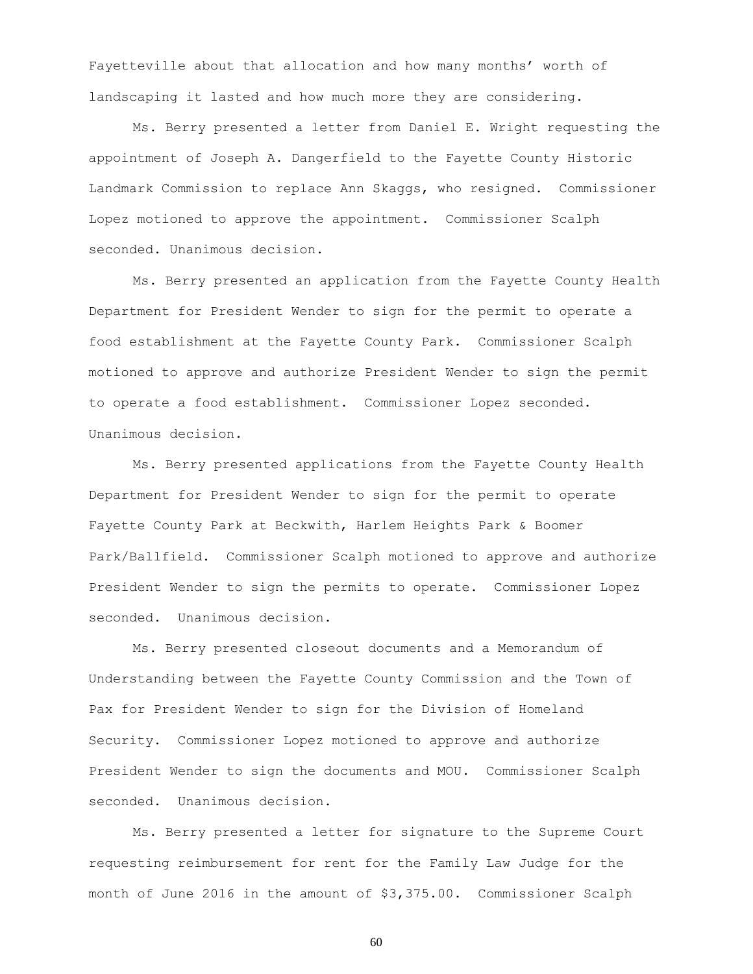Fayetteville about that allocation and how many months' worth of landscaping it lasted and how much more they are considering.

Ms. Berry presented a letter from Daniel E. Wright requesting the appointment of Joseph A. Dangerfield to the Fayette County Historic Landmark Commission to replace Ann Skaggs, who resigned. Commissioner Lopez motioned to approve the appointment. Commissioner Scalph seconded. Unanimous decision.

Ms. Berry presented an application from the Fayette County Health Department for President Wender to sign for the permit to operate a food establishment at the Fayette County Park. Commissioner Scalph motioned to approve and authorize President Wender to sign the permit to operate a food establishment. Commissioner Lopez seconded. Unanimous decision.

Ms. Berry presented applications from the Fayette County Health Department for President Wender to sign for the permit to operate Fayette County Park at Beckwith, Harlem Heights Park & Boomer Park/Ballfield. Commissioner Scalph motioned to approve and authorize President Wender to sign the permits to operate. Commissioner Lopez seconded. Unanimous decision.

Ms. Berry presented closeout documents and a Memorandum of Understanding between the Fayette County Commission and the Town of Pax for President Wender to sign for the Division of Homeland Security. Commissioner Lopez motioned to approve and authorize President Wender to sign the documents and MOU. Commissioner Scalph seconded. Unanimous decision.

Ms. Berry presented a letter for signature to the Supreme Court requesting reimbursement for rent for the Family Law Judge for the month of June 2016 in the amount of \$3,375.00. Commissioner Scalph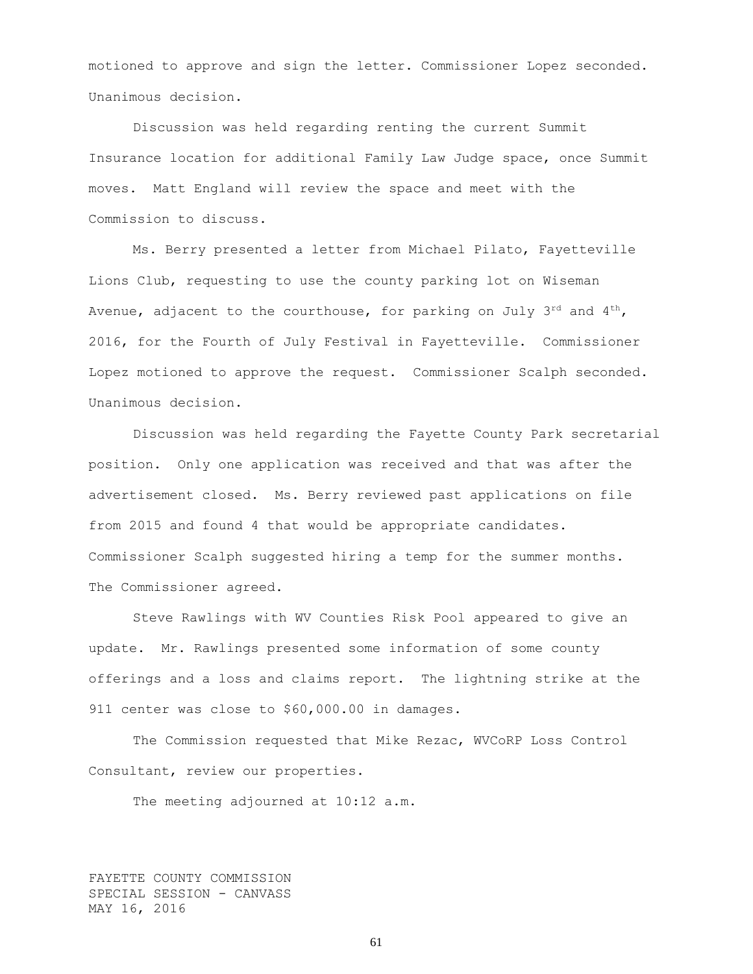motioned to approve and sign the letter. Commissioner Lopez seconded. Unanimous decision.

Discussion was held regarding renting the current Summit Insurance location for additional Family Law Judge space, once Summit moves. Matt England will review the space and meet with the Commission to discuss.

Ms. Berry presented a letter from Michael Pilato, Fayetteville Lions Club, requesting to use the county parking lot on Wiseman Avenue, adjacent to the courthouse, for parking on July  $3^{rd}$  and  $4^{th}$ , 2016, for the Fourth of July Festival in Fayetteville. Commissioner Lopez motioned to approve the request. Commissioner Scalph seconded. Unanimous decision.

Discussion was held regarding the Fayette County Park secretarial position. Only one application was received and that was after the advertisement closed. Ms. Berry reviewed past applications on file from 2015 and found 4 that would be appropriate candidates. Commissioner Scalph suggested hiring a temp for the summer months. The Commissioner agreed.

Steve Rawlings with WV Counties Risk Pool appeared to give an update. Mr. Rawlings presented some information of some county offerings and a loss and claims report. The lightning strike at the 911 center was close to \$60,000.00 in damages.

The Commission requested that Mike Rezac, WVCoRP Loss Control Consultant, review our properties.

The meeting adjourned at 10:12 a.m.

FAYETTE COUNTY COMMISSION SPECIAL SESSION - CANVASS MAY 16, 2016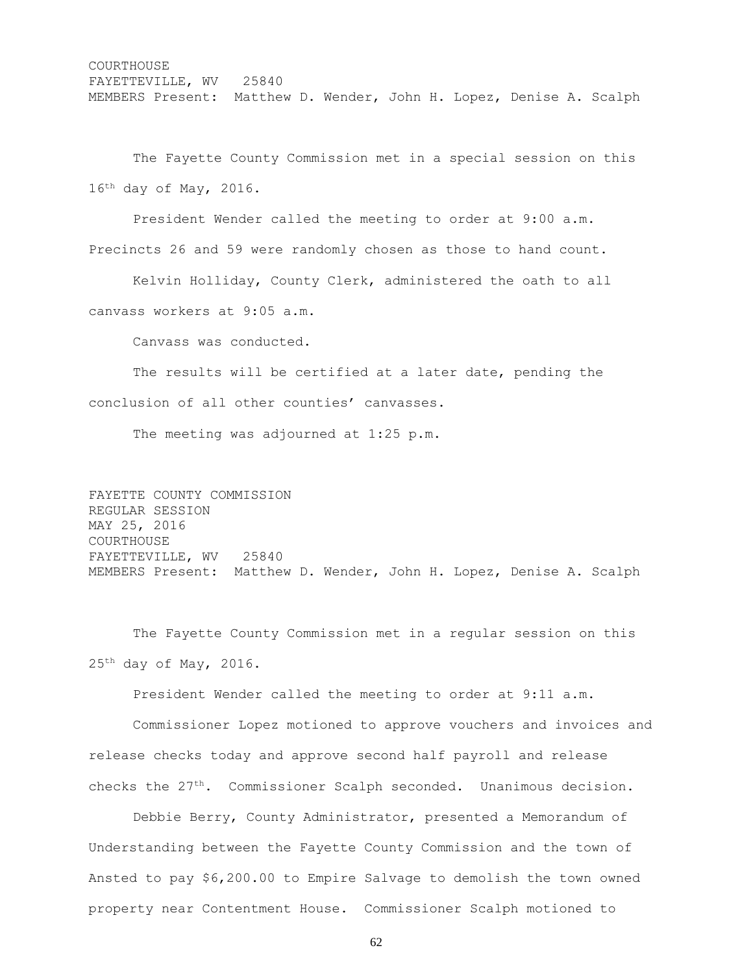## **COURTHOUSE** FAYETTEVILLE, WV 25840 MEMBERS Present: Matthew D. Wender, John H. Lopez, Denise A. Scalph

The Fayette County Commission met in a special session on this 16th day of May, 2016.

President Wender called the meeting to order at 9:00 a.m. Precincts 26 and 59 were randomly chosen as those to hand count.

Kelvin Holliday, County Clerk, administered the oath to all canvass workers at 9:05 a.m.

Canvass was conducted.

The results will be certified at a later date, pending the conclusion of all other counties' canvasses.

The meeting was adjourned at 1:25 p.m.

## FAYETTE COUNTY COMMISSION REGULAR SESSION MAY 25, 2016 COURTHOUSE FAYETTEVILLE, WV 25840 MEMBERS Present: Matthew D. Wender, John H. Lopez, Denise A. Scalph

The Fayette County Commission met in a regular session on this  $25<sup>th</sup>$  day of May, 2016.

President Wender called the meeting to order at 9:11 a.m.

Commissioner Lopez motioned to approve vouchers and invoices and release checks today and approve second half payroll and release checks the 27th. Commissioner Scalph seconded. Unanimous decision.

Debbie Berry, County Administrator, presented a Memorandum of Understanding between the Fayette County Commission and the town of Ansted to pay \$6,200.00 to Empire Salvage to demolish the town owned property near Contentment House. Commissioner Scalph motioned to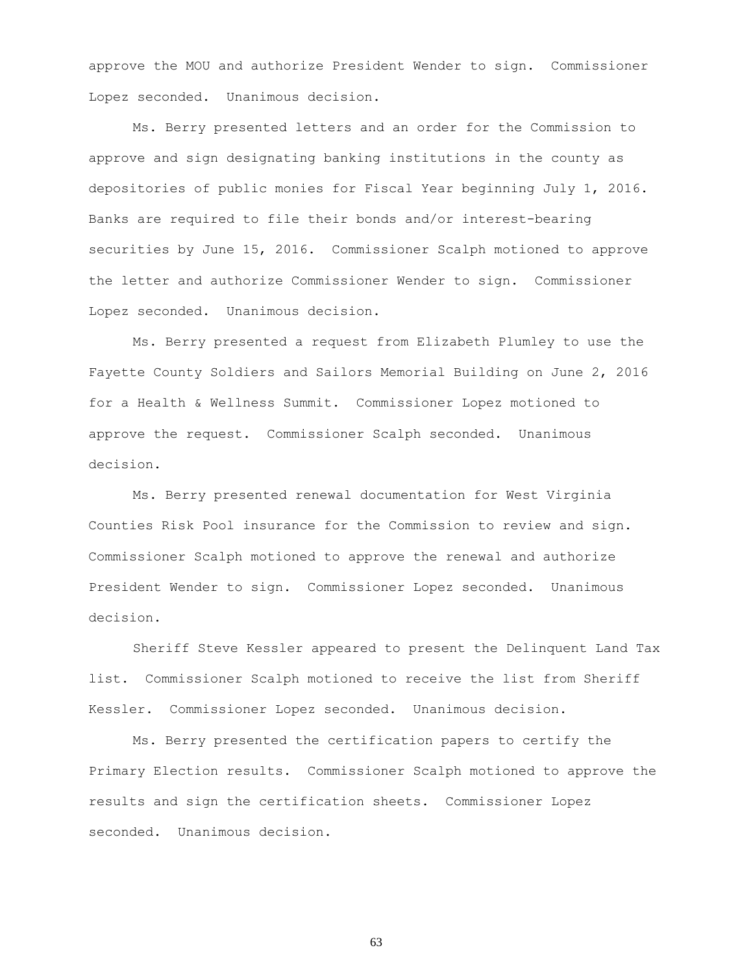approve the MOU and authorize President Wender to sign. Commissioner Lopez seconded. Unanimous decision.

Ms. Berry presented letters and an order for the Commission to approve and sign designating banking institutions in the county as depositories of public monies for Fiscal Year beginning July 1, 2016. Banks are required to file their bonds and/or interest-bearing securities by June 15, 2016. Commissioner Scalph motioned to approve the letter and authorize Commissioner Wender to sign. Commissioner Lopez seconded. Unanimous decision.

Ms. Berry presented a request from Elizabeth Plumley to use the Fayette County Soldiers and Sailors Memorial Building on June 2, 2016 for a Health & Wellness Summit. Commissioner Lopez motioned to approve the request. Commissioner Scalph seconded. Unanimous decision.

Ms. Berry presented renewal documentation for West Virginia Counties Risk Pool insurance for the Commission to review and sign. Commissioner Scalph motioned to approve the renewal and authorize President Wender to sign. Commissioner Lopez seconded. Unanimous decision.

Sheriff Steve Kessler appeared to present the Delinquent Land Tax list. Commissioner Scalph motioned to receive the list from Sheriff Kessler. Commissioner Lopez seconded. Unanimous decision.

Ms. Berry presented the certification papers to certify the Primary Election results. Commissioner Scalph motioned to approve the results and sign the certification sheets. Commissioner Lopez seconded. Unanimous decision.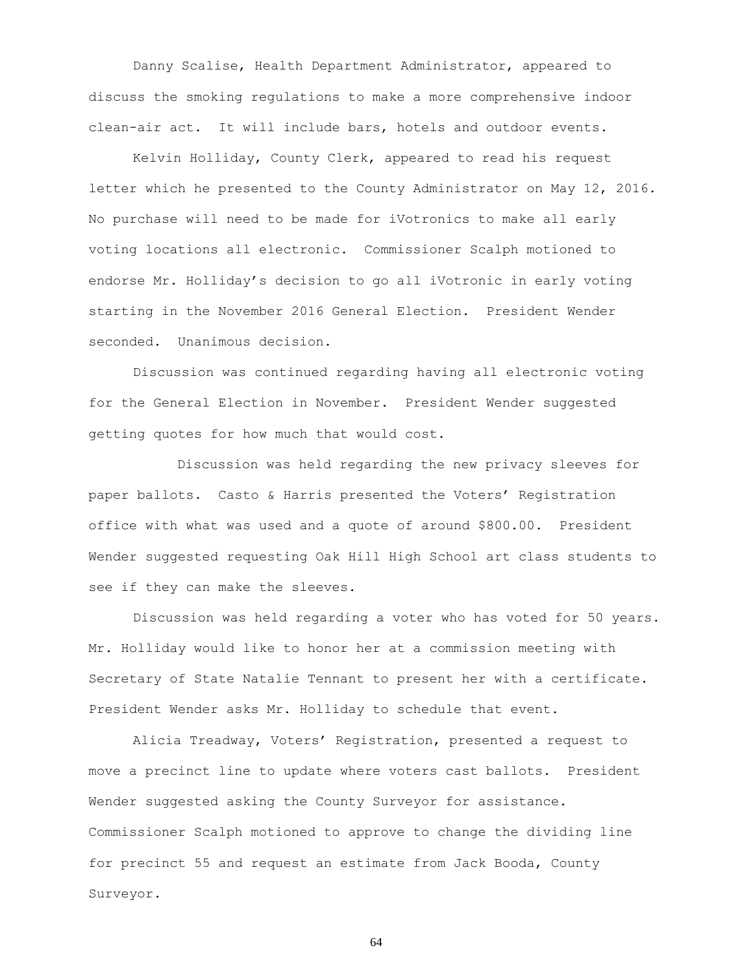Danny Scalise, Health Department Administrator, appeared to discuss the smoking regulations to make a more comprehensive indoor clean-air act. It will include bars, hotels and outdoor events.

Kelvin Holliday, County Clerk, appeared to read his request letter which he presented to the County Administrator on May 12, 2016. No purchase will need to be made for iVotronics to make all early voting locations all electronic. Commissioner Scalph motioned to endorse Mr. Holliday's decision to go all iVotronic in early voting starting in the November 2016 General Election. President Wender seconded. Unanimous decision.

Discussion was continued regarding having all electronic voting for the General Election in November. President Wender suggested getting quotes for how much that would cost.

Discussion was held regarding the new privacy sleeves for paper ballots. Casto & Harris presented the Voters' Registration office with what was used and a quote of around \$800.00. President Wender suggested requesting Oak Hill High School art class students to see if they can make the sleeves.

Discussion was held regarding a voter who has voted for 50 years. Mr. Holliday would like to honor her at a commission meeting with Secretary of State Natalie Tennant to present her with a certificate. President Wender asks Mr. Holliday to schedule that event.

Alicia Treadway, Voters' Registration, presented a request to move a precinct line to update where voters cast ballots. President Wender suggested asking the County Surveyor for assistance. Commissioner Scalph motioned to approve to change the dividing line for precinct 55 and request an estimate from Jack Booda, County Surveyor.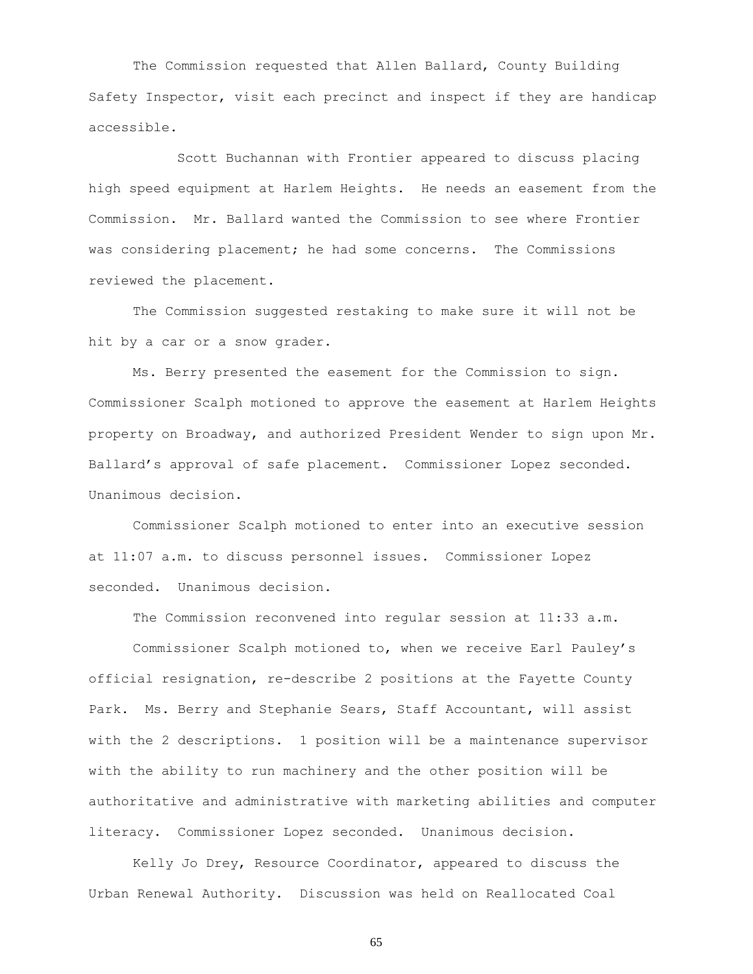The Commission requested that Allen Ballard, County Building Safety Inspector, visit each precinct and inspect if they are handicap accessible.

Scott Buchannan with Frontier appeared to discuss placing high speed equipment at Harlem Heights. He needs an easement from the Commission. Mr. Ballard wanted the Commission to see where Frontier was considering placement; he had some concerns. The Commissions reviewed the placement.

The Commission suggested restaking to make sure it will not be hit by a car or a snow grader.

Ms. Berry presented the easement for the Commission to sign. Commissioner Scalph motioned to approve the easement at Harlem Heights property on Broadway, and authorized President Wender to sign upon Mr. Ballard's approval of safe placement. Commissioner Lopez seconded. Unanimous decision.

Commissioner Scalph motioned to enter into an executive session at 11:07 a.m. to discuss personnel issues. Commissioner Lopez seconded. Unanimous decision.

The Commission reconvened into regular session at 11:33 a.m.

Commissioner Scalph motioned to, when we receive Earl Pauley's official resignation, re-describe 2 positions at the Fayette County Park. Ms. Berry and Stephanie Sears, Staff Accountant, will assist with the 2 descriptions. 1 position will be a maintenance supervisor with the ability to run machinery and the other position will be authoritative and administrative with marketing abilities and computer literacy. Commissioner Lopez seconded. Unanimous decision.

Kelly Jo Drey, Resource Coordinator, appeared to discuss the Urban Renewal Authority. Discussion was held on Reallocated Coal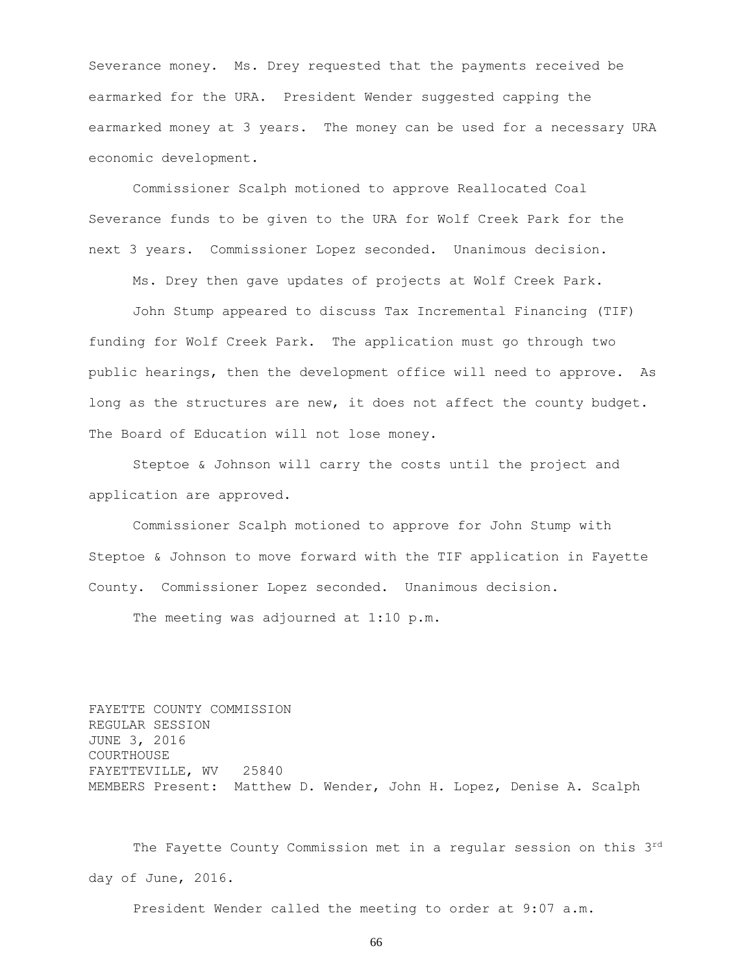Severance money. Ms. Drey requested that the payments received be earmarked for the URA. President Wender suggested capping the earmarked money at 3 years. The money can be used for a necessary URA economic development.

Commissioner Scalph motioned to approve Reallocated Coal Severance funds to be given to the URA for Wolf Creek Park for the next 3 years. Commissioner Lopez seconded. Unanimous decision.

Ms. Drey then gave updates of projects at Wolf Creek Park.

John Stump appeared to discuss Tax Incremental Financing (TIF) funding for Wolf Creek Park. The application must go through two public hearings, then the development office will need to approve. As long as the structures are new, it does not affect the county budget. The Board of Education will not lose money.

Steptoe & Johnson will carry the costs until the project and application are approved.

Commissioner Scalph motioned to approve for John Stump with Steptoe & Johnson to move forward with the TIF application in Fayette County. Commissioner Lopez seconded. Unanimous decision.

The meeting was adjourned at 1:10 p.m.

FAYETTE COUNTY COMMISSION REGULAR SESSION JUNE 3, 2016 COURTHOUSE FAYETTEVILLE, WV 25840 MEMBERS Present: Matthew D. Wender, John H. Lopez, Denise A. Scalph

The Fayette County Commission met in a regular session on this 3rd day of June, 2016.

President Wender called the meeting to order at 9:07 a.m.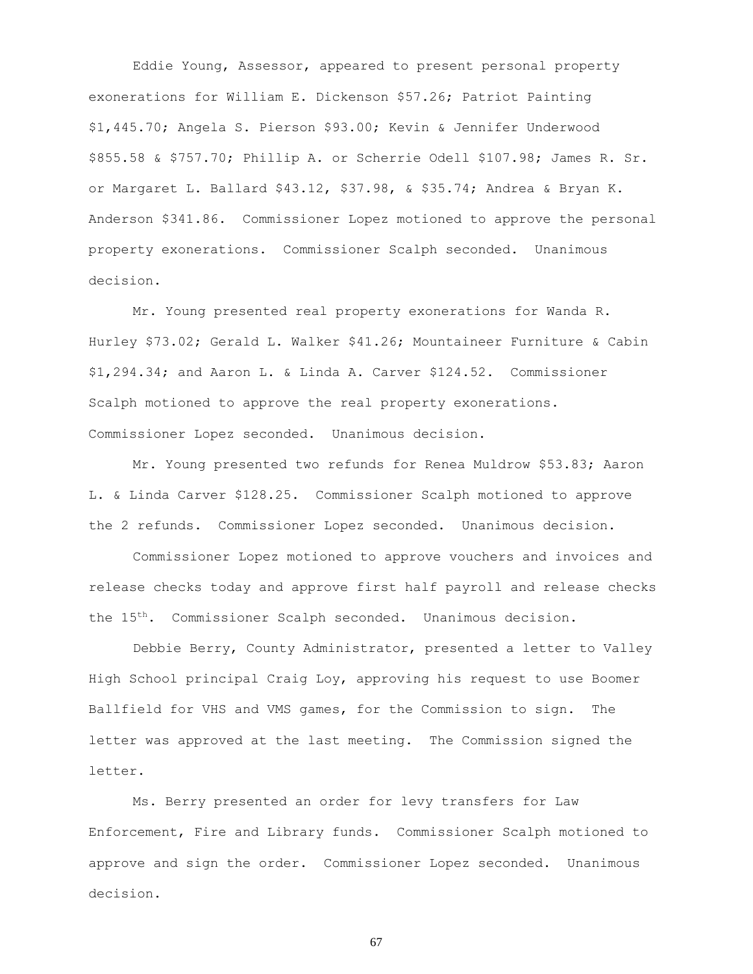Eddie Young, Assessor, appeared to present personal property exonerations for William E. Dickenson \$57.26; Patriot Painting \$1,445.70; Angela S. Pierson \$93.00; Kevin & Jennifer Underwood \$855.58 & \$757.70; Phillip A. or Scherrie Odell \$107.98; James R. Sr. or Margaret L. Ballard \$43.12, \$37.98, & \$35.74; Andrea & Bryan K. Anderson \$341.86. Commissioner Lopez motioned to approve the personal property exonerations. Commissioner Scalph seconded. Unanimous decision.

Mr. Young presented real property exonerations for Wanda R. Hurley \$73.02; Gerald L. Walker \$41.26; Mountaineer Furniture & Cabin \$1,294.34; and Aaron L. & Linda A. Carver \$124.52. Commissioner Scalph motioned to approve the real property exonerations. Commissioner Lopez seconded. Unanimous decision.

Mr. Young presented two refunds for Renea Muldrow \$53.83; Aaron L. & Linda Carver \$128.25. Commissioner Scalph motioned to approve the 2 refunds. Commissioner Lopez seconded. Unanimous decision.

Commissioner Lopez motioned to approve vouchers and invoices and release checks today and approve first half payroll and release checks the 15th. Commissioner Scalph seconded. Unanimous decision.

Debbie Berry, County Administrator, presented a letter to Valley High School principal Craig Loy, approving his request to use Boomer Ballfield for VHS and VMS games, for the Commission to sign. The letter was approved at the last meeting. The Commission signed the letter.

Ms. Berry presented an order for levy transfers for Law Enforcement, Fire and Library funds. Commissioner Scalph motioned to approve and sign the order. Commissioner Lopez seconded. Unanimous decision.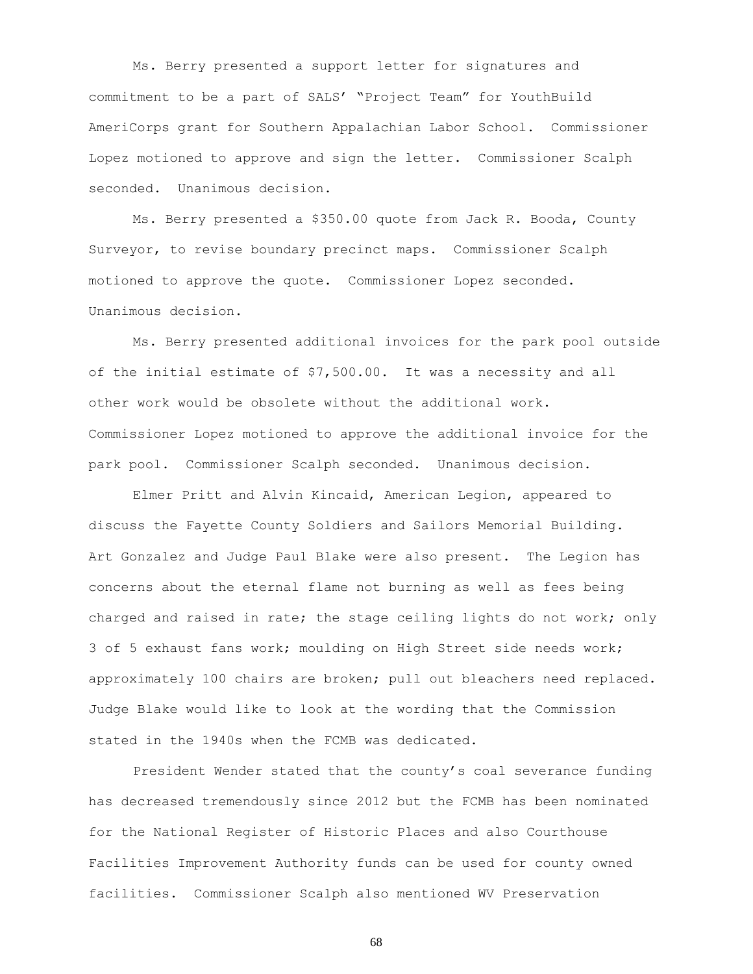Ms. Berry presented a support letter for signatures and commitment to be a part of SALS' "Project Team" for YouthBuild AmeriCorps grant for Southern Appalachian Labor School. Commissioner Lopez motioned to approve and sign the letter. Commissioner Scalph seconded. Unanimous decision.

Ms. Berry presented a \$350.00 quote from Jack R. Booda, County Surveyor, to revise boundary precinct maps. Commissioner Scalph motioned to approve the quote. Commissioner Lopez seconded. Unanimous decision.

Ms. Berry presented additional invoices for the park pool outside of the initial estimate of \$7,500.00. It was a necessity and all other work would be obsolete without the additional work. Commissioner Lopez motioned to approve the additional invoice for the park pool. Commissioner Scalph seconded. Unanimous decision.

Elmer Pritt and Alvin Kincaid, American Legion, appeared to discuss the Fayette County Soldiers and Sailors Memorial Building. Art Gonzalez and Judge Paul Blake were also present. The Legion has concerns about the eternal flame not burning as well as fees being charged and raised in rate; the stage ceiling lights do not work; only 3 of 5 exhaust fans work; moulding on High Street side needs work; approximately 100 chairs are broken; pull out bleachers need replaced. Judge Blake would like to look at the wording that the Commission stated in the 1940s when the FCMB was dedicated.

President Wender stated that the county's coal severance funding has decreased tremendously since 2012 but the FCMB has been nominated for the National Register of Historic Places and also Courthouse Facilities Improvement Authority funds can be used for county owned facilities. Commissioner Scalph also mentioned WV Preservation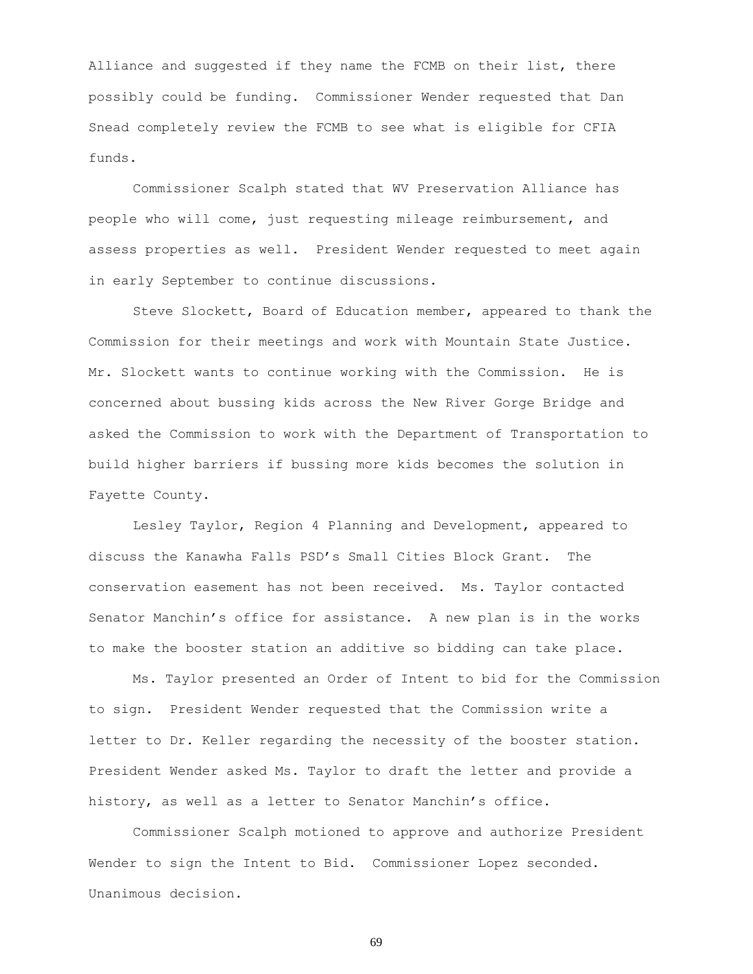Alliance and suggested if they name the FCMB on their list, there possibly could be funding. Commissioner Wender requested that Dan Snead completely review the FCMB to see what is eligible for CFIA funds.

Commissioner Scalph stated that WV Preservation Alliance has people who will come, just requesting mileage reimbursement, and assess properties as well. President Wender requested to meet again in early September to continue discussions.

Steve Slockett, Board of Education member, appeared to thank the Commission for their meetings and work with Mountain State Justice. Mr. Slockett wants to continue working with the Commission. He is concerned about bussing kids across the New River Gorge Bridge and asked the Commission to work with the Department of Transportation to build higher barriers if bussing more kids becomes the solution in Fayette County.

Lesley Taylor, Region 4 Planning and Development, appeared to discuss the Kanawha Falls PSD's Small Cities Block Grant. The conservation easement has not been received. Ms. Taylor contacted Senator Manchin's office for assistance. A new plan is in the works to make the booster station an additive so bidding can take place.

Ms. Taylor presented an Order of Intent to bid for the Commission to sign. President Wender requested that the Commission write a letter to Dr. Keller regarding the necessity of the booster station. President Wender asked Ms. Taylor to draft the letter and provide a history, as well as a letter to Senator Manchin's office.

Commissioner Scalph motioned to approve and authorize President Wender to sign the Intent to Bid. Commissioner Lopez seconded. Unanimous decision.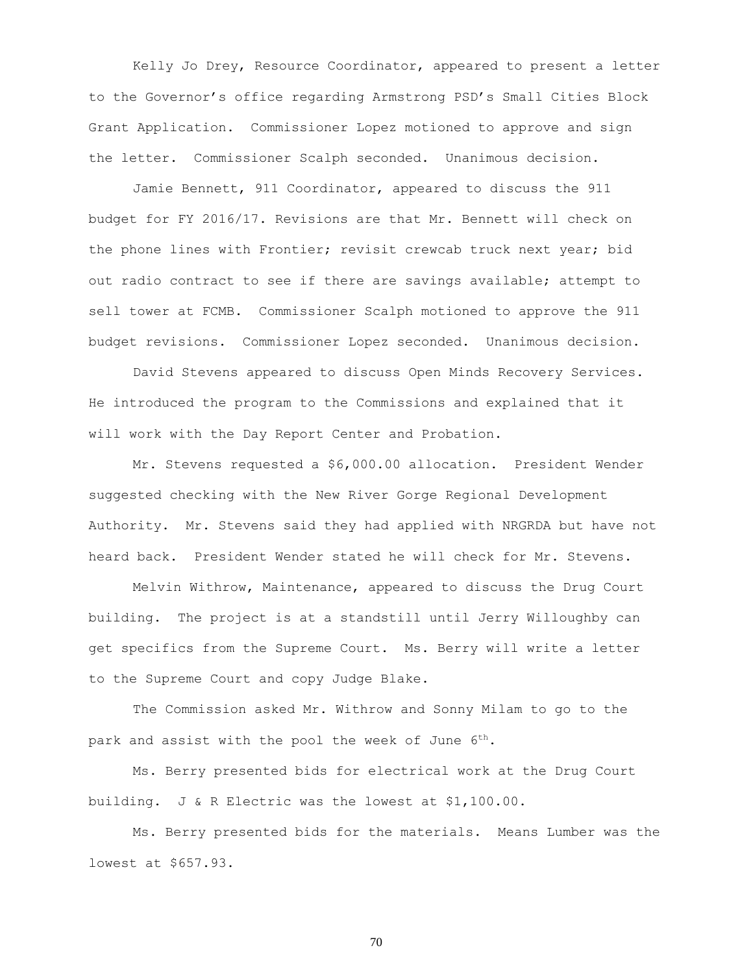Kelly Jo Drey, Resource Coordinator, appeared to present a letter to the Governor's office regarding Armstrong PSD's Small Cities Block Grant Application. Commissioner Lopez motioned to approve and sign the letter. Commissioner Scalph seconded. Unanimous decision.

Jamie Bennett, 911 Coordinator, appeared to discuss the 911 budget for FY 2016/17. Revisions are that Mr. Bennett will check on the phone lines with Frontier; revisit crewcab truck next year; bid out radio contract to see if there are savings available; attempt to sell tower at FCMB. Commissioner Scalph motioned to approve the 911 budget revisions. Commissioner Lopez seconded. Unanimous decision.

David Stevens appeared to discuss Open Minds Recovery Services. He introduced the program to the Commissions and explained that it will work with the Day Report Center and Probation.

Mr. Stevens requested a \$6,000.00 allocation. President Wender suggested checking with the New River Gorge Regional Development Authority. Mr. Stevens said they had applied with NRGRDA but have not heard back. President Wender stated he will check for Mr. Stevens.

Melvin Withrow, Maintenance, appeared to discuss the Drug Court building. The project is at a standstill until Jerry Willoughby can get specifics from the Supreme Court. Ms. Berry will write a letter to the Supreme Court and copy Judge Blake.

The Commission asked Mr. Withrow and Sonny Milam to go to the park and assist with the pool the week of June 6<sup>th</sup>.

Ms. Berry presented bids for electrical work at the Drug Court building. J & R Electric was the lowest at \$1,100.00.

Ms. Berry presented bids for the materials. Means Lumber was the lowest at \$657.93.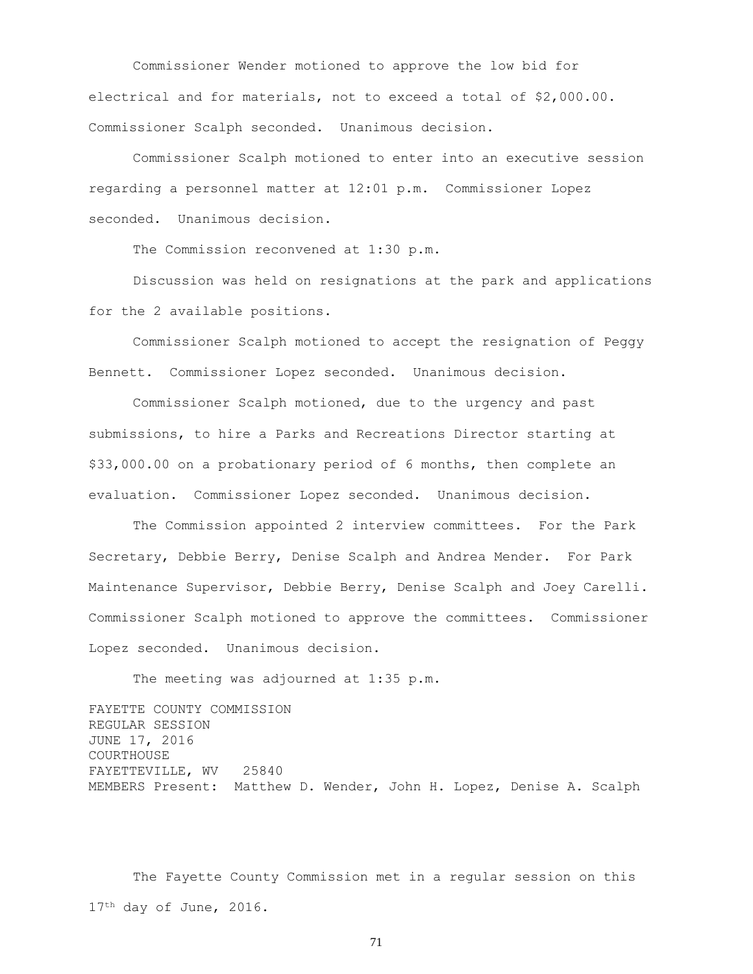Commissioner Wender motioned to approve the low bid for electrical and for materials, not to exceed a total of \$2,000.00. Commissioner Scalph seconded. Unanimous decision.

Commissioner Scalph motioned to enter into an executive session regarding a personnel matter at 12:01 p.m. Commissioner Lopez seconded. Unanimous decision.

The Commission reconvened at 1:30 p.m.

Discussion was held on resignations at the park and applications for the 2 available positions.

Commissioner Scalph motioned to accept the resignation of Peggy Bennett. Commissioner Lopez seconded. Unanimous decision.

Commissioner Scalph motioned, due to the urgency and past submissions, to hire a Parks and Recreations Director starting at \$33,000.00 on a probationary period of 6 months, then complete an evaluation. Commissioner Lopez seconded. Unanimous decision.

The Commission appointed 2 interview committees. For the Park Secretary, Debbie Berry, Denise Scalph and Andrea Mender. For Park Maintenance Supervisor, Debbie Berry, Denise Scalph and Joey Carelli. Commissioner Scalph motioned to approve the committees. Commissioner Lopez seconded. Unanimous decision.

The meeting was adjourned at 1:35 p.m.

FAYETTE COUNTY COMMISSION REGULAR SESSION JUNE 17, 2016 COURTHOUSE FAYETTEVILLE, WV 25840 MEMBERS Present: Matthew D. Wender, John H. Lopez, Denise A. Scalph

The Fayette County Commission met in a regular session on this 17<sup>th</sup> day of June, 2016.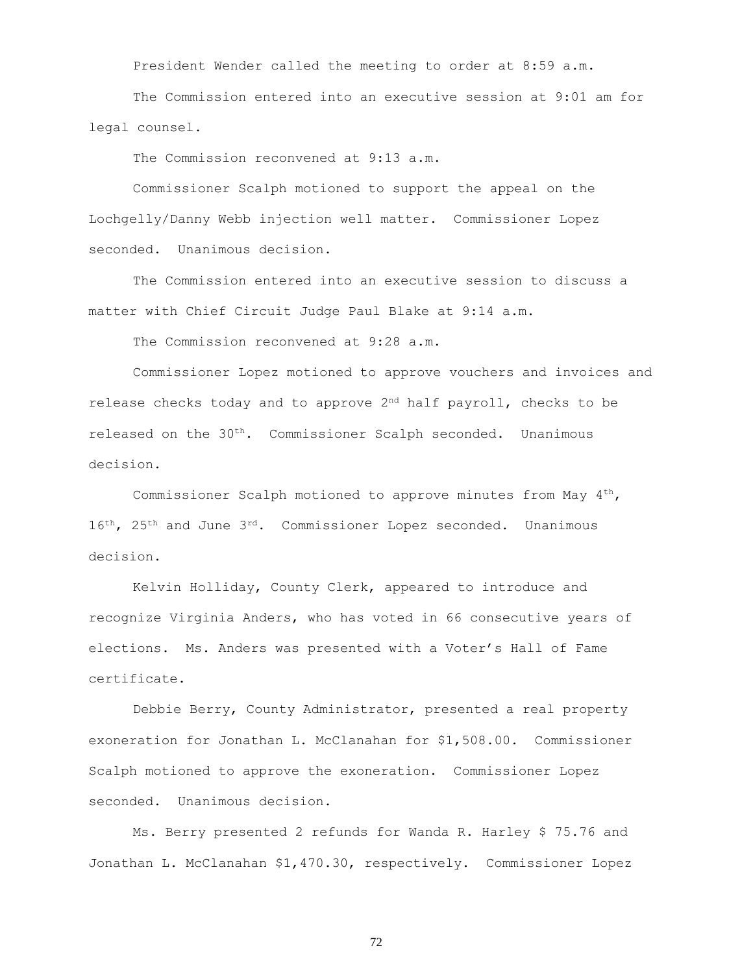President Wender called the meeting to order at 8:59 a.m.

The Commission entered into an executive session at 9:01 am for legal counsel.

The Commission reconvened at 9:13 a.m.

Commissioner Scalph motioned to support the appeal on the Lochgelly/Danny Webb injection well matter. Commissioner Lopez seconded. Unanimous decision.

The Commission entered into an executive session to discuss a matter with Chief Circuit Judge Paul Blake at 9:14 a.m.

The Commission reconvened at 9:28 a.m.

Commissioner Lopez motioned to approve vouchers and invoices and release checks today and to approve  $2<sup>nd</sup>$  half payroll, checks to be released on the 30th. Commissioner Scalph seconded. Unanimous decision.

Commissioner Scalph motioned to approve minutes from May  $4^{th}$ ,  $16^{th}$ ,  $25^{th}$  and June  $3^{rd}$ . Commissioner Lopez seconded. Unanimous decision.

Kelvin Holliday, County Clerk, appeared to introduce and recognize Virginia Anders, who has voted in 66 consecutive years of elections. Ms. Anders was presented with a Voter's Hall of Fame certificate.

Debbie Berry, County Administrator, presented a real property exoneration for Jonathan L. McClanahan for \$1,508.00. Commissioner Scalph motioned to approve the exoneration. Commissioner Lopez seconded. Unanimous decision.

Ms. Berry presented 2 refunds for Wanda R. Harley \$ 75.76 and Jonathan L. McClanahan \$1,470.30, respectively. Commissioner Lopez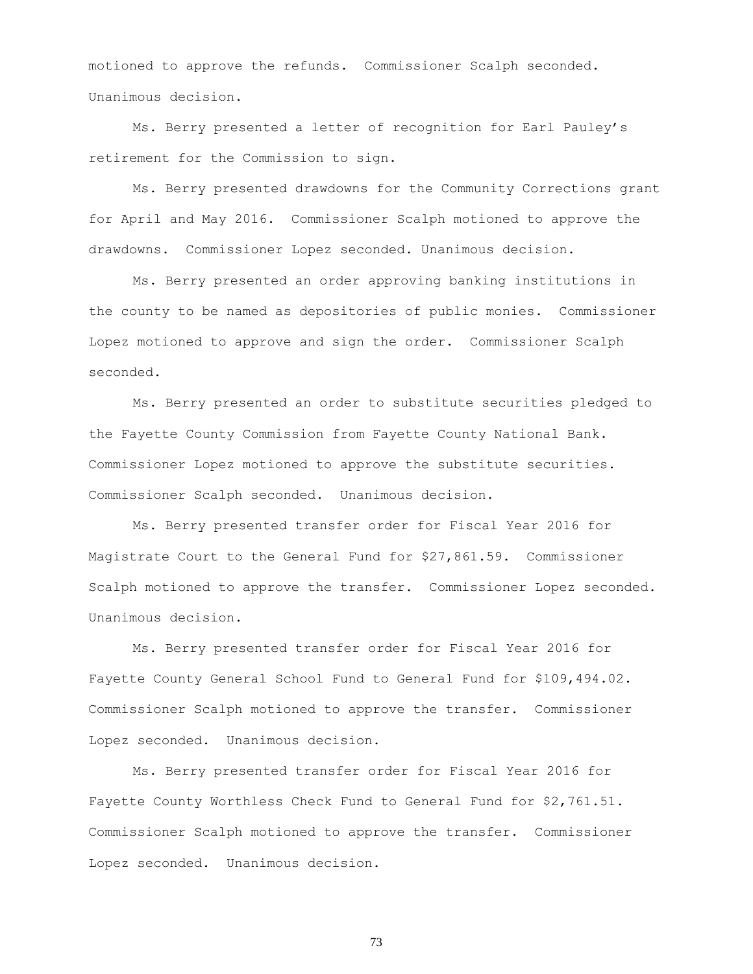motioned to approve the refunds. Commissioner Scalph seconded. Unanimous decision.

Ms. Berry presented a letter of recognition for Earl Pauley's retirement for the Commission to sign.

Ms. Berry presented drawdowns for the Community Corrections grant for April and May 2016. Commissioner Scalph motioned to approve the drawdowns. Commissioner Lopez seconded. Unanimous decision.

Ms. Berry presented an order approving banking institutions in the county to be named as depositories of public monies. Commissioner Lopez motioned to approve and sign the order. Commissioner Scalph seconded.

Ms. Berry presented an order to substitute securities pledged to the Fayette County Commission from Fayette County National Bank. Commissioner Lopez motioned to approve the substitute securities. Commissioner Scalph seconded. Unanimous decision.

Ms. Berry presented transfer order for Fiscal Year 2016 for Magistrate Court to the General Fund for \$27,861.59. Commissioner Scalph motioned to approve the transfer. Commissioner Lopez seconded. Unanimous decision.

Ms. Berry presented transfer order for Fiscal Year 2016 for Fayette County General School Fund to General Fund for \$109,494.02. Commissioner Scalph motioned to approve the transfer. Commissioner Lopez seconded. Unanimous decision.

Ms. Berry presented transfer order for Fiscal Year 2016 for Fayette County Worthless Check Fund to General Fund for \$2,761.51. Commissioner Scalph motioned to approve the transfer. Commissioner Lopez seconded. Unanimous decision.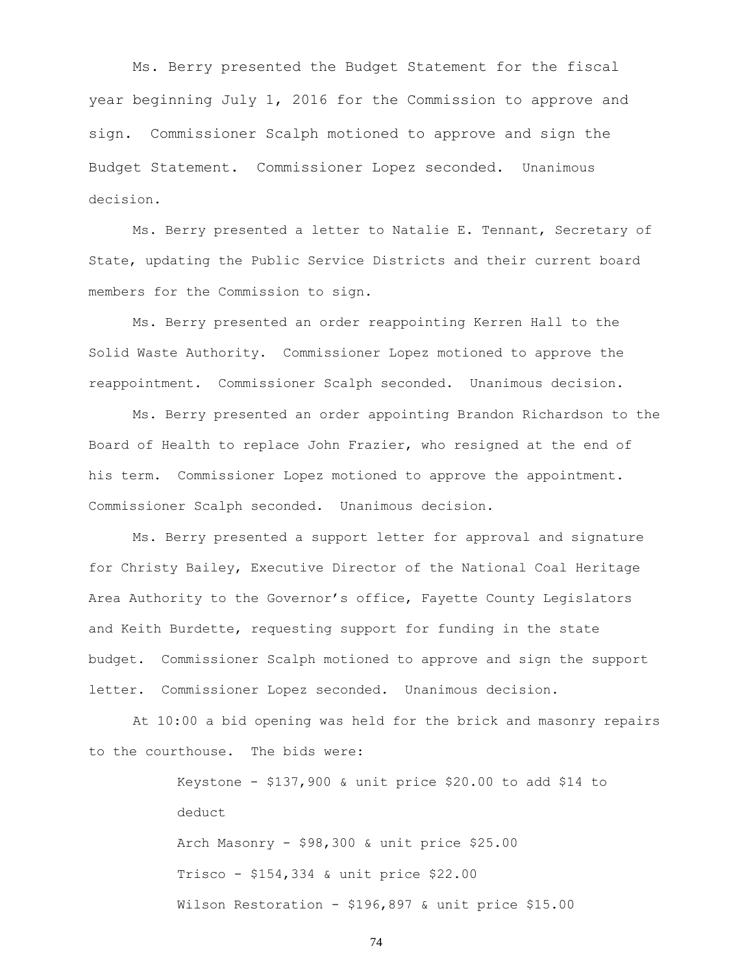Ms. Berry presented the Budget Statement for the fiscal year beginning July 1, 2016 for the Commission to approve and sign. Commissioner Scalph motioned to approve and sign the Budget Statement. Commissioner Lopez seconded. Unanimous decision.

Ms. Berry presented a letter to Natalie E. Tennant, Secretary of State, updating the Public Service Districts and their current board members for the Commission to sign.

Ms. Berry presented an order reappointing Kerren Hall to the Solid Waste Authority. Commissioner Lopez motioned to approve the reappointment. Commissioner Scalph seconded. Unanimous decision.

Ms. Berry presented an order appointing Brandon Richardson to the Board of Health to replace John Frazier, who resigned at the end of his term. Commissioner Lopez motioned to approve the appointment. Commissioner Scalph seconded. Unanimous decision.

Ms. Berry presented a support letter for approval and signature for Christy Bailey, Executive Director of the National Coal Heritage Area Authority to the Governor's office, Fayette County Legislators and Keith Burdette, requesting support for funding in the state budget. Commissioner Scalph motioned to approve and sign the support letter. Commissioner Lopez seconded. Unanimous decision.

At 10:00 a bid opening was held for the brick and masonry repairs to the courthouse. The bids were:

> Keystone - \$137,900 & unit price \$20.00 to add \$14 to deduct Arch Masonry - \$98,300 & unit price \$25.00 Trisco - \$154,334 & unit price \$22.00 Wilson Restoration - \$196,897 & unit price \$15.00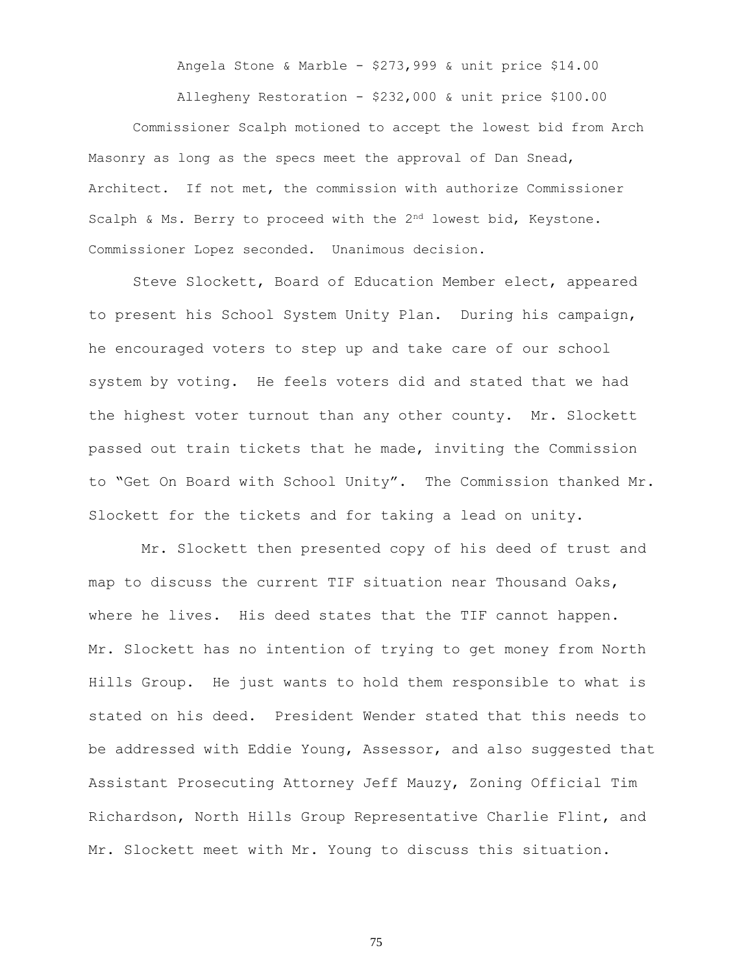Angela Stone & Marble - \$273,999 & unit price \$14.00

Allegheny Restoration - \$232,000 & unit price \$100.00 Commissioner Scalph motioned to accept the lowest bid from Arch Masonry as long as the specs meet the approval of Dan Snead, Architect. If not met, the commission with authorize Commissioner Scalph & Ms. Berry to proceed with the 2<sup>nd</sup> lowest bid, Keystone. Commissioner Lopez seconded. Unanimous decision.

Steve Slockett, Board of Education Member elect, appeared to present his School System Unity Plan. During his campaign, he encouraged voters to step up and take care of our school system by voting. He feels voters did and stated that we had the highest voter turnout than any other county. Mr. Slockett passed out train tickets that he made, inviting the Commission to "Get On Board with School Unity". The Commission thanked Mr. Slockett for the tickets and for taking a lead on unity.

Mr. Slockett then presented copy of his deed of trust and map to discuss the current TIF situation near Thousand Oaks, where he lives. His deed states that the TIF cannot happen. Mr. Slockett has no intention of trying to get money from North Hills Group. He just wants to hold them responsible to what is stated on his deed. President Wender stated that this needs to be addressed with Eddie Young, Assessor, and also suggested that Assistant Prosecuting Attorney Jeff Mauzy, Zoning Official Tim Richardson, North Hills Group Representative Charlie Flint, and Mr. Slockett meet with Mr. Young to discuss this situation.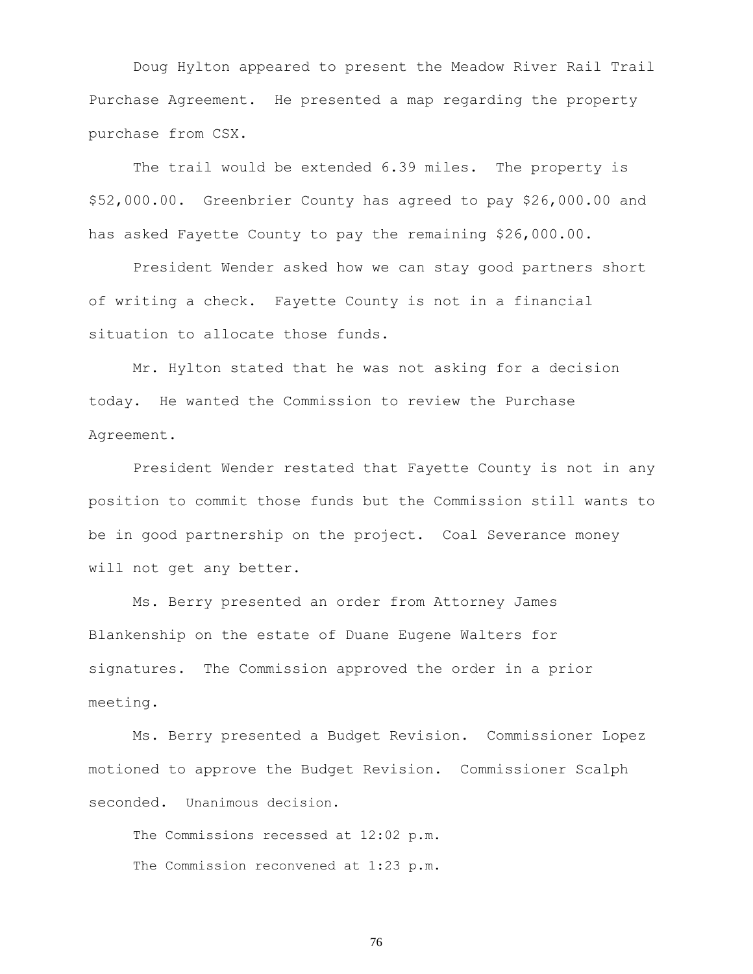Doug Hylton appeared to present the Meadow River Rail Trail Purchase Agreement. He presented a map regarding the property purchase from CSX.

The trail would be extended 6.39 miles. The property is \$52,000.00. Greenbrier County has agreed to pay \$26,000.00 and has asked Fayette County to pay the remaining \$26,000.00.

President Wender asked how we can stay good partners short of writing a check. Fayette County is not in a financial situation to allocate those funds.

Mr. Hylton stated that he was not asking for a decision today. He wanted the Commission to review the Purchase Agreement.

President Wender restated that Fayette County is not in any position to commit those funds but the Commission still wants to be in good partnership on the project. Coal Severance money will not get any better.

Ms. Berry presented an order from Attorney James Blankenship on the estate of Duane Eugene Walters for signatures. The Commission approved the order in a prior meeting.

Ms. Berry presented a Budget Revision. Commissioner Lopez motioned to approve the Budget Revision. Commissioner Scalph seconded. Unanimous decision.

The Commissions recessed at 12:02 p.m. The Commission reconvened at 1:23 p.m.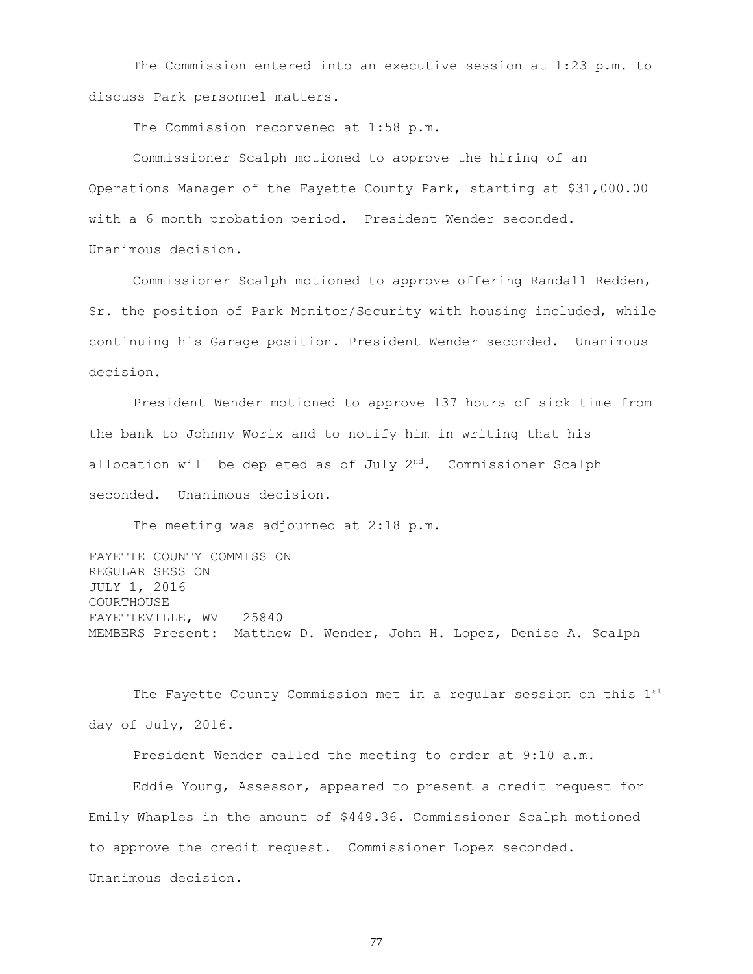The Commission entered into an executive session at 1:23 p.m. to discuss Park personnel matters.

The Commission reconvened at 1:58 p.m.

Commissioner Scalph motioned to approve the hiring of an Operations Manager of the Fayette County Park, starting at \$31,000.00 with a 6 month probation period. President Wender seconded. Unanimous decision.

Commissioner Scalph motioned to approve offering Randall Redden, Sr. the position of Park Monitor/Security with housing included, while continuing his Garage position. President Wender seconded. Unanimous decision.

President Wender motioned to approve 137 hours of sick time from the bank to Johnny Worix and to notify him in writing that his allocation will be depleted as of July 2<sup>nd</sup>. Commissioner Scalph seconded. Unanimous decision.

The meeting was adjourned at 2:18 p.m.

FAYETTE COUNTY COMMISSION REGULAR SESSION JULY 1, 2016 COURTHOUSE FAYETTEVILLE, WV 25840 MEMBERS Present: Matthew D. Wender, John H. Lopez, Denise A. Scalph

The Fayette County Commission met in a regular session on this 1st day of July, 2016.

President Wender called the meeting to order at 9:10 a.m.

Eddie Young, Assessor, appeared to present a credit request for Emily Whaples in the amount of \$449.36. Commissioner Scalph motioned to approve the credit request. Commissioner Lopez seconded. Unanimous decision.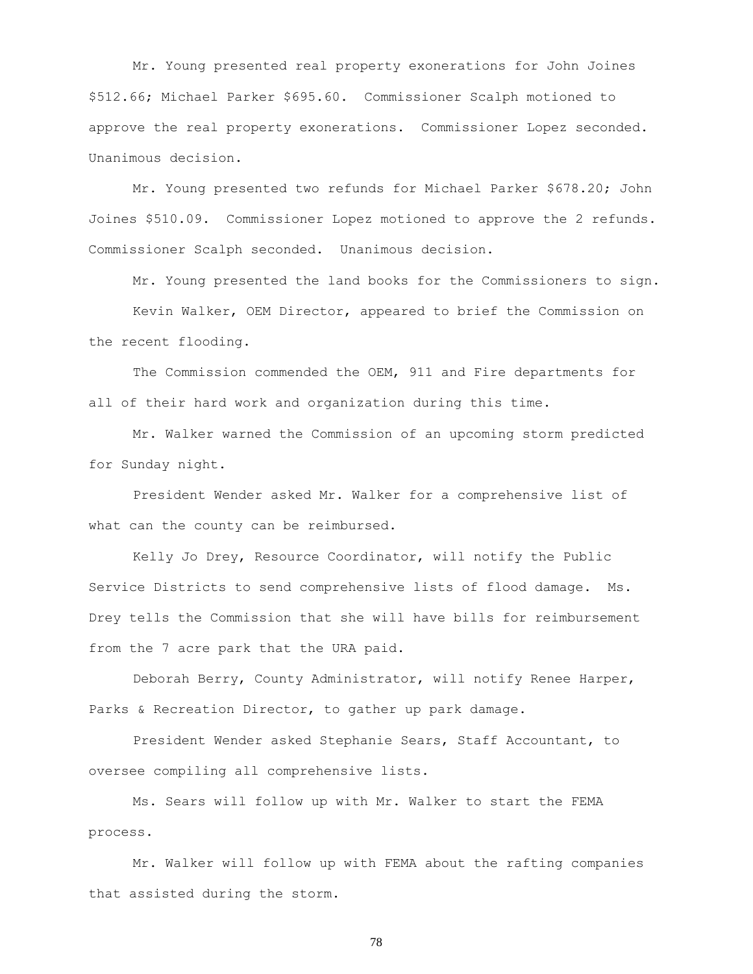Mr. Young presented real property exonerations for John Joines \$512.66; Michael Parker \$695.60. Commissioner Scalph motioned to approve the real property exonerations. Commissioner Lopez seconded. Unanimous decision.

Mr. Young presented two refunds for Michael Parker \$678.20; John Joines \$510.09. Commissioner Lopez motioned to approve the 2 refunds. Commissioner Scalph seconded. Unanimous decision.

Mr. Young presented the land books for the Commissioners to sign.

Kevin Walker, OEM Director, appeared to brief the Commission on the recent flooding.

The Commission commended the OEM, 911 and Fire departments for all of their hard work and organization during this time.

Mr. Walker warned the Commission of an upcoming storm predicted for Sunday night.

President Wender asked Mr. Walker for a comprehensive list of what can the county can be reimbursed.

Kelly Jo Drey, Resource Coordinator, will notify the Public Service Districts to send comprehensive lists of flood damage. Ms. Drey tells the Commission that she will have bills for reimbursement from the 7 acre park that the URA paid.

Deborah Berry, County Administrator, will notify Renee Harper, Parks & Recreation Director, to gather up park damage.

President Wender asked Stephanie Sears, Staff Accountant, to oversee compiling all comprehensive lists.

Ms. Sears will follow up with Mr. Walker to start the FEMA process.

Mr. Walker will follow up with FEMA about the rafting companies that assisted during the storm.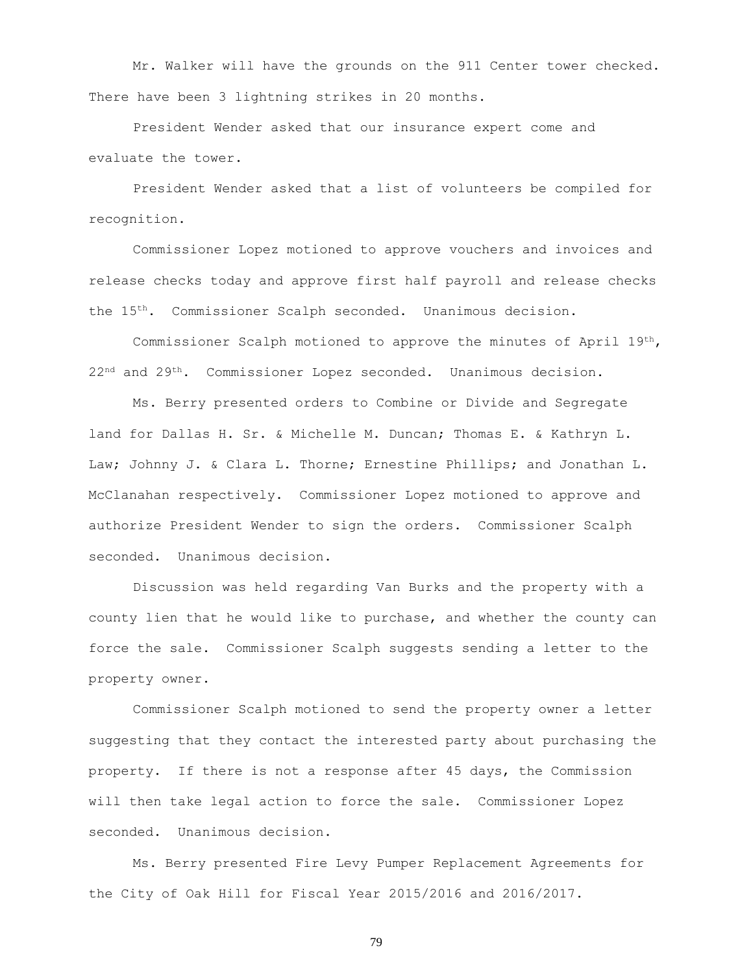Mr. Walker will have the grounds on the 911 Center tower checked. There have been 3 lightning strikes in 20 months.

President Wender asked that our insurance expert come and evaluate the tower.

President Wender asked that a list of volunteers be compiled for recognition.

Commissioner Lopez motioned to approve vouchers and invoices and release checks today and approve first half payroll and release checks the 15th. Commissioner Scalph seconded. Unanimous decision.

Commissioner Scalph motioned to approve the minutes of April  $19^{th}$ , 22<sup>nd</sup> and 29<sup>th</sup>. Commissioner Lopez seconded. Unanimous decision.

Ms. Berry presented orders to Combine or Divide and Segregate land for Dallas H. Sr. & Michelle M. Duncan; Thomas E. & Kathryn L. Law; Johnny J. & Clara L. Thorne; Ernestine Phillips; and Jonathan L. McClanahan respectively. Commissioner Lopez motioned to approve and authorize President Wender to sign the orders. Commissioner Scalph seconded. Unanimous decision.

Discussion was held regarding Van Burks and the property with a county lien that he would like to purchase, and whether the county can force the sale. Commissioner Scalph suggests sending a letter to the property owner.

Commissioner Scalph motioned to send the property owner a letter suggesting that they contact the interested party about purchasing the property. If there is not a response after 45 days, the Commission will then take legal action to force the sale. Commissioner Lopez seconded. Unanimous decision.

Ms. Berry presented Fire Levy Pumper Replacement Agreements for the City of Oak Hill for Fiscal Year 2015/2016 and 2016/2017.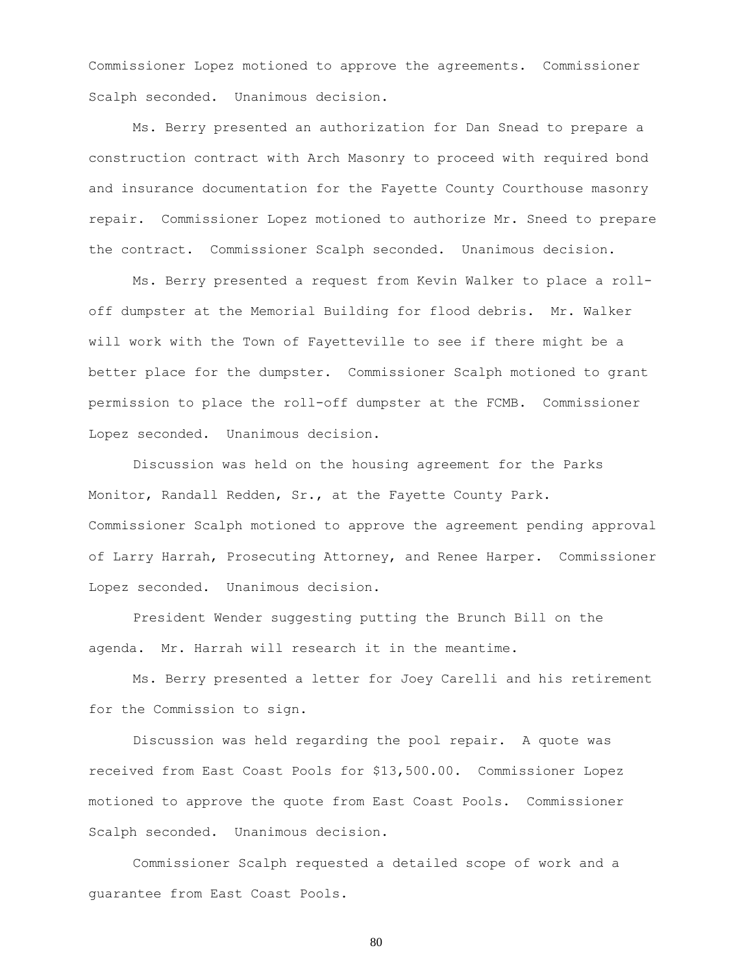Commissioner Lopez motioned to approve the agreements. Commissioner Scalph seconded. Unanimous decision.

Ms. Berry presented an authorization for Dan Snead to prepare a construction contract with Arch Masonry to proceed with required bond and insurance documentation for the Fayette County Courthouse masonry repair. Commissioner Lopez motioned to authorize Mr. Sneed to prepare the contract. Commissioner Scalph seconded. Unanimous decision.

Ms. Berry presented a request from Kevin Walker to place a rolloff dumpster at the Memorial Building for flood debris. Mr. Walker will work with the Town of Fayetteville to see if there might be a better place for the dumpster. Commissioner Scalph motioned to grant permission to place the roll-off dumpster at the FCMB. Commissioner Lopez seconded. Unanimous decision.

Discussion was held on the housing agreement for the Parks Monitor, Randall Redden, Sr., at the Fayette County Park. Commissioner Scalph motioned to approve the agreement pending approval of Larry Harrah, Prosecuting Attorney, and Renee Harper. Commissioner Lopez seconded. Unanimous decision.

President Wender suggesting putting the Brunch Bill on the agenda. Mr. Harrah will research it in the meantime.

Ms. Berry presented a letter for Joey Carelli and his retirement for the Commission to sign.

Discussion was held regarding the pool repair. A quote was received from East Coast Pools for \$13,500.00. Commissioner Lopez motioned to approve the quote from East Coast Pools. Commissioner Scalph seconded. Unanimous decision.

Commissioner Scalph requested a detailed scope of work and a guarantee from East Coast Pools.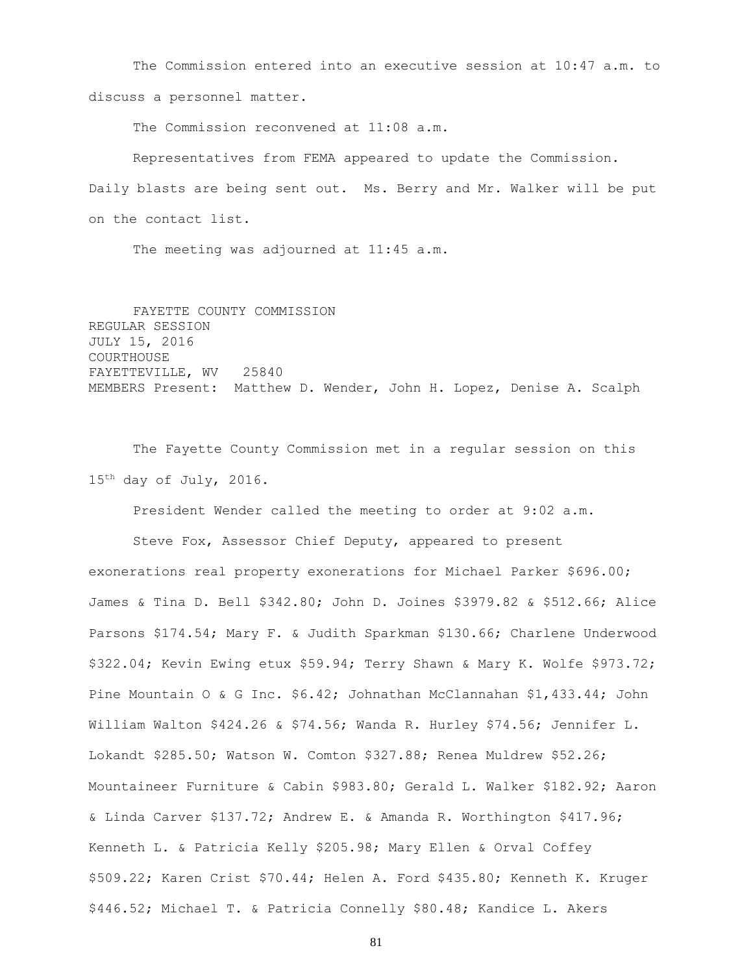The Commission entered into an executive session at 10:47 a.m. to discuss a personnel matter.

The Commission reconvened at 11:08 a.m.

Representatives from FEMA appeared to update the Commission. Daily blasts are being sent out. Ms. Berry and Mr. Walker will be put on the contact list.

The meeting was adjourned at 11:45 a.m.

FAYETTE COUNTY COMMISSION REGULAR SESSION JULY 15, 2016 COURTHOUSE FAYETTEVILLE, WV 25840 MEMBERS Present: Matthew D. Wender, John H. Lopez, Denise A. Scalph

The Fayette County Commission met in a regular session on this 15th day of July, 2016.

President Wender called the meeting to order at 9:02 a.m.

Steve Fox, Assessor Chief Deputy, appeared to present exonerations real property exonerations for Michael Parker \$696.00; James & Tina D. Bell \$342.80; John D. Joines \$3979.82 & \$512.66; Alice Parsons \$174.54; Mary F. & Judith Sparkman \$130.66; Charlene Underwood \$322.04; Kevin Ewing etux \$59.94; Terry Shawn & Mary K. Wolfe \$973.72; Pine Mountain O & G Inc. \$6.42; Johnathan McClannahan \$1,433.44; John William Walton \$424.26 & \$74.56; Wanda R. Hurley \$74.56; Jennifer L. Lokandt \$285.50; Watson W. Comton \$327.88; Renea Muldrew \$52.26; Mountaineer Furniture & Cabin \$983.80; Gerald L. Walker \$182.92; Aaron & Linda Carver \$137.72; Andrew E. & Amanda R. Worthington \$417.96; Kenneth L. & Patricia Kelly \$205.98; Mary Ellen & Orval Coffey \$509.22; Karen Crist \$70.44; Helen A. Ford \$435.80; Kenneth K. Kruger \$446.52; Michael T. & Patricia Connelly \$80.48; Kandice L. Akers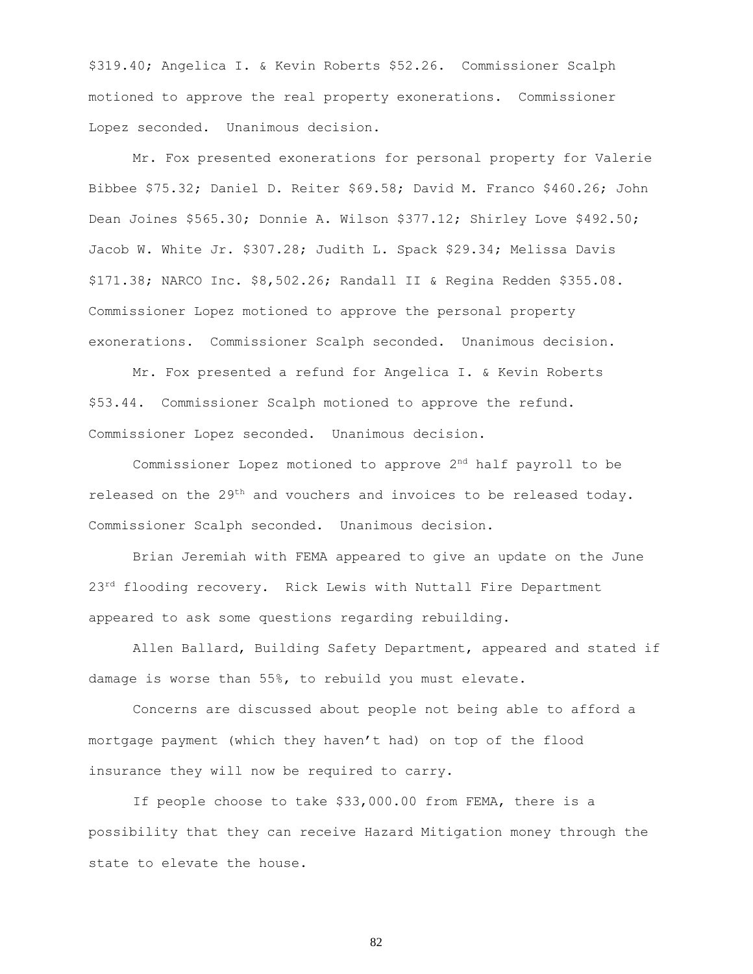\$319.40; Angelica I. & Kevin Roberts \$52.26. Commissioner Scalph motioned to approve the real property exonerations. Commissioner Lopez seconded. Unanimous decision.

Mr. Fox presented exonerations for personal property for Valerie Bibbee \$75.32; Daniel D. Reiter \$69.58; David M. Franco \$460.26; John Dean Joines \$565.30; Donnie A. Wilson \$377.12; Shirley Love \$492.50; Jacob W. White Jr. \$307.28; Judith L. Spack \$29.34; Melissa Davis \$171.38; NARCO Inc. \$8,502.26; Randall II & Regina Redden \$355.08. Commissioner Lopez motioned to approve the personal property exonerations. Commissioner Scalph seconded. Unanimous decision.

Mr. Fox presented a refund for Angelica I. & Kevin Roberts \$53.44. Commissioner Scalph motioned to approve the refund. Commissioner Lopez seconded. Unanimous decision.

Commissioner Lopez motioned to approve  $2<sup>nd</sup>$  half payroll to be released on the  $29^{th}$  and vouchers and invoices to be released today. Commissioner Scalph seconded. Unanimous decision.

Brian Jeremiah with FEMA appeared to give an update on the June 23<sup>rd</sup> flooding recovery. Rick Lewis with Nuttall Fire Department appeared to ask some questions regarding rebuilding.

Allen Ballard, Building Safety Department, appeared and stated if damage is worse than 55%, to rebuild you must elevate.

Concerns are discussed about people not being able to afford a mortgage payment (which they haven't had) on top of the flood insurance they will now be required to carry.

If people choose to take \$33,000.00 from FEMA, there is a possibility that they can receive Hazard Mitigation money through the state to elevate the house.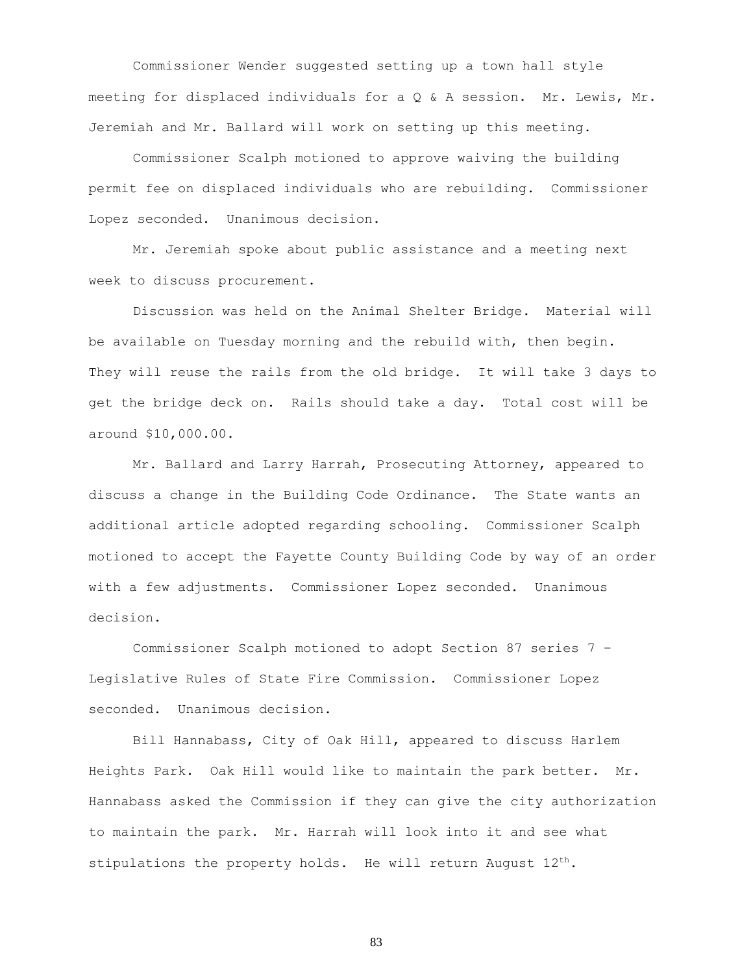Commissioner Wender suggested setting up a town hall style meeting for displaced individuals for a Q & A session. Mr. Lewis, Mr. Jeremiah and Mr. Ballard will work on setting up this meeting.

Commissioner Scalph motioned to approve waiving the building permit fee on displaced individuals who are rebuilding. Commissioner Lopez seconded. Unanimous decision.

Mr. Jeremiah spoke about public assistance and a meeting next week to discuss procurement.

Discussion was held on the Animal Shelter Bridge. Material will be available on Tuesday morning and the rebuild with, then begin. They will reuse the rails from the old bridge. It will take 3 days to get the bridge deck on. Rails should take a day. Total cost will be around \$10,000.00.

Mr. Ballard and Larry Harrah, Prosecuting Attorney, appeared to discuss a change in the Building Code Ordinance. The State wants an additional article adopted regarding schooling. Commissioner Scalph motioned to accept the Fayette County Building Code by way of an order with a few adjustments. Commissioner Lopez seconded. Unanimous decision.

Commissioner Scalph motioned to adopt Section 87 series 7 – Legislative Rules of State Fire Commission. Commissioner Lopez seconded. Unanimous decision.

Bill Hannabass, City of Oak Hill, appeared to discuss Harlem Heights Park. Oak Hill would like to maintain the park better. Mr. Hannabass asked the Commission if they can give the city authorization to maintain the park. Mr. Harrah will look into it and see what stipulations the property holds. He will return August 12<sup>th</sup>.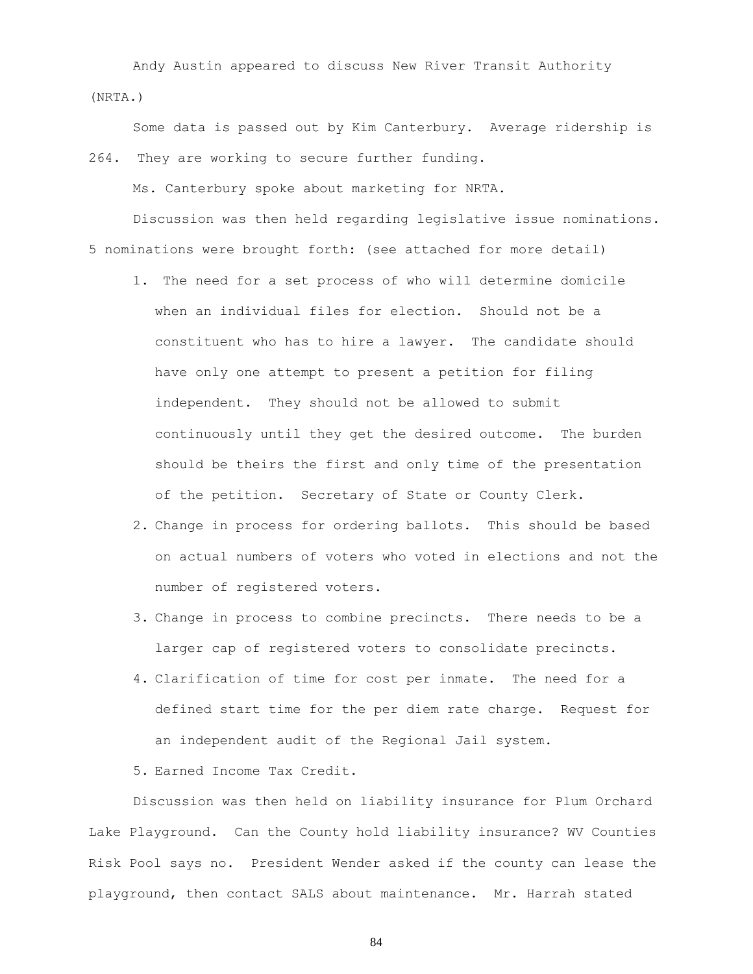Andy Austin appeared to discuss New River Transit Authority (NRTA.)

Some data is passed out by Kim Canterbury. Average ridership is 264. They are working to secure further funding.

Ms. Canterbury spoke about marketing for NRTA.

Discussion was then held regarding legislative issue nominations. 5 nominations were brought forth: (see attached for more detail)

- 1. The need for a set process of who will determine domicile when an individual files for election. Should not be a constituent who has to hire a lawyer. The candidate should have only one attempt to present a petition for filing independent. They should not be allowed to submit continuously until they get the desired outcome. The burden should be theirs the first and only time of the presentation of the petition. Secretary of State or County Clerk.
- 2. Change in process for ordering ballots. This should be based on actual numbers of voters who voted in elections and not the number of registered voters.
- 3. Change in process to combine precincts. There needs to be a larger cap of registered voters to consolidate precincts.
- 4. Clarification of time for cost per inmate. The need for a defined start time for the per diem rate charge. Request for an independent audit of the Regional Jail system.

5. Earned Income Tax Credit.

Discussion was then held on liability insurance for Plum Orchard Lake Playground. Can the County hold liability insurance? WV Counties Risk Pool says no. President Wender asked if the county can lease the playground, then contact SALS about maintenance. Mr. Harrah stated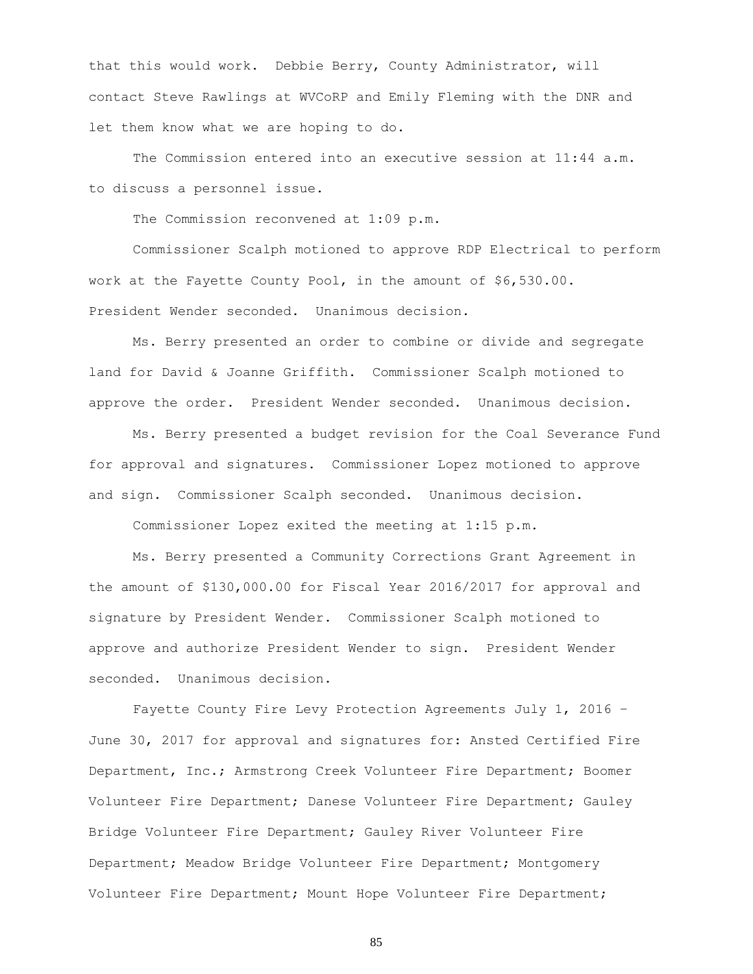that this would work. Debbie Berry, County Administrator, will contact Steve Rawlings at WVCoRP and Emily Fleming with the DNR and let them know what we are hoping to do.

The Commission entered into an executive session at 11:44 a.m. to discuss a personnel issue.

The Commission reconvened at 1:09 p.m.

Commissioner Scalph motioned to approve RDP Electrical to perform work at the Fayette County Pool, in the amount of \$6,530.00. President Wender seconded. Unanimous decision.

Ms. Berry presented an order to combine or divide and segregate land for David & Joanne Griffith. Commissioner Scalph motioned to approve the order. President Wender seconded. Unanimous decision.

Ms. Berry presented a budget revision for the Coal Severance Fund for approval and signatures. Commissioner Lopez motioned to approve and sign. Commissioner Scalph seconded. Unanimous decision.

Commissioner Lopez exited the meeting at 1:15 p.m.

Ms. Berry presented a Community Corrections Grant Agreement in the amount of \$130,000.00 for Fiscal Year 2016/2017 for approval and signature by President Wender. Commissioner Scalph motioned to approve and authorize President Wender to sign. President Wender seconded. Unanimous decision.

Fayette County Fire Levy Protection Agreements July 1, 2016 – June 30, 2017 for approval and signatures for: Ansted Certified Fire Department, Inc.; Armstrong Creek Volunteer Fire Department; Boomer Volunteer Fire Department; Danese Volunteer Fire Department; Gauley Bridge Volunteer Fire Department; Gauley River Volunteer Fire Department; Meadow Bridge Volunteer Fire Department; Montgomery Volunteer Fire Department; Mount Hope Volunteer Fire Department;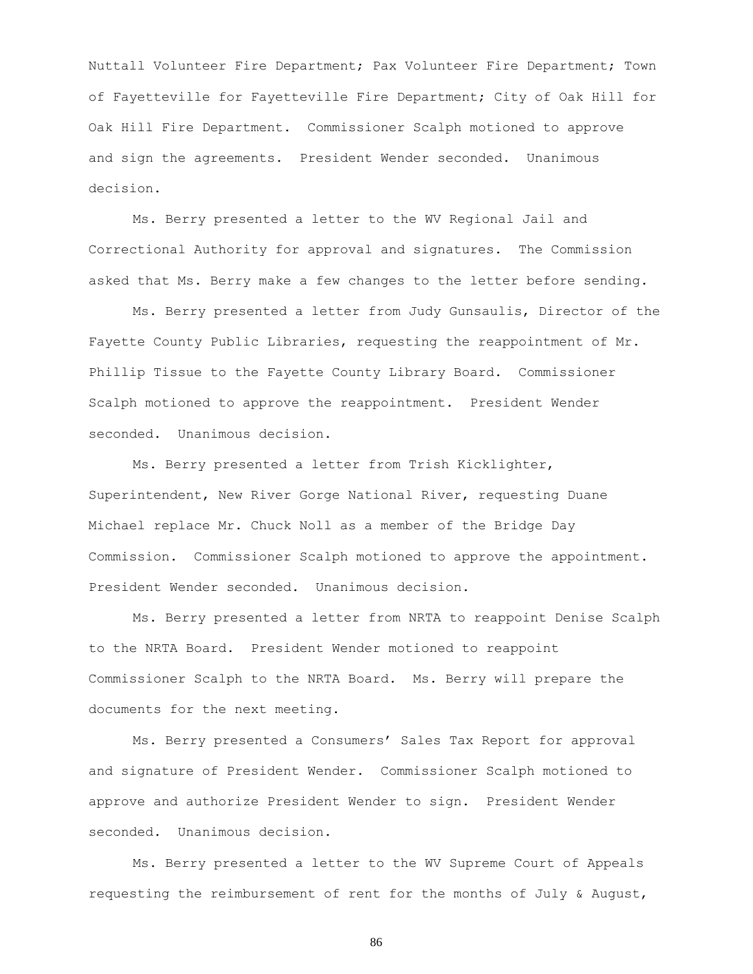Nuttall Volunteer Fire Department; Pax Volunteer Fire Department; Town of Fayetteville for Fayetteville Fire Department; City of Oak Hill for Oak Hill Fire Department. Commissioner Scalph motioned to approve and sign the agreements. President Wender seconded. Unanimous decision.

Ms. Berry presented a letter to the WV Regional Jail and Correctional Authority for approval and signatures. The Commission asked that Ms. Berry make a few changes to the letter before sending.

Ms. Berry presented a letter from Judy Gunsaulis, Director of the Fayette County Public Libraries, requesting the reappointment of Mr. Phillip Tissue to the Fayette County Library Board. Commissioner Scalph motioned to approve the reappointment. President Wender seconded. Unanimous decision.

Ms. Berry presented a letter from Trish Kicklighter, Superintendent, New River Gorge National River, requesting Duane Michael replace Mr. Chuck Noll as a member of the Bridge Day Commission. Commissioner Scalph motioned to approve the appointment. President Wender seconded. Unanimous decision.

Ms. Berry presented a letter from NRTA to reappoint Denise Scalph to the NRTA Board. President Wender motioned to reappoint Commissioner Scalph to the NRTA Board. Ms. Berry will prepare the documents for the next meeting.

Ms. Berry presented a Consumers' Sales Tax Report for approval and signature of President Wender. Commissioner Scalph motioned to approve and authorize President Wender to sign. President Wender seconded. Unanimous decision.

Ms. Berry presented a letter to the WV Supreme Court of Appeals requesting the reimbursement of rent for the months of July & August,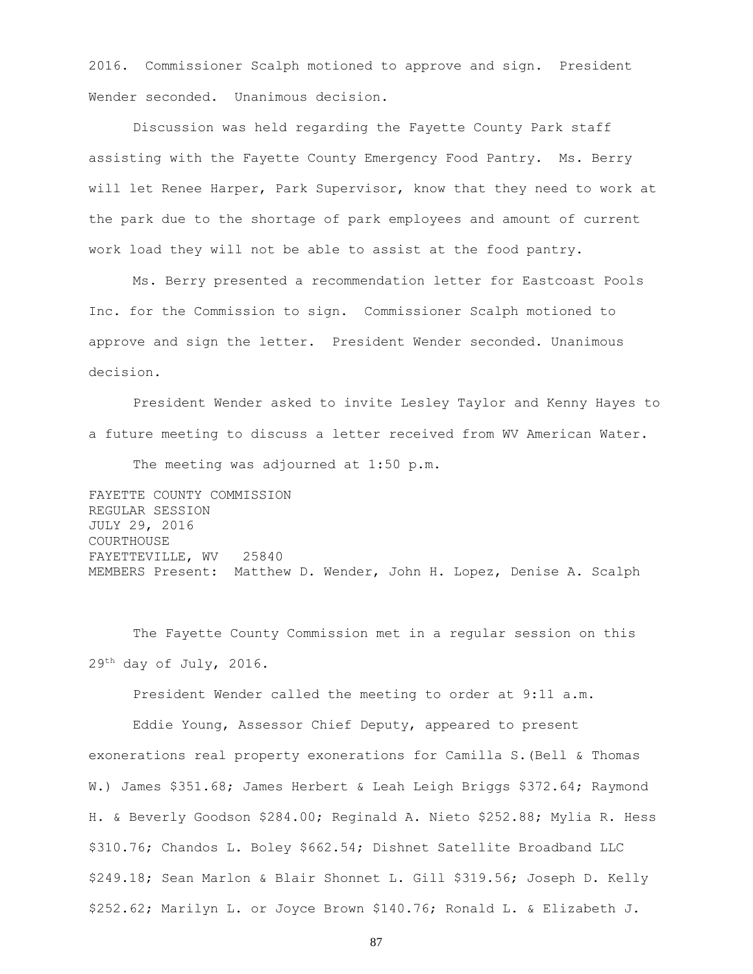2016. Commissioner Scalph motioned to approve and sign. President Wender seconded. Unanimous decision.

Discussion was held regarding the Fayette County Park staff assisting with the Fayette County Emergency Food Pantry. Ms. Berry will let Renee Harper, Park Supervisor, know that they need to work at the park due to the shortage of park employees and amount of current work load they will not be able to assist at the food pantry.

Ms. Berry presented a recommendation letter for Eastcoast Pools Inc. for the Commission to sign. Commissioner Scalph motioned to approve and sign the letter. President Wender seconded. Unanimous decision.

President Wender asked to invite Lesley Taylor and Kenny Hayes to a future meeting to discuss a letter received from WV American Water.

The meeting was adjourned at 1:50 p.m.

FAYETTE COUNTY COMMISSION REGULAR SESSION JULY 29, 2016 COURTHOUSE FAYETTEVILLE, WV 25840 MEMBERS Present: Matthew D. Wender, John H. Lopez, Denise A. Scalph

The Fayette County Commission met in a regular session on this 29th day of July, 2016.

President Wender called the meeting to order at 9:11 a.m.

Eddie Young, Assessor Chief Deputy, appeared to present exonerations real property exonerations for Camilla S.(Bell & Thomas W.) James \$351.68; James Herbert & Leah Leigh Briggs \$372.64; Raymond H. & Beverly Goodson \$284.00; Reginald A. Nieto \$252.88; Mylia R. Hess \$310.76; Chandos L. Boley \$662.54; Dishnet Satellite Broadband LLC \$249.18; Sean Marlon & Blair Shonnet L. Gill \$319.56; Joseph D. Kelly \$252.62; Marilyn L. or Joyce Brown \$140.76; Ronald L. & Elizabeth J.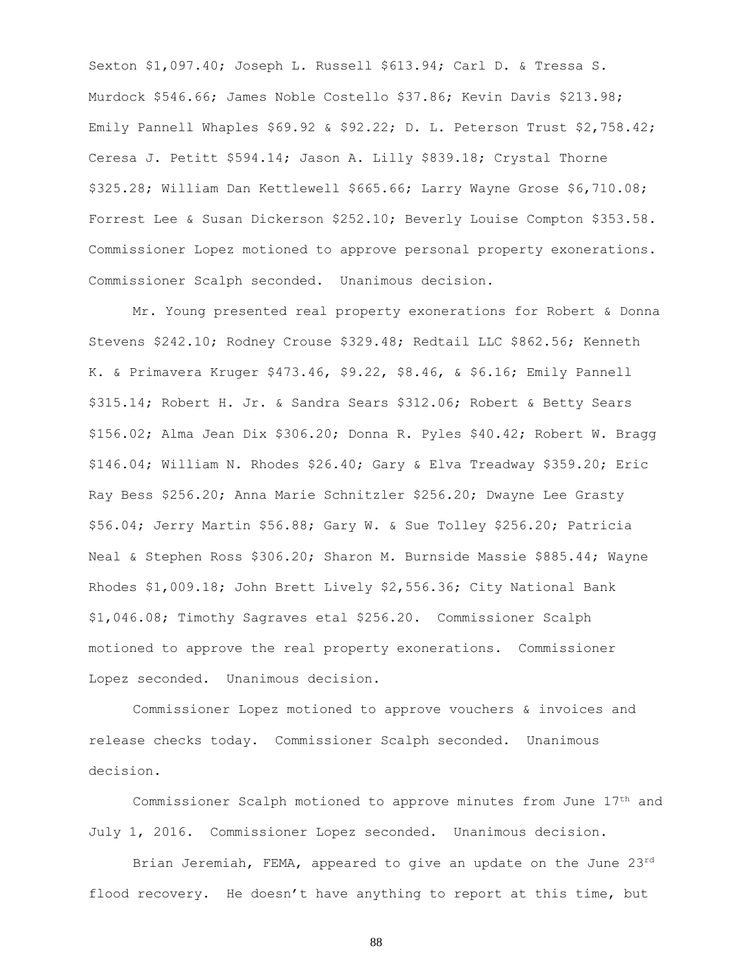Sexton \$1,097.40; Joseph L. Russell \$613.94; Carl D. & Tressa S. Murdock \$546.66; James Noble Costello \$37.86; Kevin Davis \$213.98; Emily Pannell Whaples \$69.92 & \$92.22; D. L. Peterson Trust \$2,758.42; Ceresa J. Petitt \$594.14; Jason A. Lilly \$839.18; Crystal Thorne \$325.28; William Dan Kettlewell \$665.66; Larry Wayne Grose \$6,710.08; Forrest Lee & Susan Dickerson \$252.10; Beverly Louise Compton \$353.58. Commissioner Lopez motioned to approve personal property exonerations. Commissioner Scalph seconded. Unanimous decision.

Mr. Young presented real property exonerations for Robert & Donna Stevens \$242.10; Rodney Crouse \$329.48; Redtail LLC \$862.56; Kenneth K. & Primavera Kruger \$473.46, \$9.22, \$8.46, & \$6.16; Emily Pannell \$315.14; Robert H. Jr. & Sandra Sears \$312.06; Robert & Betty Sears \$156.02; Alma Jean Dix \$306.20; Donna R. Pyles \$40.42; Robert W. Bragg \$146.04; William N. Rhodes \$26.40; Gary & Elva Treadway \$359.20; Eric Ray Bess \$256.20; Anna Marie Schnitzler \$256.20; Dwayne Lee Grasty \$56.04; Jerry Martin \$56.88; Gary W. & Sue Tolley \$256.20; Patricia Neal & Stephen Ross \$306.20; Sharon M. Burnside Massie \$885.44; Wayne Rhodes \$1,009.18; John Brett Lively \$2,556.36; City National Bank \$1,046.08; Timothy Sagraves etal \$256.20. Commissioner Scalph motioned to approve the real property exonerations. Commissioner Lopez seconded. Unanimous decision.

Commissioner Lopez motioned to approve vouchers & invoices and release checks today. Commissioner Scalph seconded. Unanimous decision.

Commissioner Scalph motioned to approve minutes from June 17th and July 1, 2016. Commissioner Lopez seconded. Unanimous decision.

Brian Jeremiah, FEMA, appeared to give an update on the June 23rd flood recovery. He doesn't have anything to report at this time, but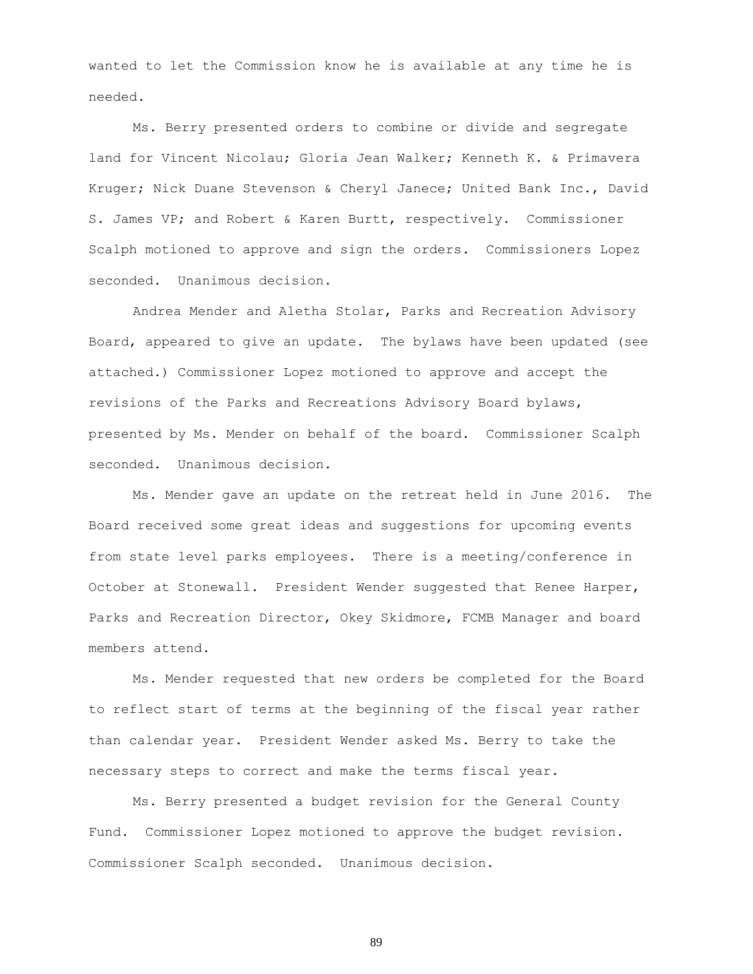wanted to let the Commission know he is available at any time he is needed.

Ms. Berry presented orders to combine or divide and segregate land for Vincent Nicolau; Gloria Jean Walker; Kenneth K. & Primavera Kruger; Nick Duane Stevenson & Cheryl Janece; United Bank Inc., David S. James VP; and Robert & Karen Burtt, respectively. Commissioner Scalph motioned to approve and sign the orders. Commissioners Lopez seconded. Unanimous decision.

Andrea Mender and Aletha Stolar, Parks and Recreation Advisory Board, appeared to give an update. The bylaws have been updated (see attached.) Commissioner Lopez motioned to approve and accept the revisions of the Parks and Recreations Advisory Board bylaws, presented by Ms. Mender on behalf of the board. Commissioner Scalph seconded. Unanimous decision.

Ms. Mender gave an update on the retreat held in June 2016. The Board received some great ideas and suggestions for upcoming events from state level parks employees. There is a meeting/conference in October at Stonewall. President Wender suggested that Renee Harper, Parks and Recreation Director, Okey Skidmore, FCMB Manager and board members attend.

Ms. Mender requested that new orders be completed for the Board to reflect start of terms at the beginning of the fiscal year rather than calendar year. President Wender asked Ms. Berry to take the necessary steps to correct and make the terms fiscal year.

Ms. Berry presented a budget revision for the General County Fund. Commissioner Lopez motioned to approve the budget revision. Commissioner Scalph seconded. Unanimous decision.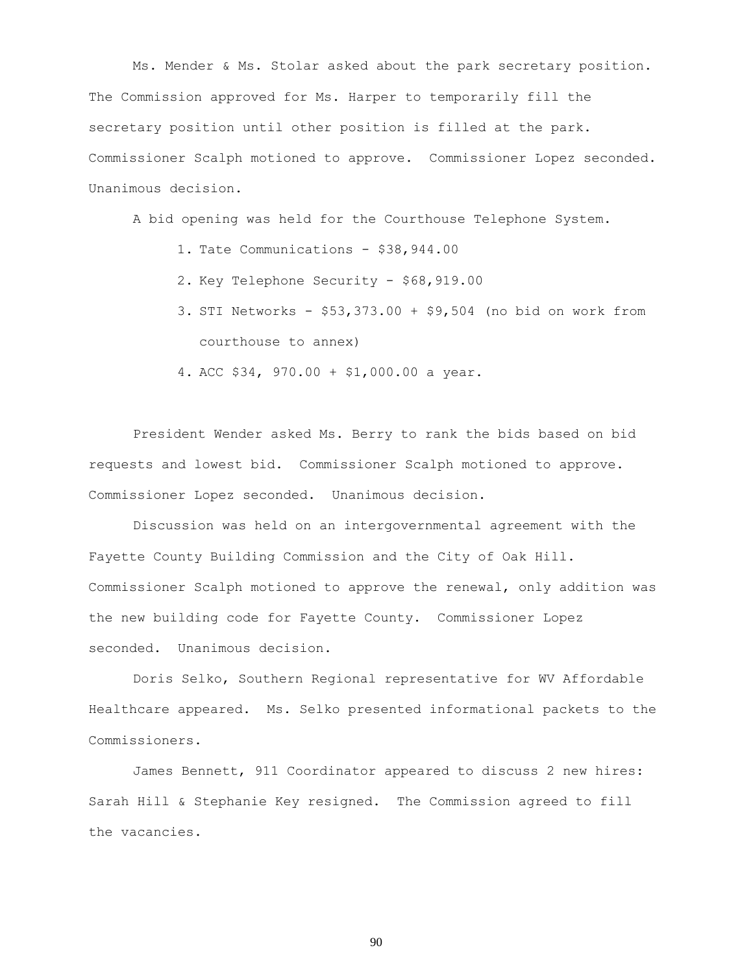Ms. Mender & Ms. Stolar asked about the park secretary position. The Commission approved for Ms. Harper to temporarily fill the secretary position until other position is filled at the park. Commissioner Scalph motioned to approve. Commissioner Lopez seconded. Unanimous decision.

A bid opening was held for the Courthouse Telephone System.

- 1. Tate Communications \$38,944.00
- 2. Key Telephone Security \$68,919.00
- 3. STI Networks \$53,373.00 + \$9,504 (no bid on work from courthouse to annex)
- 4. ACC \$34, 970.00 + \$1,000.00 a year.

President Wender asked Ms. Berry to rank the bids based on bid requests and lowest bid. Commissioner Scalph motioned to approve. Commissioner Lopez seconded. Unanimous decision.

Discussion was held on an intergovernmental agreement with the Fayette County Building Commission and the City of Oak Hill. Commissioner Scalph motioned to approve the renewal, only addition was the new building code for Fayette County. Commissioner Lopez seconded. Unanimous decision.

Doris Selko, Southern Regional representative for WV Affordable Healthcare appeared. Ms. Selko presented informational packets to the Commissioners.

James Bennett, 911 Coordinator appeared to discuss 2 new hires: Sarah Hill & Stephanie Key resigned. The Commission agreed to fill the vacancies.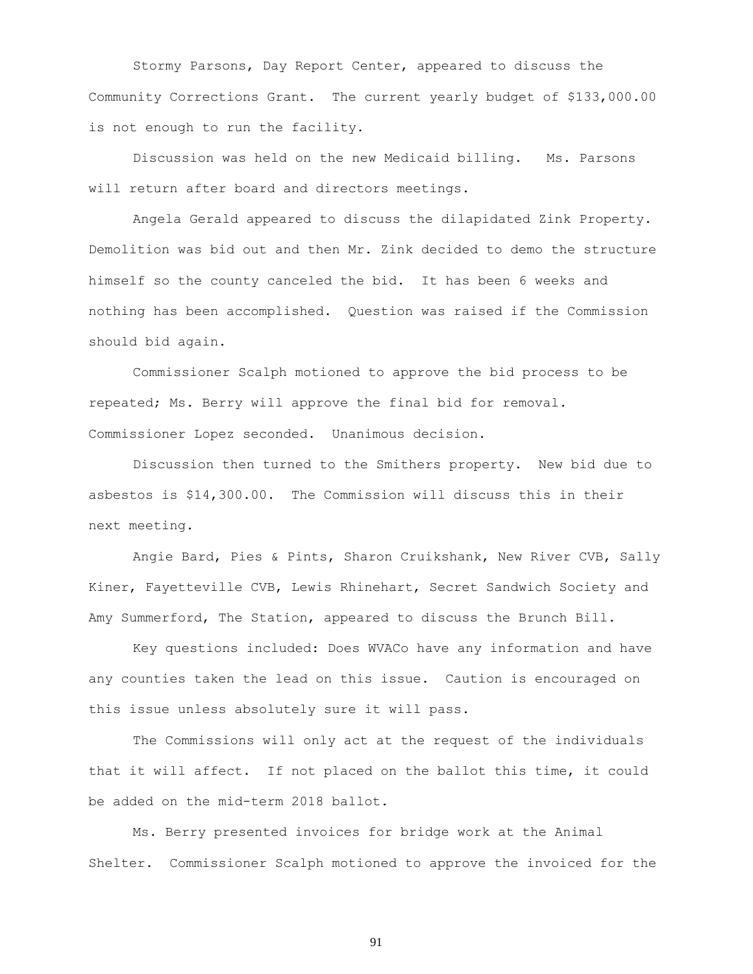Stormy Parsons, Day Report Center, appeared to discuss the Community Corrections Grant. The current yearly budget of \$133,000.00 is not enough to run the facility.

Discussion was held on the new Medicaid billing. Ms. Parsons will return after board and directors meetings.

Angela Gerald appeared to discuss the dilapidated Zink Property. Demolition was bid out and then Mr. Zink decided to demo the structure himself so the county canceled the bid. It has been 6 weeks and nothing has been accomplished. Question was raised if the Commission should bid again.

Commissioner Scalph motioned to approve the bid process to be repeated; Ms. Berry will approve the final bid for removal. Commissioner Lopez seconded. Unanimous decision.

Discussion then turned to the Smithers property. New bid due to asbestos is \$14,300.00. The Commission will discuss this in their next meeting.

Angie Bard, Pies & Pints, Sharon Cruikshank, New River CVB, Sally Kiner, Fayetteville CVB, Lewis Rhinehart, Secret Sandwich Society and Amy Summerford, The Station, appeared to discuss the Brunch Bill.

Key questions included: Does WVACo have any information and have any counties taken the lead on this issue. Caution is encouraged on this issue unless absolutely sure it will pass.

The Commissions will only act at the request of the individuals that it will affect. If not placed on the ballot this time, it could be added on the mid-term 2018 ballot.

Ms. Berry presented invoices for bridge work at the Animal Shelter. Commissioner Scalph motioned to approve the invoiced for the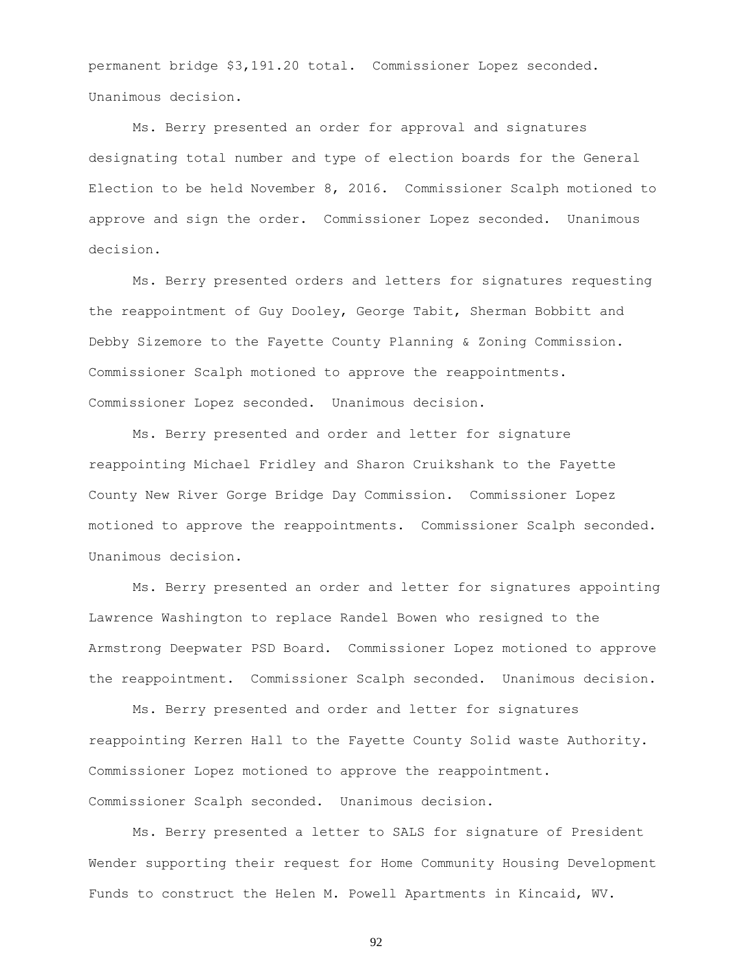permanent bridge \$3,191.20 total. Commissioner Lopez seconded. Unanimous decision.

Ms. Berry presented an order for approval and signatures designating total number and type of election boards for the General Election to be held November 8, 2016. Commissioner Scalph motioned to approve and sign the order. Commissioner Lopez seconded. Unanimous decision.

Ms. Berry presented orders and letters for signatures requesting the reappointment of Guy Dooley, George Tabit, Sherman Bobbitt and Debby Sizemore to the Fayette County Planning & Zoning Commission. Commissioner Scalph motioned to approve the reappointments. Commissioner Lopez seconded. Unanimous decision.

Ms. Berry presented and order and letter for signature reappointing Michael Fridley and Sharon Cruikshank to the Fayette County New River Gorge Bridge Day Commission. Commissioner Lopez motioned to approve the reappointments. Commissioner Scalph seconded. Unanimous decision.

Ms. Berry presented an order and letter for signatures appointing Lawrence Washington to replace Randel Bowen who resigned to the Armstrong Deepwater PSD Board. Commissioner Lopez motioned to approve the reappointment. Commissioner Scalph seconded. Unanimous decision.

Ms. Berry presented and order and letter for signatures reappointing Kerren Hall to the Fayette County Solid waste Authority. Commissioner Lopez motioned to approve the reappointment. Commissioner Scalph seconded. Unanimous decision.

Ms. Berry presented a letter to SALS for signature of President Wender supporting their request for Home Community Housing Development Funds to construct the Helen M. Powell Apartments in Kincaid, WV.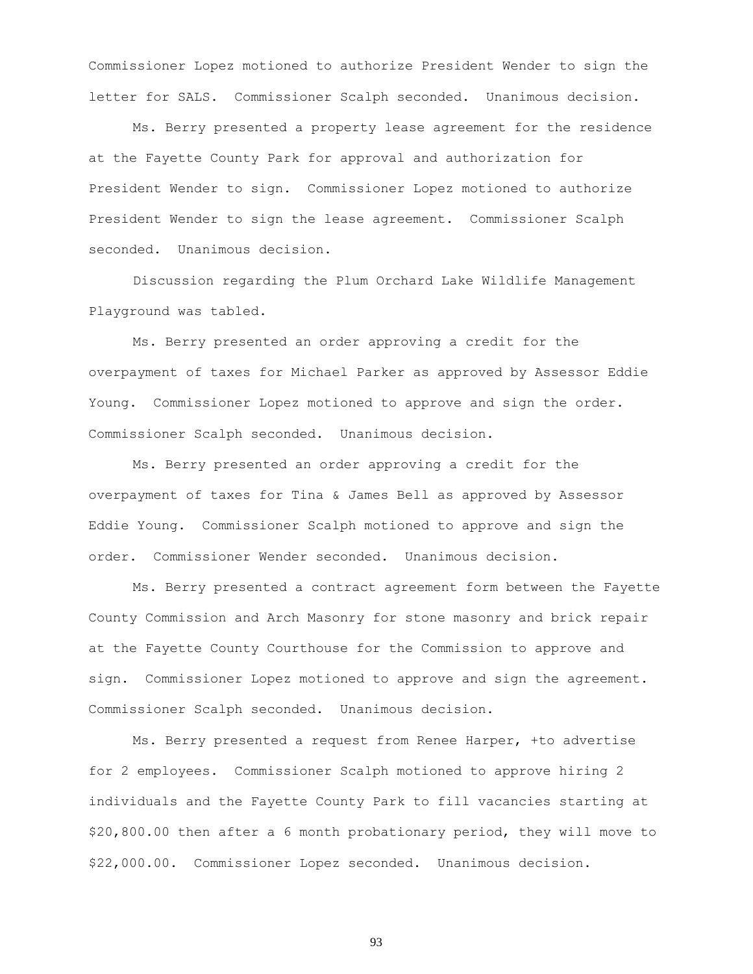Commissioner Lopez motioned to authorize President Wender to sign the letter for SALS. Commissioner Scalph seconded. Unanimous decision.

Ms. Berry presented a property lease agreement for the residence at the Fayette County Park for approval and authorization for President Wender to sign. Commissioner Lopez motioned to authorize President Wender to sign the lease agreement. Commissioner Scalph seconded. Unanimous decision.

Discussion regarding the Plum Orchard Lake Wildlife Management Playground was tabled.

Ms. Berry presented an order approving a credit for the overpayment of taxes for Michael Parker as approved by Assessor Eddie Young. Commissioner Lopez motioned to approve and sign the order. Commissioner Scalph seconded. Unanimous decision.

Ms. Berry presented an order approving a credit for the overpayment of taxes for Tina & James Bell as approved by Assessor Eddie Young. Commissioner Scalph motioned to approve and sign the order. Commissioner Wender seconded. Unanimous decision.

Ms. Berry presented a contract agreement form between the Fayette County Commission and Arch Masonry for stone masonry and brick repair at the Fayette County Courthouse for the Commission to approve and sign. Commissioner Lopez motioned to approve and sign the agreement. Commissioner Scalph seconded. Unanimous decision.

Ms. Berry presented a request from Renee Harper, +to advertise for 2 employees. Commissioner Scalph motioned to approve hiring 2 individuals and the Fayette County Park to fill vacancies starting at \$20,800.00 then after a 6 month probationary period, they will move to \$22,000.00. Commissioner Lopez seconded. Unanimous decision.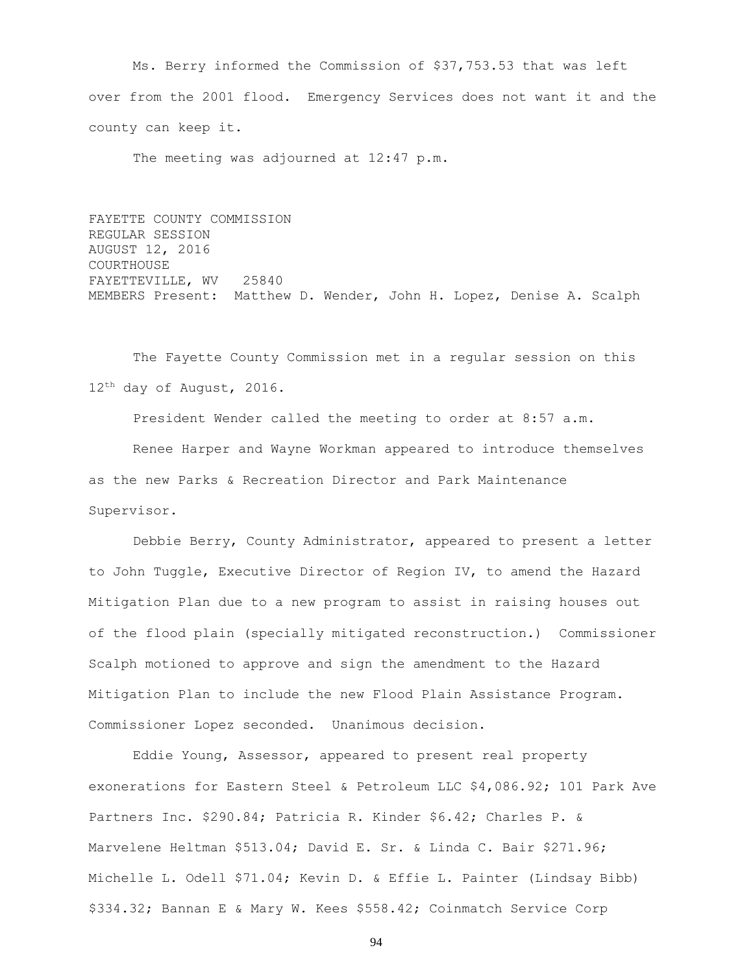Ms. Berry informed the Commission of \$37,753.53 that was left over from the 2001 flood. Emergency Services does not want it and the county can keep it.

The meeting was adjourned at 12:47 p.m.

FAYETTE COUNTY COMMISSION REGULAR SESSION AUGUST 12, 2016 COURTHOUSE FAYETTEVILLE, WV 25840 MEMBERS Present: Matthew D. Wender, John H. Lopez, Denise A. Scalph

The Fayette County Commission met in a regular session on this 12th day of August, 2016.

President Wender called the meeting to order at 8:57 a.m.

Renee Harper and Wayne Workman appeared to introduce themselves as the new Parks & Recreation Director and Park Maintenance Supervisor.

Debbie Berry, County Administrator, appeared to present a letter to John Tuggle, Executive Director of Region IV, to amend the Hazard Mitigation Plan due to a new program to assist in raising houses out of the flood plain (specially mitigated reconstruction.) Commissioner Scalph motioned to approve and sign the amendment to the Hazard Mitigation Plan to include the new Flood Plain Assistance Program. Commissioner Lopez seconded. Unanimous decision.

Eddie Young, Assessor, appeared to present real property exonerations for Eastern Steel & Petroleum LLC \$4,086.92; 101 Park Ave Partners Inc. \$290.84; Patricia R. Kinder \$6.42; Charles P. & Marvelene Heltman \$513.04; David E. Sr. & Linda C. Bair \$271.96; Michelle L. Odell \$71.04; Kevin D. & Effie L. Painter (Lindsay Bibb) \$334.32; Bannan E & Mary W. Kees \$558.42; Coinmatch Service Corp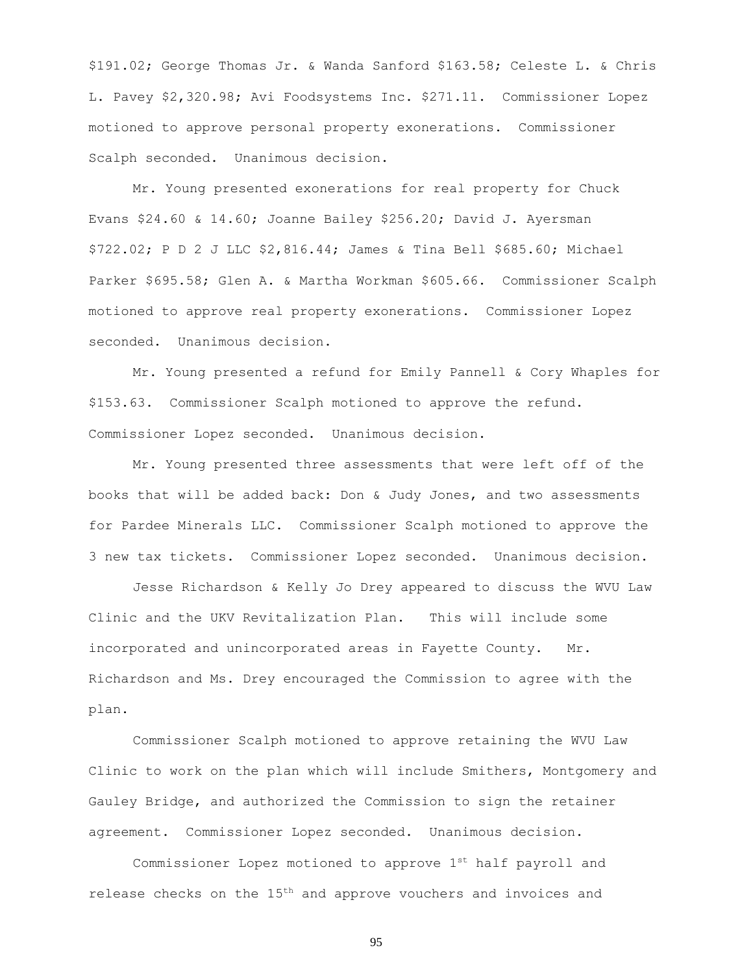\$191.02; George Thomas Jr. & Wanda Sanford \$163.58; Celeste L. & Chris L. Pavey \$2,320.98; Avi Foodsystems Inc. \$271.11. Commissioner Lopez motioned to approve personal property exonerations. Commissioner Scalph seconded. Unanimous decision.

Mr. Young presented exonerations for real property for Chuck Evans \$24.60 & 14.60; Joanne Bailey \$256.20; David J. Ayersman \$722.02; P D 2 J LLC \$2,816.44; James & Tina Bell \$685.60; Michael Parker \$695.58; Glen A. & Martha Workman \$605.66. Commissioner Scalph motioned to approve real property exonerations. Commissioner Lopez seconded. Unanimous decision.

Mr. Young presented a refund for Emily Pannell & Cory Whaples for \$153.63. Commissioner Scalph motioned to approve the refund. Commissioner Lopez seconded. Unanimous decision.

Mr. Young presented three assessments that were left off of the books that will be added back: Don & Judy Jones, and two assessments for Pardee Minerals LLC. Commissioner Scalph motioned to approve the 3 new tax tickets. Commissioner Lopez seconded. Unanimous decision.

Jesse Richardson & Kelly Jo Drey appeared to discuss the WVU Law Clinic and the UKV Revitalization Plan. This will include some incorporated and unincorporated areas in Fayette County. Mr. Richardson and Ms. Drey encouraged the Commission to agree with the plan.

Commissioner Scalph motioned to approve retaining the WVU Law Clinic to work on the plan which will include Smithers, Montgomery and Gauley Bridge, and authorized the Commission to sign the retainer agreement. Commissioner Lopez seconded. Unanimous decision.

Commissioner Lopez motioned to approve 1st half payroll and release checks on the 15th and approve vouchers and invoices and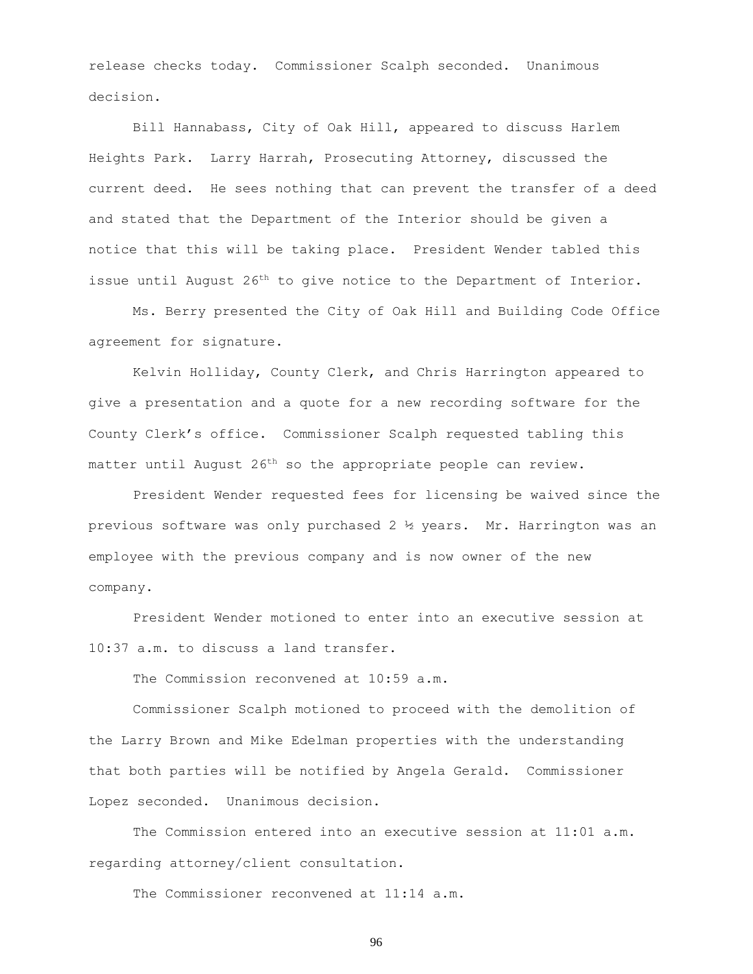release checks today. Commissioner Scalph seconded. Unanimous decision.

Bill Hannabass, City of Oak Hill, appeared to discuss Harlem Heights Park. Larry Harrah, Prosecuting Attorney, discussed the current deed. He sees nothing that can prevent the transfer of a deed and stated that the Department of the Interior should be given a notice that this will be taking place. President Wender tabled this issue until August 26<sup>th</sup> to give notice to the Department of Interior.

Ms. Berry presented the City of Oak Hill and Building Code Office agreement for signature.

Kelvin Holliday, County Clerk, and Chris Harrington appeared to give a presentation and a quote for a new recording software for the County Clerk's office. Commissioner Scalph requested tabling this matter until August 26<sup>th</sup> so the appropriate people can review.

President Wender requested fees for licensing be waived since the previous software was only purchased 2 ½ years. Mr. Harrington was an employee with the previous company and is now owner of the new company.

President Wender motioned to enter into an executive session at 10:37 a.m. to discuss a land transfer.

The Commission reconvened at 10:59 a.m.

Commissioner Scalph motioned to proceed with the demolition of the Larry Brown and Mike Edelman properties with the understanding that both parties will be notified by Angela Gerald. Commissioner Lopez seconded. Unanimous decision.

The Commission entered into an executive session at 11:01 a.m. regarding attorney/client consultation.

The Commissioner reconvened at 11:14 a.m.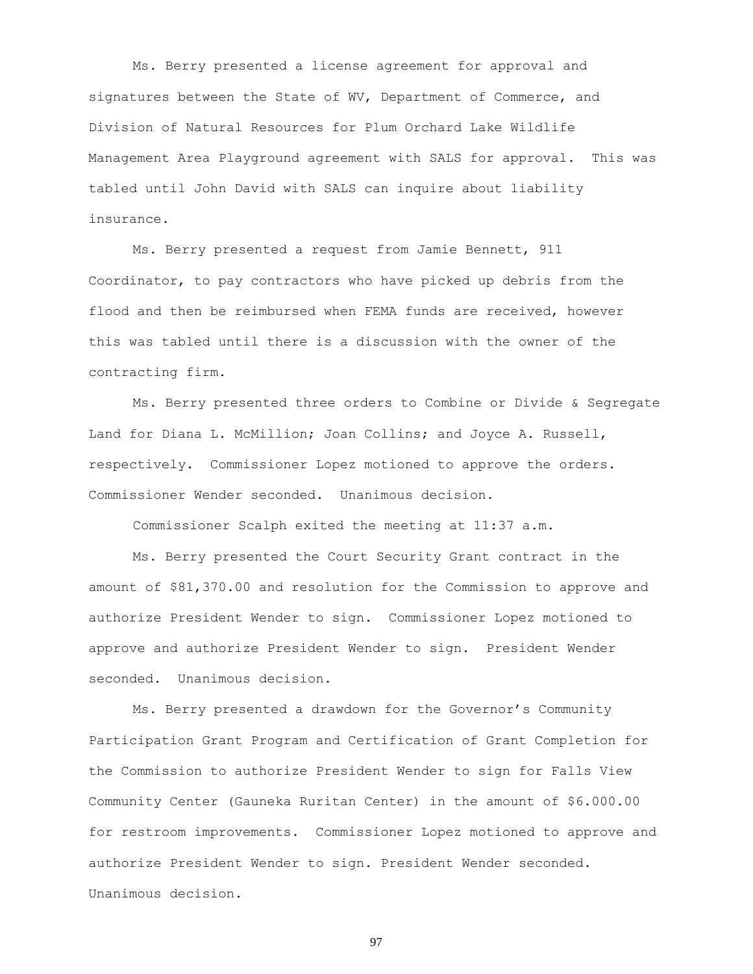Ms. Berry presented a license agreement for approval and signatures between the State of WV, Department of Commerce, and Division of Natural Resources for Plum Orchard Lake Wildlife Management Area Playground agreement with SALS for approval. This was tabled until John David with SALS can inquire about liability insurance.

Ms. Berry presented a request from Jamie Bennett, 911 Coordinator, to pay contractors who have picked up debris from the flood and then be reimbursed when FEMA funds are received, however this was tabled until there is a discussion with the owner of the contracting firm.

Ms. Berry presented three orders to Combine or Divide & Segregate Land for Diana L. McMillion; Joan Collins; and Joyce A. Russell, respectively. Commissioner Lopez motioned to approve the orders. Commissioner Wender seconded. Unanimous decision.

Commissioner Scalph exited the meeting at 11:37 a.m.

Ms. Berry presented the Court Security Grant contract in the amount of \$81,370.00 and resolution for the Commission to approve and authorize President Wender to sign. Commissioner Lopez motioned to approve and authorize President Wender to sign. President Wender seconded. Unanimous decision.

Ms. Berry presented a drawdown for the Governor's Community Participation Grant Program and Certification of Grant Completion for the Commission to authorize President Wender to sign for Falls View Community Center (Gauneka Ruritan Center) in the amount of \$6.000.00 for restroom improvements. Commissioner Lopez motioned to approve and authorize President Wender to sign. President Wender seconded. Unanimous decision.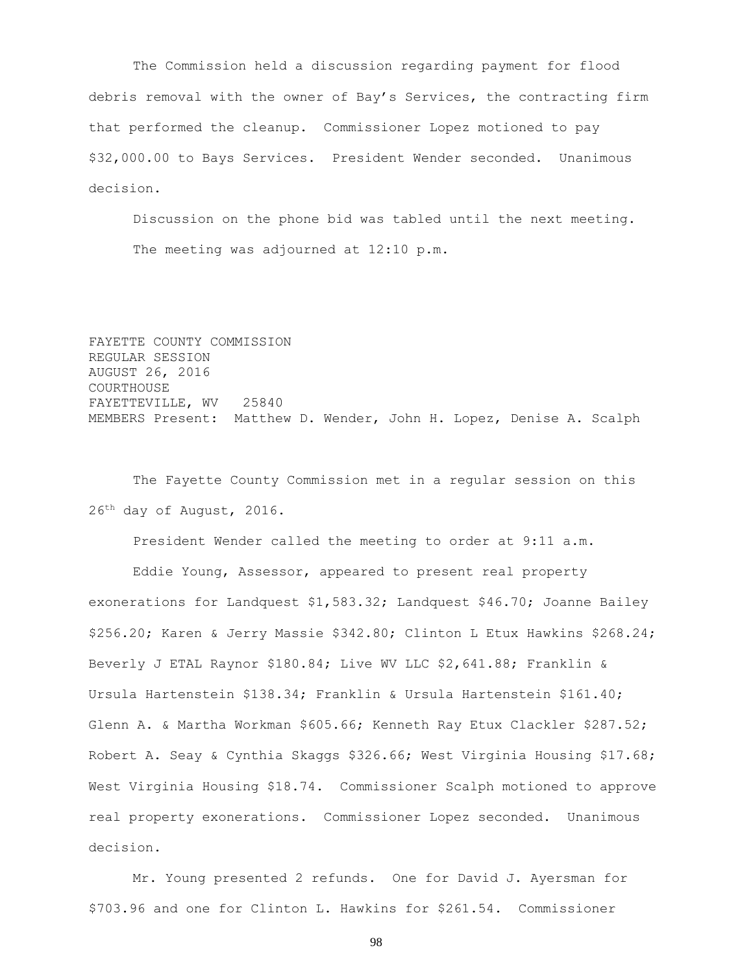The Commission held a discussion regarding payment for flood debris removal with the owner of Bay's Services, the contracting firm that performed the cleanup. Commissioner Lopez motioned to pay \$32,000.00 to Bays Services. President Wender seconded. Unanimous decision.

Discussion on the phone bid was tabled until the next meeting. The meeting was adjourned at 12:10 p.m.

FAYETTE COUNTY COMMISSION REGULAR SESSION AUGUST 26, 2016 COURTHOUSE FAYETTEVILLE, WV 25840 MEMBERS Present: Matthew D. Wender, John H. Lopez, Denise A. Scalph

The Fayette County Commission met in a regular session on this 26th day of August, 2016.

President Wender called the meeting to order at 9:11 a.m.

Eddie Young, Assessor, appeared to present real property exonerations for Landquest \$1,583.32; Landquest \$46.70; Joanne Bailey \$256.20; Karen & Jerry Massie \$342.80; Clinton L Etux Hawkins \$268.24; Beverly J ETAL Raynor \$180.84; Live WV LLC \$2,641.88; Franklin & Ursula Hartenstein \$138.34; Franklin & Ursula Hartenstein \$161.40; Glenn A. & Martha Workman \$605.66; Kenneth Ray Etux Clackler \$287.52; Robert A. Seay & Cynthia Skaggs \$326.66; West Virginia Housing \$17.68; West Virginia Housing \$18.74. Commissioner Scalph motioned to approve real property exonerations. Commissioner Lopez seconded. Unanimous decision.

Mr. Young presented 2 refunds. One for David J. Ayersman for \$703.96 and one for Clinton L. Hawkins for \$261.54. Commissioner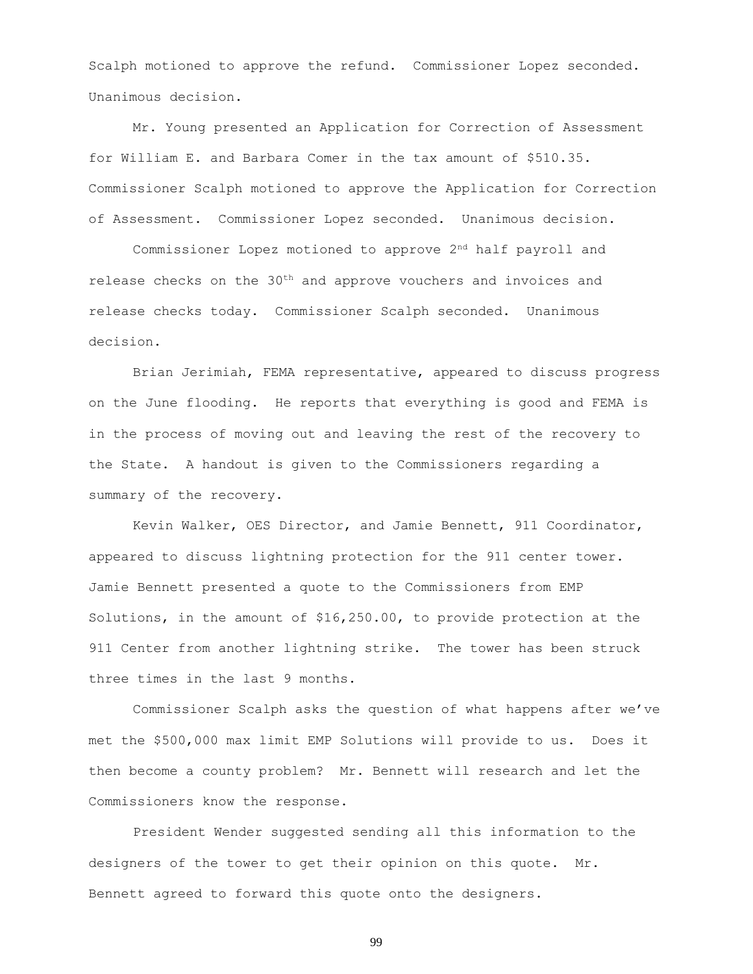Scalph motioned to approve the refund. Commissioner Lopez seconded. Unanimous decision.

Mr. Young presented an Application for Correction of Assessment for William E. and Barbara Comer in the tax amount of \$510.35. Commissioner Scalph motioned to approve the Application for Correction of Assessment. Commissioner Lopez seconded. Unanimous decision.

Commissioner Lopez motioned to approve 2nd half payroll and release checks on the  $30<sup>th</sup>$  and approve vouchers and invoices and release checks today. Commissioner Scalph seconded. Unanimous decision.

Brian Jerimiah, FEMA representative, appeared to discuss progress on the June flooding. He reports that everything is good and FEMA is in the process of moving out and leaving the rest of the recovery to the State. A handout is given to the Commissioners regarding a summary of the recovery.

Kevin Walker, OES Director, and Jamie Bennett, 911 Coordinator, appeared to discuss lightning protection for the 911 center tower. Jamie Bennett presented a quote to the Commissioners from EMP Solutions, in the amount of \$16,250.00, to provide protection at the 911 Center from another lightning strike. The tower has been struck three times in the last 9 months.

Commissioner Scalph asks the question of what happens after we've met the \$500,000 max limit EMP Solutions will provide to us. Does it then become a county problem? Mr. Bennett will research and let the Commissioners know the response.

President Wender suggested sending all this information to the designers of the tower to get their opinion on this quote. Mr. Bennett agreed to forward this quote onto the designers.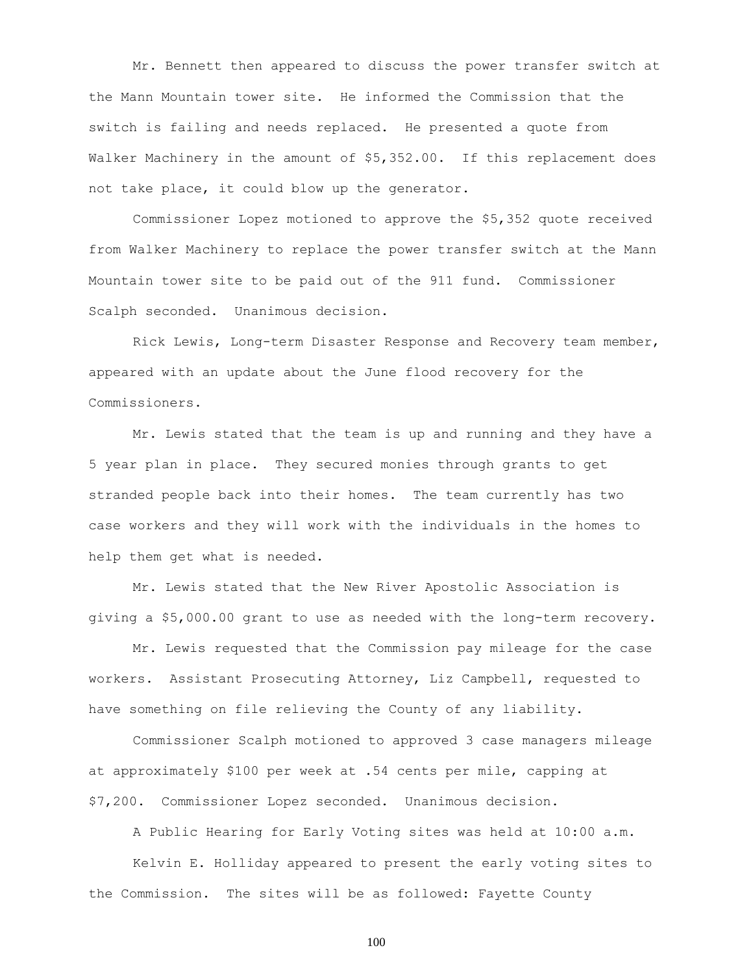Mr. Bennett then appeared to discuss the power transfer switch at the Mann Mountain tower site. He informed the Commission that the switch is failing and needs replaced. He presented a quote from Walker Machinery in the amount of \$5,352.00. If this replacement does not take place, it could blow up the generator.

Commissioner Lopez motioned to approve the \$5,352 quote received from Walker Machinery to replace the power transfer switch at the Mann Mountain tower site to be paid out of the 911 fund. Commissioner Scalph seconded. Unanimous decision.

Rick Lewis, Long-term Disaster Response and Recovery team member, appeared with an update about the June flood recovery for the Commissioners.

Mr. Lewis stated that the team is up and running and they have a 5 year plan in place. They secured monies through grants to get stranded people back into their homes. The team currently has two case workers and they will work with the individuals in the homes to help them get what is needed.

Mr. Lewis stated that the New River Apostolic Association is giving a \$5,000.00 grant to use as needed with the long-term recovery.

Mr. Lewis requested that the Commission pay mileage for the case workers. Assistant Prosecuting Attorney, Liz Campbell, requested to have something on file relieving the County of any liability.

Commissioner Scalph motioned to approved 3 case managers mileage at approximately \$100 per week at .54 cents per mile, capping at \$7,200. Commissioner Lopez seconded. Unanimous decision.

A Public Hearing for Early Voting sites was held at 10:00 a.m.

Kelvin E. Holliday appeared to present the early voting sites to the Commission. The sites will be as followed: Fayette County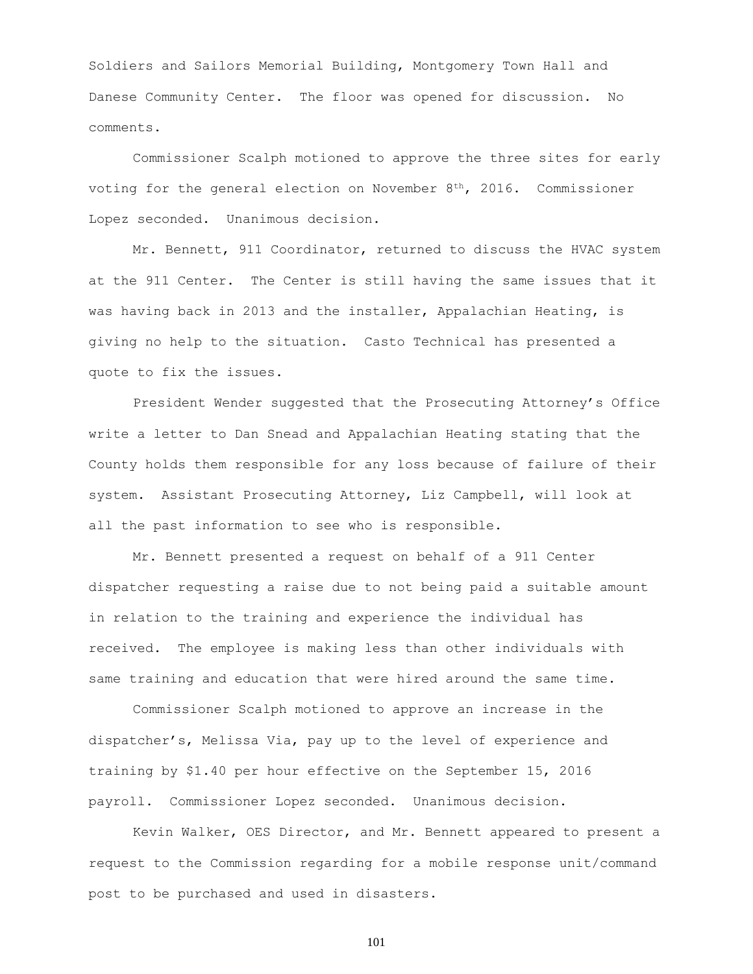Soldiers and Sailors Memorial Building, Montgomery Town Hall and Danese Community Center. The floor was opened for discussion. No comments.

Commissioner Scalph motioned to approve the three sites for early voting for the general election on November  $8<sup>th</sup>$ , 2016. Commissioner Lopez seconded. Unanimous decision.

Mr. Bennett, 911 Coordinator, returned to discuss the HVAC system at the 911 Center. The Center is still having the same issues that it was having back in 2013 and the installer, Appalachian Heating, is giving no help to the situation. Casto Technical has presented a quote to fix the issues.

President Wender suggested that the Prosecuting Attorney's Office write a letter to Dan Snead and Appalachian Heating stating that the County holds them responsible for any loss because of failure of their system. Assistant Prosecuting Attorney, Liz Campbell, will look at all the past information to see who is responsible.

Mr. Bennett presented a request on behalf of a 911 Center dispatcher requesting a raise due to not being paid a suitable amount in relation to the training and experience the individual has received. The employee is making less than other individuals with same training and education that were hired around the same time.

Commissioner Scalph motioned to approve an increase in the dispatcher's, Melissa Via, pay up to the level of experience and training by \$1.40 per hour effective on the September 15, 2016 payroll. Commissioner Lopez seconded. Unanimous decision.

Kevin Walker, OES Director, and Mr. Bennett appeared to present a request to the Commission regarding for a mobile response unit/command post to be purchased and used in disasters.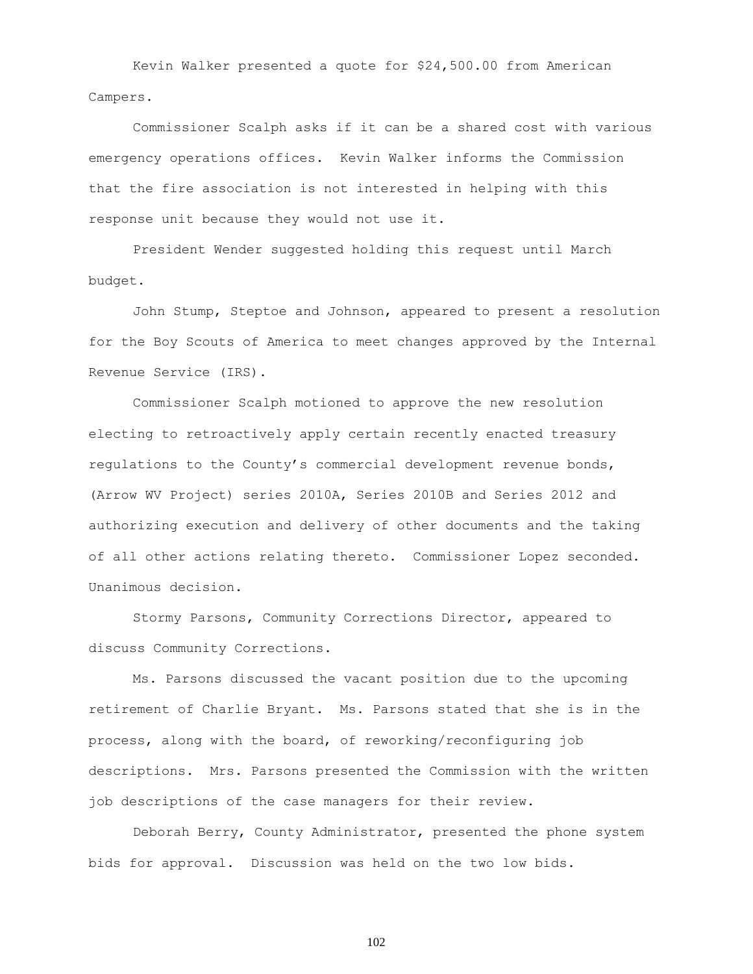Kevin Walker presented a quote for \$24,500.00 from American Campers.

Commissioner Scalph asks if it can be a shared cost with various emergency operations offices. Kevin Walker informs the Commission that the fire association is not interested in helping with this response unit because they would not use it.

President Wender suggested holding this request until March budget.

John Stump, Steptoe and Johnson, appeared to present a resolution for the Boy Scouts of America to meet changes approved by the Internal Revenue Service (IRS).

Commissioner Scalph motioned to approve the new resolution electing to retroactively apply certain recently enacted treasury regulations to the County's commercial development revenue bonds, (Arrow WV Project) series 2010A, Series 2010B and Series 2012 and authorizing execution and delivery of other documents and the taking of all other actions relating thereto. Commissioner Lopez seconded. Unanimous decision.

Stormy Parsons, Community Corrections Director, appeared to discuss Community Corrections.

Ms. Parsons discussed the vacant position due to the upcoming retirement of Charlie Bryant. Ms. Parsons stated that she is in the process, along with the board, of reworking/reconfiguring job descriptions. Mrs. Parsons presented the Commission with the written job descriptions of the case managers for their review.

Deborah Berry, County Administrator, presented the phone system bids for approval. Discussion was held on the two low bids.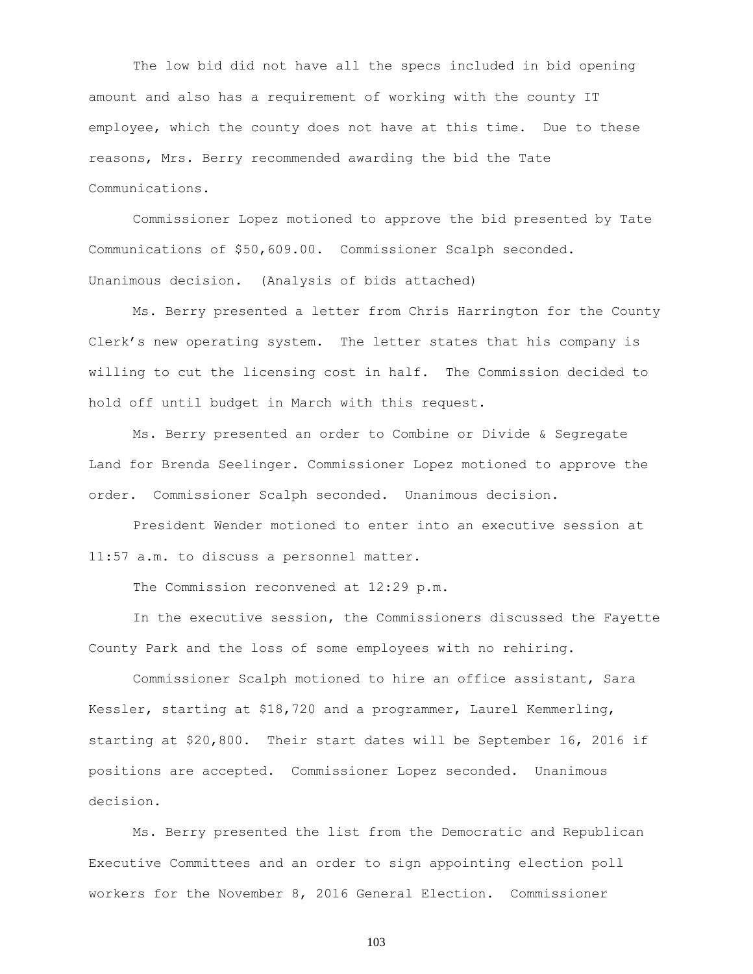The low bid did not have all the specs included in bid opening amount and also has a requirement of working with the county IT employee, which the county does not have at this time. Due to these reasons, Mrs. Berry recommended awarding the bid the Tate Communications.

Commissioner Lopez motioned to approve the bid presented by Tate Communications of \$50,609.00. Commissioner Scalph seconded. Unanimous decision. (Analysis of bids attached)

Ms. Berry presented a letter from Chris Harrington for the County Clerk's new operating system. The letter states that his company is willing to cut the licensing cost in half. The Commission decided to hold off until budget in March with this request.

Ms. Berry presented an order to Combine or Divide & Segregate Land for Brenda Seelinger. Commissioner Lopez motioned to approve the order. Commissioner Scalph seconded. Unanimous decision.

President Wender motioned to enter into an executive session at 11:57 a.m. to discuss a personnel matter.

The Commission reconvened at 12:29 p.m.

In the executive session, the Commissioners discussed the Fayette County Park and the loss of some employees with no rehiring.

Commissioner Scalph motioned to hire an office assistant, Sara Kessler, starting at \$18,720 and a programmer, Laurel Kemmerling, starting at \$20,800. Their start dates will be September 16, 2016 if positions are accepted. Commissioner Lopez seconded. Unanimous decision.

Ms. Berry presented the list from the Democratic and Republican Executive Committees and an order to sign appointing election poll workers for the November 8, 2016 General Election. Commissioner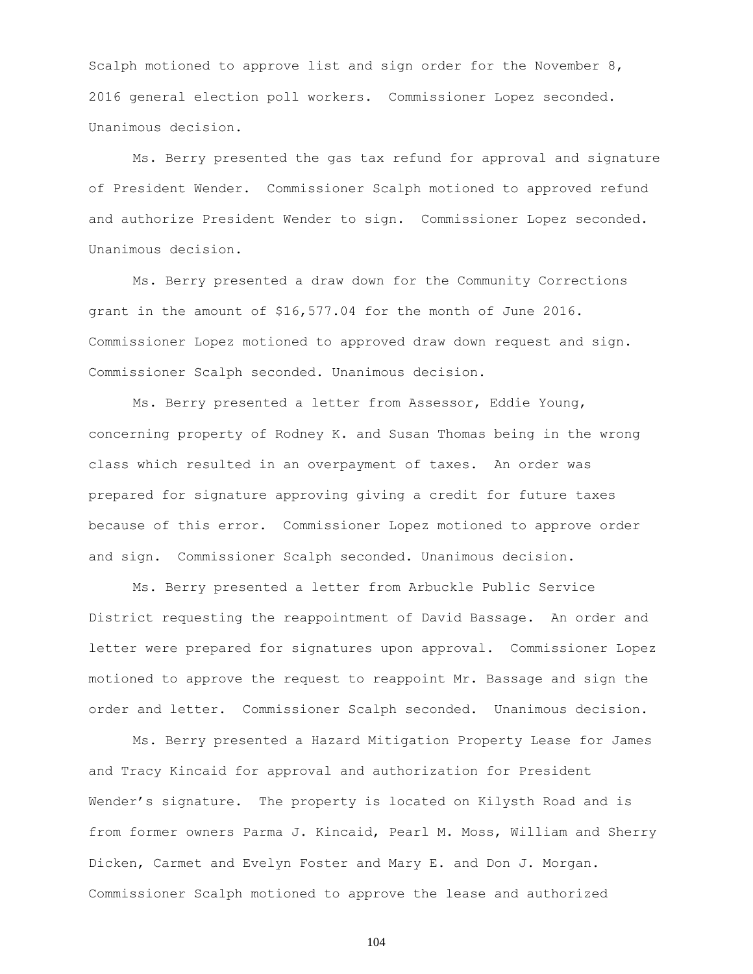Scalph motioned to approve list and sign order for the November 8, 2016 general election poll workers. Commissioner Lopez seconded. Unanimous decision.

Ms. Berry presented the gas tax refund for approval and signature of President Wender. Commissioner Scalph motioned to approved refund and authorize President Wender to sign. Commissioner Lopez seconded. Unanimous decision.

Ms. Berry presented a draw down for the Community Corrections grant in the amount of \$16,577.04 for the month of June 2016. Commissioner Lopez motioned to approved draw down request and sign. Commissioner Scalph seconded. Unanimous decision.

Ms. Berry presented a letter from Assessor, Eddie Young, concerning property of Rodney K. and Susan Thomas being in the wrong class which resulted in an overpayment of taxes. An order was prepared for signature approving giving a credit for future taxes because of this error. Commissioner Lopez motioned to approve order and sign. Commissioner Scalph seconded. Unanimous decision.

Ms. Berry presented a letter from Arbuckle Public Service District requesting the reappointment of David Bassage. An order and letter were prepared for signatures upon approval. Commissioner Lopez motioned to approve the request to reappoint Mr. Bassage and sign the order and letter. Commissioner Scalph seconded. Unanimous decision.

Ms. Berry presented a Hazard Mitigation Property Lease for James and Tracy Kincaid for approval and authorization for President Wender's signature. The property is located on Kilysth Road and is from former owners Parma J. Kincaid, Pearl M. Moss, William and Sherry Dicken, Carmet and Evelyn Foster and Mary E. and Don J. Morgan. Commissioner Scalph motioned to approve the lease and authorized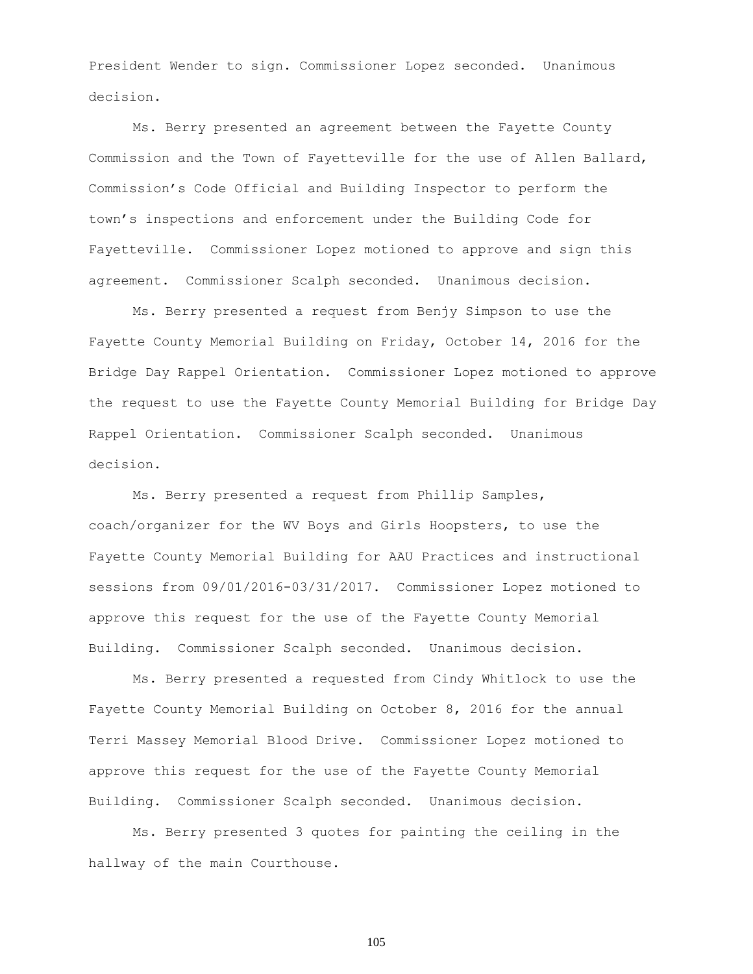President Wender to sign. Commissioner Lopez seconded. Unanimous decision.

Ms. Berry presented an agreement between the Fayette County Commission and the Town of Fayetteville for the use of Allen Ballard, Commission's Code Official and Building Inspector to perform the town's inspections and enforcement under the Building Code for Fayetteville. Commissioner Lopez motioned to approve and sign this agreement. Commissioner Scalph seconded. Unanimous decision.

Ms. Berry presented a request from Benjy Simpson to use the Fayette County Memorial Building on Friday, October 14, 2016 for the Bridge Day Rappel Orientation. Commissioner Lopez motioned to approve the request to use the Fayette County Memorial Building for Bridge Day Rappel Orientation. Commissioner Scalph seconded. Unanimous decision.

Ms. Berry presented a request from Phillip Samples, coach/organizer for the WV Boys and Girls Hoopsters, to use the Fayette County Memorial Building for AAU Practices and instructional sessions from 09/01/2016-03/31/2017. Commissioner Lopez motioned to approve this request for the use of the Fayette County Memorial Building. Commissioner Scalph seconded. Unanimous decision.

Ms. Berry presented a requested from Cindy Whitlock to use the Fayette County Memorial Building on October 8, 2016 for the annual Terri Massey Memorial Blood Drive. Commissioner Lopez motioned to approve this request for the use of the Fayette County Memorial Building. Commissioner Scalph seconded. Unanimous decision.

Ms. Berry presented 3 quotes for painting the ceiling in the hallway of the main Courthouse.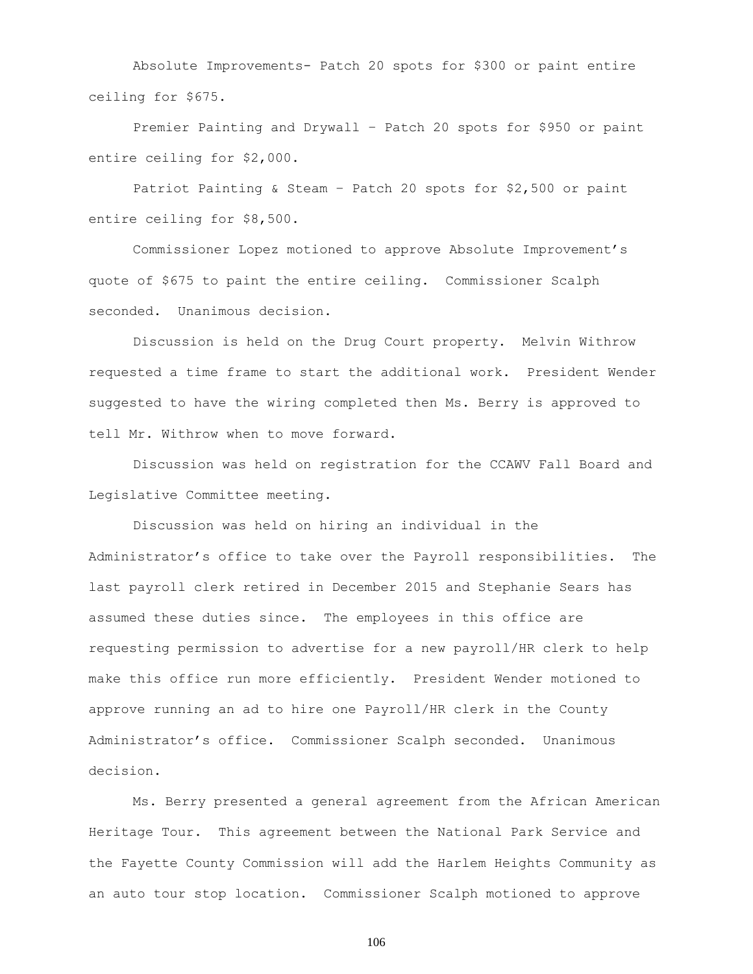Absolute Improvements- Patch 20 spots for \$300 or paint entire ceiling for \$675.

Premier Painting and Drywall – Patch 20 spots for \$950 or paint entire ceiling for \$2,000.

Patriot Painting & Steam – Patch 20 spots for \$2,500 or paint entire ceiling for \$8,500.

Commissioner Lopez motioned to approve Absolute Improvement's quote of \$675 to paint the entire ceiling. Commissioner Scalph seconded. Unanimous decision.

Discussion is held on the Drug Court property. Melvin Withrow requested a time frame to start the additional work. President Wender suggested to have the wiring completed then Ms. Berry is approved to tell Mr. Withrow when to move forward.

Discussion was held on registration for the CCAWV Fall Board and Legislative Committee meeting.

Discussion was held on hiring an individual in the Administrator's office to take over the Payroll responsibilities. The last payroll clerk retired in December 2015 and Stephanie Sears has assumed these duties since. The employees in this office are requesting permission to advertise for a new payroll/HR clerk to help make this office run more efficiently. President Wender motioned to approve running an ad to hire one Payroll/HR clerk in the County Administrator's office. Commissioner Scalph seconded. Unanimous decision.

Ms. Berry presented a general agreement from the African American Heritage Tour. This agreement between the National Park Service and the Fayette County Commission will add the Harlem Heights Community as an auto tour stop location. Commissioner Scalph motioned to approve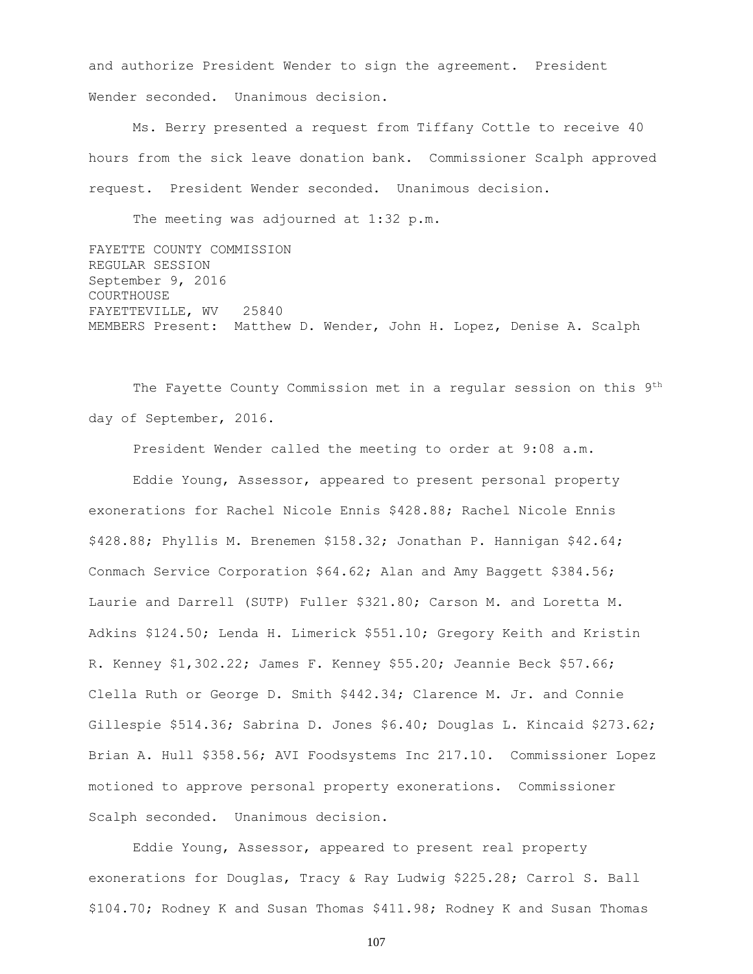and authorize President Wender to sign the agreement. President Wender seconded. Unanimous decision.

Ms. Berry presented a request from Tiffany Cottle to receive 40 hours from the sick leave donation bank. Commissioner Scalph approved request. President Wender seconded. Unanimous decision.

The meeting was adjourned at 1:32 p.m.

FAYETTE COUNTY COMMISSION REGULAR SESSION September 9, 2016 COURTHOUSE FAYETTEVILLE, WV 25840 MEMBERS Present: Matthew D. Wender, John H. Lopez, Denise A. Scalph

The Fayette County Commission met in a regular session on this 9th day of September, 2016.

President Wender called the meeting to order at 9:08 a.m.

Eddie Young, Assessor, appeared to present personal property exonerations for Rachel Nicole Ennis \$428.88; Rachel Nicole Ennis \$428.88; Phyllis M. Brenemen \$158.32; Jonathan P. Hannigan \$42.64; Conmach Service Corporation \$64.62; Alan and Amy Baggett \$384.56; Laurie and Darrell (SUTP) Fuller \$321.80; Carson M. and Loretta M. Adkins \$124.50; Lenda H. Limerick \$551.10; Gregory Keith and Kristin R. Kenney \$1,302.22; James F. Kenney \$55.20; Jeannie Beck \$57.66; Clella Ruth or George D. Smith \$442.34; Clarence M. Jr. and Connie Gillespie \$514.36; Sabrina D. Jones \$6.40; Douglas L. Kincaid \$273.62; Brian A. Hull \$358.56; AVI Foodsystems Inc 217.10. Commissioner Lopez motioned to approve personal property exonerations. Commissioner Scalph seconded. Unanimous decision.

Eddie Young, Assessor, appeared to present real property exonerations for Douglas, Tracy & Ray Ludwig \$225.28; Carrol S. Ball \$104.70; Rodney K and Susan Thomas \$411.98; Rodney K and Susan Thomas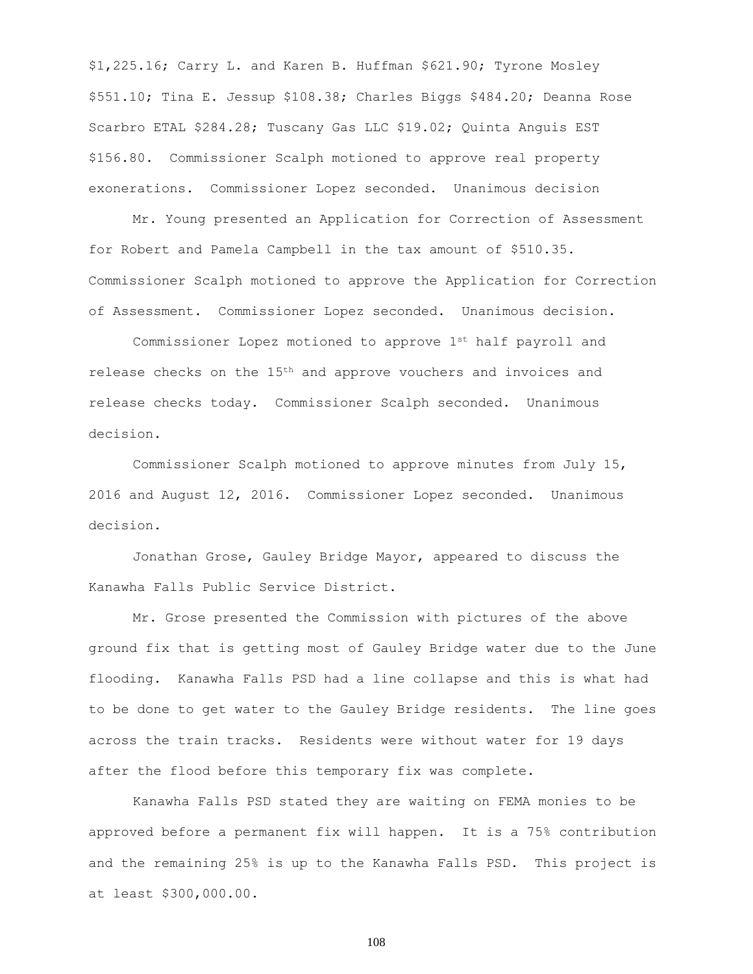\$1,225.16; Carry L. and Karen B. Huffman \$621.90; Tyrone Mosley \$551.10; Tina E. Jessup \$108.38; Charles Biggs \$484.20; Deanna Rose Scarbro ETAL \$284.28; Tuscany Gas LLC \$19.02; Quinta Anguis EST \$156.80. Commissioner Scalph motioned to approve real property exonerations. Commissioner Lopez seconded. Unanimous decision

Mr. Young presented an Application for Correction of Assessment for Robert and Pamela Campbell in the tax amount of \$510.35. Commissioner Scalph motioned to approve the Application for Correction of Assessment. Commissioner Lopez seconded. Unanimous decision.

Commissioner Lopez motioned to approve 1st half payroll and release checks on the 15th and approve vouchers and invoices and release checks today. Commissioner Scalph seconded. Unanimous decision.

Commissioner Scalph motioned to approve minutes from July 15, 2016 and August 12, 2016. Commissioner Lopez seconded. Unanimous decision.

Jonathan Grose, Gauley Bridge Mayor, appeared to discuss the Kanawha Falls Public Service District.

Mr. Grose presented the Commission with pictures of the above ground fix that is getting most of Gauley Bridge water due to the June flooding. Kanawha Falls PSD had a line collapse and this is what had to be done to get water to the Gauley Bridge residents. The line goes across the train tracks. Residents were without water for 19 days after the flood before this temporary fix was complete.

Kanawha Falls PSD stated they are waiting on FEMA monies to be approved before a permanent fix will happen. It is a 75% contribution and the remaining 25% is up to the Kanawha Falls PSD. This project is at least \$300,000.00.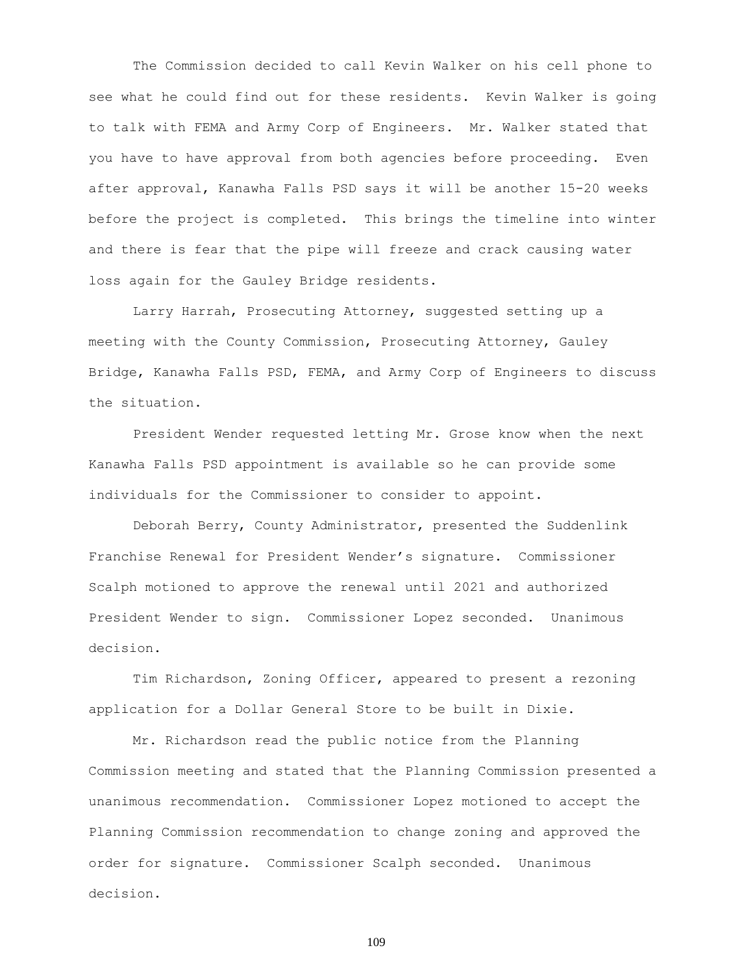The Commission decided to call Kevin Walker on his cell phone to see what he could find out for these residents. Kevin Walker is going to talk with FEMA and Army Corp of Engineers. Mr. Walker stated that you have to have approval from both agencies before proceeding. Even after approval, Kanawha Falls PSD says it will be another 15-20 weeks before the project is completed. This brings the timeline into winter and there is fear that the pipe will freeze and crack causing water loss again for the Gauley Bridge residents.

Larry Harrah, Prosecuting Attorney, suggested setting up a meeting with the County Commission, Prosecuting Attorney, Gauley Bridge, Kanawha Falls PSD, FEMA, and Army Corp of Engineers to discuss the situation.

President Wender requested letting Mr. Grose know when the next Kanawha Falls PSD appointment is available so he can provide some individuals for the Commissioner to consider to appoint.

Deborah Berry, County Administrator, presented the Suddenlink Franchise Renewal for President Wender's signature. Commissioner Scalph motioned to approve the renewal until 2021 and authorized President Wender to sign. Commissioner Lopez seconded. Unanimous decision.

Tim Richardson, Zoning Officer, appeared to present a rezoning application for a Dollar General Store to be built in Dixie.

Mr. Richardson read the public notice from the Planning Commission meeting and stated that the Planning Commission presented a unanimous recommendation. Commissioner Lopez motioned to accept the Planning Commission recommendation to change zoning and approved the order for signature. Commissioner Scalph seconded. Unanimous decision.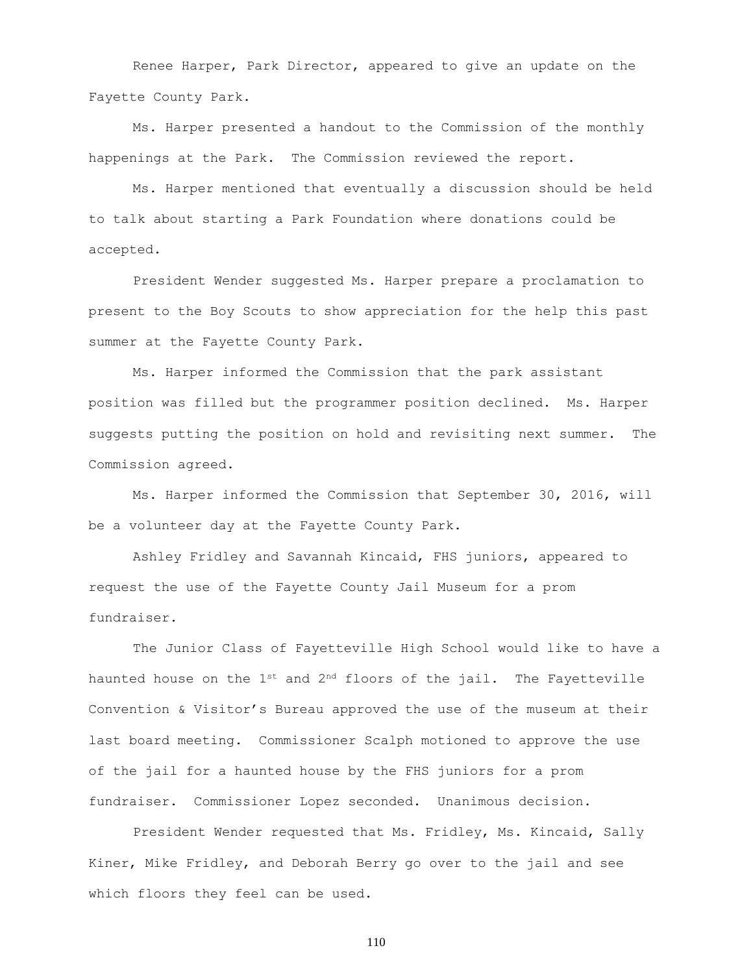Renee Harper, Park Director, appeared to give an update on the Fayette County Park.

Ms. Harper presented a handout to the Commission of the monthly happenings at the Park. The Commission reviewed the report.

Ms. Harper mentioned that eventually a discussion should be held to talk about starting a Park Foundation where donations could be accepted.

President Wender suggested Ms. Harper prepare a proclamation to present to the Boy Scouts to show appreciation for the help this past summer at the Fayette County Park.

Ms. Harper informed the Commission that the park assistant position was filled but the programmer position declined. Ms. Harper suggests putting the position on hold and revisiting next summer. The Commission agreed.

Ms. Harper informed the Commission that September 30, 2016, will be a volunteer day at the Fayette County Park.

Ashley Fridley and Savannah Kincaid, FHS juniors, appeared to request the use of the Fayette County Jail Museum for a prom fundraiser.

The Junior Class of Fayetteville High School would like to have a haunted house on the  $1^{st}$  and  $2^{nd}$  floors of the jail. The Fayetteville Convention & Visitor's Bureau approved the use of the museum at their last board meeting. Commissioner Scalph motioned to approve the use of the jail for a haunted house by the FHS juniors for a prom fundraiser. Commissioner Lopez seconded. Unanimous decision.

President Wender requested that Ms. Fridley, Ms. Kincaid, Sally Kiner, Mike Fridley, and Deborah Berry go over to the jail and see which floors they feel can be used.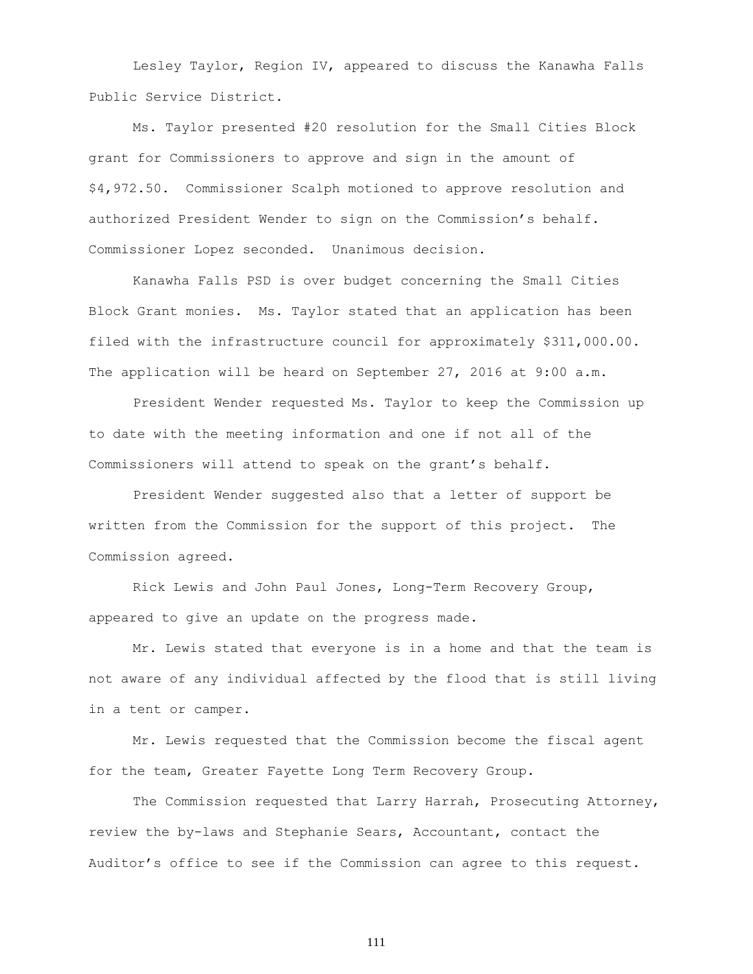Lesley Taylor, Region IV, appeared to discuss the Kanawha Falls Public Service District.

Ms. Taylor presented #20 resolution for the Small Cities Block grant for Commissioners to approve and sign in the amount of \$4,972.50. Commissioner Scalph motioned to approve resolution and authorized President Wender to sign on the Commission's behalf. Commissioner Lopez seconded. Unanimous decision.

Kanawha Falls PSD is over budget concerning the Small Cities Block Grant monies. Ms. Taylor stated that an application has been filed with the infrastructure council for approximately \$311,000.00. The application will be heard on September 27, 2016 at 9:00 a.m.

President Wender requested Ms. Taylor to keep the Commission up to date with the meeting information and one if not all of the Commissioners will attend to speak on the grant's behalf.

President Wender suggested also that a letter of support be written from the Commission for the support of this project. The Commission agreed.

Rick Lewis and John Paul Jones, Long-Term Recovery Group, appeared to give an update on the progress made.

Mr. Lewis stated that everyone is in a home and that the team is not aware of any individual affected by the flood that is still living in a tent or camper.

Mr. Lewis requested that the Commission become the fiscal agent for the team, Greater Fayette Long Term Recovery Group.

The Commission requested that Larry Harrah, Prosecuting Attorney, review the by-laws and Stephanie Sears, Accountant, contact the Auditor's office to see if the Commission can agree to this request.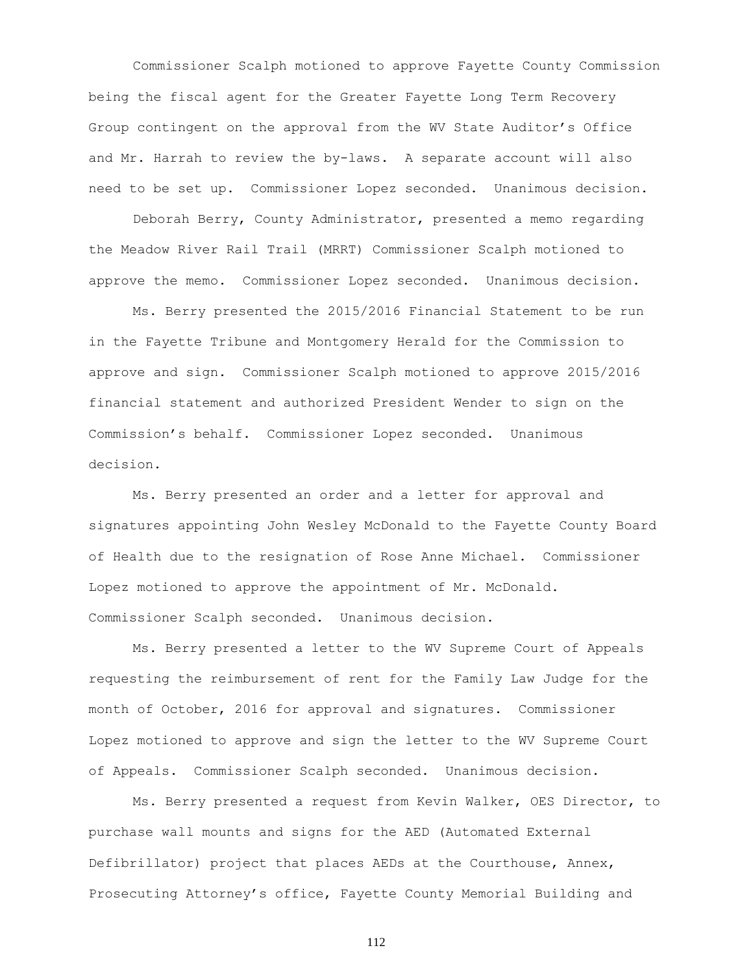Commissioner Scalph motioned to approve Fayette County Commission being the fiscal agent for the Greater Fayette Long Term Recovery Group contingent on the approval from the WV State Auditor's Office and Mr. Harrah to review the by-laws. A separate account will also need to be set up. Commissioner Lopez seconded. Unanimous decision.

Deborah Berry, County Administrator, presented a memo regarding the Meadow River Rail Trail (MRRT) Commissioner Scalph motioned to approve the memo. Commissioner Lopez seconded. Unanimous decision.

Ms. Berry presented the 2015/2016 Financial Statement to be run in the Fayette Tribune and Montgomery Herald for the Commission to approve and sign. Commissioner Scalph motioned to approve 2015/2016 financial statement and authorized President Wender to sign on the Commission's behalf. Commissioner Lopez seconded. Unanimous decision.

Ms. Berry presented an order and a letter for approval and signatures appointing John Wesley McDonald to the Fayette County Board of Health due to the resignation of Rose Anne Michael. Commissioner Lopez motioned to approve the appointment of Mr. McDonald. Commissioner Scalph seconded. Unanimous decision.

Ms. Berry presented a letter to the WV Supreme Court of Appeals requesting the reimbursement of rent for the Family Law Judge for the month of October, 2016 for approval and signatures. Commissioner Lopez motioned to approve and sign the letter to the WV Supreme Court of Appeals. Commissioner Scalph seconded. Unanimous decision.

Ms. Berry presented a request from Kevin Walker, OES Director, to purchase wall mounts and signs for the AED (Automated External Defibrillator) project that places AEDs at the Courthouse, Annex, Prosecuting Attorney's office, Fayette County Memorial Building and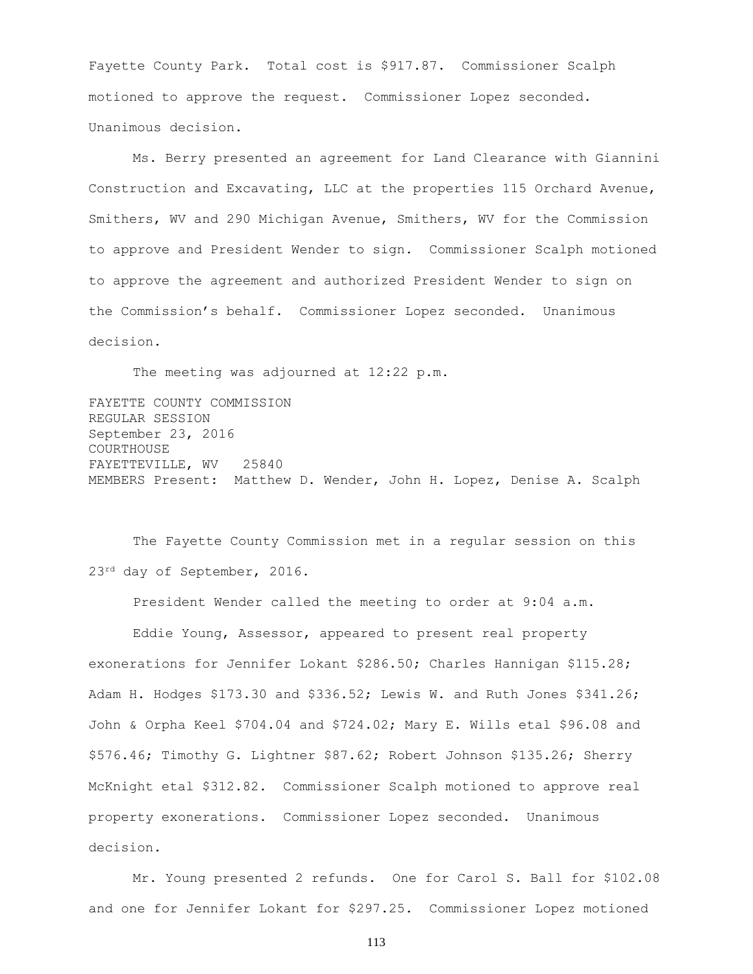Fayette County Park. Total cost is \$917.87. Commissioner Scalph motioned to approve the request. Commissioner Lopez seconded. Unanimous decision.

Ms. Berry presented an agreement for Land Clearance with Giannini Construction and Excavating, LLC at the properties 115 Orchard Avenue, Smithers, WV and 290 Michigan Avenue, Smithers, WV for the Commission to approve and President Wender to sign. Commissioner Scalph motioned to approve the agreement and authorized President Wender to sign on the Commission's behalf. Commissioner Lopez seconded. Unanimous decision.

The meeting was adjourned at 12:22 p.m.

FAYETTE COUNTY COMMISSION REGULAR SESSION September 23, 2016 COURTHOUSE FAYETTEVILLE, WV 25840 MEMBERS Present: Matthew D. Wender, John H. Lopez, Denise A. Scalph

The Fayette County Commission met in a regular session on this 23rd day of September, 2016.

President Wender called the meeting to order at 9:04 a.m.

Eddie Young, Assessor, appeared to present real property exonerations for Jennifer Lokant \$286.50; Charles Hannigan \$115.28; Adam H. Hodges \$173.30 and \$336.52; Lewis W. and Ruth Jones \$341.26; John & Orpha Keel \$704.04 and \$724.02; Mary E. Wills etal \$96.08 and \$576.46; Timothy G. Lightner \$87.62; Robert Johnson \$135.26; Sherry McKnight etal \$312.82. Commissioner Scalph motioned to approve real property exonerations. Commissioner Lopez seconded. Unanimous decision.

Mr. Young presented 2 refunds. One for Carol S. Ball for \$102.08 and one for Jennifer Lokant for \$297.25. Commissioner Lopez motioned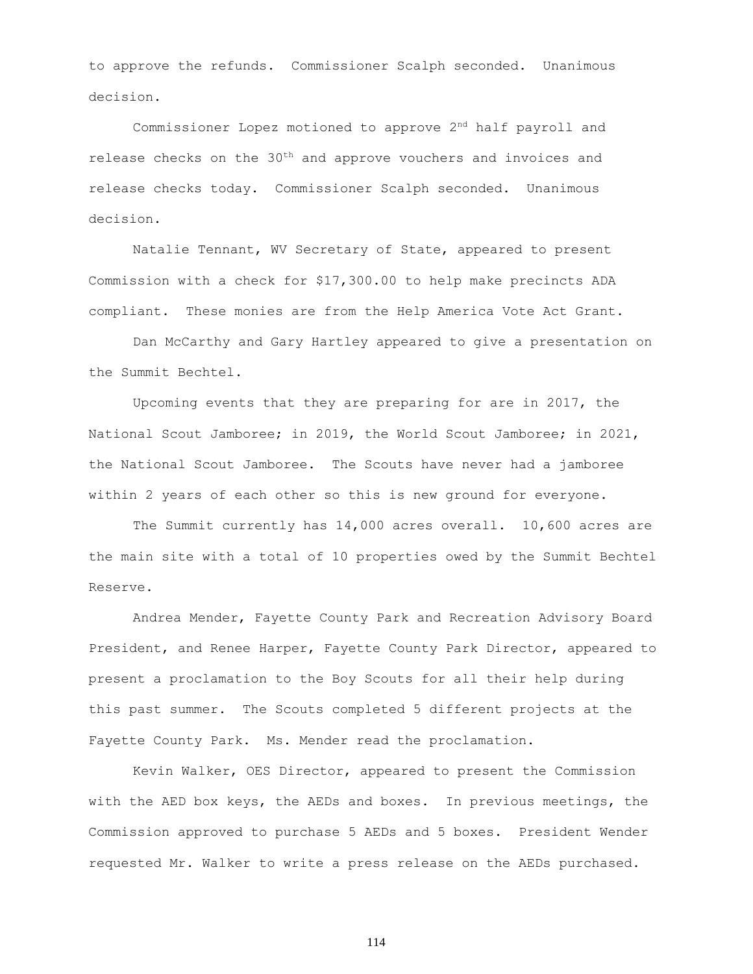to approve the refunds. Commissioner Scalph seconded. Unanimous decision.

Commissioner Lopez motioned to approve 2nd half payroll and release checks on the 30th and approve vouchers and invoices and release checks today. Commissioner Scalph seconded. Unanimous decision.

Natalie Tennant, WV Secretary of State, appeared to present Commission with a check for \$17,300.00 to help make precincts ADA compliant. These monies are from the Help America Vote Act Grant.

Dan McCarthy and Gary Hartley appeared to give a presentation on the Summit Bechtel.

Upcoming events that they are preparing for are in 2017, the National Scout Jamboree; in 2019, the World Scout Jamboree; in 2021, the National Scout Jamboree. The Scouts have never had a jamboree within 2 years of each other so this is new ground for everyone.

The Summit currently has 14,000 acres overall. 10,600 acres are the main site with a total of 10 properties owed by the Summit Bechtel Reserve.

Andrea Mender, Fayette County Park and Recreation Advisory Board President, and Renee Harper, Fayette County Park Director, appeared to present a proclamation to the Boy Scouts for all their help during this past summer. The Scouts completed 5 different projects at the Fayette County Park. Ms. Mender read the proclamation.

Kevin Walker, OES Director, appeared to present the Commission with the AED box keys, the AEDs and boxes. In previous meetings, the Commission approved to purchase 5 AEDs and 5 boxes. President Wender requested Mr. Walker to write a press release on the AEDs purchased.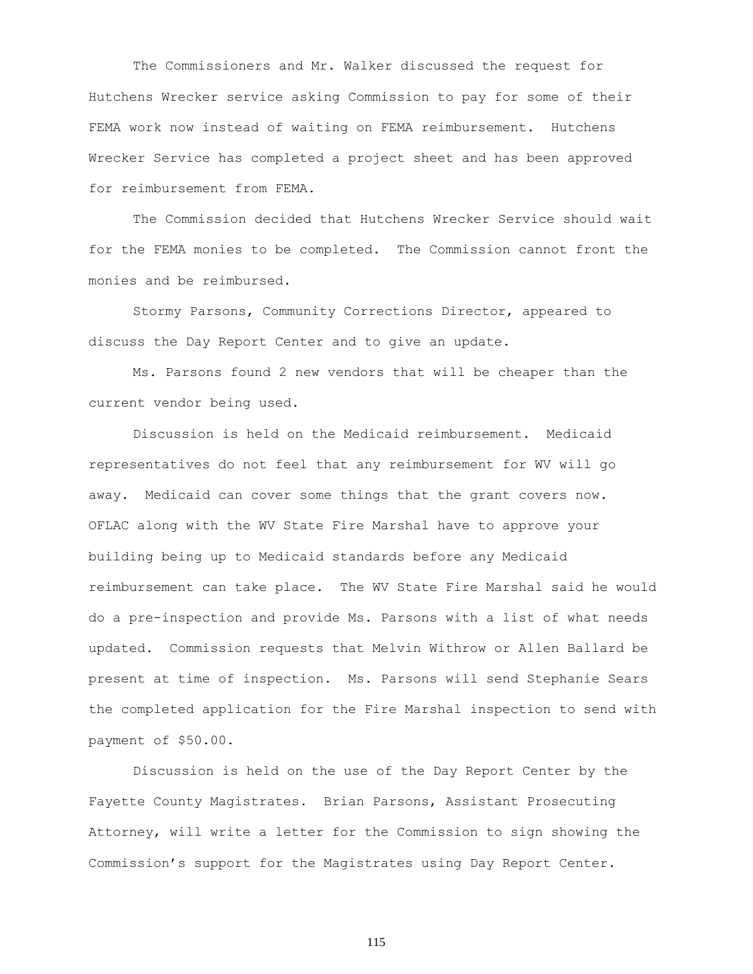The Commissioners and Mr. Walker discussed the request for Hutchens Wrecker service asking Commission to pay for some of their FEMA work now instead of waiting on FEMA reimbursement. Hutchens Wrecker Service has completed a project sheet and has been approved for reimbursement from FEMA.

The Commission decided that Hutchens Wrecker Service should wait for the FEMA monies to be completed. The Commission cannot front the monies and be reimbursed.

Stormy Parsons, Community Corrections Director, appeared to discuss the Day Report Center and to give an update.

Ms. Parsons found 2 new vendors that will be cheaper than the current vendor being used.

Discussion is held on the Medicaid reimbursement. Medicaid representatives do not feel that any reimbursement for WV will go away. Medicaid can cover some things that the grant covers now. OFLAC along with the WV State Fire Marshal have to approve your building being up to Medicaid standards before any Medicaid reimbursement can take place. The WV State Fire Marshal said he would do a pre-inspection and provide Ms. Parsons with a list of what needs updated. Commission requests that Melvin Withrow or Allen Ballard be present at time of inspection. Ms. Parsons will send Stephanie Sears the completed application for the Fire Marshal inspection to send with payment of \$50.00.

Discussion is held on the use of the Day Report Center by the Fayette County Magistrates. Brian Parsons, Assistant Prosecuting Attorney, will write a letter for the Commission to sign showing the Commission's support for the Magistrates using Day Report Center.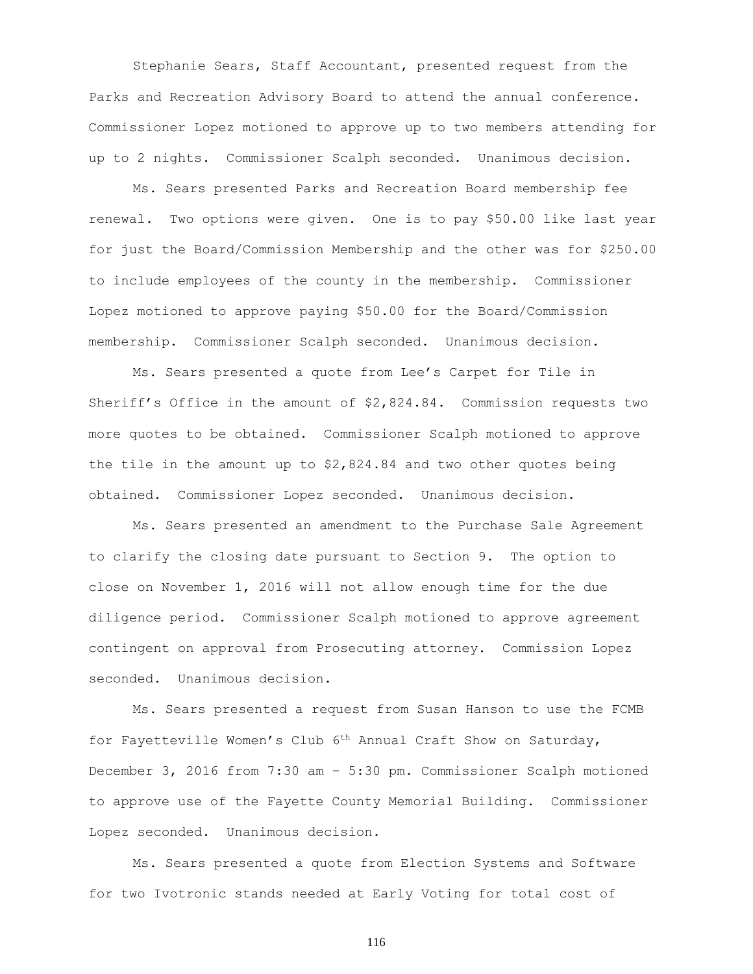Stephanie Sears, Staff Accountant, presented request from the Parks and Recreation Advisory Board to attend the annual conference. Commissioner Lopez motioned to approve up to two members attending for up to 2 nights. Commissioner Scalph seconded. Unanimous decision.

Ms. Sears presented Parks and Recreation Board membership fee renewal. Two options were given. One is to pay \$50.00 like last year for just the Board/Commission Membership and the other was for \$250.00 to include employees of the county in the membership. Commissioner Lopez motioned to approve paying \$50.00 for the Board/Commission membership. Commissioner Scalph seconded. Unanimous decision.

Ms. Sears presented a quote from Lee's Carpet for Tile in Sheriff's Office in the amount of \$2,824.84. Commission requests two more quotes to be obtained. Commissioner Scalph motioned to approve the tile in the amount up to  $$2,824.84$  and two other quotes being obtained. Commissioner Lopez seconded. Unanimous decision.

Ms. Sears presented an amendment to the Purchase Sale Agreement to clarify the closing date pursuant to Section 9. The option to close on November 1, 2016 will not allow enough time for the due diligence period. Commissioner Scalph motioned to approve agreement contingent on approval from Prosecuting attorney. Commission Lopez seconded. Unanimous decision.

Ms. Sears presented a request from Susan Hanson to use the FCMB for Fayetteville Women's Club 6th Annual Craft Show on Saturday, December 3, 2016 from 7:30 am – 5:30 pm. Commissioner Scalph motioned to approve use of the Fayette County Memorial Building. Commissioner Lopez seconded. Unanimous decision.

Ms. Sears presented a quote from Election Systems and Software for two Ivotronic stands needed at Early Voting for total cost of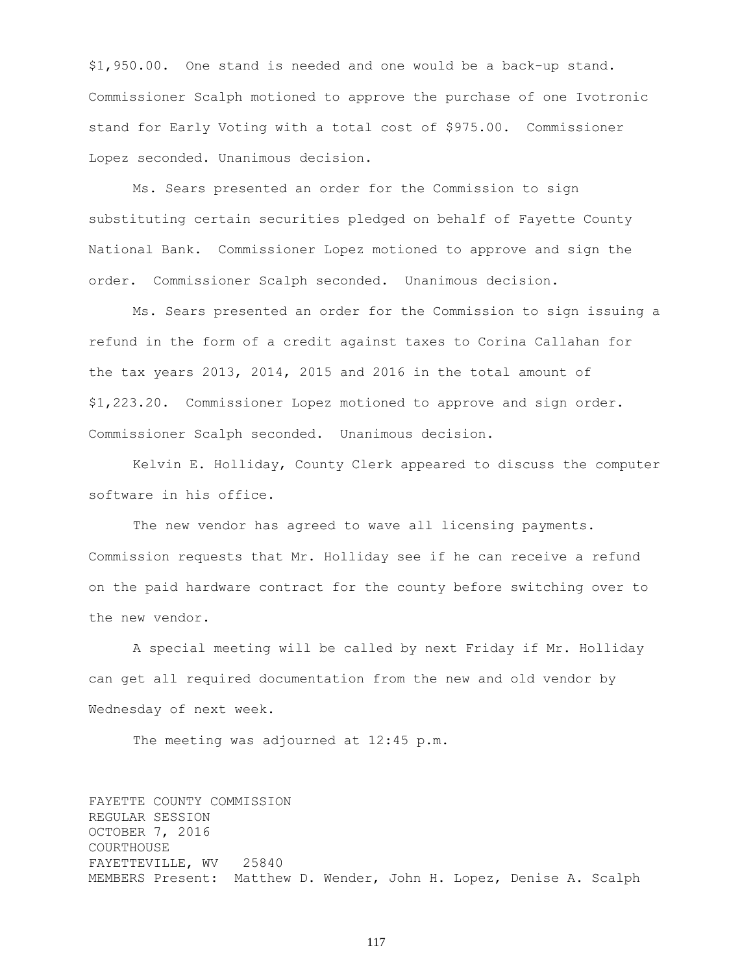\$1,950.00. One stand is needed and one would be a back-up stand. Commissioner Scalph motioned to approve the purchase of one Ivotronic stand for Early Voting with a total cost of \$975.00. Commissioner Lopez seconded. Unanimous decision.

Ms. Sears presented an order for the Commission to sign substituting certain securities pledged on behalf of Fayette County National Bank. Commissioner Lopez motioned to approve and sign the order. Commissioner Scalph seconded. Unanimous decision.

Ms. Sears presented an order for the Commission to sign issuing a refund in the form of a credit against taxes to Corina Callahan for the tax years 2013, 2014, 2015 and 2016 in the total amount of \$1,223.20. Commissioner Lopez motioned to approve and sign order. Commissioner Scalph seconded. Unanimous decision.

Kelvin E. Holliday, County Clerk appeared to discuss the computer software in his office.

The new vendor has agreed to wave all licensing payments. Commission requests that Mr. Holliday see if he can receive a refund on the paid hardware contract for the county before switching over to the new vendor.

A special meeting will be called by next Friday if Mr. Holliday can get all required documentation from the new and old vendor by Wednesday of next week.

The meeting was adjourned at 12:45 p.m.

FAYETTE COUNTY COMMISSION REGULAR SESSION OCTOBER 7, 2016 COURTHOUSE FAYETTEVILLE, WV 25840 MEMBERS Present: Matthew D. Wender, John H. Lopez, Denise A. Scalph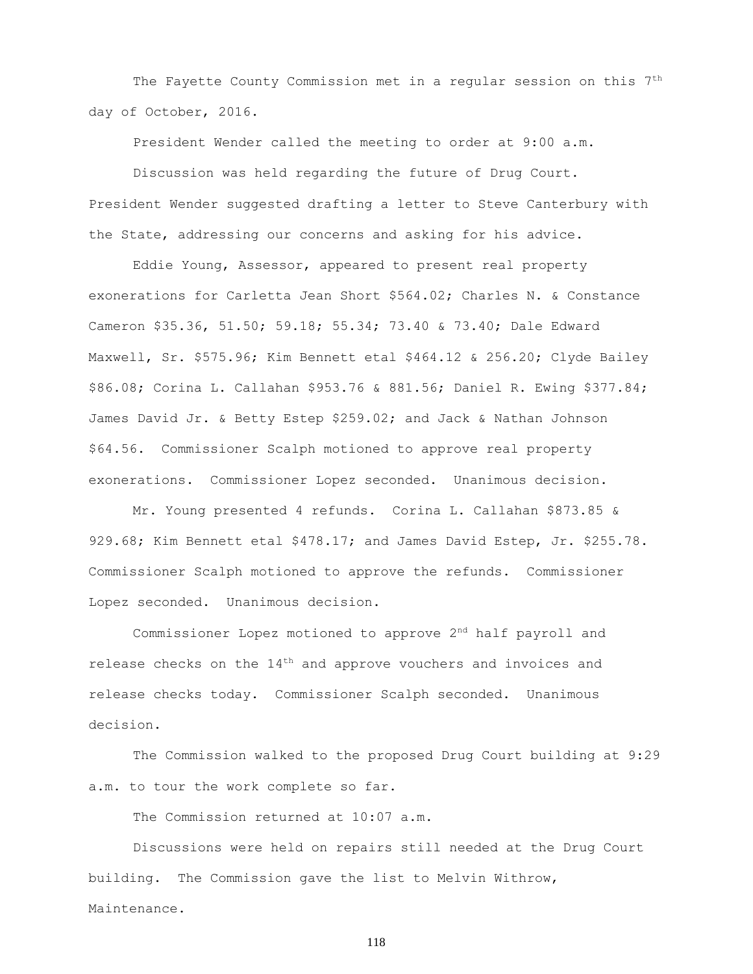The Fayette County Commission met in a regular session on this 7<sup>th</sup> day of October, 2016.

President Wender called the meeting to order at 9:00 a.m.

Discussion was held regarding the future of Drug Court. President Wender suggested drafting a letter to Steve Canterbury with the State, addressing our concerns and asking for his advice.

Eddie Young, Assessor, appeared to present real property exonerations for Carletta Jean Short \$564.02; Charles N. & Constance Cameron \$35.36, 51.50; 59.18; 55.34; 73.40 & 73.40; Dale Edward Maxwell, Sr. \$575.96; Kim Bennett etal \$464.12 & 256.20; Clyde Bailey \$86.08; Corina L. Callahan \$953.76 & 881.56; Daniel R. Ewing \$377.84; James David Jr. & Betty Estep \$259.02; and Jack & Nathan Johnson \$64.56. Commissioner Scalph motioned to approve real property exonerations. Commissioner Lopez seconded. Unanimous decision.

Mr. Young presented 4 refunds. Corina L. Callahan \$873.85 & 929.68; Kim Bennett etal \$478.17; and James David Estep, Jr. \$255.78. Commissioner Scalph motioned to approve the refunds. Commissioner Lopez seconded. Unanimous decision.

Commissioner Lopez motioned to approve 2nd half payroll and release checks on the 14th and approve vouchers and invoices and release checks today. Commissioner Scalph seconded. Unanimous decision.

The Commission walked to the proposed Drug Court building at 9:29 a.m. to tour the work complete so far.

The Commission returned at 10:07 a.m.

Discussions were held on repairs still needed at the Drug Court building. The Commission gave the list to Melvin Withrow,

Maintenance.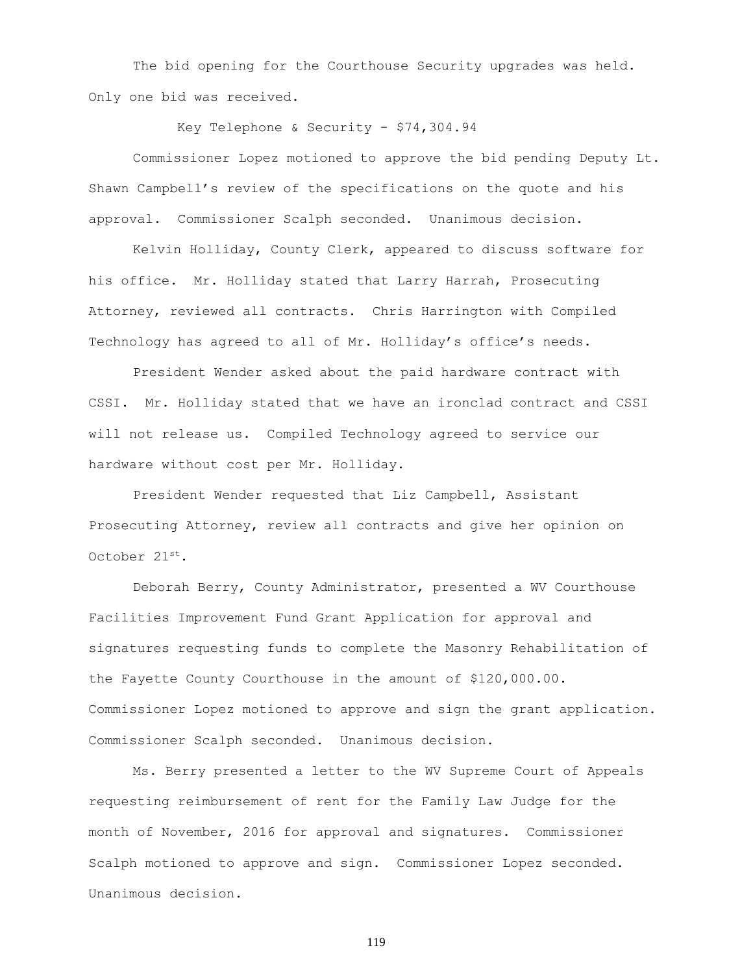The bid opening for the Courthouse Security upgrades was held. Only one bid was received.

Key Telephone & Security -  $$74,304.94$ 

Commissioner Lopez motioned to approve the bid pending Deputy Lt. Shawn Campbell's review of the specifications on the quote and his approval. Commissioner Scalph seconded. Unanimous decision.

Kelvin Holliday, County Clerk, appeared to discuss software for his office. Mr. Holliday stated that Larry Harrah, Prosecuting Attorney, reviewed all contracts. Chris Harrington with Compiled Technology has agreed to all of Mr. Holliday's office's needs.

President Wender asked about the paid hardware contract with CSSI. Mr. Holliday stated that we have an ironclad contract and CSSI will not release us. Compiled Technology agreed to service our hardware without cost per Mr. Holliday.

President Wender requested that Liz Campbell, Assistant Prosecuting Attorney, review all contracts and give her opinion on October 21st.

Deborah Berry, County Administrator, presented a WV Courthouse Facilities Improvement Fund Grant Application for approval and signatures requesting funds to complete the Masonry Rehabilitation of the Fayette County Courthouse in the amount of \$120,000.00. Commissioner Lopez motioned to approve and sign the grant application. Commissioner Scalph seconded. Unanimous decision.

Ms. Berry presented a letter to the WV Supreme Court of Appeals requesting reimbursement of rent for the Family Law Judge for the month of November, 2016 for approval and signatures. Commissioner Scalph motioned to approve and sign. Commissioner Lopez seconded. Unanimous decision.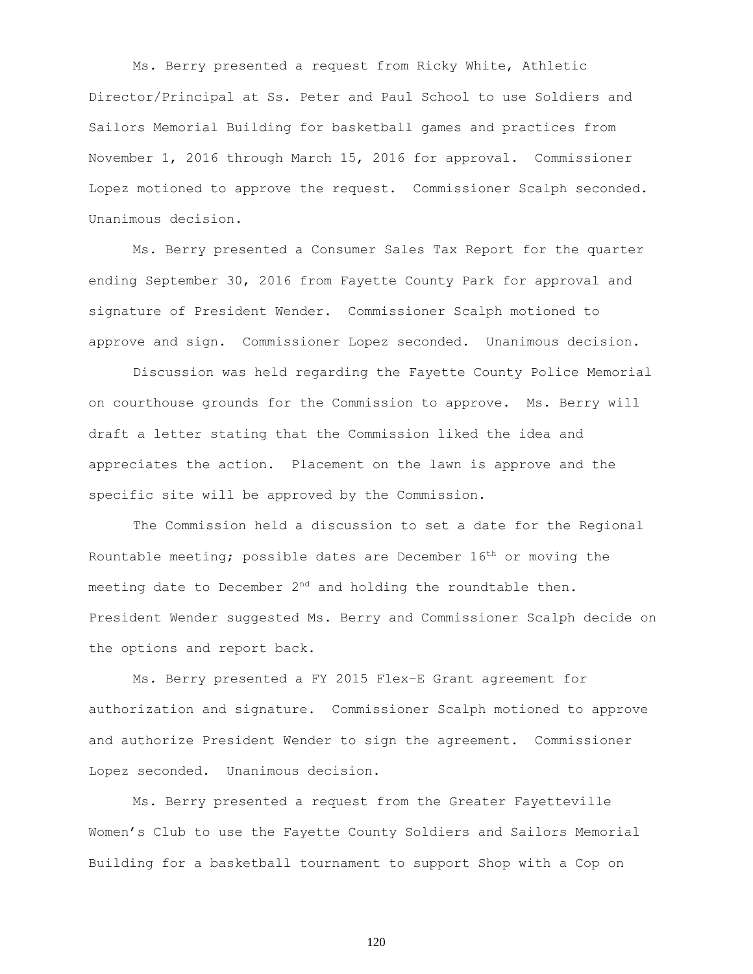Ms. Berry presented a request from Ricky White, Athletic Director/Principal at Ss. Peter and Paul School to use Soldiers and Sailors Memorial Building for basketball games and practices from November 1, 2016 through March 15, 2016 for approval. Commissioner Lopez motioned to approve the request. Commissioner Scalph seconded. Unanimous decision.

Ms. Berry presented a Consumer Sales Tax Report for the quarter ending September 30, 2016 from Fayette County Park for approval and signature of President Wender. Commissioner Scalph motioned to approve and sign. Commissioner Lopez seconded. Unanimous decision.

Discussion was held regarding the Fayette County Police Memorial on courthouse grounds for the Commission to approve. Ms. Berry will draft a letter stating that the Commission liked the idea and appreciates the action. Placement on the lawn is approve and the specific site will be approved by the Commission.

The Commission held a discussion to set a date for the Regional Rountable meeting; possible dates are December 16th or moving the meeting date to December 2<sup>nd</sup> and holding the roundtable then. President Wender suggested Ms. Berry and Commissioner Scalph decide on the options and report back.

Ms. Berry presented a FY 2015 Flex–E Grant agreement for authorization and signature. Commissioner Scalph motioned to approve and authorize President Wender to sign the agreement. Commissioner Lopez seconded. Unanimous decision.

Ms. Berry presented a request from the Greater Fayetteville Women's Club to use the Fayette County Soldiers and Sailors Memorial Building for a basketball tournament to support Shop with a Cop on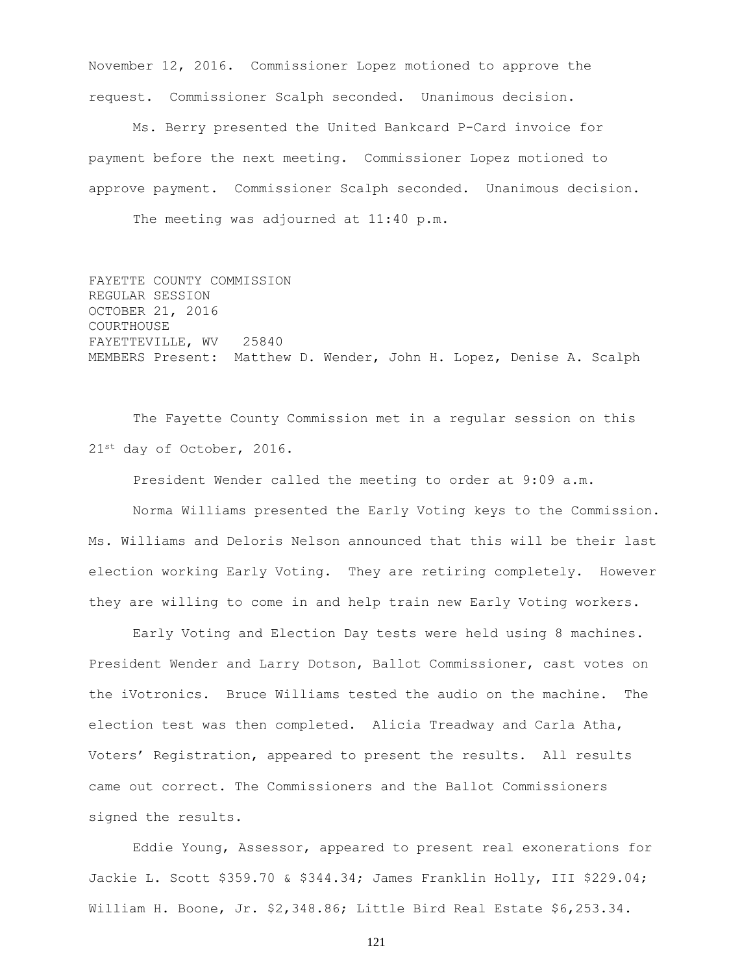November 12, 2016. Commissioner Lopez motioned to approve the request. Commissioner Scalph seconded. Unanimous decision.

Ms. Berry presented the United Bankcard P-Card invoice for payment before the next meeting. Commissioner Lopez motioned to approve payment. Commissioner Scalph seconded. Unanimous decision. The meeting was adjourned at 11:40 p.m.

FAYETTE COUNTY COMMISSION REGULAR SESSION OCTOBER 21, 2016 COURTHOUSE FAYETTEVILLE, WV 25840 MEMBERS Present: Matthew D. Wender, John H. Lopez, Denise A. Scalph

The Fayette County Commission met in a regular session on this 21<sup>st</sup> day of October, 2016.

President Wender called the meeting to order at 9:09 a.m.

Norma Williams presented the Early Voting keys to the Commission. Ms. Williams and Deloris Nelson announced that this will be their last election working Early Voting. They are retiring completely. However they are willing to come in and help train new Early Voting workers.

Early Voting and Election Day tests were held using 8 machines. President Wender and Larry Dotson, Ballot Commissioner, cast votes on the iVotronics. Bruce Williams tested the audio on the machine. The election test was then completed. Alicia Treadway and Carla Atha, Voters' Registration, appeared to present the results. All results came out correct. The Commissioners and the Ballot Commissioners signed the results.

Eddie Young, Assessor, appeared to present real exonerations for Jackie L. Scott \$359.70 & \$344.34; James Franklin Holly, III \$229.04; William H. Boone, Jr. \$2,348.86; Little Bird Real Estate \$6,253.34.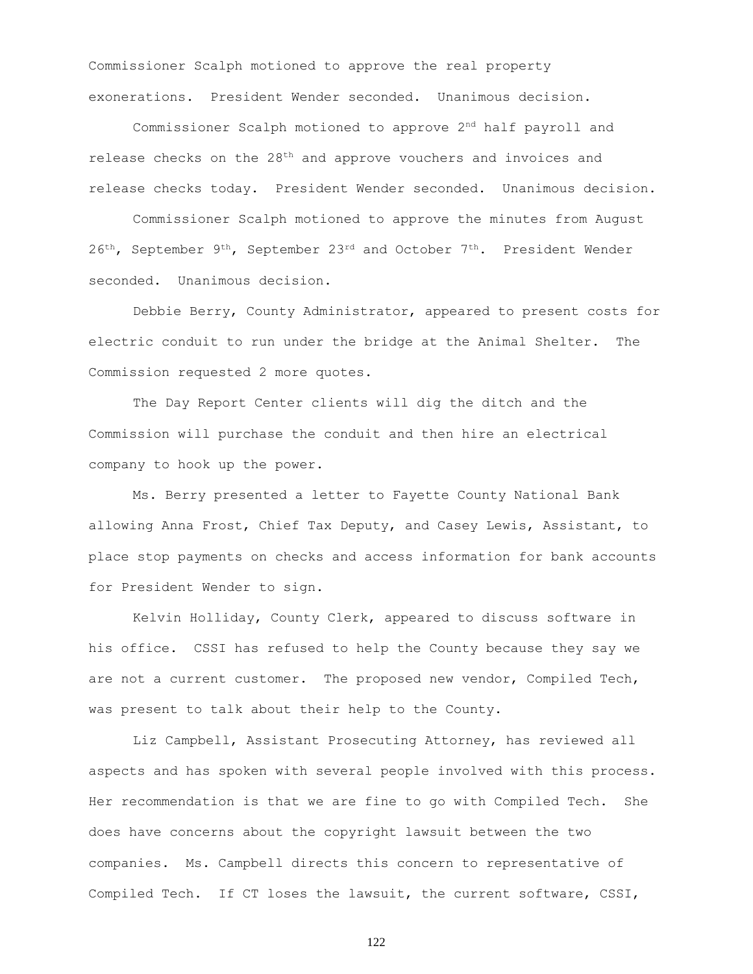Commissioner Scalph motioned to approve the real property exonerations. President Wender seconded. Unanimous decision.

Commissioner Scalph motioned to approve  $2<sup>nd</sup>$  half payroll and release checks on the  $28<sup>th</sup>$  and approve vouchers and invoices and release checks today. President Wender seconded. Unanimous decision.

Commissioner Scalph motioned to approve the minutes from August  $26<sup>th</sup>$ , September 9<sup>th</sup>, September 23<sup>rd</sup> and October 7<sup>th</sup>. President Wender seconded. Unanimous decision.

Debbie Berry, County Administrator, appeared to present costs for electric conduit to run under the bridge at the Animal Shelter. The Commission requested 2 more quotes.

The Day Report Center clients will dig the ditch and the Commission will purchase the conduit and then hire an electrical company to hook up the power.

Ms. Berry presented a letter to Fayette County National Bank allowing Anna Frost, Chief Tax Deputy, and Casey Lewis, Assistant, to place stop payments on checks and access information for bank accounts for President Wender to sign.

Kelvin Holliday, County Clerk, appeared to discuss software in his office. CSSI has refused to help the County because they say we are not a current customer. The proposed new vendor, Compiled Tech, was present to talk about their help to the County.

Liz Campbell, Assistant Prosecuting Attorney, has reviewed all aspects and has spoken with several people involved with this process. Her recommendation is that we are fine to go with Compiled Tech. She does have concerns about the copyright lawsuit between the two companies. Ms. Campbell directs this concern to representative of Compiled Tech. If CT loses the lawsuit, the current software, CSSI,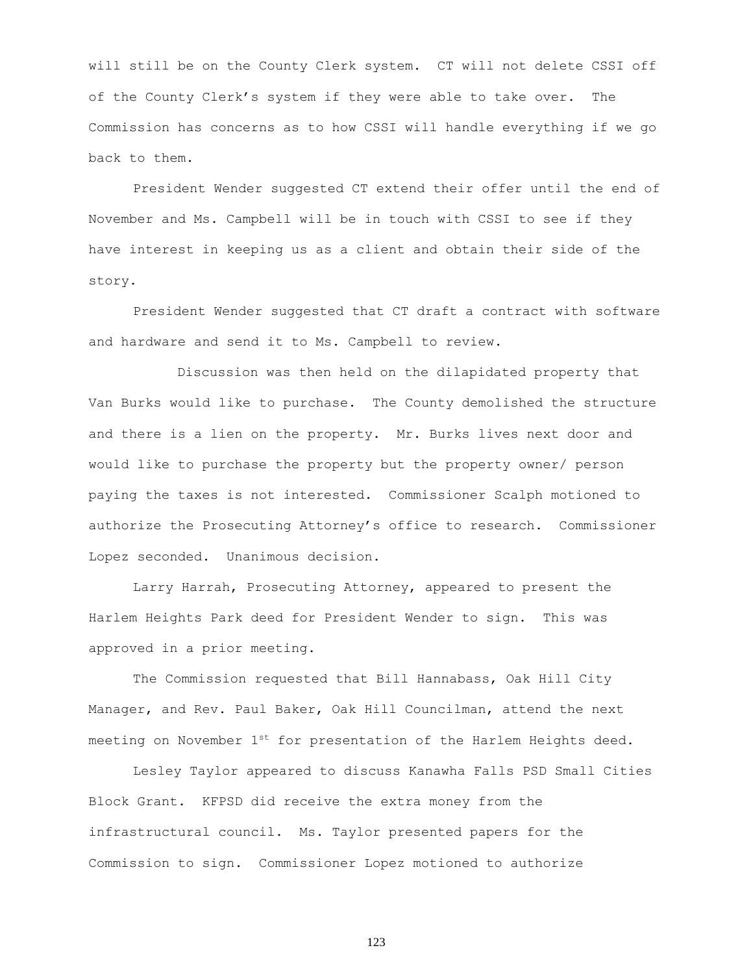will still be on the County Clerk system. CT will not delete CSSI off of the County Clerk's system if they were able to take over. The Commission has concerns as to how CSSI will handle everything if we go back to them.

President Wender suggested CT extend their offer until the end of November and Ms. Campbell will be in touch with CSSI to see if they have interest in keeping us as a client and obtain their side of the story.

President Wender suggested that CT draft a contract with software and hardware and send it to Ms. Campbell to review.

Discussion was then held on the dilapidated property that Van Burks would like to purchase. The County demolished the structure and there is a lien on the property. Mr. Burks lives next door and would like to purchase the property but the property owner/ person paying the taxes is not interested. Commissioner Scalph motioned to authorize the Prosecuting Attorney's office to research. Commissioner Lopez seconded. Unanimous decision.

Larry Harrah, Prosecuting Attorney, appeared to present the Harlem Heights Park deed for President Wender to sign. This was approved in a prior meeting.

The Commission requested that Bill Hannabass, Oak Hill City Manager, and Rev. Paul Baker, Oak Hill Councilman, attend the next meeting on November  $1^{st}$  for presentation of the Harlem Heights deed.

Lesley Taylor appeared to discuss Kanawha Falls PSD Small Cities Block Grant. KFPSD did receive the extra money from the infrastructural council. Ms. Taylor presented papers for the Commission to sign. Commissioner Lopez motioned to authorize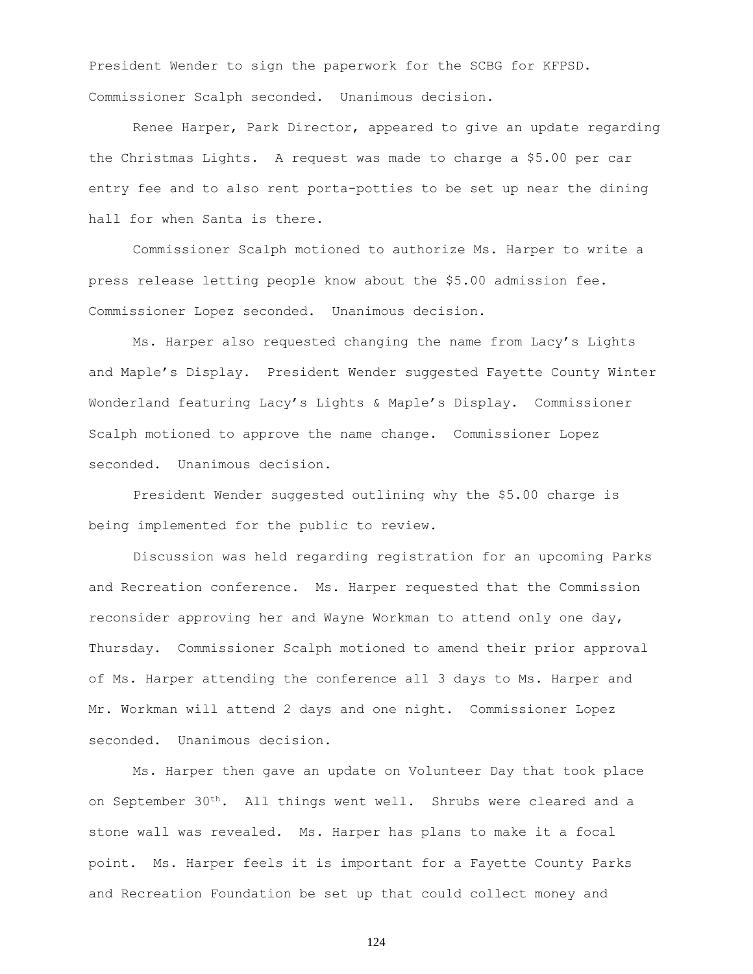President Wender to sign the paperwork for the SCBG for KFPSD. Commissioner Scalph seconded. Unanimous decision.

Renee Harper, Park Director, appeared to give an update regarding the Christmas Lights. A request was made to charge a \$5.00 per car entry fee and to also rent porta-potties to be set up near the dining hall for when Santa is there.

Commissioner Scalph motioned to authorize Ms. Harper to write a press release letting people know about the \$5.00 admission fee. Commissioner Lopez seconded. Unanimous decision.

Ms. Harper also requested changing the name from Lacy's Lights and Maple's Display. President Wender suggested Fayette County Winter Wonderland featuring Lacy's Lights & Maple's Display. Commissioner Scalph motioned to approve the name change. Commissioner Lopez seconded. Unanimous decision.

President Wender suggested outlining why the \$5.00 charge is being implemented for the public to review.

Discussion was held regarding registration for an upcoming Parks and Recreation conference. Ms. Harper requested that the Commission reconsider approving her and Wayne Workman to attend only one day, Thursday. Commissioner Scalph motioned to amend their prior approval of Ms. Harper attending the conference all 3 days to Ms. Harper and Mr. Workman will attend 2 days and one night. Commissioner Lopez seconded. Unanimous decision.

Ms. Harper then gave an update on Volunteer Day that took place on September 30th. All things went well. Shrubs were cleared and a stone wall was revealed. Ms. Harper has plans to make it a focal point. Ms. Harper feels it is important for a Fayette County Parks and Recreation Foundation be set up that could collect money and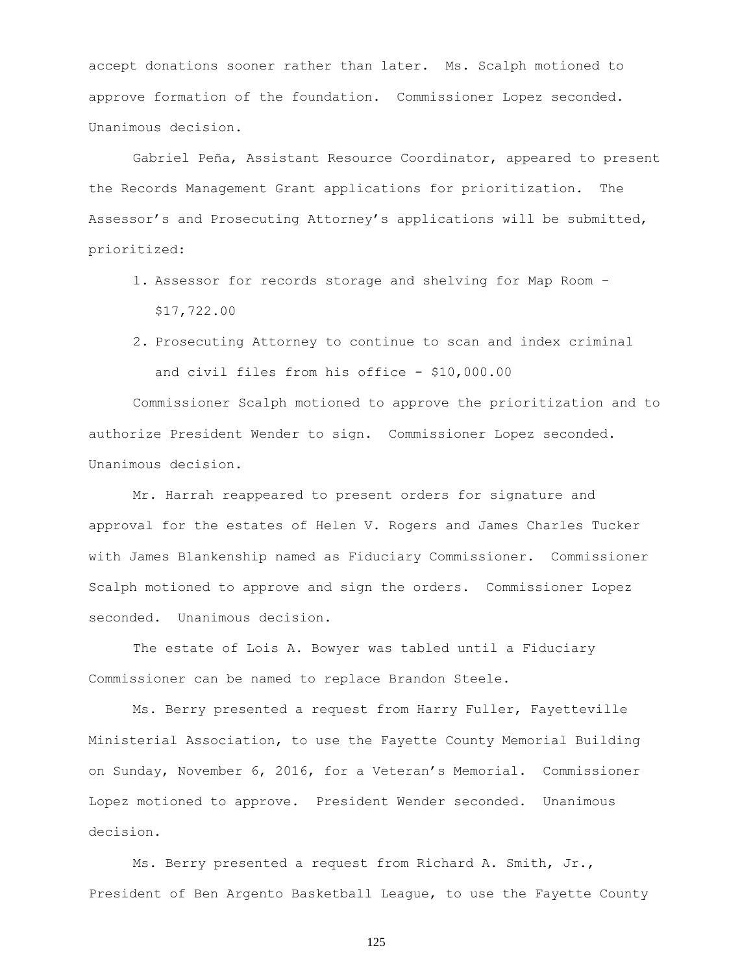accept donations sooner rather than later. Ms. Scalph motioned to approve formation of the foundation. Commissioner Lopez seconded. Unanimous decision.

Gabriel Peña, Assistant Resource Coordinator, appeared to present the Records Management Grant applications for prioritization. The Assessor's and Prosecuting Attorney's applications will be submitted, prioritized:

- 1. Assessor for records storage and shelving for Map Room \$17,722.00
- 2. Prosecuting Attorney to continue to scan and index criminal and civil files from his office - \$10,000.00

Commissioner Scalph motioned to approve the prioritization and to authorize President Wender to sign. Commissioner Lopez seconded. Unanimous decision.

Mr. Harrah reappeared to present orders for signature and approval for the estates of Helen V. Rogers and James Charles Tucker with James Blankenship named as Fiduciary Commissioner. Commissioner Scalph motioned to approve and sign the orders. Commissioner Lopez seconded. Unanimous decision.

The estate of Lois A. Bowyer was tabled until a Fiduciary Commissioner can be named to replace Brandon Steele.

Ms. Berry presented a request from Harry Fuller, Fayetteville Ministerial Association, to use the Fayette County Memorial Building on Sunday, November 6, 2016, for a Veteran's Memorial. Commissioner Lopez motioned to approve. President Wender seconded. Unanimous decision.

Ms. Berry presented a request from Richard A. Smith, Jr., President of Ben Argento Basketball League, to use the Fayette County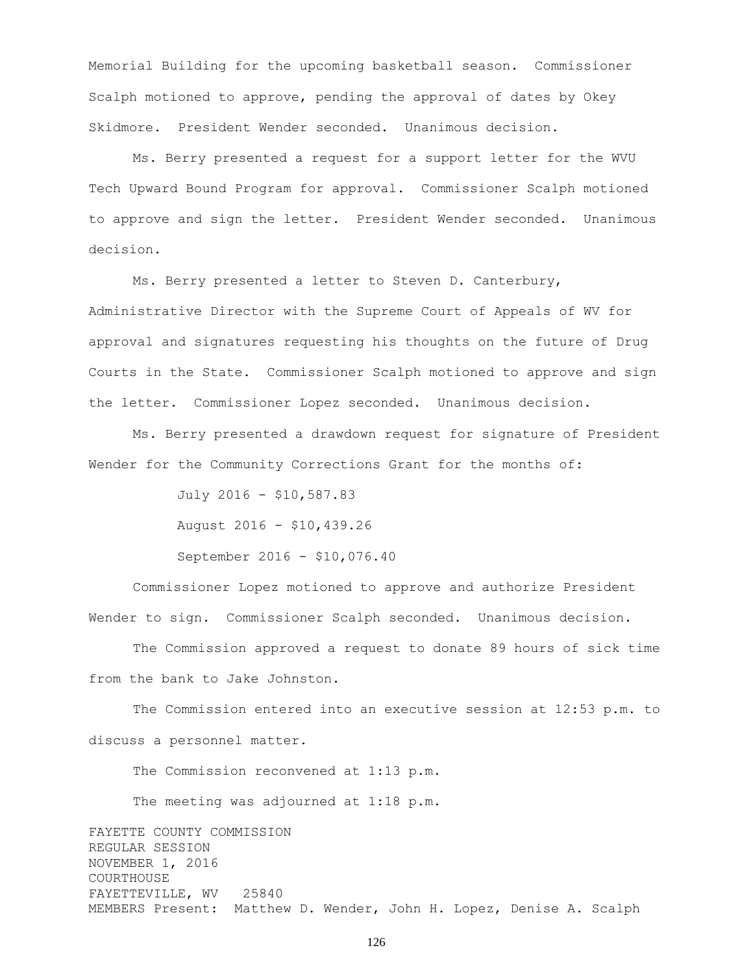Memorial Building for the upcoming basketball season. Commissioner Scalph motioned to approve, pending the approval of dates by Okey Skidmore. President Wender seconded. Unanimous decision.

Ms. Berry presented a request for a support letter for the WVU Tech Upward Bound Program for approval. Commissioner Scalph motioned to approve and sign the letter. President Wender seconded. Unanimous decision.

Ms. Berry presented a letter to Steven D. Canterbury, Administrative Director with the Supreme Court of Appeals of WV for approval and signatures requesting his thoughts on the future of Drug Courts in the State. Commissioner Scalph motioned to approve and sign the letter. Commissioner Lopez seconded. Unanimous decision.

Ms. Berry presented a drawdown request for signature of President Wender for the Community Corrections Grant for the months of:

> July 2016 - \$10,587.83 August 2016 - \$10,439.26 September 2016 - \$10,076.40

Commissioner Lopez motioned to approve and authorize President Wender to sign. Commissioner Scalph seconded. Unanimous decision.

The Commission approved a request to donate 89 hours of sick time from the bank to Jake Johnston.

The Commission entered into an executive session at 12:53 p.m. to discuss a personnel matter.

The Commission reconvened at 1:13 p.m.

The meeting was adjourned at 1:18 p.m.

FAYETTE COUNTY COMMISSION REGULAR SESSION NOVEMBER 1, 2016 COURTHOUSE FAYETTEVILLE, WV 25840 MEMBERS Present: Matthew D. Wender, John H. Lopez, Denise A. Scalph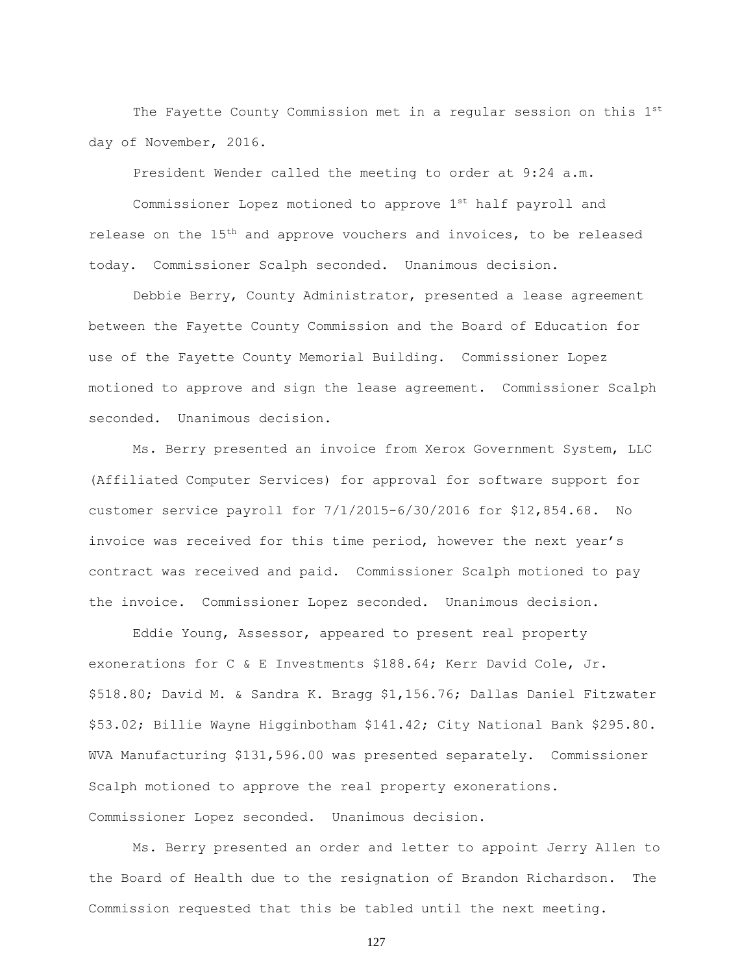The Fayette County Commission met in a regular session on this 1st day of November, 2016.

President Wender called the meeting to order at 9:24 a.m.

Commissioner Lopez motioned to approve 1st half payroll and release on the 15<sup>th</sup> and approve vouchers and invoices, to be released today. Commissioner Scalph seconded. Unanimous decision.

Debbie Berry, County Administrator, presented a lease agreement between the Fayette County Commission and the Board of Education for use of the Fayette County Memorial Building. Commissioner Lopez motioned to approve and sign the lease agreement. Commissioner Scalph seconded. Unanimous decision.

Ms. Berry presented an invoice from Xerox Government System, LLC (Affiliated Computer Services) for approval for software support for customer service payroll for 7/1/2015-6/30/2016 for \$12,854.68. No invoice was received for this time period, however the next year's contract was received and paid. Commissioner Scalph motioned to pay the invoice. Commissioner Lopez seconded. Unanimous decision.

Eddie Young, Assessor, appeared to present real property exonerations for C & E Investments \$188.64; Kerr David Cole, Jr. \$518.80; David M. & Sandra K. Bragg \$1,156.76; Dallas Daniel Fitzwater \$53.02; Billie Wayne Higginbotham \$141.42; City National Bank \$295.80. WVA Manufacturing \$131,596.00 was presented separately. Commissioner Scalph motioned to approve the real property exonerations. Commissioner Lopez seconded. Unanimous decision.

Ms. Berry presented an order and letter to appoint Jerry Allen to the Board of Health due to the resignation of Brandon Richardson. The Commission requested that this be tabled until the next meeting.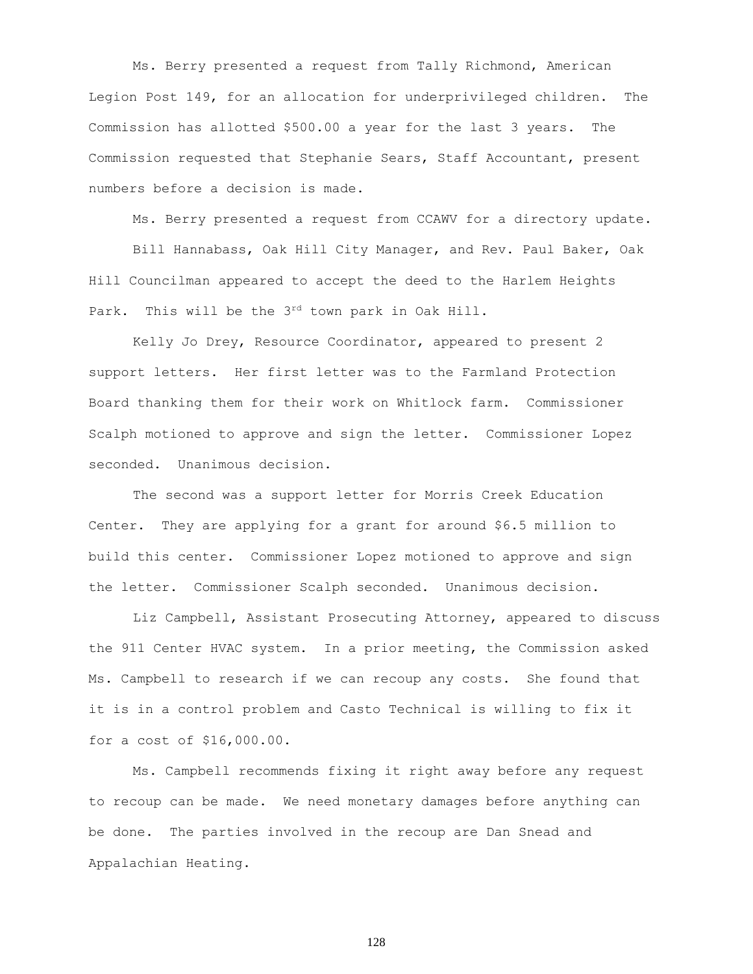Ms. Berry presented a request from Tally Richmond, American Legion Post 149, for an allocation for underprivileged children. The Commission has allotted \$500.00 a year for the last 3 years. The Commission requested that Stephanie Sears, Staff Accountant, present numbers before a decision is made.

Ms. Berry presented a request from CCAWV for a directory update.

Bill Hannabass, Oak Hill City Manager, and Rev. Paul Baker, Oak Hill Councilman appeared to accept the deed to the Harlem Heights Park. This will be the 3rd town park in Oak Hill.

Kelly Jo Drey, Resource Coordinator, appeared to present 2 support letters. Her first letter was to the Farmland Protection Board thanking them for their work on Whitlock farm. Commissioner Scalph motioned to approve and sign the letter. Commissioner Lopez seconded. Unanimous decision.

The second was a support letter for Morris Creek Education Center. They are applying for a grant for around \$6.5 million to build this center. Commissioner Lopez motioned to approve and sign the letter. Commissioner Scalph seconded. Unanimous decision.

Liz Campbell, Assistant Prosecuting Attorney, appeared to discuss the 911 Center HVAC system. In a prior meeting, the Commission asked Ms. Campbell to research if we can recoup any costs. She found that it is in a control problem and Casto Technical is willing to fix it for a cost of \$16,000.00.

Ms. Campbell recommends fixing it right away before any request to recoup can be made. We need monetary damages before anything can be done. The parties involved in the recoup are Dan Snead and Appalachian Heating.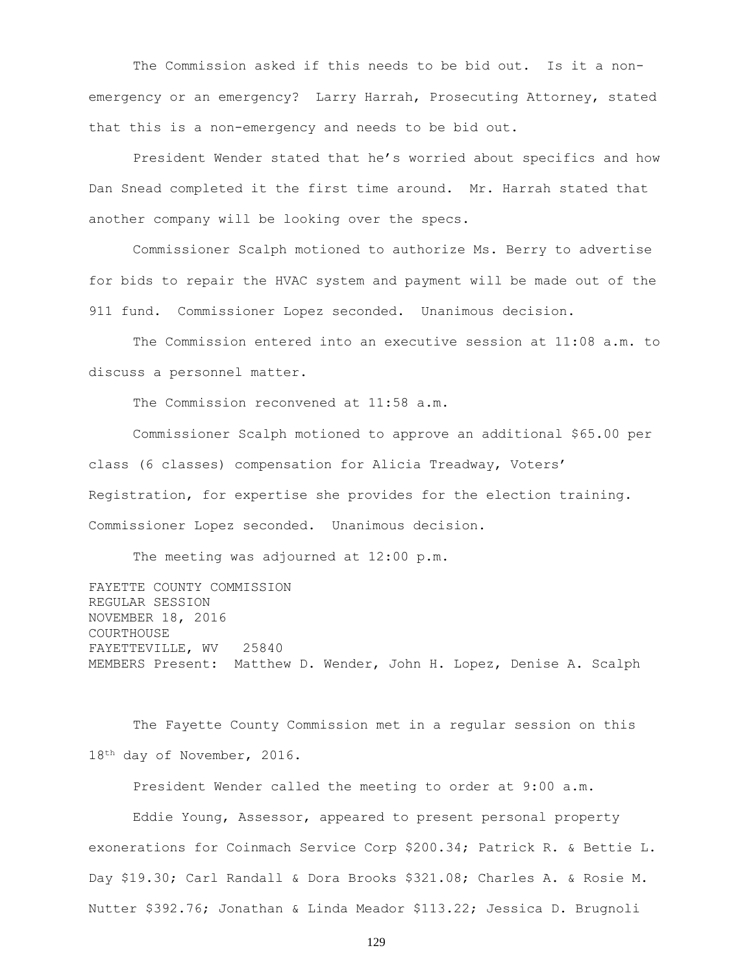The Commission asked if this needs to be bid out. Is it a nonemergency or an emergency? Larry Harrah, Prosecuting Attorney, stated that this is a non-emergency and needs to be bid out.

President Wender stated that he's worried about specifics and how Dan Snead completed it the first time around. Mr. Harrah stated that another company will be looking over the specs.

Commissioner Scalph motioned to authorize Ms. Berry to advertise for bids to repair the HVAC system and payment will be made out of the 911 fund. Commissioner Lopez seconded. Unanimous decision.

The Commission entered into an executive session at 11:08 a.m. to discuss a personnel matter.

The Commission reconvened at 11:58 a.m.

Commissioner Scalph motioned to approve an additional \$65.00 per class (6 classes) compensation for Alicia Treadway, Voters' Registration, for expertise she provides for the election training. Commissioner Lopez seconded. Unanimous decision.

The meeting was adjourned at 12:00 p.m.

FAYETTE COUNTY COMMISSION REGULAR SESSION NOVEMBER 18, 2016 COURTHOUSE FAYETTEVILLE, WV 25840 MEMBERS Present: Matthew D. Wender, John H. Lopez, Denise A. Scalph

The Fayette County Commission met in a regular session on this 18th day of November, 2016.

President Wender called the meeting to order at 9:00 a.m.

Eddie Young, Assessor, appeared to present personal property exonerations for Coinmach Service Corp \$200.34; Patrick R. & Bettie L. Day \$19.30; Carl Randall & Dora Brooks \$321.08; Charles A. & Rosie M. Nutter \$392.76; Jonathan & Linda Meador \$113.22; Jessica D. Brugnoli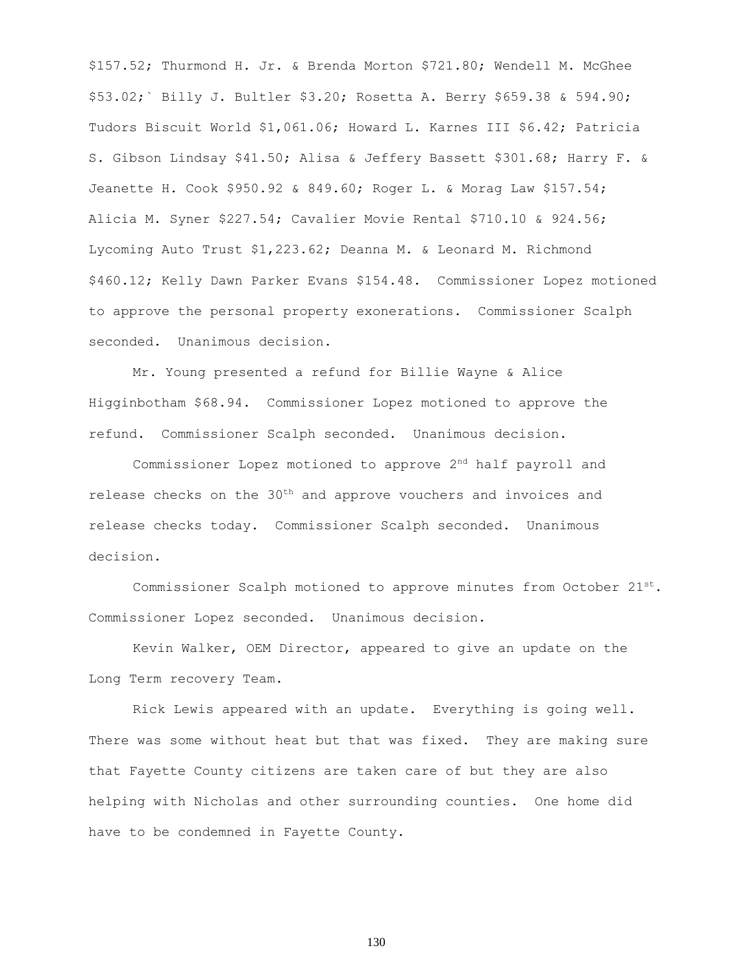\$157.52; Thurmond H. Jr. & Brenda Morton \$721.80; Wendell M. McGhee \$53.02;` Billy J. Bultler \$3.20; Rosetta A. Berry \$659.38 & 594.90; Tudors Biscuit World \$1,061.06; Howard L. Karnes III \$6.42; Patricia S. Gibson Lindsay \$41.50; Alisa & Jeffery Bassett \$301.68; Harry F. & Jeanette H. Cook \$950.92 & 849.60; Roger L. & Morag Law \$157.54; Alicia M. Syner \$227.54; Cavalier Movie Rental \$710.10 & 924.56; Lycoming Auto Trust \$1,223.62; Deanna M. & Leonard M. Richmond \$460.12; Kelly Dawn Parker Evans \$154.48. Commissioner Lopez motioned to approve the personal property exonerations. Commissioner Scalph seconded. Unanimous decision.

Mr. Young presented a refund for Billie Wayne & Alice Higginbotham \$68.94. Commissioner Lopez motioned to approve the refund. Commissioner Scalph seconded. Unanimous decision.

Commissioner Lopez motioned to approve 2nd half payroll and release checks on the 30<sup>th</sup> and approve vouchers and invoices and release checks today. Commissioner Scalph seconded. Unanimous decision.

Commissioner Scalph motioned to approve minutes from October  $21^{st}$ . Commissioner Lopez seconded. Unanimous decision.

Kevin Walker, OEM Director, appeared to give an update on the Long Term recovery Team.

Rick Lewis appeared with an update. Everything is going well. There was some without heat but that was fixed. They are making sure that Fayette County citizens are taken care of but they are also helping with Nicholas and other surrounding counties. One home did have to be condemned in Fayette County.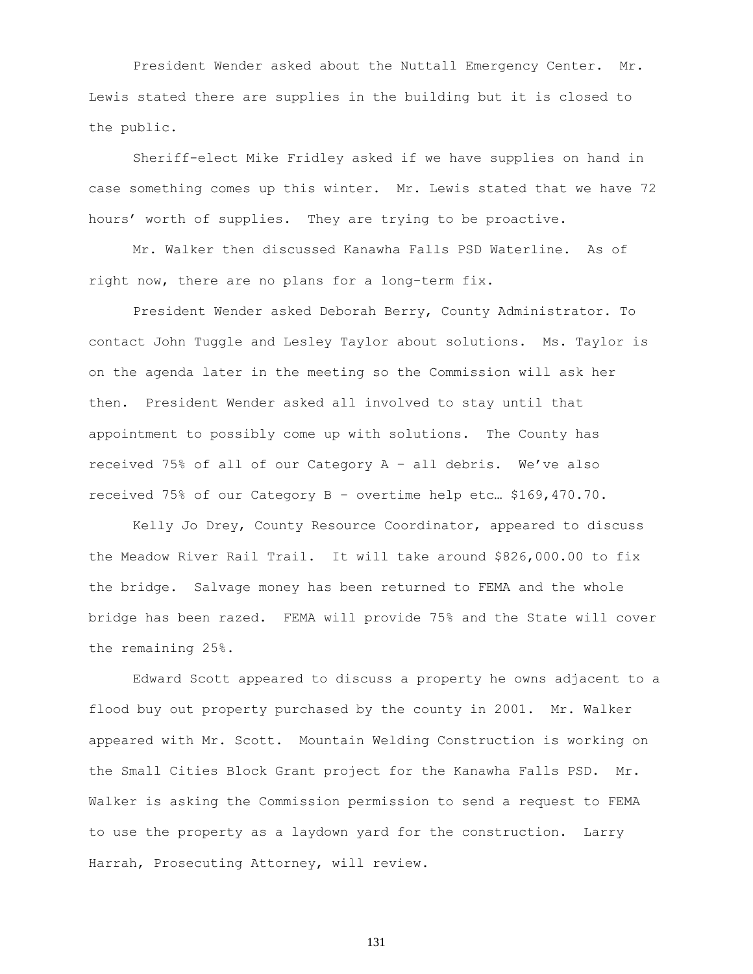President Wender asked about the Nuttall Emergency Center. Mr. Lewis stated there are supplies in the building but it is closed to the public.

Sheriff-elect Mike Fridley asked if we have supplies on hand in case something comes up this winter. Mr. Lewis stated that we have 72 hours' worth of supplies. They are trying to be proactive.

Mr. Walker then discussed Kanawha Falls PSD Waterline. As of right now, there are no plans for a long-term fix.

President Wender asked Deborah Berry, County Administrator. To contact John Tuggle and Lesley Taylor about solutions. Ms. Taylor is on the agenda later in the meeting so the Commission will ask her then. President Wender asked all involved to stay until that appointment to possibly come up with solutions. The County has received 75% of all of our Category A – all debris. We've also received 75% of our Category B – overtime help etc… \$169,470.70.

Kelly Jo Drey, County Resource Coordinator, appeared to discuss the Meadow River Rail Trail. It will take around \$826,000.00 to fix the bridge. Salvage money has been returned to FEMA and the whole bridge has been razed. FEMA will provide 75% and the State will cover the remaining 25%.

Edward Scott appeared to discuss a property he owns adjacent to a flood buy out property purchased by the county in 2001. Mr. Walker appeared with Mr. Scott. Mountain Welding Construction is working on the Small Cities Block Grant project for the Kanawha Falls PSD. Mr. Walker is asking the Commission permission to send a request to FEMA to use the property as a laydown yard for the construction. Larry Harrah, Prosecuting Attorney, will review.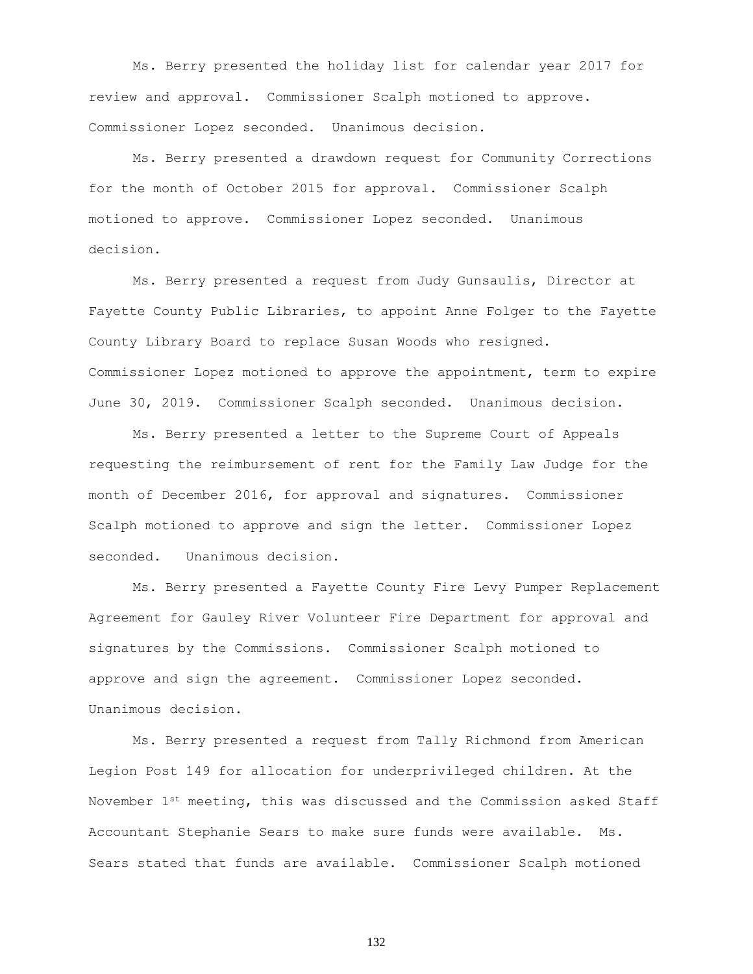Ms. Berry presented the holiday list for calendar year 2017 for review and approval. Commissioner Scalph motioned to approve. Commissioner Lopez seconded. Unanimous decision.

Ms. Berry presented a drawdown request for Community Corrections for the month of October 2015 for approval. Commissioner Scalph motioned to approve. Commissioner Lopez seconded. Unanimous decision.

Ms. Berry presented a request from Judy Gunsaulis, Director at Fayette County Public Libraries, to appoint Anne Folger to the Fayette County Library Board to replace Susan Woods who resigned. Commissioner Lopez motioned to approve the appointment, term to expire June 30, 2019. Commissioner Scalph seconded. Unanimous decision.

Ms. Berry presented a letter to the Supreme Court of Appeals requesting the reimbursement of rent for the Family Law Judge for the month of December 2016, for approval and signatures. Commissioner Scalph motioned to approve and sign the letter. Commissioner Lopez seconded. Unanimous decision.

Ms. Berry presented a Fayette County Fire Levy Pumper Replacement Agreement for Gauley River Volunteer Fire Department for approval and signatures by the Commissions. Commissioner Scalph motioned to approve and sign the agreement. Commissioner Lopez seconded. Unanimous decision.

Ms. Berry presented a request from Tally Richmond from American Legion Post 149 for allocation for underprivileged children. At the November  $1^{st}$  meeting, this was discussed and the Commission asked Staff Accountant Stephanie Sears to make sure funds were available. Ms. Sears stated that funds are available. Commissioner Scalph motioned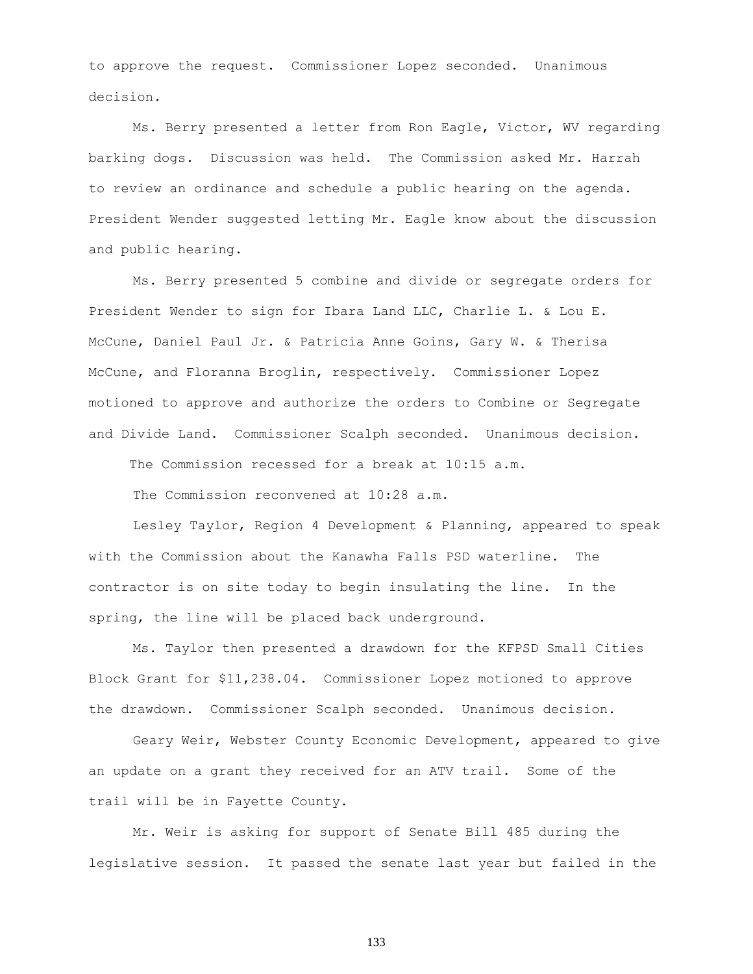to approve the request. Commissioner Lopez seconded. Unanimous decision.

Ms. Berry presented a letter from Ron Eagle, Victor, WV regarding barking dogs. Discussion was held. The Commission asked Mr. Harrah to review an ordinance and schedule a public hearing on the agenda. President Wender suggested letting Mr. Eagle know about the discussion and public hearing.

Ms. Berry presented 5 combine and divide or segregate orders for President Wender to sign for Ibara Land LLC, Charlie L. & Lou E. McCune, Daniel Paul Jr. & Patricia Anne Goins, Gary W. & Therisa McCune, and Floranna Broglin, respectively. Commissioner Lopez motioned to approve and authorize the orders to Combine or Segregate and Divide Land. Commissioner Scalph seconded. Unanimous decision.

The Commission recessed for a break at 10:15 a.m.

The Commission reconvened at 10:28 a.m.

Lesley Taylor, Region 4 Development & Planning, appeared to speak with the Commission about the Kanawha Falls PSD waterline. The contractor is on site today to begin insulating the line. In the spring, the line will be placed back underground.

Ms. Taylor then presented a drawdown for the KFPSD Small Cities Block Grant for \$11,238.04. Commissioner Lopez motioned to approve the drawdown. Commissioner Scalph seconded. Unanimous decision.

Geary Weir, Webster County Economic Development, appeared to give an update on a grant they received for an ATV trail. Some of the trail will be in Fayette County.

Mr. Weir is asking for support of Senate Bill 485 during the legislative session. It passed the senate last year but failed in the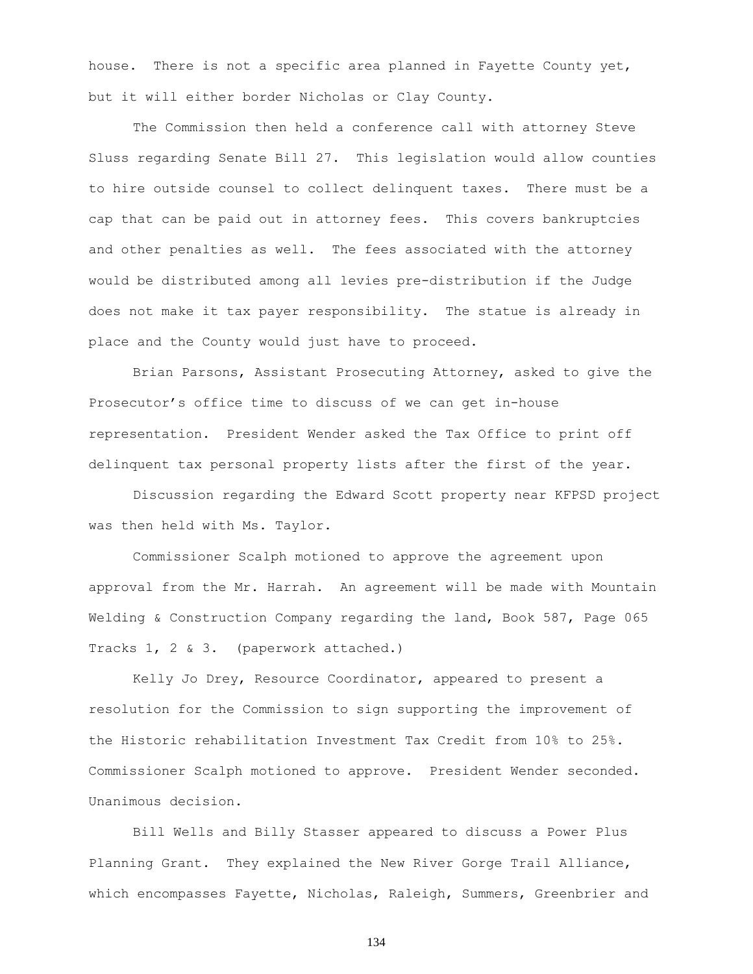house. There is not a specific area planned in Fayette County yet, but it will either border Nicholas or Clay County.

The Commission then held a conference call with attorney Steve Sluss regarding Senate Bill 27. This legislation would allow counties to hire outside counsel to collect delinquent taxes. There must be a cap that can be paid out in attorney fees. This covers bankruptcies and other penalties as well. The fees associated with the attorney would be distributed among all levies pre-distribution if the Judge does not make it tax payer responsibility. The statue is already in place and the County would just have to proceed.

Brian Parsons, Assistant Prosecuting Attorney, asked to give the Prosecutor's office time to discuss of we can get in-house representation. President Wender asked the Tax Office to print off delinquent tax personal property lists after the first of the year.

Discussion regarding the Edward Scott property near KFPSD project was then held with Ms. Taylor.

Commissioner Scalph motioned to approve the agreement upon approval from the Mr. Harrah. An agreement will be made with Mountain Welding & Construction Company regarding the land, Book 587, Page 065 Tracks 1, 2 & 3. (paperwork attached.)

Kelly Jo Drey, Resource Coordinator, appeared to present a resolution for the Commission to sign supporting the improvement of the Historic rehabilitation Investment Tax Credit from 10% to 25%. Commissioner Scalph motioned to approve. President Wender seconded. Unanimous decision.

Bill Wells and Billy Stasser appeared to discuss a Power Plus Planning Grant. They explained the New River Gorge Trail Alliance, which encompasses Fayette, Nicholas, Raleigh, Summers, Greenbrier and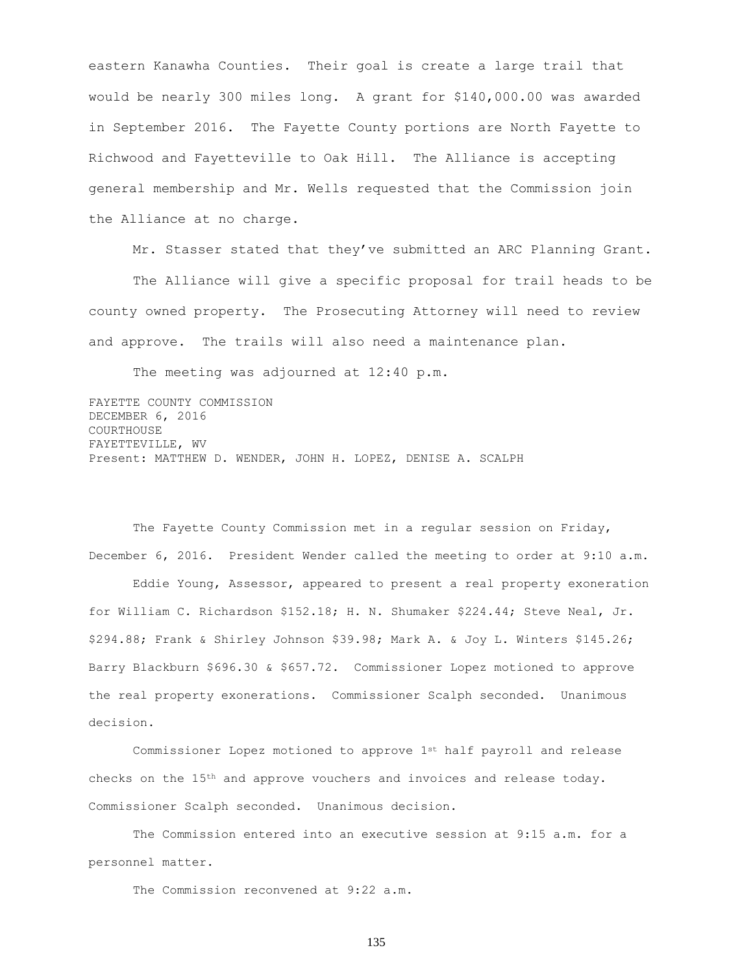eastern Kanawha Counties. Their goal is create a large trail that would be nearly 300 miles long. A grant for \$140,000.00 was awarded in September 2016. The Fayette County portions are North Fayette to Richwood and Fayetteville to Oak Hill. The Alliance is accepting general membership and Mr. Wells requested that the Commission join the Alliance at no charge.

Mr. Stasser stated that they've submitted an ARC Planning Grant.

The Alliance will give a specific proposal for trail heads to be county owned property. The Prosecuting Attorney will need to review and approve. The trails will also need a maintenance plan.

The meeting was adjourned at 12:40 p.m.

FAYETTE COUNTY COMMISSION DECEMBER 6, 2016 COURTHOUSE FAYETTEVILLE, WV Present: MATTHEW D. WENDER, JOHN H. LOPEZ, DENISE A. SCALPH

The Fayette County Commission met in a regular session on Friday, December 6, 2016. President Wender called the meeting to order at 9:10 a.m.

Eddie Young, Assessor, appeared to present a real property exoneration for William C. Richardson \$152.18; H. N. Shumaker \$224.44; Steve Neal, Jr. \$294.88; Frank & Shirley Johnson \$39.98; Mark A. & Joy L. Winters \$145.26; Barry Blackburn \$696.30 & \$657.72. Commissioner Lopez motioned to approve the real property exonerations. Commissioner Scalph seconded. Unanimous decision.

Commissioner Lopez motioned to approve 1st half payroll and release checks on the 15th and approve vouchers and invoices and release today. Commissioner Scalph seconded. Unanimous decision.

The Commission entered into an executive session at 9:15 a.m. for a personnel matter.

The Commission reconvened at 9:22 a.m.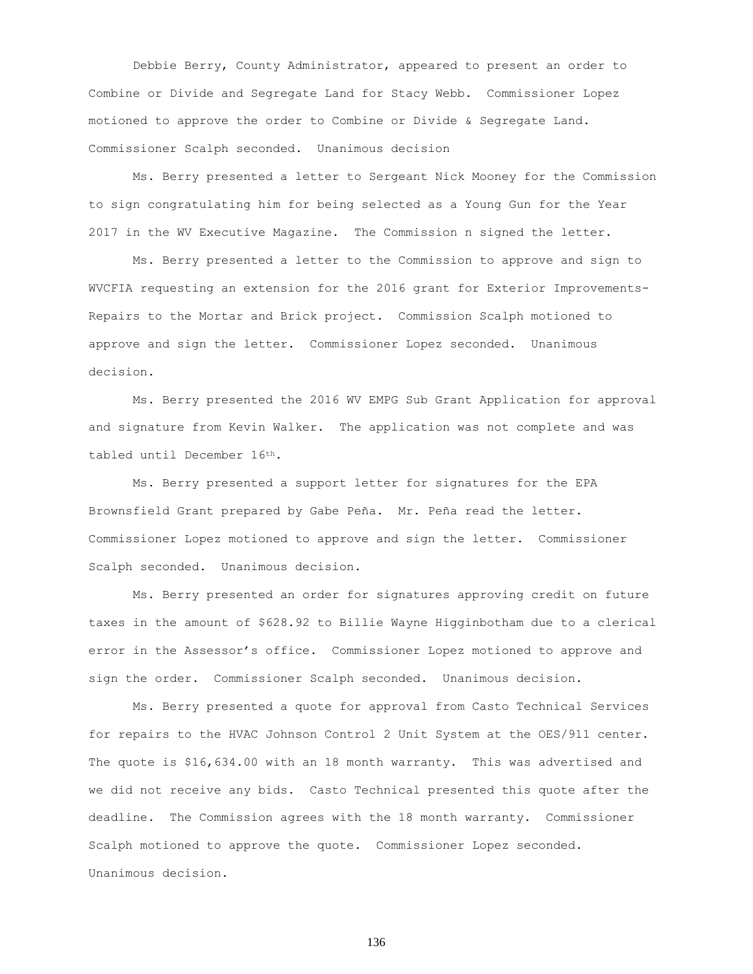Debbie Berry, County Administrator, appeared to present an order to Combine or Divide and Segregate Land for Stacy Webb. Commissioner Lopez motioned to approve the order to Combine or Divide & Segregate Land. Commissioner Scalph seconded. Unanimous decision

Ms. Berry presented a letter to Sergeant Nick Mooney for the Commission to sign congratulating him for being selected as a Young Gun for the Year 2017 in the WV Executive Magazine. The Commission n signed the letter.

Ms. Berry presented a letter to the Commission to approve and sign to WVCFIA requesting an extension for the 2016 grant for Exterior Improvements-Repairs to the Mortar and Brick project. Commission Scalph motioned to approve and sign the letter. Commissioner Lopez seconded. Unanimous decision.

Ms. Berry presented the 2016 WV EMPG Sub Grant Application for approval and signature from Kevin Walker. The application was not complete and was tabled until December 16th.

Ms. Berry presented a support letter for signatures for the EPA Brownsfield Grant prepared by Gabe Peña. Mr. Peña read the letter. Commissioner Lopez motioned to approve and sign the letter. Commissioner Scalph seconded. Unanimous decision.

Ms. Berry presented an order for signatures approving credit on future taxes in the amount of \$628.92 to Billie Wayne Higginbotham due to a clerical error in the Assessor's office. Commissioner Lopez motioned to approve and sign the order. Commissioner Scalph seconded. Unanimous decision.

Ms. Berry presented a quote for approval from Casto Technical Services for repairs to the HVAC Johnson Control 2 Unit System at the OES/911 center. The quote is \$16,634.00 with an 18 month warranty. This was advertised and we did not receive any bids. Casto Technical presented this quote after the deadline. The Commission agrees with the 18 month warranty. Commissioner Scalph motioned to approve the quote. Commissioner Lopez seconded. Unanimous decision.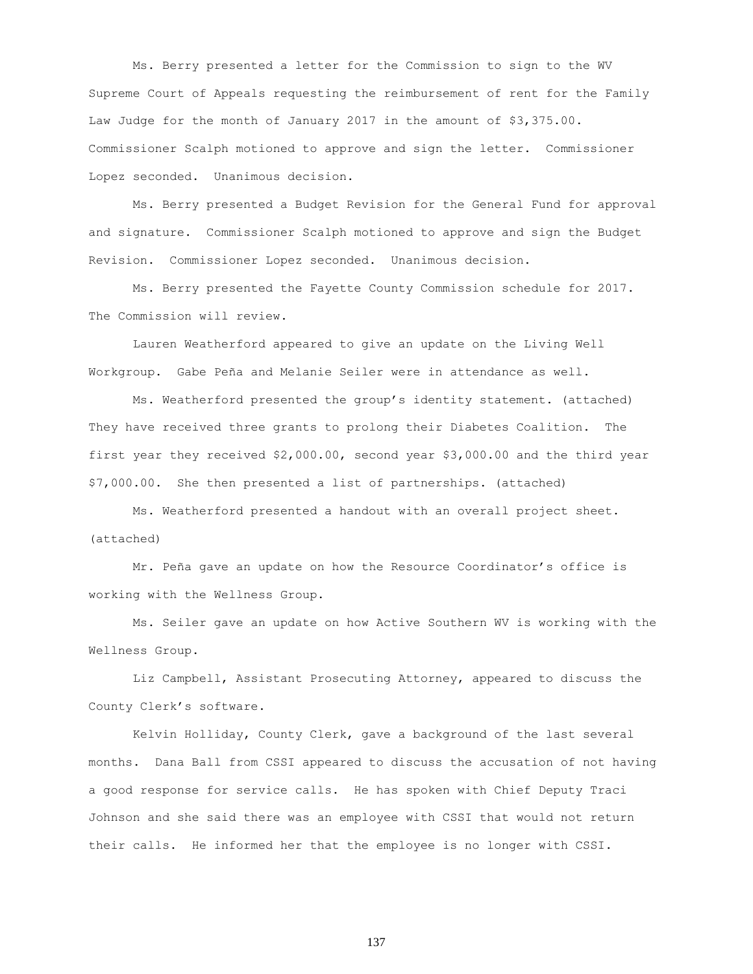Ms. Berry presented a letter for the Commission to sign to the WV Supreme Court of Appeals requesting the reimbursement of rent for the Family Law Judge for the month of January 2017 in the amount of \$3,375.00. Commissioner Scalph motioned to approve and sign the letter. Commissioner Lopez seconded. Unanimous decision.

Ms. Berry presented a Budget Revision for the General Fund for approval and signature. Commissioner Scalph motioned to approve and sign the Budget Revision. Commissioner Lopez seconded. Unanimous decision.

Ms. Berry presented the Fayette County Commission schedule for 2017. The Commission will review.

Lauren Weatherford appeared to give an update on the Living Well Workgroup. Gabe Peña and Melanie Seiler were in attendance as well.

Ms. Weatherford presented the group's identity statement. (attached) They have received three grants to prolong their Diabetes Coalition. The first year they received \$2,000.00, second year \$3,000.00 and the third year \$7,000.00. She then presented a list of partnerships. (attached)

Ms. Weatherford presented a handout with an overall project sheet. (attached)

Mr. Peña gave an update on how the Resource Coordinator's office is working with the Wellness Group.

Ms. Seiler gave an update on how Active Southern WV is working with the Wellness Group.

Liz Campbell, Assistant Prosecuting Attorney, appeared to discuss the County Clerk's software.

Kelvin Holliday, County Clerk, gave a background of the last several months. Dana Ball from CSSI appeared to discuss the accusation of not having a good response for service calls. He has spoken with Chief Deputy Traci Johnson and she said there was an employee with CSSI that would not return their calls. He informed her that the employee is no longer with CSSI.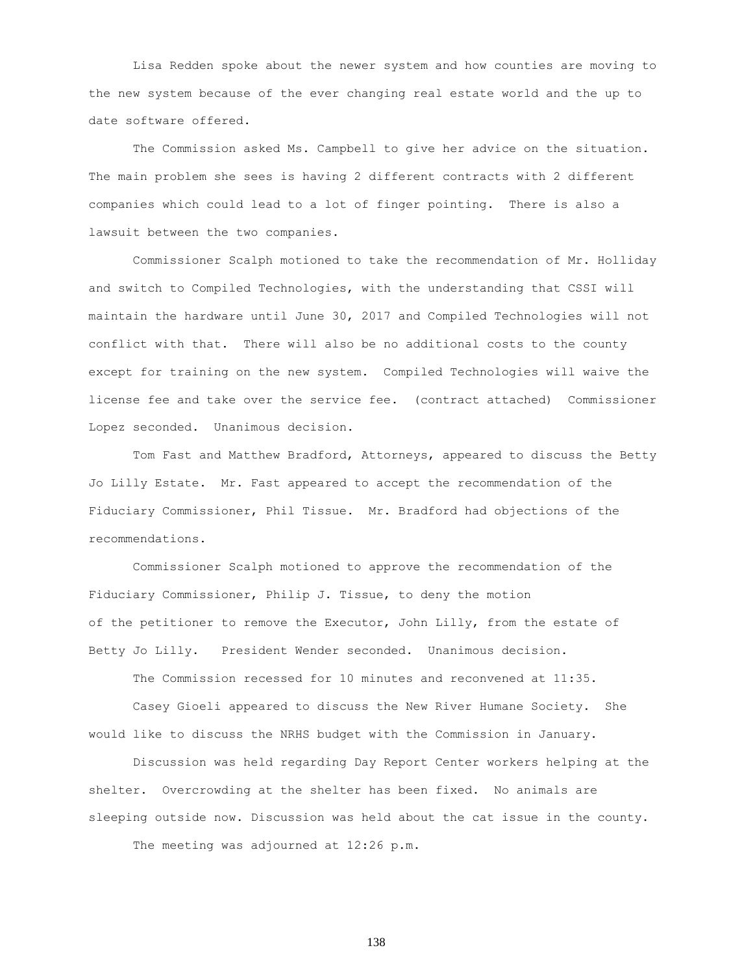Lisa Redden spoke about the newer system and how counties are moving to the new system because of the ever changing real estate world and the up to date software offered.

The Commission asked Ms. Campbell to give her advice on the situation. The main problem she sees is having 2 different contracts with 2 different companies which could lead to a lot of finger pointing. There is also a lawsuit between the two companies.

Commissioner Scalph motioned to take the recommendation of Mr. Holliday and switch to Compiled Technologies, with the understanding that CSSI will maintain the hardware until June 30, 2017 and Compiled Technologies will not conflict with that. There will also be no additional costs to the county except for training on the new system. Compiled Technologies will waive the license fee and take over the service fee. (contract attached) Commissioner Lopez seconded. Unanimous decision.

Tom Fast and Matthew Bradford, Attorneys, appeared to discuss the Betty Jo Lilly Estate. Mr. Fast appeared to accept the recommendation of the Fiduciary Commissioner, Phil Tissue. Mr. Bradford had objections of the recommendations.

Commissioner Scalph motioned to approve the recommendation of the Fiduciary Commissioner, Philip J. Tissue, to deny the motion of the petitioner to remove the Executor, John Lilly, from the estate of Betty Jo Lilly. President Wender seconded. Unanimous decision.

The Commission recessed for 10 minutes and reconvened at 11:35.

Casey Gioeli appeared to discuss the New River Humane Society. She would like to discuss the NRHS budget with the Commission in January.

Discussion was held regarding Day Report Center workers helping at the shelter. Overcrowding at the shelter has been fixed. No animals are sleeping outside now. Discussion was held about the cat issue in the county.

The meeting was adjourned at 12:26 p.m.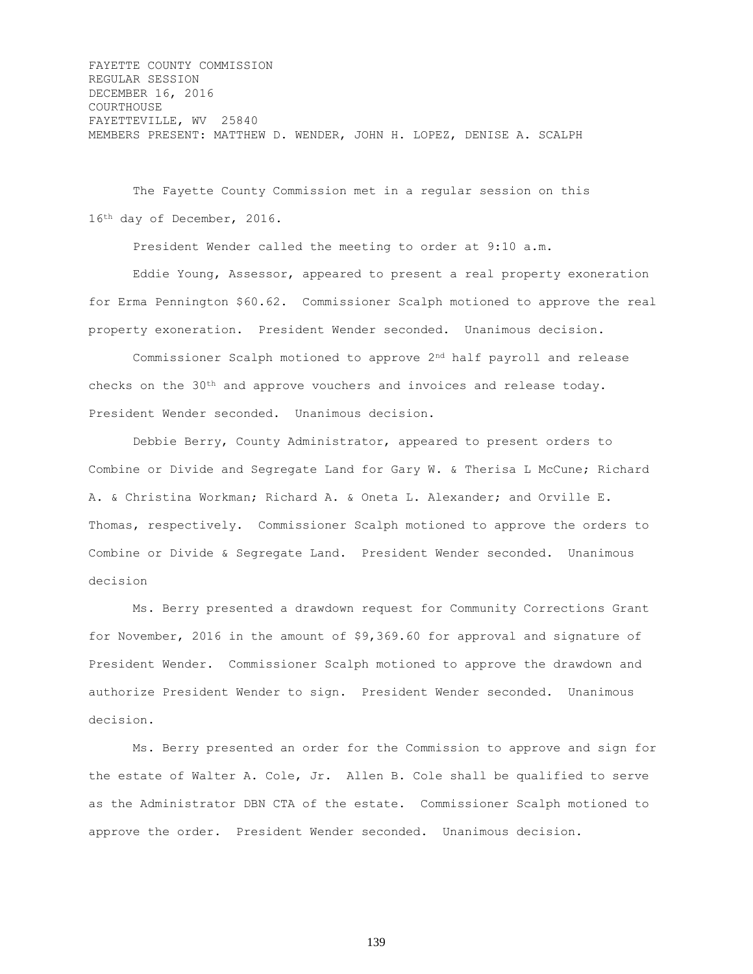FAYETTE COUNTY COMMISSION REGULAR SESSION DECEMBER 16, 2016 COURTHOUSE FAYETTEVILLE, WV 25840 MEMBERS PRESENT: MATTHEW D. WENDER, JOHN H. LOPEZ, DENISE A. SCALPH

The Fayette County Commission met in a regular session on this 16th day of December, 2016.

President Wender called the meeting to order at 9:10 a.m.

Eddie Young, Assessor, appeared to present a real property exoneration for Erma Pennington \$60.62. Commissioner Scalph motioned to approve the real property exoneration. President Wender seconded. Unanimous decision.

Commissioner Scalph motioned to approve 2nd half payroll and release checks on the 30th and approve vouchers and invoices and release today. President Wender seconded. Unanimous decision.

Debbie Berry, County Administrator, appeared to present orders to Combine or Divide and Segregate Land for Gary W. & Therisa L McCune; Richard A. & Christina Workman; Richard A. & Oneta L. Alexander; and Orville E. Thomas, respectively. Commissioner Scalph motioned to approve the orders to Combine or Divide & Segregate Land. President Wender seconded. Unanimous decision

Ms. Berry presented a drawdown request for Community Corrections Grant for November, 2016 in the amount of \$9,369.60 for approval and signature of President Wender. Commissioner Scalph motioned to approve the drawdown and authorize President Wender to sign. President Wender seconded. Unanimous decision.

Ms. Berry presented an order for the Commission to approve and sign for the estate of Walter A. Cole, Jr. Allen B. Cole shall be qualified to serve as the Administrator DBN CTA of the estate. Commissioner Scalph motioned to approve the order. President Wender seconded. Unanimous decision.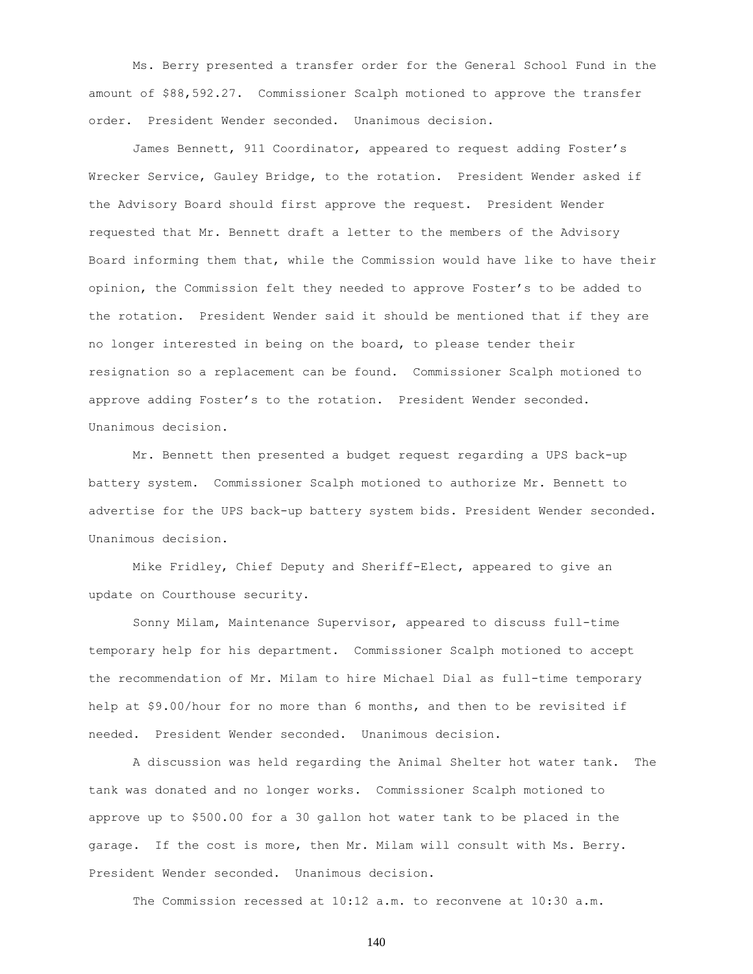Ms. Berry presented a transfer order for the General School Fund in the amount of \$88,592.27. Commissioner Scalph motioned to approve the transfer order. President Wender seconded. Unanimous decision.

James Bennett, 911 Coordinator, appeared to request adding Foster's Wrecker Service, Gauley Bridge, to the rotation. President Wender asked if the Advisory Board should first approve the request. President Wender requested that Mr. Bennett draft a letter to the members of the Advisory Board informing them that, while the Commission would have like to have their opinion, the Commission felt they needed to approve Foster's to be added to the rotation. President Wender said it should be mentioned that if they are no longer interested in being on the board, to please tender their resignation so a replacement can be found. Commissioner Scalph motioned to approve adding Foster's to the rotation. President Wender seconded. Unanimous decision.

Mr. Bennett then presented a budget request regarding a UPS back-up battery system. Commissioner Scalph motioned to authorize Mr. Bennett to advertise for the UPS back-up battery system bids. President Wender seconded. Unanimous decision.

Mike Fridley, Chief Deputy and Sheriff-Elect, appeared to give an update on Courthouse security.

Sonny Milam, Maintenance Supervisor, appeared to discuss full-time temporary help for his department. Commissioner Scalph motioned to accept the recommendation of Mr. Milam to hire Michael Dial as full-time temporary help at \$9.00/hour for no more than 6 months, and then to be revisited if needed. President Wender seconded. Unanimous decision.

A discussion was held regarding the Animal Shelter hot water tank. The tank was donated and no longer works. Commissioner Scalph motioned to approve up to \$500.00 for a 30 gallon hot water tank to be placed in the garage. If the cost is more, then Mr. Milam will consult with Ms. Berry. President Wender seconded. Unanimous decision.

The Commission recessed at 10:12 a.m. to reconvene at 10:30 a.m.